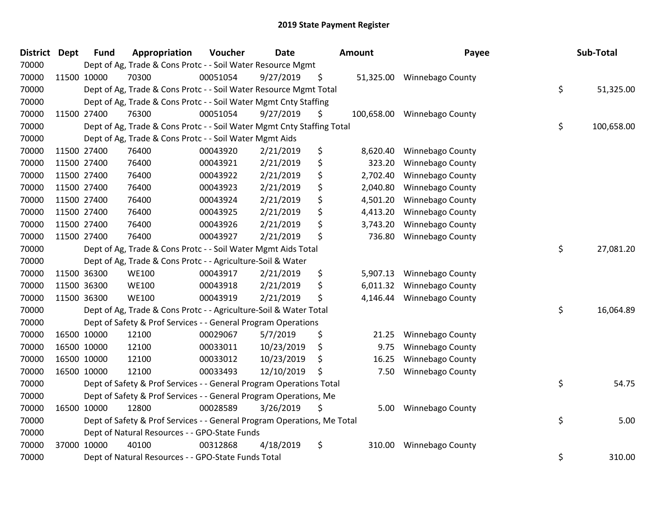| <b>District</b> | <b>Dept</b> | <b>Fund</b> | Appropriation                                                           | Voucher  | <b>Date</b> | <b>Amount</b> |            | Payee                   | Sub-Total        |
|-----------------|-------------|-------------|-------------------------------------------------------------------------|----------|-------------|---------------|------------|-------------------------|------------------|
| 70000           |             |             | Dept of Ag, Trade & Cons Protc - - Soil Water Resource Mgmt             |          |             |               |            |                         |                  |
| 70000           |             | 11500 10000 | 70300                                                                   | 00051054 | 9/27/2019   | \$            | 51,325.00  | <b>Winnebago County</b> |                  |
| 70000           |             |             | Dept of Ag, Trade & Cons Protc - - Soil Water Resource Mgmt Total       |          |             |               |            |                         | \$<br>51,325.00  |
| 70000           |             |             | Dept of Ag, Trade & Cons Protc - - Soil Water Mgmt Cnty Staffing        |          |             |               |            |                         |                  |
| 70000           |             | 11500 27400 | 76300                                                                   | 00051054 | 9/27/2019   | \$            | 100,658.00 | <b>Winnebago County</b> |                  |
| 70000           |             |             | Dept of Ag, Trade & Cons Protc - - Soil Water Mgmt Cnty Staffing Total  |          |             |               |            |                         | \$<br>100,658.00 |
| 70000           |             |             | Dept of Ag, Trade & Cons Protc - - Soil Water Mgmt Aids                 |          |             |               |            |                         |                  |
| 70000           |             | 11500 27400 | 76400                                                                   | 00043920 | 2/21/2019   | \$            | 8,620.40   | <b>Winnebago County</b> |                  |
| 70000           |             | 11500 27400 | 76400                                                                   | 00043921 | 2/21/2019   | \$            | 323.20     | Winnebago County        |                  |
| 70000           |             | 11500 27400 | 76400                                                                   | 00043922 | 2/21/2019   | \$            | 2,702.40   | Winnebago County        |                  |
| 70000           |             | 11500 27400 | 76400                                                                   | 00043923 | 2/21/2019   | \$            | 2,040.80   | Winnebago County        |                  |
| 70000           |             | 11500 27400 | 76400                                                                   | 00043924 | 2/21/2019   | \$            | 4,501.20   | Winnebago County        |                  |
| 70000           |             | 11500 27400 | 76400                                                                   | 00043925 | 2/21/2019   | \$            | 4,413.20   | Winnebago County        |                  |
| 70000           |             | 11500 27400 | 76400                                                                   | 00043926 | 2/21/2019   | \$            | 3,743.20   | <b>Winnebago County</b> |                  |
| 70000           |             | 11500 27400 | 76400                                                                   | 00043927 | 2/21/2019   | \$            | 736.80     | <b>Winnebago County</b> |                  |
| 70000           |             |             | Dept of Ag, Trade & Cons Protc - - Soil Water Mgmt Aids Total           |          |             |               |            |                         | \$<br>27,081.20  |
| 70000           |             |             | Dept of Ag, Trade & Cons Protc - - Agriculture-Soil & Water             |          |             |               |            |                         |                  |
| 70000           |             | 11500 36300 | <b>WE100</b>                                                            | 00043917 | 2/21/2019   | \$            | 5,907.13   | Winnebago County        |                  |
| 70000           |             | 11500 36300 | <b>WE100</b>                                                            | 00043918 | 2/21/2019   | \$            | 6,011.32   | Winnebago County        |                  |
| 70000           |             | 11500 36300 | <b>WE100</b>                                                            | 00043919 | 2/21/2019   | \$            | 4,146.44   | Winnebago County        |                  |
| 70000           |             |             | Dept of Ag, Trade & Cons Protc - - Agriculture-Soil & Water Total       |          |             |               |            |                         | \$<br>16,064.89  |
| 70000           |             |             | Dept of Safety & Prof Services - - General Program Operations           |          |             |               |            |                         |                  |
| 70000           |             | 16500 10000 | 12100                                                                   | 00029067 | 5/7/2019    | \$            | 21.25      | Winnebago County        |                  |
| 70000           |             | 16500 10000 | 12100                                                                   | 00033011 | 10/23/2019  | \$            | 9.75       | <b>Winnebago County</b> |                  |
| 70000           |             | 16500 10000 | 12100                                                                   | 00033012 | 10/23/2019  | \$            | 16.25      | Winnebago County        |                  |
| 70000           |             | 16500 10000 | 12100                                                                   | 00033493 | 12/10/2019  | \$            | 7.50       | <b>Winnebago County</b> |                  |
| 70000           |             |             | Dept of Safety & Prof Services - - General Program Operations Total     |          |             |               |            |                         | \$<br>54.75      |
| 70000           |             |             | Dept of Safety & Prof Services - - General Program Operations, Me       |          |             |               |            |                         |                  |
| 70000           |             | 16500 10000 | 12800                                                                   | 00028589 | 3/26/2019   | \$            | 5.00       | <b>Winnebago County</b> |                  |
| 70000           |             |             | Dept of Safety & Prof Services - - General Program Operations, Me Total |          |             |               |            |                         | \$<br>5.00       |
| 70000           |             |             | Dept of Natural Resources - - GPO-State Funds                           |          |             |               |            |                         |                  |
| 70000           |             | 37000 10000 | 40100                                                                   | 00312868 | 4/18/2019   | \$            | 310.00     | <b>Winnebago County</b> |                  |
| 70000           |             |             | Dept of Natural Resources - - GPO-State Funds Total                     |          |             |               |            |                         | \$<br>310.00     |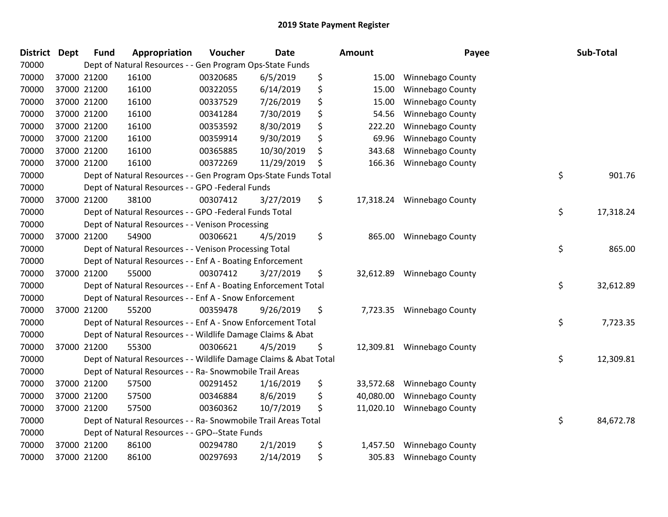| <b>District</b> | <b>Dept</b> | <b>Fund</b> | Appropriation                                                     | Voucher  | <b>Date</b> | Amount          | Payee                      | Sub-Total       |
|-----------------|-------------|-------------|-------------------------------------------------------------------|----------|-------------|-----------------|----------------------------|-----------------|
| 70000           |             |             | Dept of Natural Resources - - Gen Program Ops-State Funds         |          |             |                 |                            |                 |
| 70000           |             | 37000 21200 | 16100                                                             | 00320685 | 6/5/2019    | \$<br>15.00     | <b>Winnebago County</b>    |                 |
| 70000           |             | 37000 21200 | 16100                                                             | 00322055 | 6/14/2019   | \$<br>15.00     | <b>Winnebago County</b>    |                 |
| 70000           |             | 37000 21200 | 16100                                                             | 00337529 | 7/26/2019   | \$<br>15.00     | Winnebago County           |                 |
| 70000           |             | 37000 21200 | 16100                                                             | 00341284 | 7/30/2019   | \$<br>54.56     | Winnebago County           |                 |
| 70000           |             | 37000 21200 | 16100                                                             | 00353592 | 8/30/2019   | \$<br>222.20    | Winnebago County           |                 |
| 70000           |             | 37000 21200 | 16100                                                             | 00359914 | 9/30/2019   | \$<br>69.96     | Winnebago County           |                 |
| 70000           |             | 37000 21200 | 16100                                                             | 00365885 | 10/30/2019  | \$<br>343.68    | Winnebago County           |                 |
| 70000           |             | 37000 21200 | 16100                                                             | 00372269 | 11/29/2019  | \$<br>166.36    | Winnebago County           |                 |
| 70000           |             |             | Dept of Natural Resources - - Gen Program Ops-State Funds Total   |          |             |                 |                            | \$<br>901.76    |
| 70000           |             |             | Dept of Natural Resources - - GPO -Federal Funds                  |          |             |                 |                            |                 |
| 70000           |             | 37000 21200 | 38100                                                             | 00307412 | 3/27/2019   | \$              | 17,318.24 Winnebago County |                 |
| 70000           |             |             | Dept of Natural Resources - - GPO -Federal Funds Total            |          |             |                 |                            | \$<br>17,318.24 |
| 70000           |             |             | Dept of Natural Resources - - Venison Processing                  |          |             |                 |                            |                 |
| 70000           |             | 37000 21200 | 54900                                                             | 00306621 | 4/5/2019    | \$<br>865.00    | Winnebago County           |                 |
| 70000           |             |             | Dept of Natural Resources - - Venison Processing Total            |          |             |                 |                            | \$<br>865.00    |
| 70000           |             |             | Dept of Natural Resources - - Enf A - Boating Enforcement         |          |             |                 |                            |                 |
| 70000           |             | 37000 21200 | 55000                                                             | 00307412 | 3/27/2019   | \$<br>32,612.89 | Winnebago County           |                 |
| 70000           |             |             | Dept of Natural Resources - - Enf A - Boating Enforcement Total   |          |             |                 |                            | \$<br>32,612.89 |
| 70000           |             |             | Dept of Natural Resources - - Enf A - Snow Enforcement            |          |             |                 |                            |                 |
| 70000           |             | 37000 21200 | 55200                                                             | 00359478 | 9/26/2019   | \$<br>7,723.35  | Winnebago County           |                 |
| 70000           |             |             | Dept of Natural Resources - - Enf A - Snow Enforcement Total      |          |             |                 |                            | \$<br>7,723.35  |
| 70000           |             |             | Dept of Natural Resources - - Wildlife Damage Claims & Abat       |          |             |                 |                            |                 |
| 70000           |             | 37000 21200 | 55300                                                             | 00306621 | 4/5/2019    | \$              | 12,309.81 Winnebago County |                 |
| 70000           |             |             | Dept of Natural Resources - - Wildlife Damage Claims & Abat Total |          |             |                 |                            | \$<br>12,309.81 |
| 70000           |             |             | Dept of Natural Resources - - Ra- Snowmobile Trail Areas          |          |             |                 |                            |                 |
| 70000           |             | 37000 21200 | 57500                                                             | 00291452 | 1/16/2019   | \$<br>33,572.68 | Winnebago County           |                 |
| 70000           |             | 37000 21200 | 57500                                                             | 00346884 | 8/6/2019    | \$<br>40,080.00 | Winnebago County           |                 |
| 70000           |             | 37000 21200 | 57500                                                             | 00360362 | 10/7/2019   | \$<br>11,020.10 | Winnebago County           |                 |
| 70000           |             |             | Dept of Natural Resources - - Ra- Snowmobile Trail Areas Total    |          |             |                 |                            | \$<br>84,672.78 |
| 70000           |             |             | Dept of Natural Resources - - GPO--State Funds                    |          |             |                 |                            |                 |
| 70000           |             | 37000 21200 | 86100                                                             | 00294780 | 2/1/2019    | \$<br>1,457.50  | Winnebago County           |                 |
| 70000           |             | 37000 21200 | 86100                                                             | 00297693 | 2/14/2019   | \$<br>305.83    | <b>Winnebago County</b>    |                 |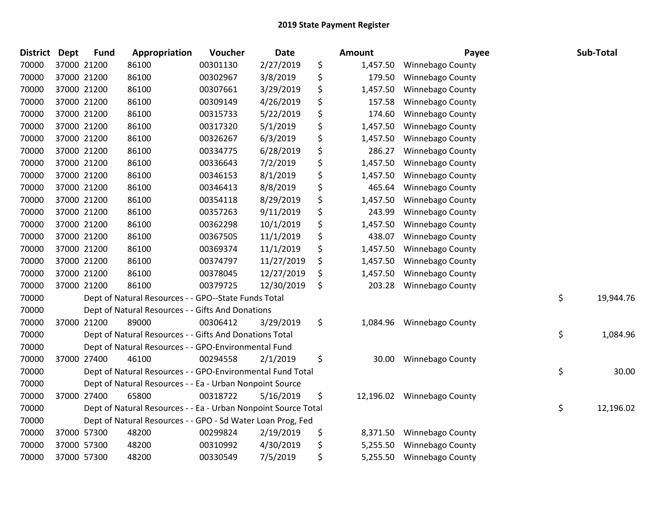| <b>District</b> | <b>Dept</b> | <b>Fund</b> | Appropriation                                                  | Voucher  | <b>Date</b> | Amount          | Payee                   | Sub-Total       |
|-----------------|-------------|-------------|----------------------------------------------------------------|----------|-------------|-----------------|-------------------------|-----------------|
| 70000           | 37000 21200 |             | 86100                                                          | 00301130 | 2/27/2019   | \$<br>1,457.50  | <b>Winnebago County</b> |                 |
| 70000           | 37000 21200 |             | 86100                                                          | 00302967 | 3/8/2019    | \$<br>179.50    | <b>Winnebago County</b> |                 |
| 70000           | 37000 21200 |             | 86100                                                          | 00307661 | 3/29/2019   | \$<br>1,457.50  | Winnebago County        |                 |
| 70000           | 37000 21200 |             | 86100                                                          | 00309149 | 4/26/2019   | \$<br>157.58    | Winnebago County        |                 |
| 70000           | 37000 21200 |             | 86100                                                          | 00315733 | 5/22/2019   | \$<br>174.60    | Winnebago County        |                 |
| 70000           | 37000 21200 |             | 86100                                                          | 00317320 | 5/1/2019    | \$<br>1,457.50  | Winnebago County        |                 |
| 70000           | 37000 21200 |             | 86100                                                          | 00326267 | 6/3/2019    | \$<br>1,457.50  | Winnebago County        |                 |
| 70000           | 37000 21200 |             | 86100                                                          | 00334775 | 6/28/2019   | \$<br>286.27    | Winnebago County        |                 |
| 70000           | 37000 21200 |             | 86100                                                          | 00336643 | 7/2/2019    | \$<br>1,457.50  | Winnebago County        |                 |
| 70000           | 37000 21200 |             | 86100                                                          | 00346153 | 8/1/2019    | \$<br>1,457.50  | Winnebago County        |                 |
| 70000           |             | 37000 21200 | 86100                                                          | 00346413 | 8/8/2019    | \$<br>465.64    | Winnebago County        |                 |
| 70000           | 37000 21200 |             | 86100                                                          | 00354118 | 8/29/2019   | \$<br>1,457.50  | Winnebago County        |                 |
| 70000           | 37000 21200 |             | 86100                                                          | 00357263 | 9/11/2019   | \$<br>243.99    | <b>Winnebago County</b> |                 |
| 70000           | 37000 21200 |             | 86100                                                          | 00362298 | 10/1/2019   | \$<br>1,457.50  | Winnebago County        |                 |
| 70000           | 37000 21200 |             | 86100                                                          | 00367505 | 11/1/2019   | \$<br>438.07    | Winnebago County        |                 |
| 70000           |             | 37000 21200 | 86100                                                          | 00369374 | 11/1/2019   | \$<br>1,457.50  | <b>Winnebago County</b> |                 |
| 70000           | 37000 21200 |             | 86100                                                          | 00374797 | 11/27/2019  | \$<br>1,457.50  | Winnebago County        |                 |
| 70000           | 37000 21200 |             | 86100                                                          | 00378045 | 12/27/2019  | \$<br>1,457.50  | Winnebago County        |                 |
| 70000           | 37000 21200 |             | 86100                                                          | 00379725 | 12/30/2019  | \$<br>203.28    | Winnebago County        |                 |
| 70000           |             |             | Dept of Natural Resources - - GPO--State Funds Total           |          |             |                 |                         | \$<br>19,944.76 |
| 70000           |             |             | Dept of Natural Resources - - Gifts And Donations              |          |             |                 |                         |                 |
| 70000           |             | 37000 21200 | 89000                                                          | 00306412 | 3/29/2019   | \$<br>1,084.96  | Winnebago County        |                 |
| 70000           |             |             | Dept of Natural Resources - - Gifts And Donations Total        |          |             |                 |                         | \$<br>1,084.96  |
| 70000           |             |             | Dept of Natural Resources - - GPO-Environmental Fund           |          |             |                 |                         |                 |
| 70000           | 37000 27400 |             | 46100                                                          | 00294558 | 2/1/2019    | \$<br>30.00     | <b>Winnebago County</b> |                 |
| 70000           |             |             | Dept of Natural Resources - - GPO-Environmental Fund Total     |          |             |                 |                         | \$<br>30.00     |
| 70000           |             |             | Dept of Natural Resources - - Ea - Urban Nonpoint Source       |          |             |                 |                         |                 |
| 70000           |             | 37000 27400 | 65800                                                          | 00318722 | 5/16/2019   | \$<br>12,196.02 | <b>Winnebago County</b> |                 |
| 70000           |             |             | Dept of Natural Resources - - Ea - Urban Nonpoint Source Total |          |             |                 |                         | \$<br>12,196.02 |
| 70000           |             |             | Dept of Natural Resources - - GPO - Sd Water Loan Prog, Fed    |          |             |                 |                         |                 |
| 70000           | 37000 57300 |             | 48200                                                          | 00299824 | 2/19/2019   | \$<br>8,371.50  | Winnebago County        |                 |
| 70000           | 37000 57300 |             | 48200                                                          | 00310992 | 4/30/2019   | \$<br>5,255.50  | Winnebago County        |                 |
| 70000           |             | 37000 57300 | 48200                                                          | 00330549 | 7/5/2019    | \$<br>5,255.50  | <b>Winnebago County</b> |                 |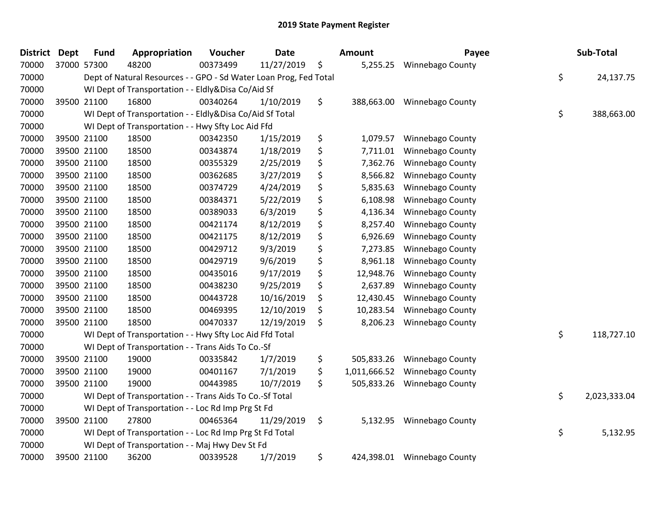| <b>District</b> | <b>Dept</b> | <b>Fund</b> | Appropriation                                                     | Voucher  | <b>Date</b> |     | <b>Amount</b> | Payee                   | Sub-Total          |
|-----------------|-------------|-------------|-------------------------------------------------------------------|----------|-------------|-----|---------------|-------------------------|--------------------|
| 70000           |             | 37000 57300 | 48200                                                             | 00373499 | 11/27/2019  | \$  | 5,255.25      | <b>Winnebago County</b> |                    |
| 70000           |             |             | Dept of Natural Resources - - GPO - Sd Water Loan Prog, Fed Total |          |             |     |               |                         | \$<br>24,137.75    |
| 70000           |             |             | WI Dept of Transportation - - Eldly&Disa Co/Aid Sf                |          |             |     |               |                         |                    |
| 70000           |             | 39500 21100 | 16800                                                             | 00340264 | 1/10/2019   | \$  | 388,663.00    | Winnebago County        |                    |
| 70000           |             |             | WI Dept of Transportation - - Eldly&Disa Co/Aid Sf Total          |          |             |     |               |                         | \$<br>388,663.00   |
| 70000           |             |             | WI Dept of Transportation - - Hwy Sfty Loc Aid Ffd                |          |             |     |               |                         |                    |
| 70000           |             | 39500 21100 | 18500                                                             | 00342350 | 1/15/2019   | \$  | 1,079.57      | Winnebago County        |                    |
| 70000           |             | 39500 21100 | 18500                                                             | 00343874 | 1/18/2019   | \$  | 7,711.01      | Winnebago County        |                    |
| 70000           |             | 39500 21100 | 18500                                                             | 00355329 | 2/25/2019   | \$  | 7,362.76      | Winnebago County        |                    |
| 70000           |             | 39500 21100 | 18500                                                             | 00362685 | 3/27/2019   | \$  | 8,566.82      | Winnebago County        |                    |
| 70000           |             | 39500 21100 | 18500                                                             | 00374729 | 4/24/2019   | \$  | 5,835.63      | Winnebago County        |                    |
| 70000           |             | 39500 21100 | 18500                                                             | 00384371 | 5/22/2019   | \$  | 6,108.98      | Winnebago County        |                    |
| 70000           |             | 39500 21100 | 18500                                                             | 00389033 | 6/3/2019    | \$  | 4,136.34      | Winnebago County        |                    |
| 70000           |             | 39500 21100 | 18500                                                             | 00421174 | 8/12/2019   | \$  | 8,257.40      | <b>Winnebago County</b> |                    |
| 70000           |             | 39500 21100 | 18500                                                             | 00421175 | 8/12/2019   | \$  | 6,926.69      | Winnebago County        |                    |
| 70000           |             | 39500 21100 | 18500                                                             | 00429712 | 9/3/2019    | \$  | 7,273.85      | <b>Winnebago County</b> |                    |
| 70000           |             | 39500 21100 | 18500                                                             | 00429719 | 9/6/2019    | \$  | 8,961.18      | Winnebago County        |                    |
| 70000           |             | 39500 21100 | 18500                                                             | 00435016 | 9/17/2019   | \$  | 12,948.76     | Winnebago County        |                    |
| 70000           |             | 39500 21100 | 18500                                                             | 00438230 | 9/25/2019   | \$  | 2,637.89      | Winnebago County        |                    |
| 70000           |             | 39500 21100 | 18500                                                             | 00443728 | 10/16/2019  | \$  | 12,430.45     | Winnebago County        |                    |
| 70000           |             | 39500 21100 | 18500                                                             | 00469395 | 12/10/2019  | \$  | 10,283.54     | Winnebago County        |                    |
| 70000           |             | 39500 21100 | 18500                                                             | 00470337 | 12/19/2019  | \$  | 8,206.23      | Winnebago County        |                    |
| 70000           |             |             | WI Dept of Transportation - - Hwy Sfty Loc Aid Ffd Total          |          |             |     |               |                         | \$<br>118,727.10   |
| 70000           |             |             | WI Dept of Transportation - - Trans Aids To Co.-Sf                |          |             |     |               |                         |                    |
| 70000           |             | 39500 21100 | 19000                                                             | 00335842 | 1/7/2019    | \$  | 505,833.26    | Winnebago County        |                    |
| 70000           |             | 39500 21100 | 19000                                                             | 00401167 | 7/1/2019    | \$. | 1,011,666.52  | Winnebago County        |                    |
| 70000           |             | 39500 21100 | 19000                                                             | 00443985 | 10/7/2019   | \$  | 505,833.26    | Winnebago County        |                    |
| 70000           |             |             | WI Dept of Transportation - - Trans Aids To Co.-Sf Total          |          |             |     |               |                         | \$<br>2,023,333.04 |
| 70000           |             |             | WI Dept of Transportation - - Loc Rd Imp Prg St Fd                |          |             |     |               |                         |                    |
| 70000           |             | 39500 21100 | 27800                                                             | 00465364 | 11/29/2019  | \$  | 5,132.95      | <b>Winnebago County</b> |                    |
| 70000           |             |             | WI Dept of Transportation - - Loc Rd Imp Prg St Fd Total          |          |             |     |               |                         | \$<br>5,132.95     |
| 70000           |             |             | WI Dept of Transportation - - Maj Hwy Dev St Fd                   |          |             |     |               |                         |                    |
| 70000           |             | 39500 21100 | 36200                                                             | 00339528 | 1/7/2019    | \$  | 424,398.01    | Winnebago County        |                    |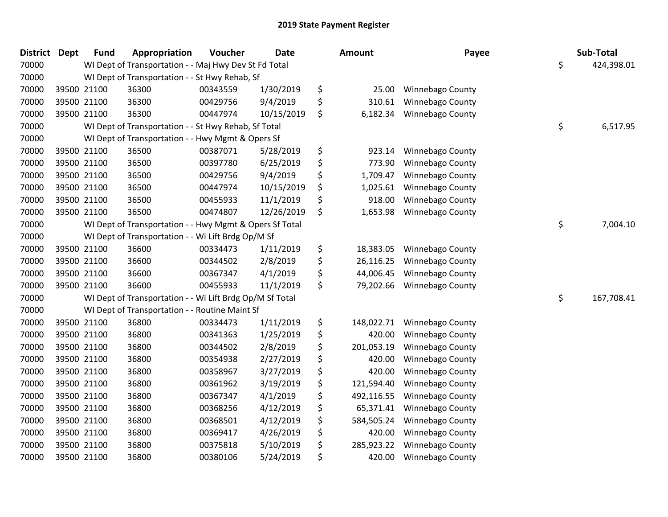| <b>District</b> | <b>Dept</b> | <b>Fund</b> | Appropriation                                            | Voucher  | <b>Date</b> | Amount           | Payee                   | Sub-Total        |
|-----------------|-------------|-------------|----------------------------------------------------------|----------|-------------|------------------|-------------------------|------------------|
| 70000           |             |             | WI Dept of Transportation - - Maj Hwy Dev St Fd Total    |          |             |                  |                         | \$<br>424,398.01 |
| 70000           |             |             | WI Dept of Transportation - - St Hwy Rehab, Sf           |          |             |                  |                         |                  |
| 70000           | 39500 21100 |             | 36300                                                    | 00343559 | 1/30/2019   | \$<br>25.00      | Winnebago County        |                  |
| 70000           | 39500 21100 |             | 36300                                                    | 00429756 | 9/4/2019    | \$<br>310.61     | Winnebago County        |                  |
| 70000           | 39500 21100 |             | 36300                                                    | 00447974 | 10/15/2019  | \$<br>6,182.34   | Winnebago County        |                  |
| 70000           |             |             | WI Dept of Transportation - - St Hwy Rehab, Sf Total     |          |             |                  |                         | \$<br>6,517.95   |
| 70000           |             |             | WI Dept of Transportation - - Hwy Mgmt & Opers Sf        |          |             |                  |                         |                  |
| 70000           | 39500 21100 |             | 36500                                                    | 00387071 | 5/28/2019   | \$<br>923.14     | Winnebago County        |                  |
| 70000           | 39500 21100 |             | 36500                                                    | 00397780 | 6/25/2019   | \$<br>773.90     | Winnebago County        |                  |
| 70000           | 39500 21100 |             | 36500                                                    | 00429756 | 9/4/2019    | \$<br>1,709.47   | Winnebago County        |                  |
| 70000           | 39500 21100 |             | 36500                                                    | 00447974 | 10/15/2019  | \$<br>1,025.61   | Winnebago County        |                  |
| 70000           | 39500 21100 |             | 36500                                                    | 00455933 | 11/1/2019   | \$<br>918.00     | Winnebago County        |                  |
| 70000           | 39500 21100 |             | 36500                                                    | 00474807 | 12/26/2019  | \$<br>1,653.98   | Winnebago County        |                  |
| 70000           |             |             | WI Dept of Transportation - - Hwy Mgmt & Opers Sf Total  |          |             |                  |                         | \$<br>7,004.10   |
| 70000           |             |             | WI Dept of Transportation - - Wi Lift Brdg Op/M Sf       |          |             |                  |                         |                  |
| 70000           | 39500 21100 |             | 36600                                                    | 00334473 | 1/11/2019   | \$<br>18,383.05  | Winnebago County        |                  |
| 70000           | 39500 21100 |             | 36600                                                    | 00344502 | 2/8/2019    | \$<br>26,116.25  | Winnebago County        |                  |
| 70000           | 39500 21100 |             | 36600                                                    | 00367347 | 4/1/2019    | \$<br>44,006.45  | Winnebago County        |                  |
| 70000           | 39500 21100 |             | 36600                                                    | 00455933 | 11/1/2019   | \$<br>79,202.66  | Winnebago County        |                  |
| 70000           |             |             | WI Dept of Transportation - - Wi Lift Brdg Op/M Sf Total |          |             |                  |                         | \$<br>167,708.41 |
| 70000           |             |             | WI Dept of Transportation - - Routine Maint Sf           |          |             |                  |                         |                  |
| 70000           | 39500 21100 |             | 36800                                                    | 00334473 | 1/11/2019   | \$<br>148,022.71 | <b>Winnebago County</b> |                  |
| 70000           | 39500 21100 |             | 36800                                                    | 00341363 | 1/25/2019   | \$<br>420.00     | Winnebago County        |                  |
| 70000           | 39500 21100 |             | 36800                                                    | 00344502 | 2/8/2019    | \$<br>201,053.19 | Winnebago County        |                  |
| 70000           | 39500 21100 |             | 36800                                                    | 00354938 | 2/27/2019   | \$<br>420.00     | Winnebago County        |                  |
| 70000           | 39500 21100 |             | 36800                                                    | 00358967 | 3/27/2019   | \$<br>420.00     | Winnebago County        |                  |
| 70000           | 39500 21100 |             | 36800                                                    | 00361962 | 3/19/2019   | \$<br>121,594.40 | Winnebago County        |                  |
| 70000           | 39500 21100 |             | 36800                                                    | 00367347 | 4/1/2019    | \$<br>492,116.55 | Winnebago County        |                  |
| 70000           | 39500 21100 |             | 36800                                                    | 00368256 | 4/12/2019   | \$<br>65,371.41  | Winnebago County        |                  |
| 70000           | 39500 21100 |             | 36800                                                    | 00368501 | 4/12/2019   | \$<br>584,505.24 | Winnebago County        |                  |
| 70000           | 39500 21100 |             | 36800                                                    | 00369417 | 4/26/2019   | \$<br>420.00     | Winnebago County        |                  |
| 70000           | 39500 21100 |             | 36800                                                    | 00375818 | 5/10/2019   | \$<br>285,923.22 | Winnebago County        |                  |
| 70000           | 39500 21100 |             | 36800                                                    | 00380106 | 5/24/2019   | \$<br>420.00     | Winnebago County        |                  |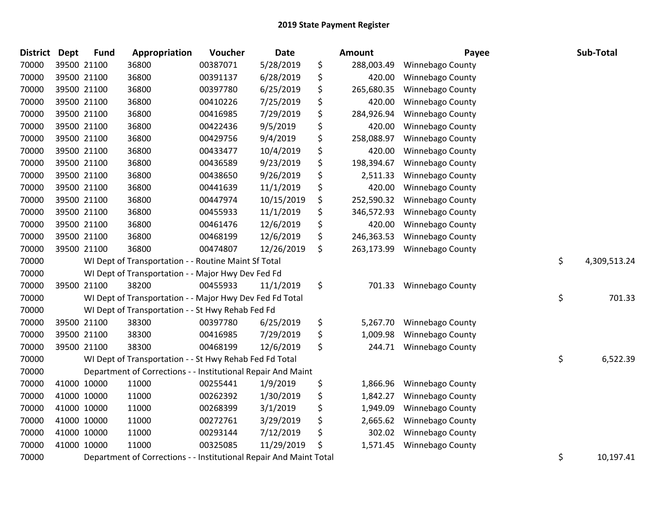| <b>District</b> | <b>Dept</b> | <b>Fund</b> | Appropriation                                                      | Voucher  | Date       | Amount           | Payee                   | Sub-Total          |
|-----------------|-------------|-------------|--------------------------------------------------------------------|----------|------------|------------------|-------------------------|--------------------|
| 70000           |             | 39500 21100 | 36800                                                              | 00387071 | 5/28/2019  | \$<br>288,003.49 | Winnebago County        |                    |
| 70000           |             | 39500 21100 | 36800                                                              | 00391137 | 6/28/2019  | \$<br>420.00     | Winnebago County        |                    |
| 70000           |             | 39500 21100 | 36800                                                              | 00397780 | 6/25/2019  | \$<br>265,680.35 | Winnebago County        |                    |
| 70000           |             | 39500 21100 | 36800                                                              | 00410226 | 7/25/2019  | \$<br>420.00     | Winnebago County        |                    |
| 70000           |             | 39500 21100 | 36800                                                              | 00416985 | 7/29/2019  | \$<br>284,926.94 | Winnebago County        |                    |
| 70000           |             | 39500 21100 | 36800                                                              | 00422436 | 9/5/2019   | \$<br>420.00     | Winnebago County        |                    |
| 70000           |             | 39500 21100 | 36800                                                              | 00429756 | 9/4/2019   | \$<br>258,088.97 | Winnebago County        |                    |
| 70000           |             | 39500 21100 | 36800                                                              | 00433477 | 10/4/2019  | \$<br>420.00     | Winnebago County        |                    |
| 70000           |             | 39500 21100 | 36800                                                              | 00436589 | 9/23/2019  | \$<br>198,394.67 | Winnebago County        |                    |
| 70000           |             | 39500 21100 | 36800                                                              | 00438650 | 9/26/2019  | \$<br>2,511.33   | Winnebago County        |                    |
| 70000           |             | 39500 21100 | 36800                                                              | 00441639 | 11/1/2019  | \$<br>420.00     | <b>Winnebago County</b> |                    |
| 70000           |             | 39500 21100 | 36800                                                              | 00447974 | 10/15/2019 | \$<br>252,590.32 | Winnebago County        |                    |
| 70000           |             | 39500 21100 | 36800                                                              | 00455933 | 11/1/2019  | \$<br>346,572.93 | <b>Winnebago County</b> |                    |
| 70000           |             | 39500 21100 | 36800                                                              | 00461476 | 12/6/2019  | \$<br>420.00     | Winnebago County        |                    |
| 70000           |             | 39500 21100 | 36800                                                              | 00468199 | 12/6/2019  | \$<br>246,363.53 | Winnebago County        |                    |
| 70000           |             | 39500 21100 | 36800                                                              | 00474807 | 12/26/2019 | \$<br>263,173.99 | <b>Winnebago County</b> |                    |
| 70000           |             |             | WI Dept of Transportation - - Routine Maint Sf Total               |          |            |                  |                         | \$<br>4,309,513.24 |
| 70000           |             |             | WI Dept of Transportation - - Major Hwy Dev Fed Fd                 |          |            |                  |                         |                    |
| 70000           |             | 39500 21100 | 38200                                                              | 00455933 | 11/1/2019  | \$<br>701.33     | Winnebago County        |                    |
| 70000           |             |             | WI Dept of Transportation - - Major Hwy Dev Fed Fd Total           |          |            |                  |                         | \$<br>701.33       |
| 70000           |             |             | WI Dept of Transportation - - St Hwy Rehab Fed Fd                  |          |            |                  |                         |                    |
| 70000           |             | 39500 21100 | 38300                                                              | 00397780 | 6/25/2019  | \$<br>5,267.70   | Winnebago County        |                    |
| 70000           |             | 39500 21100 | 38300                                                              | 00416985 | 7/29/2019  | \$<br>1,009.98   | Winnebago County        |                    |
| 70000           |             | 39500 21100 | 38300                                                              | 00468199 | 12/6/2019  | \$<br>244.71     | Winnebago County        |                    |
| 70000           |             |             | WI Dept of Transportation - - St Hwy Rehab Fed Fd Total            |          |            |                  |                         | \$<br>6,522.39     |
| 70000           |             |             | Department of Corrections - - Institutional Repair And Maint       |          |            |                  |                         |                    |
| 70000           |             | 41000 10000 | 11000                                                              | 00255441 | 1/9/2019   | \$<br>1,866.96   | <b>Winnebago County</b> |                    |
| 70000           |             | 41000 10000 | 11000                                                              | 00262392 | 1/30/2019  | \$<br>1,842.27   | Winnebago County        |                    |
| 70000           |             | 41000 10000 | 11000                                                              | 00268399 | 3/1/2019   | \$<br>1,949.09   | Winnebago County        |                    |
| 70000           |             | 41000 10000 | 11000                                                              | 00272761 | 3/29/2019  | \$<br>2,665.62   | Winnebago County        |                    |
| 70000           |             | 41000 10000 | 11000                                                              | 00293144 | 7/12/2019  | \$<br>302.02     | Winnebago County        |                    |
| 70000           | 41000 10000 |             | 11000                                                              | 00325085 | 11/29/2019 | \$<br>1,571.45   | Winnebago County        |                    |
| 70000           |             |             | Department of Corrections - - Institutional Repair And Maint Total |          |            |                  |                         | \$<br>10,197.41    |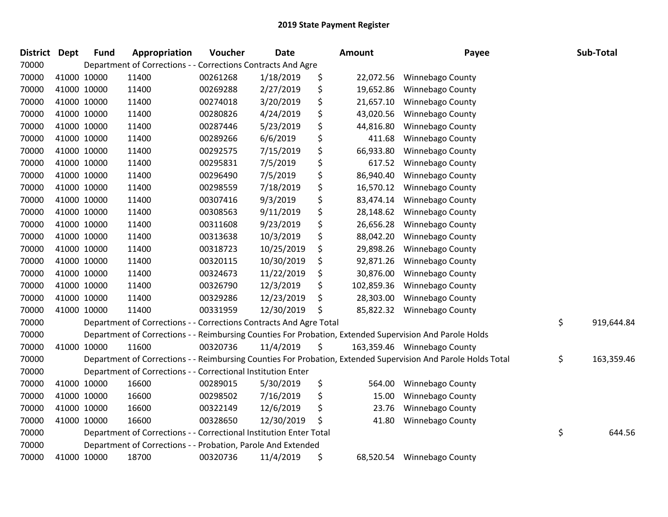| <b>District</b> | <b>Dept</b> | <b>Fund</b> | Appropriation                                                      | Voucher  | Date       | Amount           | Payee                                                                                                         | Sub-Total        |
|-----------------|-------------|-------------|--------------------------------------------------------------------|----------|------------|------------------|---------------------------------------------------------------------------------------------------------------|------------------|
| 70000           |             |             | Department of Corrections - - Corrections Contracts And Agre       |          |            |                  |                                                                                                               |                  |
| 70000           | 41000 10000 |             | 11400                                                              | 00261268 | 1/18/2019  | \$<br>22,072.56  | <b>Winnebago County</b>                                                                                       |                  |
| 70000           | 41000 10000 |             | 11400                                                              | 00269288 | 2/27/2019  | \$<br>19,652.86  | <b>Winnebago County</b>                                                                                       |                  |
| 70000           | 41000 10000 |             | 11400                                                              | 00274018 | 3/20/2019  | \$<br>21,657.10  | Winnebago County                                                                                              |                  |
| 70000           | 41000 10000 |             | 11400                                                              | 00280826 | 4/24/2019  | \$<br>43,020.56  | Winnebago County                                                                                              |                  |
| 70000           | 41000 10000 |             | 11400                                                              | 00287446 | 5/23/2019  | \$<br>44,816.80  | Winnebago County                                                                                              |                  |
| 70000           | 41000 10000 |             | 11400                                                              | 00289266 | 6/6/2019   | \$<br>411.68     | Winnebago County                                                                                              |                  |
| 70000           | 41000 10000 |             | 11400                                                              | 00292575 | 7/15/2019  | \$<br>66,933.80  | Winnebago County                                                                                              |                  |
| 70000           | 41000 10000 |             | 11400                                                              | 00295831 | 7/5/2019   | \$<br>617.52     | Winnebago County                                                                                              |                  |
| 70000           | 41000 10000 |             | 11400                                                              | 00296490 | 7/5/2019   | \$<br>86,940.40  | <b>Winnebago County</b>                                                                                       |                  |
| 70000           | 41000 10000 |             | 11400                                                              | 00298559 | 7/18/2019  | \$<br>16,570.12  | Winnebago County                                                                                              |                  |
| 70000           | 41000 10000 |             | 11400                                                              | 00307416 | 9/3/2019   | \$<br>83,474.14  | Winnebago County                                                                                              |                  |
| 70000           | 41000 10000 |             | 11400                                                              | 00308563 | 9/11/2019  | \$<br>28,148.62  | Winnebago County                                                                                              |                  |
| 70000           | 41000 10000 |             | 11400                                                              | 00311608 | 9/23/2019  | \$<br>26,656.28  | <b>Winnebago County</b>                                                                                       |                  |
| 70000           | 41000 10000 |             | 11400                                                              | 00313638 | 10/3/2019  | \$<br>88,042.20  | Winnebago County                                                                                              |                  |
| 70000           | 41000 10000 |             | 11400                                                              | 00318723 | 10/25/2019 | \$<br>29,898.26  | Winnebago County                                                                                              |                  |
| 70000           | 41000 10000 |             | 11400                                                              | 00320115 | 10/30/2019 | \$<br>92,871.26  | Winnebago County                                                                                              |                  |
| 70000           | 41000 10000 |             | 11400                                                              | 00324673 | 11/22/2019 | \$<br>30,876.00  | Winnebago County                                                                                              |                  |
| 70000           | 41000 10000 |             | 11400                                                              | 00326790 | 12/3/2019  | \$<br>102,859.36 | Winnebago County                                                                                              |                  |
| 70000           | 41000 10000 |             | 11400                                                              | 00329286 | 12/23/2019 | \$<br>28,303.00  | Winnebago County                                                                                              |                  |
| 70000           | 41000 10000 |             | 11400                                                              | 00331959 | 12/30/2019 | \$<br>85,822.32  | Winnebago County                                                                                              |                  |
| 70000           |             |             | Department of Corrections - - Corrections Contracts And Agre Total |          |            |                  |                                                                                                               | \$<br>919,644.84 |
| 70000           |             |             |                                                                    |          |            |                  | Department of Corrections - - Reimbursing Counties For Probation, Extended Supervision And Parole Holds       |                  |
| 70000           | 41000 10000 |             | 11600                                                              | 00320736 | 11/4/2019  | \$               | 163,359.46 Winnebago County                                                                                   |                  |
| 70000           |             |             |                                                                    |          |            |                  | Department of Corrections - - Reimbursing Counties For Probation, Extended Supervision And Parole Holds Total | \$<br>163,359.46 |
| 70000           |             |             | Department of Corrections - - Correctional Institution Enter       |          |            |                  |                                                                                                               |                  |
| 70000           | 41000 10000 |             | 16600                                                              | 00289015 | 5/30/2019  | \$<br>564.00     | <b>Winnebago County</b>                                                                                       |                  |
| 70000           | 41000 10000 |             | 16600                                                              | 00298502 | 7/16/2019  | \$<br>15.00      | Winnebago County                                                                                              |                  |
| 70000           | 41000 10000 |             | 16600                                                              | 00322149 | 12/6/2019  | \$<br>23.76      | Winnebago County                                                                                              |                  |
| 70000           | 41000 10000 |             | 16600                                                              | 00328650 | 12/30/2019 | \$<br>41.80      | Winnebago County                                                                                              |                  |
| 70000           |             |             | Department of Corrections - - Correctional Institution Enter Total |          |            |                  |                                                                                                               | \$<br>644.56     |
| 70000           |             |             | Department of Corrections - - Probation, Parole And Extended       |          |            |                  |                                                                                                               |                  |
| 70000           | 41000 10000 |             | 18700                                                              | 00320736 | 11/4/2019  | \$<br>68,520.54  | <b>Winnebago County</b>                                                                                       |                  |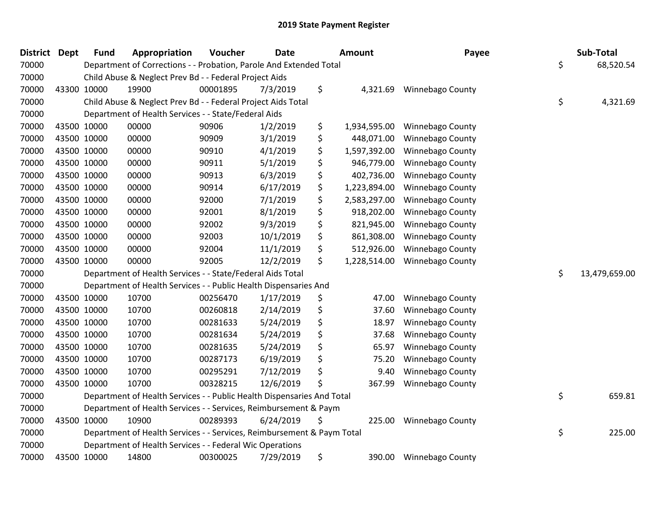| <b>District Dept</b> | <b>Fund</b> | Appropriation                                                          | Voucher  | <b>Date</b> | <b>Amount</b>      | Payee                   | Sub-Total           |
|----------------------|-------------|------------------------------------------------------------------------|----------|-------------|--------------------|-------------------------|---------------------|
| 70000                |             | Department of Corrections - - Probation, Parole And Extended Total     |          |             |                    |                         | \$<br>68,520.54     |
| 70000                |             | Child Abuse & Neglect Prev Bd - - Federal Project Aids                 |          |             |                    |                         |                     |
| 70000                | 43300 10000 | 19900                                                                  | 00001895 | 7/3/2019    | \$<br>4,321.69     | <b>Winnebago County</b> |                     |
| 70000                |             | Child Abuse & Neglect Prev Bd - - Federal Project Aids Total           |          |             |                    |                         | \$<br>4,321.69      |
| 70000                |             | Department of Health Services - - State/Federal Aids                   |          |             |                    |                         |                     |
| 70000                | 43500 10000 | 00000                                                                  | 90906    | 1/2/2019    | \$<br>1,934,595.00 | Winnebago County        |                     |
| 70000                | 43500 10000 | 00000                                                                  | 90909    | 3/1/2019    | \$<br>448,071.00   | <b>Winnebago County</b> |                     |
| 70000                | 43500 10000 | 00000                                                                  | 90910    | 4/1/2019    | \$<br>1,597,392.00 | Winnebago County        |                     |
| 70000                | 43500 10000 | 00000                                                                  | 90911    | 5/1/2019    | \$<br>946,779.00   | <b>Winnebago County</b> |                     |
| 70000                | 43500 10000 | 00000                                                                  | 90913    | 6/3/2019    | \$<br>402,736.00   | Winnebago County        |                     |
| 70000                | 43500 10000 | 00000                                                                  | 90914    | 6/17/2019   | \$<br>1,223,894.00 | Winnebago County        |                     |
| 70000                | 43500 10000 | 00000                                                                  | 92000    | 7/1/2019    | \$<br>2,583,297.00 | <b>Winnebago County</b> |                     |
| 70000                | 43500 10000 | 00000                                                                  | 92001    | 8/1/2019    | \$<br>918,202.00   | Winnebago County        |                     |
| 70000                | 43500 10000 | 00000                                                                  | 92002    | 9/3/2019    | \$<br>821,945.00   | Winnebago County        |                     |
| 70000                | 43500 10000 | 00000                                                                  | 92003    | 10/1/2019   | \$<br>861,308.00   | Winnebago County        |                     |
| 70000                | 43500 10000 | 00000                                                                  | 92004    | 11/1/2019   | \$<br>512,926.00   | Winnebago County        |                     |
| 70000                | 43500 10000 | 00000                                                                  | 92005    | 12/2/2019   | \$<br>1,228,514.00 | <b>Winnebago County</b> |                     |
| 70000                |             | Department of Health Services - - State/Federal Aids Total             |          |             |                    |                         | \$<br>13,479,659.00 |
| 70000                |             | Department of Health Services - - Public Health Dispensaries And       |          |             |                    |                         |                     |
| 70000                | 43500 10000 | 10700                                                                  | 00256470 | 1/17/2019   | \$<br>47.00        | <b>Winnebago County</b> |                     |
| 70000                | 43500 10000 | 10700                                                                  | 00260818 | 2/14/2019   | \$<br>37.60        | Winnebago County        |                     |
| 70000                | 43500 10000 | 10700                                                                  | 00281633 | 5/24/2019   | \$<br>18.97        | Winnebago County        |                     |
| 70000                | 43500 10000 | 10700                                                                  | 00281634 | 5/24/2019   | \$<br>37.68        | Winnebago County        |                     |
| 70000                | 43500 10000 | 10700                                                                  | 00281635 | 5/24/2019   | \$<br>65.97        | <b>Winnebago County</b> |                     |
| 70000                | 43500 10000 | 10700                                                                  | 00287173 | 6/19/2019   | \$<br>75.20        | <b>Winnebago County</b> |                     |
| 70000                | 43500 10000 | 10700                                                                  | 00295291 | 7/12/2019   | \$<br>9.40         | Winnebago County        |                     |
| 70000                | 43500 10000 | 10700                                                                  | 00328215 | 12/6/2019   | \$<br>367.99       | <b>Winnebago County</b> |                     |
| 70000                |             | Department of Health Services - - Public Health Dispensaries And Total |          |             |                    |                         | \$<br>659.81        |
| 70000                |             | Department of Health Services - - Services, Reimbursement & Paym       |          |             |                    |                         |                     |
| 70000                | 43500 10000 | 10900                                                                  | 00289393 | 6/24/2019   | \$<br>225.00       | <b>Winnebago County</b> |                     |
| 70000                |             | Department of Health Services - - Services, Reimbursement & Paym Total |          |             |                    |                         | \$<br>225.00        |
| 70000                |             | Department of Health Services - - Federal Wic Operations               |          |             |                    |                         |                     |
| 70000                | 43500 10000 | 14800                                                                  | 00300025 | 7/29/2019   | \$<br>390.00       | <b>Winnebago County</b> |                     |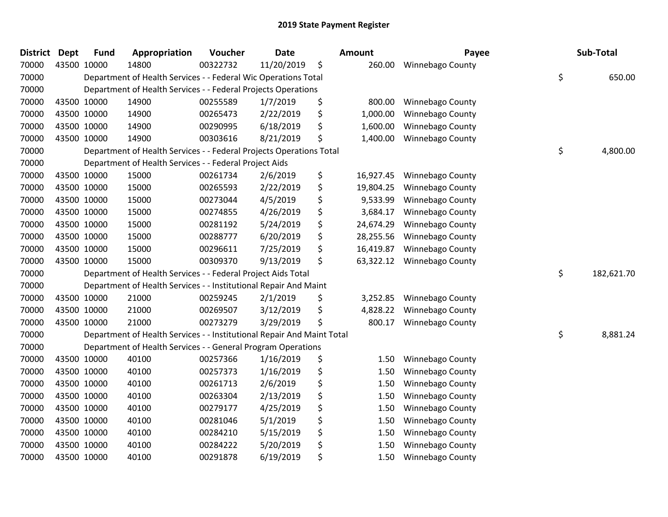| <b>District</b> | Dept | <b>Fund</b> | Appropriation                                                          | Voucher  | <b>Date</b> | <b>Amount</b>   | Payee                   | Sub-Total        |
|-----------------|------|-------------|------------------------------------------------------------------------|----------|-------------|-----------------|-------------------------|------------------|
| 70000           |      | 43500 10000 | 14800                                                                  | 00322732 | 11/20/2019  | \$<br>260.00    | <b>Winnebago County</b> |                  |
| 70000           |      |             | Department of Health Services - - Federal Wic Operations Total         |          |             |                 |                         | \$<br>650.00     |
| 70000           |      |             | Department of Health Services - - Federal Projects Operations          |          |             |                 |                         |                  |
| 70000           |      | 43500 10000 | 14900                                                                  | 00255589 | 1/7/2019    | \$<br>800.00    | Winnebago County        |                  |
| 70000           |      | 43500 10000 | 14900                                                                  | 00265473 | 2/22/2019   | \$<br>1,000.00  | Winnebago County        |                  |
| 70000           |      | 43500 10000 | 14900                                                                  | 00290995 | 6/18/2019   | \$<br>1,600.00  | Winnebago County        |                  |
| 70000           |      | 43500 10000 | 14900                                                                  | 00303616 | 8/21/2019   | \$<br>1,400.00  | Winnebago County        |                  |
| 70000           |      |             | Department of Health Services - - Federal Projects Operations Total    |          |             |                 |                         | \$<br>4,800.00   |
| 70000           |      |             | Department of Health Services - - Federal Project Aids                 |          |             |                 |                         |                  |
| 70000           |      | 43500 10000 | 15000                                                                  | 00261734 | 2/6/2019    | \$<br>16,927.45 | Winnebago County        |                  |
| 70000           |      | 43500 10000 | 15000                                                                  | 00265593 | 2/22/2019   | \$<br>19,804.25 | <b>Winnebago County</b> |                  |
| 70000           |      | 43500 10000 | 15000                                                                  | 00273044 | 4/5/2019    | \$<br>9,533.99  | Winnebago County        |                  |
| 70000           |      | 43500 10000 | 15000                                                                  | 00274855 | 4/26/2019   | \$<br>3,684.17  | Winnebago County        |                  |
| 70000           |      | 43500 10000 | 15000                                                                  | 00281192 | 5/24/2019   | \$<br>24,674.29 | Winnebago County        |                  |
| 70000           |      | 43500 10000 | 15000                                                                  | 00288777 | 6/20/2019   | \$<br>28,255.56 | Winnebago County        |                  |
| 70000           |      | 43500 10000 | 15000                                                                  | 00296611 | 7/25/2019   | \$<br>16,419.87 | Winnebago County        |                  |
| 70000           |      | 43500 10000 | 15000                                                                  | 00309370 | 9/13/2019   | \$<br>63,322.12 | Winnebago County        |                  |
| 70000           |      |             | Department of Health Services - - Federal Project Aids Total           |          |             |                 |                         | \$<br>182,621.70 |
| 70000           |      |             | Department of Health Services - - Institutional Repair And Maint       |          |             |                 |                         |                  |
| 70000           |      | 43500 10000 | 21000                                                                  | 00259245 | 2/1/2019    | \$<br>3,252.85  | Winnebago County        |                  |
| 70000           |      | 43500 10000 | 21000                                                                  | 00269507 | 3/12/2019   | \$<br>4,828.22  | Winnebago County        |                  |
| 70000           |      | 43500 10000 | 21000                                                                  | 00273279 | 3/29/2019   | \$<br>800.17    | Winnebago County        |                  |
| 70000           |      |             | Department of Health Services - - Institutional Repair And Maint Total |          |             |                 |                         | \$<br>8,881.24   |
| 70000           |      |             | Department of Health Services - - General Program Operations           |          |             |                 |                         |                  |
| 70000           |      | 43500 10000 | 40100                                                                  | 00257366 | 1/16/2019   | \$<br>1.50      | Winnebago County        |                  |
| 70000           |      | 43500 10000 | 40100                                                                  | 00257373 | 1/16/2019   | \$<br>1.50      | Winnebago County        |                  |
| 70000           |      | 43500 10000 | 40100                                                                  | 00261713 | 2/6/2019    | \$<br>1.50      | Winnebago County        |                  |
| 70000           |      | 43500 10000 | 40100                                                                  | 00263304 | 2/13/2019   | \$<br>1.50      | Winnebago County        |                  |
| 70000           |      | 43500 10000 | 40100                                                                  | 00279177 | 4/25/2019   | \$<br>1.50      | Winnebago County        |                  |
| 70000           |      | 43500 10000 | 40100                                                                  | 00281046 | 5/1/2019    | \$<br>1.50      | Winnebago County        |                  |
| 70000           |      | 43500 10000 | 40100                                                                  | 00284210 | 5/15/2019   | \$<br>1.50      | Winnebago County        |                  |
| 70000           |      | 43500 10000 | 40100                                                                  | 00284222 | 5/20/2019   | \$<br>1.50      | Winnebago County        |                  |
| 70000           |      | 43500 10000 | 40100                                                                  | 00291878 | 6/19/2019   | \$<br>1.50      | Winnebago County        |                  |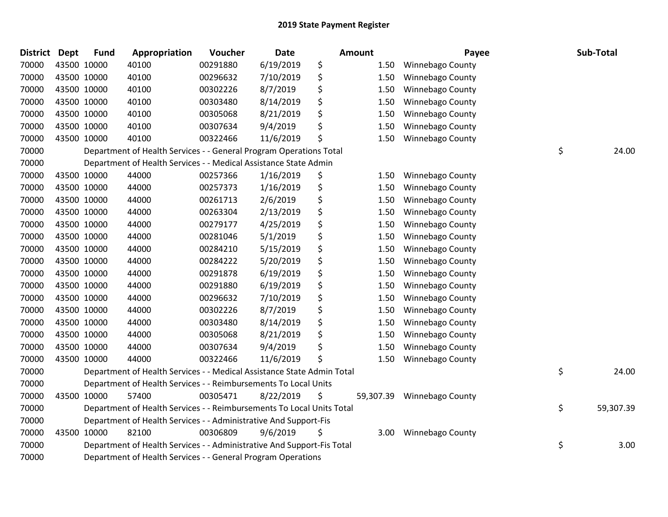| District Dept | <b>Fund</b> | Appropriation                                                          | Voucher  | <b>Date</b> |    | Amount    | Payee                   | Sub-Total       |
|---------------|-------------|------------------------------------------------------------------------|----------|-------------|----|-----------|-------------------------|-----------------|
| 70000         | 43500 10000 | 40100                                                                  | 00291880 | 6/19/2019   | \$ | 1.50      | Winnebago County        |                 |
| 70000         | 43500 10000 | 40100                                                                  | 00296632 | 7/10/2019   | \$ | 1.50      | Winnebago County        |                 |
| 70000         | 43500 10000 | 40100                                                                  | 00302226 | 8/7/2019    | \$ | 1.50      | Winnebago County        |                 |
| 70000         | 43500 10000 | 40100                                                                  | 00303480 | 8/14/2019   | \$ | 1.50      | Winnebago County        |                 |
| 70000         | 43500 10000 | 40100                                                                  | 00305068 | 8/21/2019   | \$ | 1.50      | Winnebago County        |                 |
| 70000         | 43500 10000 | 40100                                                                  | 00307634 | 9/4/2019    | \$ | 1.50      | Winnebago County        |                 |
| 70000         | 43500 10000 | 40100                                                                  | 00322466 | 11/6/2019   | \$ | 1.50      | Winnebago County        |                 |
| 70000         |             | Department of Health Services - - General Program Operations Total     |          |             |    |           |                         | \$<br>24.00     |
| 70000         |             | Department of Health Services - - Medical Assistance State Admin       |          |             |    |           |                         |                 |
| 70000         | 43500 10000 | 44000                                                                  | 00257366 | 1/16/2019   | \$ | 1.50      | <b>Winnebago County</b> |                 |
| 70000         | 43500 10000 | 44000                                                                  | 00257373 | 1/16/2019   | \$ | 1.50      | <b>Winnebago County</b> |                 |
| 70000         | 43500 10000 | 44000                                                                  | 00261713 | 2/6/2019    | \$ | 1.50      | Winnebago County        |                 |
| 70000         | 43500 10000 | 44000                                                                  | 00263304 | 2/13/2019   | \$ | 1.50      | <b>Winnebago County</b> |                 |
| 70000         | 43500 10000 | 44000                                                                  | 00279177 | 4/25/2019   | \$ | 1.50      | Winnebago County        |                 |
| 70000         | 43500 10000 | 44000                                                                  | 00281046 | 5/1/2019    | \$ | 1.50      | Winnebago County        |                 |
| 70000         | 43500 10000 | 44000                                                                  | 00284210 | 5/15/2019   | \$ | 1.50      | Winnebago County        |                 |
| 70000         | 43500 10000 | 44000                                                                  | 00284222 | 5/20/2019   | \$ | 1.50      | Winnebago County        |                 |
| 70000         | 43500 10000 | 44000                                                                  | 00291878 | 6/19/2019   | \$ | 1.50      | Winnebago County        |                 |
| 70000         | 43500 10000 | 44000                                                                  | 00291880 | 6/19/2019   | \$ | 1.50      | Winnebago County        |                 |
| 70000         | 43500 10000 | 44000                                                                  | 00296632 | 7/10/2019   | \$ | 1.50      | Winnebago County        |                 |
| 70000         | 43500 10000 | 44000                                                                  | 00302226 | 8/7/2019    | \$ | 1.50      | Winnebago County        |                 |
| 70000         | 43500 10000 | 44000                                                                  | 00303480 | 8/14/2019   | \$ | 1.50      | Winnebago County        |                 |
| 70000         | 43500 10000 | 44000                                                                  | 00305068 | 8/21/2019   | \$ | 1.50      | <b>Winnebago County</b> |                 |
| 70000         | 43500 10000 | 44000                                                                  | 00307634 | 9/4/2019    | \$ | 1.50      | Winnebago County        |                 |
| 70000         | 43500 10000 | 44000                                                                  | 00322466 | 11/6/2019   | Ś  | 1.50      | <b>Winnebago County</b> |                 |
| 70000         |             | Department of Health Services - - Medical Assistance State Admin Total |          |             |    |           |                         | \$<br>24.00     |
| 70000         |             | Department of Health Services - - Reimbursements To Local Units        |          |             |    |           |                         |                 |
| 70000         | 43500 10000 | 57400                                                                  | 00305471 | 8/22/2019   | \$ | 59,307.39 | <b>Winnebago County</b> |                 |
| 70000         |             | Department of Health Services - - Reimbursements To Local Units Total  |          |             |    |           |                         | \$<br>59,307.39 |
| 70000         |             | Department of Health Services - - Administrative And Support-Fis       |          |             |    |           |                         |                 |
| 70000         | 43500 10000 | 82100                                                                  | 00306809 | 9/6/2019    | \$ | 3.00      | <b>Winnebago County</b> |                 |
| 70000         |             | Department of Health Services - - Administrative And Support-Fis Total |          |             |    |           |                         | \$<br>3.00      |
| 70000         |             | Department of Health Services - - General Program Operations           |          |             |    |           |                         |                 |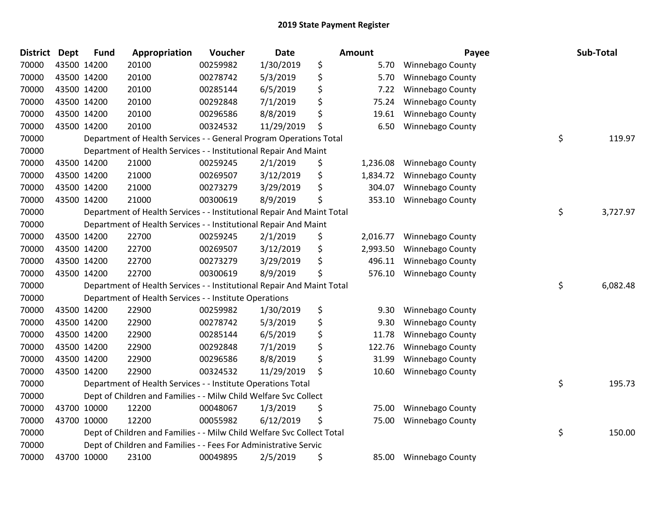| <b>District</b> | <b>Dept</b> | <b>Fund</b> | Appropriation                                                          | Voucher  | <b>Date</b> | Amount         | Payee                   | Sub-Total      |
|-----------------|-------------|-------------|------------------------------------------------------------------------|----------|-------------|----------------|-------------------------|----------------|
| 70000           |             | 43500 14200 | 20100                                                                  | 00259982 | 1/30/2019   | \$<br>5.70     | Winnebago County        |                |
| 70000           |             | 43500 14200 | 20100                                                                  | 00278742 | 5/3/2019    | \$<br>5.70     | Winnebago County        |                |
| 70000           |             | 43500 14200 | 20100                                                                  | 00285144 | 6/5/2019    | \$<br>7.22     | Winnebago County        |                |
| 70000           |             | 43500 14200 | 20100                                                                  | 00292848 | 7/1/2019    | \$<br>75.24    | Winnebago County        |                |
| 70000           |             | 43500 14200 | 20100                                                                  | 00296586 | 8/8/2019    | \$<br>19.61    | Winnebago County        |                |
| 70000           |             | 43500 14200 | 20100                                                                  | 00324532 | 11/29/2019  | \$<br>6.50     | <b>Winnebago County</b> |                |
| 70000           |             |             | Department of Health Services - - General Program Operations Total     |          |             |                |                         | \$<br>119.97   |
| 70000           |             |             | Department of Health Services - - Institutional Repair And Maint       |          |             |                |                         |                |
| 70000           |             | 43500 14200 | 21000                                                                  | 00259245 | 2/1/2019    | \$<br>1,236.08 | Winnebago County        |                |
| 70000           |             | 43500 14200 | 21000                                                                  | 00269507 | 3/12/2019   | \$<br>1,834.72 | Winnebago County        |                |
| 70000           |             | 43500 14200 | 21000                                                                  | 00273279 | 3/29/2019   | \$<br>304.07   | Winnebago County        |                |
| 70000           |             | 43500 14200 | 21000                                                                  | 00300619 | 8/9/2019    | \$<br>353.10   | Winnebago County        |                |
| 70000           |             |             | Department of Health Services - - Institutional Repair And Maint Total |          |             |                |                         | \$<br>3,727.97 |
| 70000           |             |             | Department of Health Services - - Institutional Repair And Maint       |          |             |                |                         |                |
| 70000           |             | 43500 14200 | 22700                                                                  | 00259245 | 2/1/2019    | \$<br>2,016.77 | <b>Winnebago County</b> |                |
| 70000           |             | 43500 14200 | 22700                                                                  | 00269507 | 3/12/2019   | \$<br>2,993.50 | Winnebago County        |                |
| 70000           |             | 43500 14200 | 22700                                                                  | 00273279 | 3/29/2019   | \$<br>496.11   | Winnebago County        |                |
| 70000           |             | 43500 14200 | 22700                                                                  | 00300619 | 8/9/2019    | \$<br>576.10   | Winnebago County        |                |
| 70000           |             |             | Department of Health Services - - Institutional Repair And Maint Total |          |             |                |                         | \$<br>6,082.48 |
| 70000           |             |             | Department of Health Services - - Institute Operations                 |          |             |                |                         |                |
| 70000           |             | 43500 14200 | 22900                                                                  | 00259982 | 1/30/2019   | \$<br>9.30     | Winnebago County        |                |
| 70000           |             | 43500 14200 | 22900                                                                  | 00278742 | 5/3/2019    | \$<br>9.30     | Winnebago County        |                |
| 70000           |             | 43500 14200 | 22900                                                                  | 00285144 | 6/5/2019    | \$<br>11.78    | Winnebago County        |                |
| 70000           |             | 43500 14200 | 22900                                                                  | 00292848 | 7/1/2019    | \$<br>122.76   | Winnebago County        |                |
| 70000           |             | 43500 14200 | 22900                                                                  | 00296586 | 8/8/2019    | \$<br>31.99    | Winnebago County        |                |
| 70000           |             | 43500 14200 | 22900                                                                  | 00324532 | 11/29/2019  | \$<br>10.60    | Winnebago County        |                |
| 70000           |             |             | Department of Health Services - - Institute Operations Total           |          |             |                |                         | \$<br>195.73   |
| 70000           |             |             | Dept of Children and Families - - Milw Child Welfare Svc Collect       |          |             |                |                         |                |
| 70000           |             | 43700 10000 | 12200                                                                  | 00048067 | 1/3/2019    | \$<br>75.00    | <b>Winnebago County</b> |                |
| 70000           |             | 43700 10000 | 12200                                                                  | 00055982 | 6/12/2019   | \$<br>75.00    | Winnebago County        |                |
| 70000           |             |             | Dept of Children and Families - - Milw Child Welfare Svc Collect Total |          |             |                |                         | \$<br>150.00   |
| 70000           |             |             | Dept of Children and Families - - Fees For Administrative Servic       |          |             |                |                         |                |
| 70000           |             | 43700 10000 | 23100                                                                  | 00049895 | 2/5/2019    | \$<br>85.00    | Winnebago County        |                |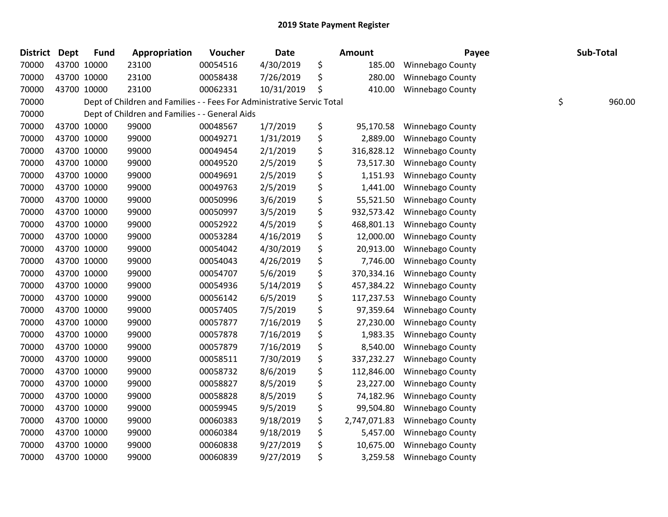| <b>District</b> | <b>Dept</b> | <b>Fund</b> | Appropriation                                                          | Voucher  | Date       | <b>Amount</b>      | Payee                   | Sub-Total    |
|-----------------|-------------|-------------|------------------------------------------------------------------------|----------|------------|--------------------|-------------------------|--------------|
| 70000           |             | 43700 10000 | 23100                                                                  | 00054516 | 4/30/2019  | \$<br>185.00       | <b>Winnebago County</b> |              |
| 70000           |             | 43700 10000 | 23100                                                                  | 00058438 | 7/26/2019  | \$<br>280.00       | Winnebago County        |              |
| 70000           | 43700 10000 |             | 23100                                                                  | 00062331 | 10/31/2019 | \$<br>410.00       | Winnebago County        |              |
| 70000           |             |             | Dept of Children and Families - - Fees For Administrative Servic Total |          |            |                    |                         | \$<br>960.00 |
| 70000           |             |             | Dept of Children and Families - - General Aids                         |          |            |                    |                         |              |
| 70000           |             | 43700 10000 | 99000                                                                  | 00048567 | 1/7/2019   | \$<br>95,170.58    | Winnebago County        |              |
| 70000           | 43700 10000 |             | 99000                                                                  | 00049271 | 1/31/2019  | \$<br>2,889.00     | Winnebago County        |              |
| 70000           | 43700 10000 |             | 99000                                                                  | 00049454 | 2/1/2019   | \$<br>316,828.12   | Winnebago County        |              |
| 70000           | 43700 10000 |             | 99000                                                                  | 00049520 | 2/5/2019   | \$<br>73,517.30    | Winnebago County        |              |
| 70000           |             | 43700 10000 | 99000                                                                  | 00049691 | 2/5/2019   | \$<br>1,151.93     | Winnebago County        |              |
| 70000           |             | 43700 10000 | 99000                                                                  | 00049763 | 2/5/2019   | \$<br>1,441.00     | Winnebago County        |              |
| 70000           |             | 43700 10000 | 99000                                                                  | 00050996 | 3/6/2019   | \$<br>55,521.50    | Winnebago County        |              |
| 70000           | 43700 10000 |             | 99000                                                                  | 00050997 | 3/5/2019   | \$<br>932,573.42   | Winnebago County        |              |
| 70000           | 43700 10000 |             | 99000                                                                  | 00052922 | 4/5/2019   | \$<br>468,801.13   | Winnebago County        |              |
| 70000           |             | 43700 10000 | 99000                                                                  | 00053284 | 4/16/2019  | \$<br>12,000.00    | Winnebago County        |              |
| 70000           |             | 43700 10000 | 99000                                                                  | 00054042 | 4/30/2019  | \$<br>20,913.00    | Winnebago County        |              |
| 70000           | 43700 10000 |             | 99000                                                                  | 00054043 | 4/26/2019  | \$<br>7,746.00     | Winnebago County        |              |
| 70000           | 43700 10000 |             | 99000                                                                  | 00054707 | 5/6/2019   | \$<br>370,334.16   | Winnebago County        |              |
| 70000           | 43700 10000 |             | 99000                                                                  | 00054936 | 5/14/2019  | \$<br>457,384.22   | Winnebago County        |              |
| 70000           |             | 43700 10000 | 99000                                                                  | 00056142 | 6/5/2019   | \$<br>117,237.53   | <b>Winnebago County</b> |              |
| 70000           |             | 43700 10000 | 99000                                                                  | 00057405 | 7/5/2019   | \$<br>97,359.64    | Winnebago County        |              |
| 70000           | 43700 10000 |             | 99000                                                                  | 00057877 | 7/16/2019  | \$<br>27,230.00    | Winnebago County        |              |
| 70000           | 43700 10000 |             | 99000                                                                  | 00057878 | 7/16/2019  | \$<br>1,983.35     | Winnebago County        |              |
| 70000           | 43700 10000 |             | 99000                                                                  | 00057879 | 7/16/2019  | \$<br>8,540.00     | Winnebago County        |              |
| 70000           |             | 43700 10000 | 99000                                                                  | 00058511 | 7/30/2019  | \$<br>337,232.27   | Winnebago County        |              |
| 70000           |             | 43700 10000 | 99000                                                                  | 00058732 | 8/6/2019   | \$<br>112,846.00   | <b>Winnebago County</b> |              |
| 70000           | 43700 10000 |             | 99000                                                                  | 00058827 | 8/5/2019   | \$<br>23,227.00    | Winnebago County        |              |
| 70000           | 43700 10000 |             | 99000                                                                  | 00058828 | 8/5/2019   | \$<br>74,182.96    | Winnebago County        |              |
| 70000           | 43700 10000 |             | 99000                                                                  | 00059945 | 9/5/2019   | \$<br>99,504.80    | Winnebago County        |              |
| 70000           |             | 43700 10000 | 99000                                                                  | 00060383 | 9/18/2019  | \$<br>2,747,071.83 | Winnebago County        |              |
| 70000           |             | 43700 10000 | 99000                                                                  | 00060384 | 9/18/2019  | \$<br>5,457.00     | Winnebago County        |              |
| 70000           |             | 43700 10000 | 99000                                                                  | 00060838 | 9/27/2019  | \$<br>10,675.00    | Winnebago County        |              |
| 70000           |             | 43700 10000 | 99000                                                                  | 00060839 | 9/27/2019  | \$<br>3,259.58     | <b>Winnebago County</b> |              |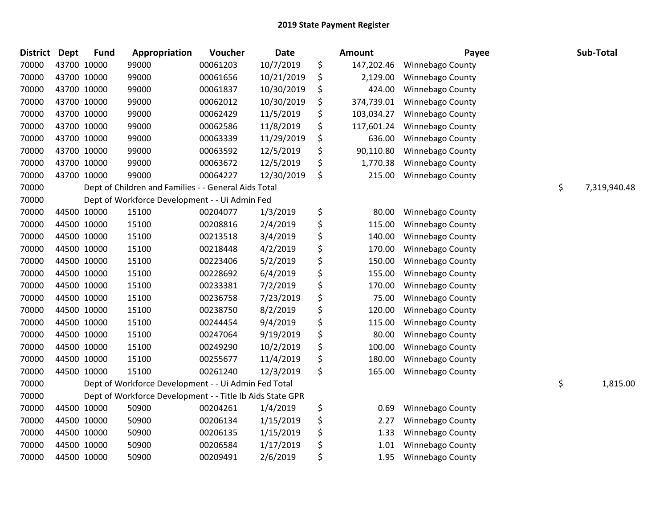| <b>District</b> | <b>Dept</b> | <b>Fund</b> | Appropriation                                             | Voucher  | <b>Date</b> | <b>Amount</b>    | Payee                   | Sub-Total          |
|-----------------|-------------|-------------|-----------------------------------------------------------|----------|-------------|------------------|-------------------------|--------------------|
| 70000           |             | 43700 10000 | 99000                                                     | 00061203 | 10/7/2019   | \$<br>147,202.46 | <b>Winnebago County</b> |                    |
| 70000           |             | 43700 10000 | 99000                                                     | 00061656 | 10/21/2019  | \$<br>2,129.00   | <b>Winnebago County</b> |                    |
| 70000           |             | 43700 10000 | 99000                                                     | 00061837 | 10/30/2019  | \$<br>424.00     | <b>Winnebago County</b> |                    |
| 70000           |             | 43700 10000 | 99000                                                     | 00062012 | 10/30/2019  | \$<br>374,739.01 | Winnebago County        |                    |
| 70000           |             | 43700 10000 | 99000                                                     | 00062429 | 11/5/2019   | \$<br>103,034.27 | Winnebago County        |                    |
| 70000           |             | 43700 10000 | 99000                                                     | 00062586 | 11/8/2019   | \$<br>117,601.24 | Winnebago County        |                    |
| 70000           |             | 43700 10000 | 99000                                                     | 00063339 | 11/29/2019  | \$<br>636.00     | Winnebago County        |                    |
| 70000           |             | 43700 10000 | 99000                                                     | 00063592 | 12/5/2019   | \$<br>90,110.80  | Winnebago County        |                    |
| 70000           |             | 43700 10000 | 99000                                                     | 00063672 | 12/5/2019   | \$<br>1,770.38   | Winnebago County        |                    |
| 70000           |             | 43700 10000 | 99000                                                     | 00064227 | 12/30/2019  | \$<br>215.00     | Winnebago County        |                    |
| 70000           |             |             | Dept of Children and Families - - General Aids Total      |          |             |                  |                         | \$<br>7,319,940.48 |
| 70000           |             |             | Dept of Workforce Development - - Ui Admin Fed            |          |             |                  |                         |                    |
| 70000           |             | 44500 10000 | 15100                                                     | 00204077 | 1/3/2019    | \$<br>80.00      | Winnebago County        |                    |
| 70000           |             | 44500 10000 | 15100                                                     | 00208816 | 2/4/2019    | \$<br>115.00     | Winnebago County        |                    |
| 70000           |             | 44500 10000 | 15100                                                     | 00213518 | 3/4/2019    | \$<br>140.00     | Winnebago County        |                    |
| 70000           |             | 44500 10000 | 15100                                                     | 00218448 | 4/2/2019    | \$<br>170.00     | Winnebago County        |                    |
| 70000           |             | 44500 10000 | 15100                                                     | 00223406 | 5/2/2019    | \$<br>150.00     | Winnebago County        |                    |
| 70000           |             | 44500 10000 | 15100                                                     | 00228692 | 6/4/2019    | \$<br>155.00     | Winnebago County        |                    |
| 70000           |             | 44500 10000 | 15100                                                     | 00233381 | 7/2/2019    | \$<br>170.00     | Winnebago County        |                    |
| 70000           |             | 44500 10000 | 15100                                                     | 00236758 | 7/23/2019   | \$<br>75.00      | Winnebago County        |                    |
| 70000           |             | 44500 10000 | 15100                                                     | 00238750 | 8/2/2019    | \$<br>120.00     | Winnebago County        |                    |
| 70000           |             | 44500 10000 | 15100                                                     | 00244454 | 9/4/2019    | \$<br>115.00     | Winnebago County        |                    |
| 70000           |             | 44500 10000 | 15100                                                     | 00247064 | 9/19/2019   | \$<br>80.00      | Winnebago County        |                    |
| 70000           |             | 44500 10000 | 15100                                                     | 00249290 | 10/2/2019   | \$<br>100.00     | Winnebago County        |                    |
| 70000           |             | 44500 10000 | 15100                                                     | 00255677 | 11/4/2019   | \$<br>180.00     | Winnebago County        |                    |
| 70000           |             | 44500 10000 | 15100                                                     | 00261240 | 12/3/2019   | \$<br>165.00     | Winnebago County        |                    |
| 70000           |             |             | Dept of Workforce Development - - Ui Admin Fed Total      |          |             |                  |                         | \$<br>1,815.00     |
| 70000           |             |             | Dept of Workforce Development - - Title Ib Aids State GPR |          |             |                  |                         |                    |
| 70000           |             | 44500 10000 | 50900                                                     | 00204261 | 1/4/2019    | \$<br>0.69       | <b>Winnebago County</b> |                    |
| 70000           |             | 44500 10000 | 50900                                                     | 00206134 | 1/15/2019   | \$<br>2.27       | Winnebago County        |                    |
| 70000           |             | 44500 10000 | 50900                                                     | 00206135 | 1/15/2019   | \$<br>1.33       | Winnebago County        |                    |
| 70000           |             | 44500 10000 | 50900                                                     | 00206584 | 1/17/2019   | \$<br>1.01       | Winnebago County        |                    |
| 70000           |             | 44500 10000 | 50900                                                     | 00209491 | 2/6/2019    | \$<br>1.95       | Winnebago County        |                    |
|                 |             |             |                                                           |          |             |                  |                         |                    |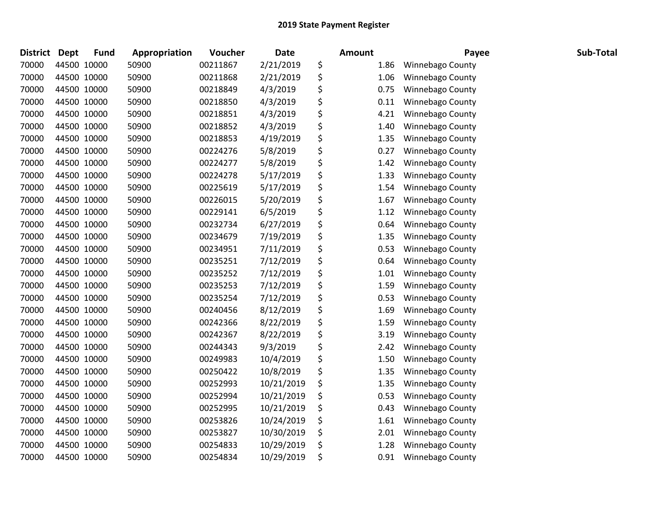| District | <b>Dept</b> | <b>Fund</b> | Appropriation | Voucher  | <b>Date</b> | <b>Amount</b>  | Payee            | Sub-Total |
|----------|-------------|-------------|---------------|----------|-------------|----------------|------------------|-----------|
| 70000    | 44500 10000 |             | 50900         | 00211867 | 2/21/2019   | \$<br>1.86     | Winnebago County |           |
| 70000    |             | 44500 10000 | 50900         | 00211868 | 2/21/2019   | \$<br>1.06     | Winnebago County |           |
| 70000    | 44500 10000 |             | 50900         | 00218849 | 4/3/2019    | \$<br>0.75     | Winnebago County |           |
| 70000    | 44500 10000 |             | 50900         | 00218850 | 4/3/2019    | \$<br>0.11     | Winnebago County |           |
| 70000    | 44500 10000 |             | 50900         | 00218851 | 4/3/2019    | \$<br>4.21     | Winnebago County |           |
| 70000    |             | 44500 10000 | 50900         | 00218852 | 4/3/2019    | \$<br>1.40     | Winnebago County |           |
| 70000    | 44500 10000 |             | 50900         | 00218853 | 4/19/2019   | \$<br>1.35     | Winnebago County |           |
| 70000    | 44500 10000 |             | 50900         | 00224276 | 5/8/2019    | \$<br>0.27     | Winnebago County |           |
| 70000    | 44500 10000 |             | 50900         | 00224277 | 5/8/2019    | \$<br>1.42     | Winnebago County |           |
| 70000    |             | 44500 10000 | 50900         | 00224278 | 5/17/2019   | \$<br>1.33     | Winnebago County |           |
| 70000    |             | 44500 10000 | 50900         | 00225619 | 5/17/2019   | \$<br>1.54     | Winnebago County |           |
| 70000    |             | 44500 10000 | 50900         | 00226015 | 5/20/2019   | \$<br>1.67     | Winnebago County |           |
| 70000    | 44500 10000 |             | 50900         | 00229141 | 6/5/2019    | \$<br>$1.12\,$ | Winnebago County |           |
| 70000    | 44500 10000 |             | 50900         | 00232734 | 6/27/2019   | \$<br>0.64     | Winnebago County |           |
| 70000    | 44500 10000 |             | 50900         | 00234679 | 7/19/2019   | \$<br>1.35     | Winnebago County |           |
| 70000    |             | 44500 10000 | 50900         | 00234951 | 7/11/2019   | \$<br>0.53     | Winnebago County |           |
| 70000    |             | 44500 10000 | 50900         | 00235251 | 7/12/2019   | \$<br>0.64     | Winnebago County |           |
| 70000    | 44500 10000 |             | 50900         | 00235252 | 7/12/2019   | \$<br>1.01     | Winnebago County |           |
| 70000    | 44500 10000 |             | 50900         | 00235253 | 7/12/2019   | \$<br>1.59     | Winnebago County |           |
| 70000    |             | 44500 10000 | 50900         | 00235254 | 7/12/2019   | \$<br>0.53     | Winnebago County |           |
| 70000    |             | 44500 10000 | 50900         | 00240456 | 8/12/2019   | \$<br>1.69     | Winnebago County |           |
| 70000    |             | 44500 10000 | 50900         | 00242366 | 8/22/2019   | \$<br>1.59     | Winnebago County |           |
| 70000    | 44500 10000 |             | 50900         | 00242367 | 8/22/2019   | \$<br>3.19     | Winnebago County |           |
| 70000    | 44500 10000 |             | 50900         | 00244343 | 9/3/2019    | \$<br>2.42     | Winnebago County |           |
| 70000    |             | 44500 10000 | 50900         | 00249983 | 10/4/2019   | \$<br>1.50     | Winnebago County |           |
| 70000    |             | 44500 10000 | 50900         | 00250422 | 10/8/2019   | \$<br>1.35     | Winnebago County |           |
| 70000    |             | 44500 10000 | 50900         | 00252993 | 10/21/2019  | \$<br>1.35     | Winnebago County |           |
| 70000    | 44500 10000 |             | 50900         | 00252994 | 10/21/2019  | \$<br>0.53     | Winnebago County |           |
| 70000    | 44500 10000 |             | 50900         | 00252995 | 10/21/2019  | \$<br>0.43     | Winnebago County |           |
| 70000    |             | 44500 10000 | 50900         | 00253826 | 10/24/2019  | \$<br>1.61     | Winnebago County |           |
| 70000    |             | 44500 10000 | 50900         | 00253827 | 10/30/2019  | \$<br>2.01     | Winnebago County |           |
| 70000    |             | 44500 10000 | 50900         | 00254833 | 10/29/2019  | \$<br>1.28     | Winnebago County |           |
| 70000    | 44500 10000 |             | 50900         | 00254834 | 10/29/2019  | \$<br>0.91     | Winnebago County |           |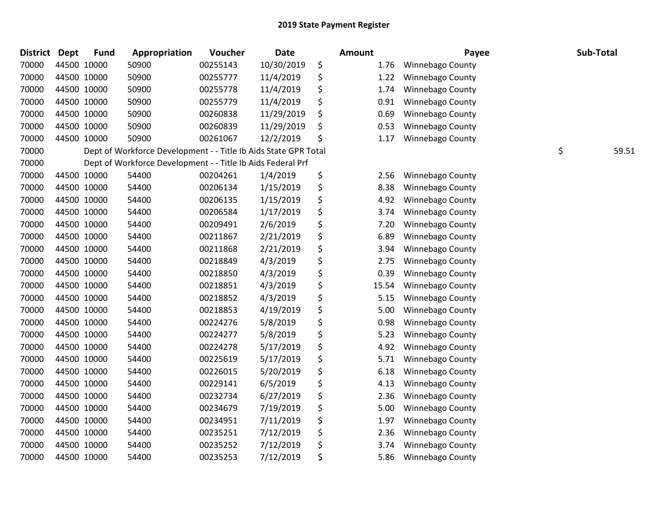| <b>District</b> | <b>Dept</b> | <b>Fund</b> | Appropriation                                                   | Voucher  | <b>Date</b> | Amount      | Payee                   | Sub-Total   |
|-----------------|-------------|-------------|-----------------------------------------------------------------|----------|-------------|-------------|-------------------------|-------------|
| 70000           | 44500 10000 |             | 50900                                                           | 00255143 | 10/30/2019  | \$<br>1.76  | Winnebago County        |             |
| 70000           | 44500 10000 |             | 50900                                                           | 00255777 | 11/4/2019   | \$<br>1.22  | Winnebago County        |             |
| 70000           | 44500 10000 |             | 50900                                                           | 00255778 | 11/4/2019   | \$<br>1.74  | Winnebago County        |             |
| 70000           | 44500 10000 |             | 50900                                                           | 00255779 | 11/4/2019   | \$<br>0.91  | Winnebago County        |             |
| 70000           | 44500 10000 |             | 50900                                                           | 00260838 | 11/29/2019  | \$<br>0.69  | Winnebago County        |             |
| 70000           |             | 44500 10000 | 50900                                                           | 00260839 | 11/29/2019  | \$<br>0.53  | Winnebago County        |             |
| 70000           | 44500 10000 |             | 50900                                                           | 00261067 | 12/2/2019   | \$<br>1.17  | Winnebago County        |             |
| 70000           |             |             | Dept of Workforce Development - - Title Ib Aids State GPR Total |          |             |             |                         | \$<br>59.51 |
| 70000           |             |             | Dept of Workforce Development - - Title Ib Aids Federal Prf     |          |             |             |                         |             |
| 70000           |             | 44500 10000 | 54400                                                           | 00204261 | 1/4/2019    | \$<br>2.56  | <b>Winnebago County</b> |             |
| 70000           |             | 44500 10000 | 54400                                                           | 00206134 | 1/15/2019   | \$<br>8.38  | Winnebago County        |             |
| 70000           | 44500 10000 |             | 54400                                                           | 00206135 | 1/15/2019   | \$<br>4.92  | Winnebago County        |             |
| 70000           | 44500 10000 |             | 54400                                                           | 00206584 | 1/17/2019   | \$<br>3.74  | Winnebago County        |             |
| 70000           | 44500 10000 |             | 54400                                                           | 00209491 | 2/6/2019    | \$<br>7.20  | Winnebago County        |             |
| 70000           | 44500 10000 |             | 54400                                                           | 00211867 | 2/21/2019   | \$<br>6.89  | Winnebago County        |             |
| 70000           |             | 44500 10000 | 54400                                                           | 00211868 | 2/21/2019   | \$<br>3.94  | Winnebago County        |             |
| 70000           | 44500 10000 |             | 54400                                                           | 00218849 | 4/3/2019    | \$<br>2.75  | Winnebago County        |             |
| 70000           | 44500 10000 |             | 54400                                                           | 00218850 | 4/3/2019    | \$<br>0.39  | Winnebago County        |             |
| 70000           | 44500 10000 |             | 54400                                                           | 00218851 | 4/3/2019    | \$<br>15.54 | Winnebago County        |             |
| 70000           | 44500 10000 |             | 54400                                                           | 00218852 | 4/3/2019    | \$<br>5.15  | Winnebago County        |             |
| 70000           |             | 44500 10000 | 54400                                                           | 00218853 | 4/19/2019   | \$<br>5.00  | Winnebago County        |             |
| 70000           | 44500 10000 |             | 54400                                                           | 00224276 | 5/8/2019    | \$<br>0.98  | Winnebago County        |             |
| 70000           | 44500 10000 |             | 54400                                                           | 00224277 | 5/8/2019    | \$<br>5.23  | Winnebago County        |             |
| 70000           | 44500 10000 |             | 54400                                                           | 00224278 | 5/17/2019   | \$<br>4.92  | Winnebago County        |             |
| 70000           | 44500 10000 |             | 54400                                                           | 00225619 | 5/17/2019   | \$<br>5.71  | Winnebago County        |             |
| 70000           |             | 44500 10000 | 54400                                                           | 00226015 | 5/20/2019   | \$<br>6.18  | Winnebago County        |             |
| 70000           | 44500 10000 |             | 54400                                                           | 00229141 | 6/5/2019    | \$<br>4.13  | Winnebago County        |             |
| 70000           | 44500 10000 |             | 54400                                                           | 00232734 | 6/27/2019   | \$<br>2.36  | Winnebago County        |             |
| 70000           | 44500 10000 |             | 54400                                                           | 00234679 | 7/19/2019   | \$<br>5.00  | Winnebago County        |             |
| 70000           | 44500 10000 |             | 54400                                                           | 00234951 | 7/11/2019   | \$<br>1.97  | Winnebago County        |             |
| 70000           |             | 44500 10000 | 54400                                                           | 00235251 | 7/12/2019   | \$<br>2.36  | Winnebago County        |             |
| 70000           |             | 44500 10000 | 54400                                                           | 00235252 | 7/12/2019   | \$<br>3.74  | Winnebago County        |             |
| 70000           | 44500 10000 |             | 54400                                                           | 00235253 | 7/12/2019   | \$<br>5.86  | Winnebago County        |             |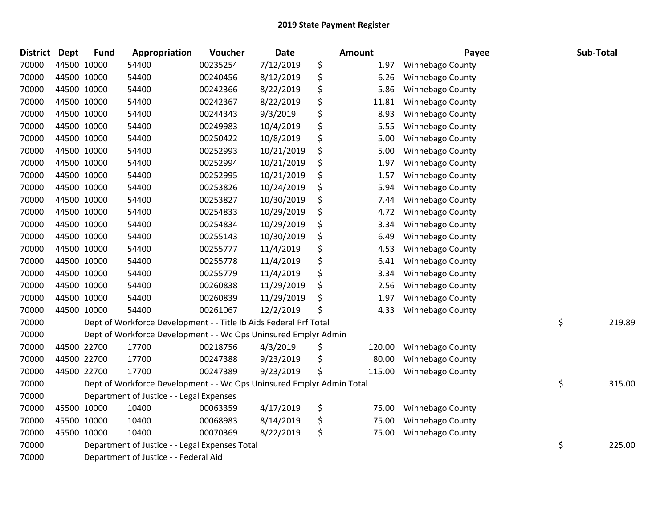| <b>District</b> | <b>Dept</b> | <b>Fund</b> | Appropriation                                                         | Voucher  | <b>Date</b> | <b>Amount</b> | Payee                   | Sub-Total    |
|-----------------|-------------|-------------|-----------------------------------------------------------------------|----------|-------------|---------------|-------------------------|--------------|
| 70000           |             | 44500 10000 | 54400                                                                 | 00235254 | 7/12/2019   | \$<br>1.97    | <b>Winnebago County</b> |              |
| 70000           | 44500 10000 |             | 54400                                                                 | 00240456 | 8/12/2019   | \$<br>6.26    | Winnebago County        |              |
| 70000           |             | 44500 10000 | 54400                                                                 | 00242366 | 8/22/2019   | \$<br>5.86    | Winnebago County        |              |
| 70000           |             | 44500 10000 | 54400                                                                 | 00242367 | 8/22/2019   | \$<br>11.81   | Winnebago County        |              |
| 70000           |             | 44500 10000 | 54400                                                                 | 00244343 | 9/3/2019    | \$<br>8.93    | Winnebago County        |              |
| 70000           |             | 44500 10000 | 54400                                                                 | 00249983 | 10/4/2019   | \$<br>5.55    | Winnebago County        |              |
| 70000           | 44500 10000 |             | 54400                                                                 | 00250422 | 10/8/2019   | \$<br>5.00    | Winnebago County        |              |
| 70000           | 44500 10000 |             | 54400                                                                 | 00252993 | 10/21/2019  | \$<br>5.00    | Winnebago County        |              |
| 70000           |             | 44500 10000 | 54400                                                                 | 00252994 | 10/21/2019  | \$<br>1.97    | Winnebago County        |              |
| 70000           |             | 44500 10000 | 54400                                                                 | 00252995 | 10/21/2019  | \$<br>1.57    | Winnebago County        |              |
| 70000           |             | 44500 10000 | 54400                                                                 | 00253826 | 10/24/2019  | \$<br>5.94    | Winnebago County        |              |
| 70000           | 44500 10000 |             | 54400                                                                 | 00253827 | 10/30/2019  | \$<br>7.44    | Winnebago County        |              |
| 70000           |             | 44500 10000 | 54400                                                                 | 00254833 | 10/29/2019  | \$<br>4.72    | Winnebago County        |              |
| 70000           |             | 44500 10000 | 54400                                                                 | 00254834 | 10/29/2019  | \$<br>3.34    | Winnebago County        |              |
| 70000           |             | 44500 10000 | 54400                                                                 | 00255143 | 10/30/2019  | \$<br>6.49    | Winnebago County        |              |
| 70000           |             | 44500 10000 | 54400                                                                 | 00255777 | 11/4/2019   | \$<br>4.53    | Winnebago County        |              |
| 70000           | 44500 10000 |             | 54400                                                                 | 00255778 | 11/4/2019   | \$<br>6.41    | Winnebago County        |              |
| 70000           | 44500 10000 |             | 54400                                                                 | 00255779 | 11/4/2019   | \$<br>3.34    | Winnebago County        |              |
| 70000           |             | 44500 10000 | 54400                                                                 | 00260838 | 11/29/2019  | \$<br>2.56    | Winnebago County        |              |
| 70000           |             | 44500 10000 | 54400                                                                 | 00260839 | 11/29/2019  | \$<br>1.97    | Winnebago County        |              |
| 70000           |             | 44500 10000 | 54400                                                                 | 00261067 | 12/2/2019   | \$<br>4.33    | Winnebago County        |              |
| 70000           |             |             | Dept of Workforce Development - - Title Ib Aids Federal Prf Total     |          |             |               |                         | \$<br>219.89 |
| 70000           |             |             | Dept of Workforce Development - - Wc Ops Uninsured Emplyr Admin       |          |             |               |                         |              |
| 70000           |             | 44500 22700 | 17700                                                                 | 00218756 | 4/3/2019    | \$<br>120.00  | <b>Winnebago County</b> |              |
| 70000           |             | 44500 22700 | 17700                                                                 | 00247388 | 9/23/2019   | \$<br>80.00   | Winnebago County        |              |
| 70000           | 44500 22700 |             | 17700                                                                 | 00247389 | 9/23/2019   | \$<br>115.00  | Winnebago County        |              |
| 70000           |             |             | Dept of Workforce Development - - Wc Ops Uninsured Emplyr Admin Total |          |             |               |                         | \$<br>315.00 |
| 70000           |             |             | Department of Justice - - Legal Expenses                              |          |             |               |                         |              |
| 70000           |             | 45500 10000 | 10400                                                                 | 00063359 | 4/17/2019   | \$<br>75.00   | Winnebago County        |              |
| 70000           |             | 45500 10000 | 10400                                                                 | 00068983 | 8/14/2019   | \$<br>75.00   | Winnebago County        |              |
| 70000           |             | 45500 10000 | 10400                                                                 | 00070369 | 8/22/2019   | \$<br>75.00   | <b>Winnebago County</b> |              |
| 70000           |             |             | Department of Justice - - Legal Expenses Total                        |          |             |               |                         | \$<br>225.00 |
| 70000           |             |             | Department of Justice - - Federal Aid                                 |          |             |               |                         |              |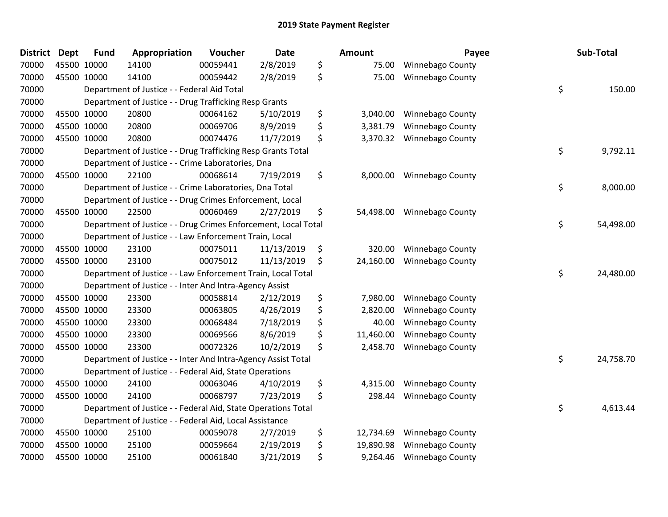| <b>District</b> | <b>Dept</b> | Fund        | Appropriation                                                  | Voucher  | <b>Date</b> | Amount          | Payee                   | Sub-Total       |
|-----------------|-------------|-------------|----------------------------------------------------------------|----------|-------------|-----------------|-------------------------|-----------------|
| 70000           |             | 45500 10000 | 14100                                                          | 00059441 | 2/8/2019    | \$<br>75.00     | Winnebago County        |                 |
| 70000           |             | 45500 10000 | 14100                                                          | 00059442 | 2/8/2019    | \$<br>75.00     | Winnebago County        |                 |
| 70000           |             |             | Department of Justice - - Federal Aid Total                    |          |             |                 |                         | \$<br>150.00    |
| 70000           |             |             | Department of Justice - - Drug Trafficking Resp Grants         |          |             |                 |                         |                 |
| 70000           |             | 45500 10000 | 20800                                                          | 00064162 | 5/10/2019   | \$<br>3,040.00  | Winnebago County        |                 |
| 70000           |             | 45500 10000 | 20800                                                          | 00069706 | 8/9/2019    | \$<br>3,381.79  | <b>Winnebago County</b> |                 |
| 70000           |             | 45500 10000 | 20800                                                          | 00074476 | 11/7/2019   | \$<br>3,370.32  | Winnebago County        |                 |
| 70000           |             |             | Department of Justice - - Drug Trafficking Resp Grants Total   |          |             |                 |                         | \$<br>9,792.11  |
| 70000           |             |             | Department of Justice - - Crime Laboratories, Dna              |          |             |                 |                         |                 |
| 70000           |             | 45500 10000 | 22100                                                          | 00068614 | 7/19/2019   | \$<br>8,000.00  | Winnebago County        |                 |
| 70000           |             |             | Department of Justice - - Crime Laboratories, Dna Total        |          |             |                 |                         | \$<br>8,000.00  |
| 70000           |             |             | Department of Justice - - Drug Crimes Enforcement, Local       |          |             |                 |                         |                 |
| 70000           |             | 45500 10000 | 22500                                                          | 00060469 | 2/27/2019   | \$<br>54,498.00 | <b>Winnebago County</b> |                 |
| 70000           |             |             | Department of Justice - - Drug Crimes Enforcement, Local Total |          |             |                 |                         | \$<br>54,498.00 |
| 70000           |             |             | Department of Justice - - Law Enforcement Train, Local         |          |             |                 |                         |                 |
| 70000           |             | 45500 10000 | 23100                                                          | 00075011 | 11/13/2019  | \$<br>320.00    | Winnebago County        |                 |
| 70000           |             | 45500 10000 | 23100                                                          | 00075012 | 11/13/2019  | \$<br>24,160.00 | Winnebago County        |                 |
| 70000           |             |             | Department of Justice - - Law Enforcement Train, Local Total   |          |             |                 |                         | \$<br>24,480.00 |
| 70000           |             |             | Department of Justice - - Inter And Intra-Agency Assist        |          |             |                 |                         |                 |
| 70000           |             | 45500 10000 | 23300                                                          | 00058814 | 2/12/2019   | \$<br>7,980.00  | Winnebago County        |                 |
| 70000           |             | 45500 10000 | 23300                                                          | 00063805 | 4/26/2019   | \$<br>2,820.00  | Winnebago County        |                 |
| 70000           |             | 45500 10000 | 23300                                                          | 00068484 | 7/18/2019   | \$<br>40.00     | Winnebago County        |                 |
| 70000           |             | 45500 10000 | 23300                                                          | 00069566 | 8/6/2019    | \$<br>11,460.00 | Winnebago County        |                 |
| 70000           |             | 45500 10000 | 23300                                                          | 00072326 | 10/2/2019   | \$<br>2,458.70  | Winnebago County        |                 |
| 70000           |             |             | Department of Justice - - Inter And Intra-Agency Assist Total  |          |             |                 |                         | \$<br>24,758.70 |
| 70000           |             |             | Department of Justice - - Federal Aid, State Operations        |          |             |                 |                         |                 |
| 70000           |             | 45500 10000 | 24100                                                          | 00063046 | 4/10/2019   | \$<br>4,315.00  | <b>Winnebago County</b> |                 |
| 70000           |             | 45500 10000 | 24100                                                          | 00068797 | 7/23/2019   | \$<br>298.44    | Winnebago County        |                 |
| 70000           |             |             | Department of Justice - - Federal Aid, State Operations Total  |          |             |                 |                         | \$<br>4,613.44  |
| 70000           |             |             | Department of Justice - - Federal Aid, Local Assistance        |          |             |                 |                         |                 |
| 70000           |             | 45500 10000 | 25100                                                          | 00059078 | 2/7/2019    | \$<br>12,734.69 | Winnebago County        |                 |
| 70000           |             | 45500 10000 | 25100                                                          | 00059664 | 2/19/2019   | \$<br>19,890.98 | <b>Winnebago County</b> |                 |
| 70000           |             | 45500 10000 | 25100                                                          | 00061840 | 3/21/2019   | \$<br>9,264.46  | Winnebago County        |                 |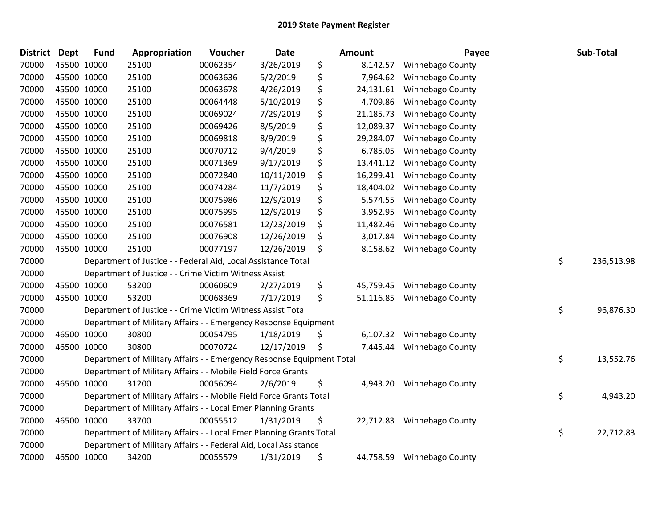| <b>District</b> | <b>Dept</b> | <b>Fund</b> | Appropriation                                                         | Voucher  | <b>Date</b> | Amount          | Payee                   | Sub-Total        |
|-----------------|-------------|-------------|-----------------------------------------------------------------------|----------|-------------|-----------------|-------------------------|------------------|
| 70000           |             | 45500 10000 | 25100                                                                 | 00062354 | 3/26/2019   | \$<br>8,142.57  | Winnebago County        |                  |
| 70000           | 45500 10000 |             | 25100                                                                 | 00063636 | 5/2/2019    | \$<br>7,964.62  | Winnebago County        |                  |
| 70000           | 45500 10000 |             | 25100                                                                 | 00063678 | 4/26/2019   | \$<br>24,131.61 | Winnebago County        |                  |
| 70000           | 45500 10000 |             | 25100                                                                 | 00064448 | 5/10/2019   | \$<br>4,709.86  | <b>Winnebago County</b> |                  |
| 70000           | 45500 10000 |             | 25100                                                                 | 00069024 | 7/29/2019   | \$<br>21,185.73 | Winnebago County        |                  |
| 70000           |             | 45500 10000 | 25100                                                                 | 00069426 | 8/5/2019    | \$<br>12,089.37 | Winnebago County        |                  |
| 70000           |             | 45500 10000 | 25100                                                                 | 00069818 | 8/9/2019    | \$<br>29,284.07 | Winnebago County        |                  |
| 70000           | 45500 10000 |             | 25100                                                                 | 00070712 | 9/4/2019    | \$<br>6,785.05  | Winnebago County        |                  |
| 70000           | 45500 10000 |             | 25100                                                                 | 00071369 | 9/17/2019   | \$<br>13,441.12 | Winnebago County        |                  |
| 70000           |             | 45500 10000 | 25100                                                                 | 00072840 | 10/11/2019  | \$<br>16,299.41 | <b>Winnebago County</b> |                  |
| 70000           |             | 45500 10000 | 25100                                                                 | 00074284 | 11/7/2019   | \$<br>18,404.02 | Winnebago County        |                  |
| 70000           | 45500 10000 |             | 25100                                                                 | 00075986 | 12/9/2019   | \$<br>5,574.55  | Winnebago County        |                  |
| 70000           | 45500 10000 |             | 25100                                                                 | 00075995 | 12/9/2019   | \$<br>3,952.95  | Winnebago County        |                  |
| 70000           | 45500 10000 |             | 25100                                                                 | 00076581 | 12/23/2019  | \$<br>11,482.46 | Winnebago County        |                  |
| 70000           |             | 45500 10000 | 25100                                                                 | 00076908 | 12/26/2019  | \$<br>3,017.84  | Winnebago County        |                  |
| 70000           |             | 45500 10000 | 25100                                                                 | 00077197 | 12/26/2019  | \$<br>8,158.62  | Winnebago County        |                  |
| 70000           |             |             | Department of Justice - - Federal Aid, Local Assistance Total         |          |             |                 |                         | \$<br>236,513.98 |
| 70000           |             |             | Department of Justice - - Crime Victim Witness Assist                 |          |             |                 |                         |                  |
| 70000           | 45500 10000 |             | 53200                                                                 | 00060609 | 2/27/2019   | \$<br>45,759.45 | Winnebago County        |                  |
| 70000           |             | 45500 10000 | 53200                                                                 | 00068369 | 7/17/2019   | \$<br>51,116.85 | Winnebago County        |                  |
| 70000           |             |             | Department of Justice - - Crime Victim Witness Assist Total           |          |             |                 |                         | \$<br>96,876.30  |
| 70000           |             |             | Department of Military Affairs - - Emergency Response Equipment       |          |             |                 |                         |                  |
| 70000           | 46500 10000 |             | 30800                                                                 | 00054795 | 1/18/2019   | \$<br>6,107.32  | Winnebago County        |                  |
| 70000           |             | 46500 10000 | 30800                                                                 | 00070724 | 12/17/2019  | \$<br>7,445.44  | Winnebago County        |                  |
| 70000           |             |             | Department of Military Affairs - - Emergency Response Equipment Total |          |             |                 |                         | \$<br>13,552.76  |
| 70000           |             |             | Department of Military Affairs - - Mobile Field Force Grants          |          |             |                 |                         |                  |
| 70000           |             | 46500 10000 | 31200                                                                 | 00056094 | 2/6/2019    | \$<br>4,943.20  | Winnebago County        |                  |
| 70000           |             |             | Department of Military Affairs - - Mobile Field Force Grants Total    |          |             |                 |                         | \$<br>4,943.20   |
| 70000           |             |             | Department of Military Affairs - - Local Emer Planning Grants         |          |             |                 |                         |                  |
| 70000           | 46500 10000 |             | 33700                                                                 | 00055512 | 1/31/2019   | \$<br>22,712.83 | <b>Winnebago County</b> |                  |
| 70000           |             |             | Department of Military Affairs - - Local Emer Planning Grants Total   |          |             |                 |                         | \$<br>22,712.83  |
| 70000           |             |             | Department of Military Affairs - - Federal Aid, Local Assistance      |          |             |                 |                         |                  |
| 70000           |             | 46500 10000 | 34200                                                                 | 00055579 | 1/31/2019   | \$<br>44,758.59 | Winnebago County        |                  |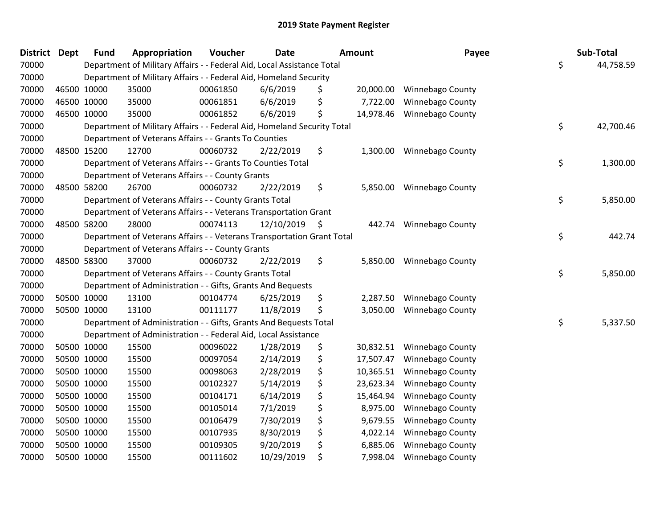| District Dept | <b>Fund</b> | Appropriation                                                           | Voucher  | <b>Date</b>   | <b>Amount</b>   | Payee                   | Sub-Total       |
|---------------|-------------|-------------------------------------------------------------------------|----------|---------------|-----------------|-------------------------|-----------------|
| 70000         |             | Department of Military Affairs - - Federal Aid, Local Assistance Total  |          |               |                 |                         | \$<br>44,758.59 |
| 70000         |             | Department of Military Affairs - - Federal Aid, Homeland Security       |          |               |                 |                         |                 |
| 70000         | 46500 10000 | 35000                                                                   | 00061850 | 6/6/2019      | \$<br>20,000.00 | <b>Winnebago County</b> |                 |
| 70000         | 46500 10000 | 35000                                                                   | 00061851 | 6/6/2019      | \$<br>7,722.00  | Winnebago County        |                 |
| 70000         | 46500 10000 | 35000                                                                   | 00061852 | 6/6/2019      | \$<br>14,978.46 | <b>Winnebago County</b> |                 |
| 70000         |             | Department of Military Affairs - - Federal Aid, Homeland Security Total |          |               |                 |                         | \$<br>42,700.46 |
| 70000         |             | Department of Veterans Affairs - - Grants To Counties                   |          |               |                 |                         |                 |
| 70000         | 48500 15200 | 12700                                                                   | 00060732 | 2/22/2019     | \$<br>1,300.00  | Winnebago County        |                 |
| 70000         |             | Department of Veterans Affairs - - Grants To Counties Total             |          |               |                 |                         | \$<br>1,300.00  |
| 70000         |             | Department of Veterans Affairs - - County Grants                        |          |               |                 |                         |                 |
| 70000         | 48500 58200 | 26700                                                                   | 00060732 | 2/22/2019     | \$<br>5,850.00  | <b>Winnebago County</b> |                 |
| 70000         |             | Department of Veterans Affairs - - County Grants Total                  |          |               |                 |                         | \$<br>5,850.00  |
| 70000         |             | Department of Veterans Affairs - - Veterans Transportation Grant        |          |               |                 |                         |                 |
| 70000         | 48500 58200 | 28000                                                                   | 00074113 | 12/10/2019 \$ | 442.74          | <b>Winnebago County</b> |                 |
| 70000         |             | Department of Veterans Affairs - - Veterans Transportation Grant Total  |          |               |                 |                         | \$<br>442.74    |
| 70000         |             | Department of Veterans Affairs - - County Grants                        |          |               |                 |                         |                 |
| 70000         | 48500 58300 | 37000                                                                   | 00060732 | 2/22/2019     | \$<br>5,850.00  | Winnebago County        |                 |
| 70000         |             | Department of Veterans Affairs - - County Grants Total                  |          |               |                 |                         | \$<br>5,850.00  |
| 70000         |             | Department of Administration - - Gifts, Grants And Bequests             |          |               |                 |                         |                 |
| 70000         | 50500 10000 | 13100                                                                   | 00104774 | 6/25/2019     | \$<br>2,287.50  | <b>Winnebago County</b> |                 |
| 70000         | 50500 10000 | 13100                                                                   | 00111177 | 11/8/2019     | \$<br>3,050.00  | Winnebago County        |                 |
| 70000         |             | Department of Administration - - Gifts, Grants And Bequests Total       |          |               |                 |                         | \$<br>5,337.50  |
| 70000         |             | Department of Administration - - Federal Aid, Local Assistance          |          |               |                 |                         |                 |
| 70000         | 50500 10000 | 15500                                                                   | 00096022 | 1/28/2019     | \$<br>30,832.51 | Winnebago County        |                 |
| 70000         | 50500 10000 | 15500                                                                   | 00097054 | 2/14/2019     | \$<br>17,507.47 | Winnebago County        |                 |
| 70000         | 50500 10000 | 15500                                                                   | 00098063 | 2/28/2019     | \$<br>10,365.51 | Winnebago County        |                 |
| 70000         | 50500 10000 | 15500                                                                   | 00102327 | 5/14/2019     | \$<br>23,623.34 | Winnebago County        |                 |
| 70000         | 50500 10000 | 15500                                                                   | 00104171 | 6/14/2019     | \$<br>15,464.94 | <b>Winnebago County</b> |                 |
| 70000         | 50500 10000 | 15500                                                                   | 00105014 | 7/1/2019      | \$<br>8,975.00  | Winnebago County        |                 |
| 70000         | 50500 10000 | 15500                                                                   | 00106479 | 7/30/2019     | \$<br>9,679.55  | Winnebago County        |                 |
| 70000         | 50500 10000 | 15500                                                                   | 00107935 | 8/30/2019     | \$<br>4,022.14  | Winnebago County        |                 |
| 70000         | 50500 10000 | 15500                                                                   | 00109305 | 9/20/2019     | \$<br>6,885.06  | Winnebago County        |                 |
| 70000         | 50500 10000 | 15500                                                                   | 00111602 | 10/29/2019    | \$<br>7,998.04  | <b>Winnebago County</b> |                 |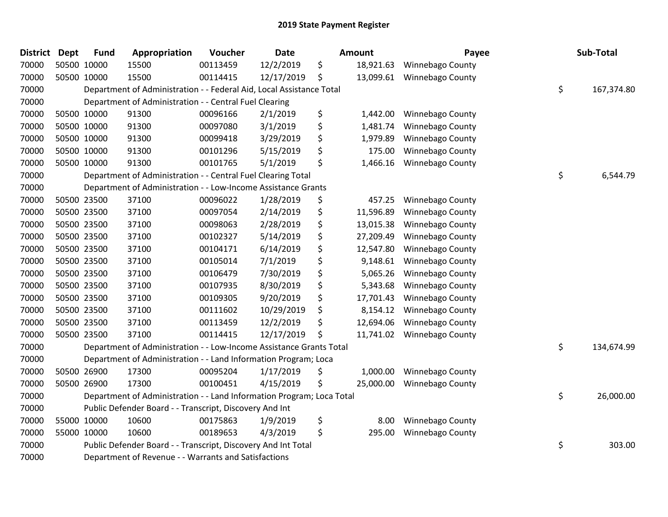| <b>District</b> | <b>Dept</b> | <b>Fund</b> | Appropriation                                                         | Voucher  | <b>Date</b> | Amount          | Payee                   | Sub-Total        |
|-----------------|-------------|-------------|-----------------------------------------------------------------------|----------|-------------|-----------------|-------------------------|------------------|
| 70000           |             | 50500 10000 | 15500                                                                 | 00113459 | 12/2/2019   | \$<br>18,921.63 | Winnebago County        |                  |
| 70000           |             | 50500 10000 | 15500                                                                 | 00114415 | 12/17/2019  | \$<br>13,099.61 | Winnebago County        |                  |
| 70000           |             |             | Department of Administration - - Federal Aid, Local Assistance Total  |          |             |                 |                         | \$<br>167,374.80 |
| 70000           |             |             | Department of Administration - - Central Fuel Clearing                |          |             |                 |                         |                  |
| 70000           |             | 50500 10000 | 91300                                                                 | 00096166 | 2/1/2019    | \$<br>1,442.00  | <b>Winnebago County</b> |                  |
| 70000           |             | 50500 10000 | 91300                                                                 | 00097080 | 3/1/2019    | \$<br>1,481.74  | <b>Winnebago County</b> |                  |
| 70000           |             | 50500 10000 | 91300                                                                 | 00099418 | 3/29/2019   | \$<br>1,979.89  | Winnebago County        |                  |
| 70000           |             | 50500 10000 | 91300                                                                 | 00101296 | 5/15/2019   | \$<br>175.00    | Winnebago County        |                  |
| 70000           |             | 50500 10000 | 91300                                                                 | 00101765 | 5/1/2019    | \$<br>1,466.16  | Winnebago County        |                  |
| 70000           |             |             | Department of Administration - - Central Fuel Clearing Total          |          |             |                 |                         | \$<br>6,544.79   |
| 70000           |             |             | Department of Administration - - Low-Income Assistance Grants         |          |             |                 |                         |                  |
| 70000           |             | 50500 23500 | 37100                                                                 | 00096022 | 1/28/2019   | \$<br>457.25    | <b>Winnebago County</b> |                  |
| 70000           |             | 50500 23500 | 37100                                                                 | 00097054 | 2/14/2019   | \$<br>11,596.89 | <b>Winnebago County</b> |                  |
| 70000           |             | 50500 23500 | 37100                                                                 | 00098063 | 2/28/2019   | \$<br>13,015.38 | Winnebago County        |                  |
| 70000           |             | 50500 23500 | 37100                                                                 | 00102327 | 5/14/2019   | \$<br>27,209.49 | Winnebago County        |                  |
| 70000           |             | 50500 23500 | 37100                                                                 | 00104171 | 6/14/2019   | \$<br>12,547.80 | Winnebago County        |                  |
| 70000           |             | 50500 23500 | 37100                                                                 | 00105014 | 7/1/2019    | \$<br>9,148.61  | Winnebago County        |                  |
| 70000           |             | 50500 23500 | 37100                                                                 | 00106479 | 7/30/2019   | \$<br>5,065.26  | Winnebago County        |                  |
| 70000           |             | 50500 23500 | 37100                                                                 | 00107935 | 8/30/2019   | \$<br>5,343.68  | Winnebago County        |                  |
| 70000           |             | 50500 23500 | 37100                                                                 | 00109305 | 9/20/2019   | \$<br>17,701.43 | Winnebago County        |                  |
| 70000           |             | 50500 23500 | 37100                                                                 | 00111602 | 10/29/2019  | \$<br>8,154.12  | Winnebago County        |                  |
| 70000           |             | 50500 23500 | 37100                                                                 | 00113459 | 12/2/2019   | \$<br>12,694.06 | Winnebago County        |                  |
| 70000           |             | 50500 23500 | 37100                                                                 | 00114415 | 12/17/2019  | \$<br>11,741.02 | Winnebago County        |                  |
| 70000           |             |             | Department of Administration - - Low-Income Assistance Grants Total   |          |             |                 |                         | \$<br>134,674.99 |
| 70000           |             |             | Department of Administration - - Land Information Program; Loca       |          |             |                 |                         |                  |
| 70000           |             | 50500 26900 | 17300                                                                 | 00095204 | 1/17/2019   | \$<br>1,000.00  | Winnebago County        |                  |
| 70000           |             | 50500 26900 | 17300                                                                 | 00100451 | 4/15/2019   | \$<br>25,000.00 | Winnebago County        |                  |
| 70000           |             |             | Department of Administration - - Land Information Program; Loca Total |          |             |                 |                         | \$<br>26,000.00  |
| 70000           |             |             | Public Defender Board - - Transcript, Discovery And Int               |          |             |                 |                         |                  |
| 70000           |             | 55000 10000 | 10600                                                                 | 00175863 | 1/9/2019    | \$<br>8.00      | Winnebago County        |                  |
| 70000           |             | 55000 10000 | 10600                                                                 | 00189653 | 4/3/2019    | \$<br>295.00    | Winnebago County        |                  |
| 70000           |             |             | Public Defender Board - - Transcript, Discovery And Int Total         |          |             |                 |                         | \$<br>303.00     |
| 70000           |             |             | Department of Revenue - - Warrants and Satisfactions                  |          |             |                 |                         |                  |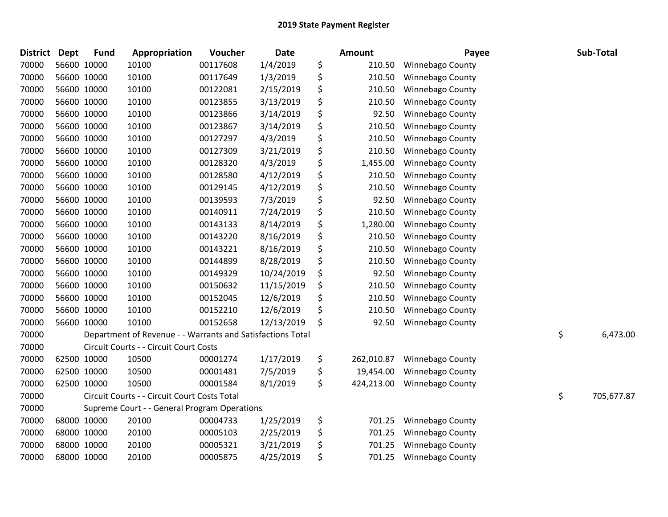| <b>District</b> | <b>Dept</b> | <b>Fund</b> | Appropriation                                              | Voucher  | <b>Date</b> | Amount           | Payee                   | Sub-Total        |
|-----------------|-------------|-------------|------------------------------------------------------------|----------|-------------|------------------|-------------------------|------------------|
| 70000           |             | 56600 10000 | 10100                                                      | 00117608 | 1/4/2019    | \$<br>210.50     | <b>Winnebago County</b> |                  |
| 70000           |             | 56600 10000 | 10100                                                      | 00117649 | 1/3/2019    | \$<br>210.50     | Winnebago County        |                  |
| 70000           |             | 56600 10000 | 10100                                                      | 00122081 | 2/15/2019   | \$<br>210.50     | Winnebago County        |                  |
| 70000           |             | 56600 10000 | 10100                                                      | 00123855 | 3/13/2019   | \$<br>210.50     | Winnebago County        |                  |
| 70000           |             | 56600 10000 | 10100                                                      | 00123866 | 3/14/2019   | \$<br>92.50      | Winnebago County        |                  |
| 70000           |             | 56600 10000 | 10100                                                      | 00123867 | 3/14/2019   | \$<br>210.50     | Winnebago County        |                  |
| 70000           |             | 56600 10000 | 10100                                                      | 00127297 | 4/3/2019    | \$<br>210.50     | Winnebago County        |                  |
| 70000           |             | 56600 10000 | 10100                                                      | 00127309 | 3/21/2019   | \$<br>210.50     | Winnebago County        |                  |
| 70000           |             | 56600 10000 | 10100                                                      | 00128320 | 4/3/2019    | \$<br>1,455.00   | Winnebago County        |                  |
| 70000           |             | 56600 10000 | 10100                                                      | 00128580 | 4/12/2019   | \$<br>210.50     | Winnebago County        |                  |
| 70000           |             | 56600 10000 | 10100                                                      | 00129145 | 4/12/2019   | \$<br>210.50     | Winnebago County        |                  |
| 70000           |             | 56600 10000 | 10100                                                      | 00139593 | 7/3/2019    | \$<br>92.50      | Winnebago County        |                  |
| 70000           |             | 56600 10000 | 10100                                                      | 00140911 | 7/24/2019   | \$<br>210.50     | Winnebago County        |                  |
| 70000           |             | 56600 10000 | 10100                                                      | 00143133 | 8/14/2019   | \$<br>1,280.00   | <b>Winnebago County</b> |                  |
| 70000           |             | 56600 10000 | 10100                                                      | 00143220 | 8/16/2019   | \$<br>210.50     | <b>Winnebago County</b> |                  |
| 70000           |             | 56600 10000 | 10100                                                      | 00143221 | 8/16/2019   | \$<br>210.50     | <b>Winnebago County</b> |                  |
| 70000           |             | 56600 10000 | 10100                                                      | 00144899 | 8/28/2019   | \$<br>210.50     | Winnebago County        |                  |
| 70000           |             | 56600 10000 | 10100                                                      | 00149329 | 10/24/2019  | \$<br>92.50      | Winnebago County        |                  |
| 70000           |             | 56600 10000 | 10100                                                      | 00150632 | 11/15/2019  | \$<br>210.50     | Winnebago County        |                  |
| 70000           |             | 56600 10000 | 10100                                                      | 00152045 | 12/6/2019   | \$<br>210.50     | Winnebago County        |                  |
| 70000           |             | 56600 10000 | 10100                                                      | 00152210 | 12/6/2019   | \$<br>210.50     | Winnebago County        |                  |
| 70000           |             | 56600 10000 | 10100                                                      | 00152658 | 12/13/2019  | \$<br>92.50      | Winnebago County        |                  |
| 70000           |             |             | Department of Revenue - - Warrants and Satisfactions Total |          |             |                  |                         | \$<br>6,473.00   |
| 70000           |             |             | Circuit Courts - - Circuit Court Costs                     |          |             |                  |                         |                  |
| 70000           |             | 62500 10000 | 10500                                                      | 00001274 | 1/17/2019   | \$<br>262,010.87 | Winnebago County        |                  |
| 70000           |             | 62500 10000 | 10500                                                      | 00001481 | 7/5/2019    | \$<br>19,454.00  | Winnebago County        |                  |
| 70000           |             | 62500 10000 | 10500                                                      | 00001584 | 8/1/2019    | \$<br>424,213.00 | Winnebago County        |                  |
| 70000           |             |             | Circuit Courts - - Circuit Court Costs Total               |          |             |                  |                         | \$<br>705,677.87 |
| 70000           |             |             | Supreme Court - - General Program Operations               |          |             |                  |                         |                  |
| 70000           |             | 68000 10000 | 20100                                                      | 00004733 | 1/25/2019   | \$<br>701.25     | Winnebago County        |                  |
| 70000           |             | 68000 10000 | 20100                                                      | 00005103 | 2/25/2019   | \$<br>701.25     | Winnebago County        |                  |
| 70000           |             | 68000 10000 | 20100                                                      | 00005321 | 3/21/2019   | \$<br>701.25     | Winnebago County        |                  |
| 70000           |             | 68000 10000 | 20100                                                      | 00005875 | 4/25/2019   | \$<br>701.25     | Winnebago County        |                  |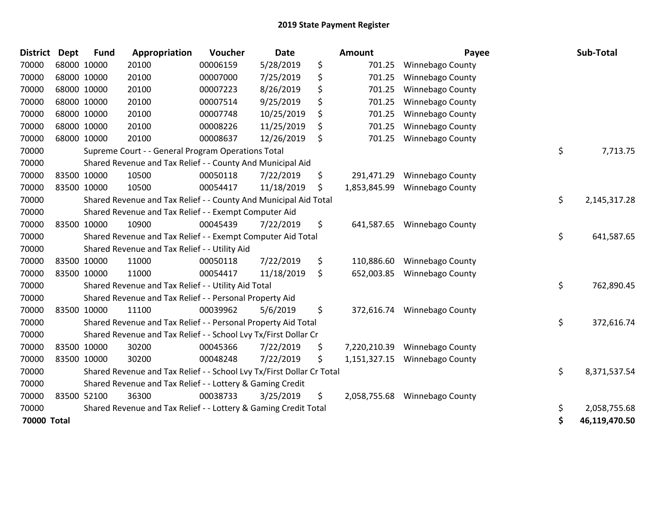| <b>District</b>    | Dept | <b>Fund</b> | Appropriation                                                         | Voucher  | Date       | <b>Amount</b>      | Payee                   | Sub-Total           |
|--------------------|------|-------------|-----------------------------------------------------------------------|----------|------------|--------------------|-------------------------|---------------------|
| 70000              |      | 68000 10000 | 20100                                                                 | 00006159 | 5/28/2019  | \$<br>701.25       | <b>Winnebago County</b> |                     |
| 70000              |      | 68000 10000 | 20100                                                                 | 00007000 | 7/25/2019  | \$<br>701.25       | Winnebago County        |                     |
| 70000              |      | 68000 10000 | 20100                                                                 | 00007223 | 8/26/2019  | \$<br>701.25       | <b>Winnebago County</b> |                     |
| 70000              |      | 68000 10000 | 20100                                                                 | 00007514 | 9/25/2019  | \$<br>701.25       | Winnebago County        |                     |
| 70000              |      | 68000 10000 | 20100                                                                 | 00007748 | 10/25/2019 | \$<br>701.25       | Winnebago County        |                     |
| 70000              |      | 68000 10000 | 20100                                                                 | 00008226 | 11/25/2019 | \$<br>701.25       | <b>Winnebago County</b> |                     |
| 70000              |      | 68000 10000 | 20100                                                                 | 00008637 | 12/26/2019 | \$<br>701.25       | Winnebago County        |                     |
| 70000              |      |             | Supreme Court - - General Program Operations Total                    |          |            |                    |                         | \$<br>7,713.75      |
| 70000              |      |             | Shared Revenue and Tax Relief - - County And Municipal Aid            |          |            |                    |                         |                     |
| 70000              |      | 83500 10000 | 10500                                                                 | 00050118 | 7/22/2019  | \$<br>291,471.29   | <b>Winnebago County</b> |                     |
| 70000              |      | 83500 10000 | 10500                                                                 | 00054417 | 11/18/2019 | \$<br>1,853,845.99 | Winnebago County        |                     |
| 70000              |      |             | Shared Revenue and Tax Relief - - County And Municipal Aid Total      |          |            |                    |                         | \$<br>2,145,317.28  |
| 70000              |      |             | Shared Revenue and Tax Relief - - Exempt Computer Aid                 |          |            |                    |                         |                     |
| 70000              |      | 83500 10000 | 10900                                                                 | 00045439 | 7/22/2019  | \$<br>641,587.65   | Winnebago County        |                     |
| 70000              |      |             | Shared Revenue and Tax Relief - - Exempt Computer Aid Total           |          |            |                    |                         | \$<br>641,587.65    |
| 70000              |      |             | Shared Revenue and Tax Relief - - Utility Aid                         |          |            |                    |                         |                     |
| 70000              |      | 83500 10000 | 11000                                                                 | 00050118 | 7/22/2019  | \$<br>110,886.60   | Winnebago County        |                     |
| 70000              |      | 83500 10000 | 11000                                                                 | 00054417 | 11/18/2019 | \$<br>652,003.85   | <b>Winnebago County</b> |                     |
| 70000              |      |             | Shared Revenue and Tax Relief - - Utility Aid Total                   |          |            |                    |                         | \$<br>762,890.45    |
| 70000              |      |             | Shared Revenue and Tax Relief - - Personal Property Aid               |          |            |                    |                         |                     |
| 70000              |      | 83500 10000 | 11100                                                                 | 00039962 | 5/6/2019   | \$<br>372,616.74   | <b>Winnebago County</b> |                     |
| 70000              |      |             | Shared Revenue and Tax Relief - - Personal Property Aid Total         |          |            |                    |                         | \$<br>372,616.74    |
| 70000              |      |             | Shared Revenue and Tax Relief - - School Lvy Tx/First Dollar Cr       |          |            |                    |                         |                     |
| 70000              |      | 83500 10000 | 30200                                                                 | 00045366 | 7/22/2019  | \$<br>7,220,210.39 | <b>Winnebago County</b> |                     |
| 70000              |      | 83500 10000 | 30200                                                                 | 00048248 | 7/22/2019  | \$<br>1,151,327.15 | Winnebago County        |                     |
| 70000              |      |             | Shared Revenue and Tax Relief - - School Lvy Tx/First Dollar Cr Total |          |            |                    |                         | \$<br>8,371,537.54  |
| 70000              |      |             | Shared Revenue and Tax Relief - - Lottery & Gaming Credit             |          |            |                    |                         |                     |
| 70000              |      | 83500 52100 | 36300                                                                 | 00038733 | 3/25/2019  | \$<br>2,058,755.68 | <b>Winnebago County</b> |                     |
| 70000              |      |             | Shared Revenue and Tax Relief - - Lottery & Gaming Credit Total       |          |            |                    |                         | \$<br>2,058,755.68  |
| <b>70000 Total</b> |      |             |                                                                       |          |            |                    |                         | \$<br>46,119,470.50 |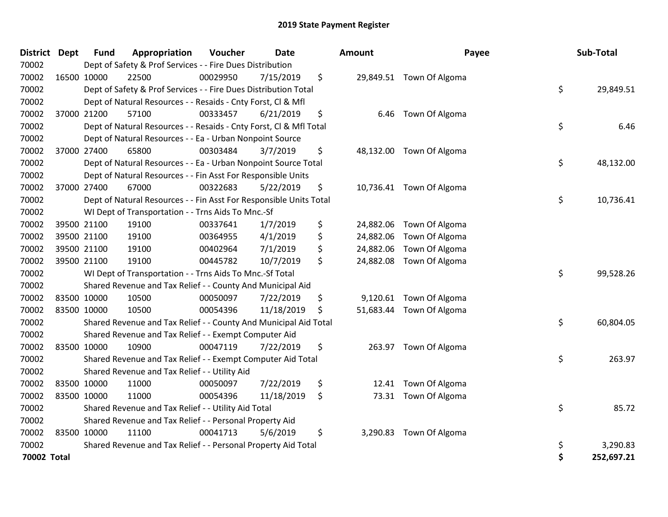| <b>District</b> | <b>Dept</b> | <b>Fund</b> | Appropriation                                                      | Voucher  | <b>Date</b> | <b>Amount</b>   | Payee                    |    | Sub-Total  |
|-----------------|-------------|-------------|--------------------------------------------------------------------|----------|-------------|-----------------|--------------------------|----|------------|
| 70002           |             |             | Dept of Safety & Prof Services - - Fire Dues Distribution          |          |             |                 |                          |    |            |
| 70002           |             | 16500 10000 | 22500                                                              | 00029950 | 7/15/2019   | \$              | 29,849.51 Town Of Algoma |    |            |
| 70002           |             |             | Dept of Safety & Prof Services - - Fire Dues Distribution Total    |          |             |                 |                          | \$ | 29,849.51  |
| 70002           |             |             | Dept of Natural Resources - - Resaids - Cnty Forst, Cl & Mfl       |          |             |                 |                          |    |            |
| 70002           |             | 37000 21200 | 57100                                                              | 00333457 | 6/21/2019   | \$<br>6.46      | Town Of Algoma           |    |            |
| 70002           |             |             | Dept of Natural Resources - - Resaids - Cnty Forst, Cl & Mfl Total |          |             |                 |                          | \$ | 6.46       |
| 70002           |             |             | Dept of Natural Resources - - Ea - Urban Nonpoint Source           |          |             |                 |                          |    |            |
| 70002           |             | 37000 27400 | 65800                                                              | 00303484 | 3/7/2019    | \$              | 48,132.00 Town Of Algoma |    |            |
| 70002           |             |             | Dept of Natural Resources - - Ea - Urban Nonpoint Source Total     |          |             |                 |                          | \$ | 48,132.00  |
| 70002           |             |             | Dept of Natural Resources - - Fin Asst For Responsible Units       |          |             |                 |                          |    |            |
| 70002           |             | 37000 27400 | 67000                                                              | 00322683 | 5/22/2019   | \$              | 10,736.41 Town Of Algoma |    |            |
| 70002           |             |             | Dept of Natural Resources - - Fin Asst For Responsible Units Total |          |             |                 |                          | \$ | 10,736.41  |
| 70002           |             |             | WI Dept of Transportation - - Trns Aids To Mnc.-Sf                 |          |             |                 |                          |    |            |
| 70002           |             | 39500 21100 | 19100                                                              | 00337641 | 1/7/2019    | \$              | 24,882.06 Town Of Algoma |    |            |
| 70002           |             | 39500 21100 | 19100                                                              | 00364955 | 4/1/2019    | \$<br>24,882.06 | Town Of Algoma           |    |            |
| 70002           |             | 39500 21100 | 19100                                                              | 00402964 | 7/1/2019    | \$<br>24,882.06 | Town Of Algoma           |    |            |
| 70002           |             | 39500 21100 | 19100                                                              | 00445782 | 10/7/2019   | \$<br>24,882.08 | Town Of Algoma           |    |            |
| 70002           |             |             | WI Dept of Transportation - - Trns Aids To Mnc.-Sf Total           |          |             |                 |                          | \$ | 99,528.26  |
| 70002           |             |             | Shared Revenue and Tax Relief - - County And Municipal Aid         |          |             |                 |                          |    |            |
| 70002           |             | 83500 10000 | 10500                                                              | 00050097 | 7/22/2019   | \$              | 9,120.61 Town Of Algoma  |    |            |
| 70002           |             | 83500 10000 | 10500                                                              | 00054396 | 11/18/2019  | \$              | 51,683.44 Town Of Algoma |    |            |
| 70002           |             |             | Shared Revenue and Tax Relief - - County And Municipal Aid Total   |          |             |                 |                          | \$ | 60,804.05  |
| 70002           |             |             | Shared Revenue and Tax Relief - - Exempt Computer Aid              |          |             |                 |                          |    |            |
| 70002           |             | 83500 10000 | 10900                                                              | 00047119 | 7/22/2019   | \$              | 263.97 Town Of Algoma    |    |            |
| 70002           |             |             | Shared Revenue and Tax Relief - - Exempt Computer Aid Total        |          |             |                 |                          | \$ | 263.97     |
| 70002           |             |             | Shared Revenue and Tax Relief - - Utility Aid                      |          |             |                 |                          |    |            |
| 70002           |             | 83500 10000 | 11000                                                              | 00050097 | 7/22/2019   | \$<br>12.41     | Town Of Algoma           |    |            |
| 70002           |             | 83500 10000 | 11000                                                              | 00054396 | 11/18/2019  | \$              | 73.31 Town Of Algoma     |    |            |
| 70002           |             |             | Shared Revenue and Tax Relief - - Utility Aid Total                |          |             |                 |                          | \$ | 85.72      |
| 70002           |             |             | Shared Revenue and Tax Relief - - Personal Property Aid            |          |             |                 |                          |    |            |
| 70002           |             | 83500 10000 | 11100                                                              | 00041713 | 5/6/2019    | \$<br>3,290.83  | Town Of Algoma           |    |            |
| 70002           |             |             | Shared Revenue and Tax Relief - - Personal Property Aid Total      |          |             |                 |                          | \$ | 3,290.83   |
| 70002 Total     |             |             |                                                                    |          |             |                 |                          | Ś  | 252,697.21 |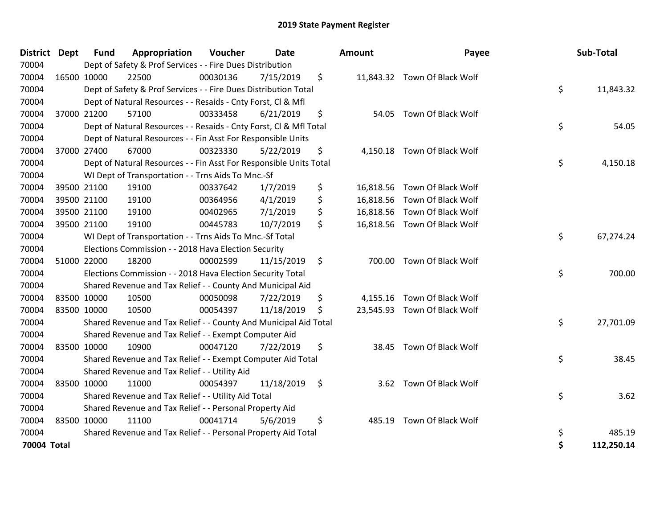| <b>District</b> | <b>Dept</b> | <b>Fund</b> | Appropriation                                                      | Voucher  | <b>Date</b> |     | Amount | Payee                        | Sub-Total        |
|-----------------|-------------|-------------|--------------------------------------------------------------------|----------|-------------|-----|--------|------------------------------|------------------|
| 70004           |             |             | Dept of Safety & Prof Services - - Fire Dues Distribution          |          |             |     |        |                              |                  |
| 70004           |             | 16500 10000 | 22500                                                              | 00030136 | 7/15/2019   | \$  |        | 11,843.32 Town Of Black Wolf |                  |
| 70004           |             |             | Dept of Safety & Prof Services - - Fire Dues Distribution Total    |          |             |     |        |                              | \$<br>11,843.32  |
| 70004           |             |             | Dept of Natural Resources - - Resaids - Cnty Forst, Cl & Mfl       |          |             |     |        |                              |                  |
| 70004           |             | 37000 21200 | 57100                                                              | 00333458 | 6/21/2019   | \$  | 54.05  | Town Of Black Wolf           |                  |
| 70004           |             |             | Dept of Natural Resources - - Resaids - Cnty Forst, Cl & Mfl Total |          |             |     |        |                              | \$<br>54.05      |
| 70004           |             |             | Dept of Natural Resources - - Fin Asst For Responsible Units       |          |             |     |        |                              |                  |
| 70004           |             | 37000 27400 | 67000                                                              | 00323330 | 5/22/2019   | \$  |        | 4,150.18 Town Of Black Wolf  |                  |
| 70004           |             |             | Dept of Natural Resources - - Fin Asst For Responsible Units Total |          |             |     |        |                              | \$<br>4,150.18   |
| 70004           |             |             | WI Dept of Transportation - - Trns Aids To Mnc.-Sf                 |          |             |     |        |                              |                  |
| 70004           |             | 39500 21100 | 19100                                                              | 00337642 | 1/7/2019    | \$  |        | 16,818.56 Town Of Black Wolf |                  |
| 70004           |             | 39500 21100 | 19100                                                              | 00364956 | 4/1/2019    | \$  |        | 16,818.56 Town Of Black Wolf |                  |
| 70004           |             | 39500 21100 | 19100                                                              | 00402965 | 7/1/2019    | \$  |        | 16,818.56 Town Of Black Wolf |                  |
| 70004           |             | 39500 21100 | 19100                                                              | 00445783 | 10/7/2019   | \$  |        | 16,818.56 Town Of Black Wolf |                  |
| 70004           |             |             | WI Dept of Transportation - - Trns Aids To Mnc.-Sf Total           |          |             |     |        |                              | \$<br>67,274.24  |
| 70004           |             |             | Elections Commission - - 2018 Hava Election Security               |          |             |     |        |                              |                  |
| 70004           |             | 51000 22000 | 18200                                                              | 00002599 | 11/15/2019  | \$  |        | 700.00 Town Of Black Wolf    |                  |
| 70004           |             |             | Elections Commission - - 2018 Hava Election Security Total         |          |             |     |        |                              | \$<br>700.00     |
| 70004           |             |             | Shared Revenue and Tax Relief - - County And Municipal Aid         |          |             |     |        |                              |                  |
| 70004           |             | 83500 10000 | 10500                                                              | 00050098 | 7/22/2019   | \$  |        | 4,155.16 Town Of Black Wolf  |                  |
| 70004           |             | 83500 10000 | 10500                                                              | 00054397 | 11/18/2019  | \$  |        | 23,545.93 Town Of Black Wolf |                  |
| 70004           |             |             | Shared Revenue and Tax Relief - - County And Municipal Aid Total   |          |             |     |        |                              | \$<br>27,701.09  |
| 70004           |             |             | Shared Revenue and Tax Relief - - Exempt Computer Aid              |          |             |     |        |                              |                  |
| 70004           |             | 83500 10000 | 10900                                                              | 00047120 | 7/22/2019   | \$  |        | 38.45 Town Of Black Wolf     |                  |
| 70004           |             |             | Shared Revenue and Tax Relief - - Exempt Computer Aid Total        |          |             |     |        |                              | \$<br>38.45      |
| 70004           |             |             | Shared Revenue and Tax Relief - - Utility Aid                      |          |             |     |        |                              |                  |
| 70004           |             | 83500 10000 | 11000                                                              | 00054397 | 11/18/2019  | -\$ | 3.62   | Town Of Black Wolf           |                  |
| 70004           |             |             | Shared Revenue and Tax Relief - - Utility Aid Total                |          |             |     |        |                              | \$<br>3.62       |
| 70004           |             |             | Shared Revenue and Tax Relief - - Personal Property Aid            |          |             |     |        |                              |                  |
| 70004           |             | 83500 10000 | 11100                                                              | 00041714 | 5/6/2019    | \$  | 485.19 | Town Of Black Wolf           |                  |
| 70004           |             |             | Shared Revenue and Tax Relief - - Personal Property Aid Total      |          |             |     |        |                              | \$<br>485.19     |
| 70004 Total     |             |             |                                                                    |          |             |     |        |                              | \$<br>112,250.14 |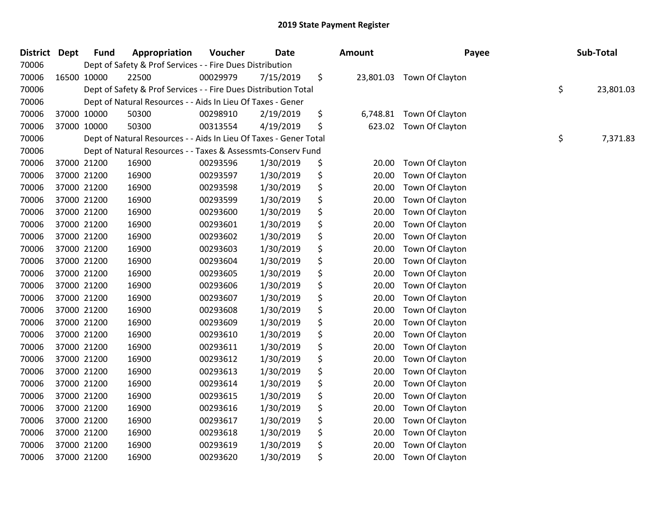| <b>District</b> | <b>Dept</b> | <b>Fund</b> | Appropriation                                                     | Voucher  | Date      | <b>Amount</b>   | Payee           | Sub-Total       |
|-----------------|-------------|-------------|-------------------------------------------------------------------|----------|-----------|-----------------|-----------------|-----------------|
| 70006           |             |             | Dept of Safety & Prof Services - - Fire Dues Distribution         |          |           |                 |                 |                 |
| 70006           |             | 16500 10000 | 22500                                                             | 00029979 | 7/15/2019 | \$<br>23,801.03 | Town Of Clayton |                 |
| 70006           |             |             | Dept of Safety & Prof Services - - Fire Dues Distribution Total   |          |           |                 |                 | \$<br>23,801.03 |
| 70006           |             |             | Dept of Natural Resources - - Aids In Lieu Of Taxes - Gener       |          |           |                 |                 |                 |
| 70006           |             | 37000 10000 | 50300                                                             | 00298910 | 2/19/2019 | \$<br>6,748.81  | Town Of Clayton |                 |
| 70006           |             | 37000 10000 | 50300                                                             | 00313554 | 4/19/2019 | \$<br>623.02    | Town Of Clayton |                 |
| 70006           |             |             | Dept of Natural Resources - - Aids In Lieu Of Taxes - Gener Total |          |           |                 |                 | \$<br>7,371.83  |
| 70006           |             |             | Dept of Natural Resources - - Taxes & Assessmts-Conserv Fund      |          |           |                 |                 |                 |
| 70006           |             | 37000 21200 | 16900                                                             | 00293596 | 1/30/2019 | \$<br>20.00     | Town Of Clayton |                 |
| 70006           |             | 37000 21200 | 16900                                                             | 00293597 | 1/30/2019 | \$<br>20.00     | Town Of Clayton |                 |
| 70006           |             | 37000 21200 | 16900                                                             | 00293598 | 1/30/2019 | \$<br>20.00     | Town Of Clayton |                 |
| 70006           |             | 37000 21200 | 16900                                                             | 00293599 | 1/30/2019 | \$<br>20.00     | Town Of Clayton |                 |
| 70006           |             | 37000 21200 | 16900                                                             | 00293600 | 1/30/2019 | \$<br>20.00     | Town Of Clayton |                 |
| 70006           |             | 37000 21200 | 16900                                                             | 00293601 | 1/30/2019 | \$<br>20.00     | Town Of Clayton |                 |
| 70006           |             | 37000 21200 | 16900                                                             | 00293602 | 1/30/2019 | \$<br>20.00     | Town Of Clayton |                 |
| 70006           |             | 37000 21200 | 16900                                                             | 00293603 | 1/30/2019 | \$<br>20.00     | Town Of Clayton |                 |
| 70006           |             | 37000 21200 | 16900                                                             | 00293604 | 1/30/2019 | \$<br>20.00     | Town Of Clayton |                 |
| 70006           |             | 37000 21200 | 16900                                                             | 00293605 | 1/30/2019 | \$<br>20.00     | Town Of Clayton |                 |
| 70006           |             | 37000 21200 | 16900                                                             | 00293606 | 1/30/2019 | \$<br>20.00     | Town Of Clayton |                 |
| 70006           |             | 37000 21200 | 16900                                                             | 00293607 | 1/30/2019 | \$<br>20.00     | Town Of Clayton |                 |
| 70006           |             | 37000 21200 | 16900                                                             | 00293608 | 1/30/2019 | \$<br>20.00     | Town Of Clayton |                 |
| 70006           |             | 37000 21200 | 16900                                                             | 00293609 | 1/30/2019 | \$<br>20.00     | Town Of Clayton |                 |
| 70006           |             | 37000 21200 | 16900                                                             | 00293610 | 1/30/2019 | \$<br>20.00     | Town Of Clayton |                 |
| 70006           |             | 37000 21200 | 16900                                                             | 00293611 | 1/30/2019 | \$<br>20.00     | Town Of Clayton |                 |
| 70006           |             | 37000 21200 | 16900                                                             | 00293612 | 1/30/2019 | \$<br>20.00     | Town Of Clayton |                 |
| 70006           |             | 37000 21200 | 16900                                                             | 00293613 | 1/30/2019 | \$<br>20.00     | Town Of Clayton |                 |
| 70006           |             | 37000 21200 | 16900                                                             | 00293614 | 1/30/2019 | \$<br>20.00     | Town Of Clayton |                 |
| 70006           |             | 37000 21200 | 16900                                                             | 00293615 | 1/30/2019 | \$<br>20.00     | Town Of Clayton |                 |
| 70006           |             | 37000 21200 | 16900                                                             | 00293616 | 1/30/2019 | \$<br>20.00     | Town Of Clayton |                 |
| 70006           |             | 37000 21200 | 16900                                                             | 00293617 | 1/30/2019 | \$<br>20.00     | Town Of Clayton |                 |
| 70006           |             | 37000 21200 | 16900                                                             | 00293618 | 1/30/2019 | \$<br>20.00     | Town Of Clayton |                 |
| 70006           |             | 37000 21200 | 16900                                                             | 00293619 | 1/30/2019 | \$<br>20.00     | Town Of Clayton |                 |
| 70006           |             | 37000 21200 | 16900                                                             | 00293620 | 1/30/2019 | \$<br>20.00     | Town Of Clayton |                 |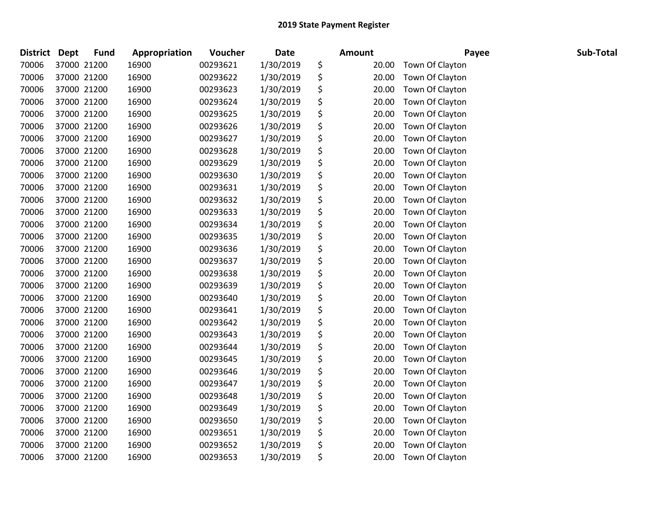| <b>District</b> | <b>Dept</b> | <b>Fund</b> | Appropriation | Voucher  | <b>Date</b> | <b>Amount</b> | Payee           | Sub-Total |
|-----------------|-------------|-------------|---------------|----------|-------------|---------------|-----------------|-----------|
| 70006           | 37000 21200 |             | 16900         | 00293621 | 1/30/2019   | \$<br>20.00   | Town Of Clayton |           |
| 70006           | 37000 21200 |             | 16900         | 00293622 | 1/30/2019   | \$<br>20.00   | Town Of Clayton |           |
| 70006           | 37000 21200 |             | 16900         | 00293623 | 1/30/2019   | \$<br>20.00   | Town Of Clayton |           |
| 70006           | 37000 21200 |             | 16900         | 00293624 | 1/30/2019   | \$<br>20.00   | Town Of Clayton |           |
| 70006           | 37000 21200 |             | 16900         | 00293625 | 1/30/2019   | \$<br>20.00   | Town Of Clayton |           |
| 70006           | 37000 21200 |             | 16900         | 00293626 | 1/30/2019   | \$<br>20.00   | Town Of Clayton |           |
| 70006           | 37000 21200 |             | 16900         | 00293627 | 1/30/2019   | \$<br>20.00   | Town Of Clayton |           |
| 70006           | 37000 21200 |             | 16900         | 00293628 | 1/30/2019   | \$<br>20.00   | Town Of Clayton |           |
| 70006           | 37000 21200 |             | 16900         | 00293629 | 1/30/2019   | \$<br>20.00   | Town Of Clayton |           |
| 70006           | 37000 21200 |             | 16900         | 00293630 | 1/30/2019   | \$<br>20.00   | Town Of Clayton |           |
| 70006           | 37000 21200 |             | 16900         | 00293631 | 1/30/2019   | \$<br>20.00   | Town Of Clayton |           |
| 70006           | 37000 21200 |             | 16900         | 00293632 | 1/30/2019   | \$<br>20.00   | Town Of Clayton |           |
| 70006           | 37000 21200 |             | 16900         | 00293633 | 1/30/2019   | \$<br>20.00   | Town Of Clayton |           |
| 70006           | 37000 21200 |             | 16900         | 00293634 | 1/30/2019   | \$<br>20.00   | Town Of Clayton |           |
| 70006           | 37000 21200 |             | 16900         | 00293635 | 1/30/2019   | \$<br>20.00   | Town Of Clayton |           |
| 70006           | 37000 21200 |             | 16900         | 00293636 | 1/30/2019   | \$<br>20.00   | Town Of Clayton |           |
| 70006           | 37000 21200 |             | 16900         | 00293637 | 1/30/2019   | \$<br>20.00   | Town Of Clayton |           |
| 70006           | 37000 21200 |             | 16900         | 00293638 | 1/30/2019   | \$<br>20.00   | Town Of Clayton |           |
| 70006           | 37000 21200 |             | 16900         | 00293639 | 1/30/2019   | \$<br>20.00   | Town Of Clayton |           |
| 70006           | 37000 21200 |             | 16900         | 00293640 | 1/30/2019   | \$<br>20.00   | Town Of Clayton |           |
| 70006           | 37000 21200 |             | 16900         | 00293641 | 1/30/2019   | \$<br>20.00   | Town Of Clayton |           |
| 70006           | 37000 21200 |             | 16900         | 00293642 | 1/30/2019   | \$<br>20.00   | Town Of Clayton |           |
| 70006           | 37000 21200 |             | 16900         | 00293643 | 1/30/2019   | \$<br>20.00   | Town Of Clayton |           |
| 70006           | 37000 21200 |             | 16900         | 00293644 | 1/30/2019   | \$<br>20.00   | Town Of Clayton |           |
| 70006           | 37000 21200 |             | 16900         | 00293645 | 1/30/2019   | \$<br>20.00   | Town Of Clayton |           |
| 70006           | 37000 21200 |             | 16900         | 00293646 | 1/30/2019   | \$<br>20.00   | Town Of Clayton |           |
| 70006           | 37000 21200 |             | 16900         | 00293647 | 1/30/2019   | \$<br>20.00   | Town Of Clayton |           |
| 70006           | 37000 21200 |             | 16900         | 00293648 | 1/30/2019   | \$<br>20.00   | Town Of Clayton |           |
| 70006           | 37000 21200 |             | 16900         | 00293649 | 1/30/2019   | \$<br>20.00   | Town Of Clayton |           |
| 70006           | 37000 21200 |             | 16900         | 00293650 | 1/30/2019   | \$<br>20.00   | Town Of Clayton |           |
| 70006           | 37000 21200 |             | 16900         | 00293651 | 1/30/2019   | \$<br>20.00   | Town Of Clayton |           |
| 70006           | 37000 21200 |             | 16900         | 00293652 | 1/30/2019   | \$<br>20.00   | Town Of Clayton |           |
| 70006           | 37000 21200 |             | 16900         | 00293653 | 1/30/2019   | \$<br>20.00   | Town Of Clayton |           |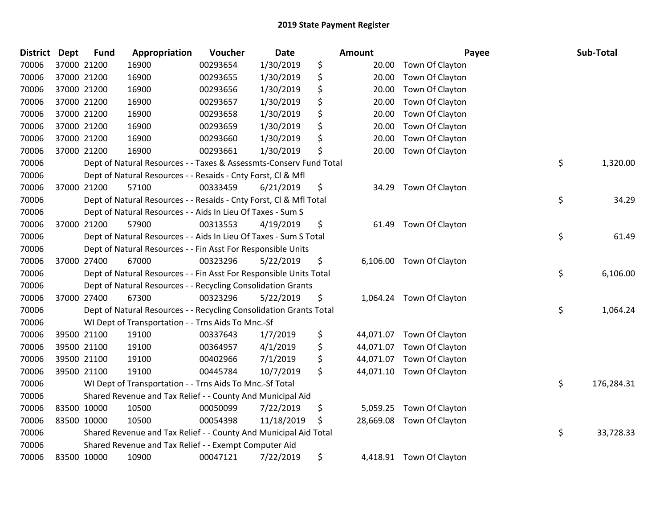| <b>District</b> | Dept | <b>Fund</b> | Appropriation                                                      | Voucher  | <b>Date</b> | Amount          | Payee                     | <b>Sub-Total</b> |
|-----------------|------|-------------|--------------------------------------------------------------------|----------|-------------|-----------------|---------------------------|------------------|
| 70006           |      | 37000 21200 | 16900                                                              | 00293654 | 1/30/2019   | \$<br>20.00     | Town Of Clayton           |                  |
| 70006           |      | 37000 21200 | 16900                                                              | 00293655 | 1/30/2019   | \$<br>20.00     | Town Of Clayton           |                  |
| 70006           |      | 37000 21200 | 16900                                                              | 00293656 | 1/30/2019   | \$<br>20.00     | Town Of Clayton           |                  |
| 70006           |      | 37000 21200 | 16900                                                              | 00293657 | 1/30/2019   | \$<br>20.00     | Town Of Clayton           |                  |
| 70006           |      | 37000 21200 | 16900                                                              | 00293658 | 1/30/2019   | \$<br>20.00     | Town Of Clayton           |                  |
| 70006           |      | 37000 21200 | 16900                                                              | 00293659 | 1/30/2019   | \$<br>20.00     | Town Of Clayton           |                  |
| 70006           |      | 37000 21200 | 16900                                                              | 00293660 | 1/30/2019   | \$<br>20.00     | Town Of Clayton           |                  |
| 70006           |      | 37000 21200 | 16900                                                              | 00293661 | 1/30/2019   | \$<br>20.00     | Town Of Clayton           |                  |
| 70006           |      |             | Dept of Natural Resources - - Taxes & Assessmts-Conserv Fund Total |          |             |                 |                           | \$<br>1,320.00   |
| 70006           |      |             | Dept of Natural Resources - - Resaids - Cnty Forst, Cl & Mfl       |          |             |                 |                           |                  |
| 70006           |      | 37000 21200 | 57100                                                              | 00333459 | 6/21/2019   | \$<br>34.29     | Town Of Clayton           |                  |
| 70006           |      |             | Dept of Natural Resources - - Resaids - Cnty Forst, Cl & Mfl Total |          |             |                 |                           | \$<br>34.29      |
| 70006           |      |             | Dept of Natural Resources - - Aids In Lieu Of Taxes - Sum S        |          |             |                 |                           |                  |
| 70006           |      | 37000 21200 | 57900                                                              | 00313553 | 4/19/2019   | \$<br>61.49     | Town Of Clayton           |                  |
| 70006           |      |             | Dept of Natural Resources - - Aids In Lieu Of Taxes - Sum S Total  |          |             |                 |                           | \$<br>61.49      |
| 70006           |      |             | Dept of Natural Resources - - Fin Asst For Responsible Units       |          |             |                 |                           |                  |
| 70006           |      | 37000 27400 | 67000                                                              | 00323296 | 5/22/2019   | \$<br>6,106.00  | Town Of Clayton           |                  |
| 70006           |      |             | Dept of Natural Resources - - Fin Asst For Responsible Units Total |          |             |                 |                           | \$<br>6,106.00   |
| 70006           |      |             | Dept of Natural Resources - - Recycling Consolidation Grants       |          |             |                 |                           |                  |
| 70006           |      | 37000 27400 | 67300                                                              | 00323296 | 5/22/2019   | \$<br>1,064.24  | Town Of Clayton           |                  |
| 70006           |      |             | Dept of Natural Resources - - Recycling Consolidation Grants Total |          |             |                 |                           | \$<br>1,064.24   |
| 70006           |      |             | WI Dept of Transportation - - Trns Aids To Mnc.-Sf                 |          |             |                 |                           |                  |
| 70006           |      | 39500 21100 | 19100                                                              | 00337643 | 1/7/2019    | \$              | 44,071.07 Town Of Clayton |                  |
| 70006           |      | 39500 21100 | 19100                                                              | 00364957 | 4/1/2019    | \$<br>44,071.07 | Town Of Clayton           |                  |
| 70006           |      | 39500 21100 | 19100                                                              | 00402966 | 7/1/2019    | \$<br>44,071.07 | Town Of Clayton           |                  |
| 70006           |      | 39500 21100 | 19100                                                              | 00445784 | 10/7/2019   | \$<br>44,071.10 | Town Of Clayton           |                  |
| 70006           |      |             | WI Dept of Transportation - - Trns Aids To Mnc.-Sf Total           |          |             |                 |                           | \$<br>176,284.31 |
| 70006           |      |             | Shared Revenue and Tax Relief - - County And Municipal Aid         |          |             |                 |                           |                  |
| 70006           |      | 83500 10000 | 10500                                                              | 00050099 | 7/22/2019   | \$<br>5,059.25  | Town Of Clayton           |                  |
| 70006           |      | 83500 10000 | 10500                                                              | 00054398 | 11/18/2019  | \$<br>28,669.08 | Town Of Clayton           |                  |
| 70006           |      |             | Shared Revenue and Tax Relief - - County And Municipal Aid Total   |          |             |                 |                           | \$<br>33,728.33  |
| 70006           |      |             | Shared Revenue and Tax Relief - - Exempt Computer Aid              |          |             |                 |                           |                  |
| 70006           |      | 83500 10000 | 10900                                                              | 00047121 | 7/22/2019   | \$<br>4,418.91  | Town Of Clayton           |                  |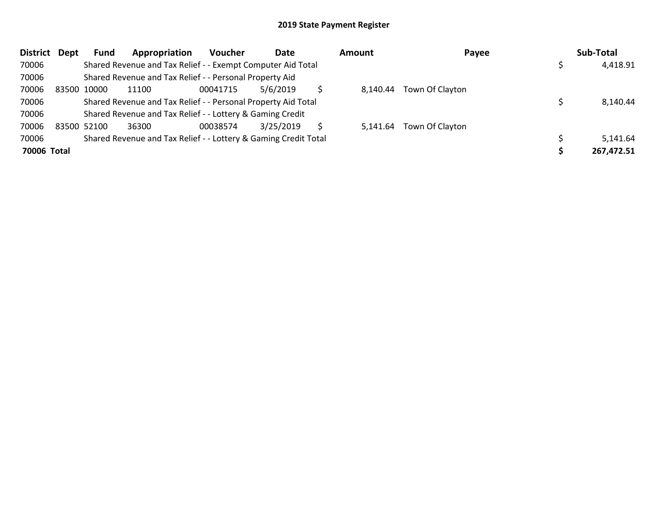| <b>District</b> | Dept | <b>Fund</b> | Appropriation                                                   | Voucher  | Date      | <b>Amount</b> | Payee           | Sub-Total  |
|-----------------|------|-------------|-----------------------------------------------------------------|----------|-----------|---------------|-----------------|------------|
| 70006           |      |             | Shared Revenue and Tax Relief - - Exempt Computer Aid Total     |          |           |               |                 | 4,418.91   |
| 70006           |      |             | Shared Revenue and Tax Relief - - Personal Property Aid         |          |           |               |                 |            |
| 70006           |      | 83500 10000 | 11100                                                           | 00041715 | 5/6/2019  | 8.140.44      | Town Of Clayton |            |
| 70006           |      |             | Shared Revenue and Tax Relief - - Personal Property Aid Total   |          |           |               |                 | 8,140.44   |
| 70006           |      |             | Shared Revenue and Tax Relief - - Lottery & Gaming Credit       |          |           |               |                 |            |
| 70006           |      | 83500 52100 | 36300                                                           | 00038574 | 3/25/2019 | 5.141.64      | Town Of Clayton |            |
| 70006           |      |             | Shared Revenue and Tax Relief - - Lottery & Gaming Credit Total |          |           |               |                 | 5,141.64   |
| 70006 Total     |      |             |                                                                 |          |           |               |                 | 267,472.51 |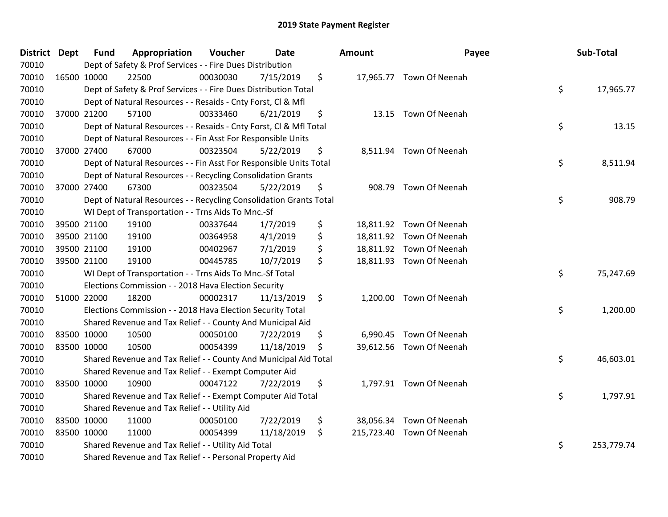| District Dept | <b>Fund</b> | Appropriation                                                      | Voucher  | <b>Date</b> | Amount | Payee                     | Sub-Total        |
|---------------|-------------|--------------------------------------------------------------------|----------|-------------|--------|---------------------------|------------------|
| 70010         |             | Dept of Safety & Prof Services - - Fire Dues Distribution          |          |             |        |                           |                  |
| 70010         | 16500 10000 | 22500                                                              | 00030030 | 7/15/2019   | \$     | 17,965.77 Town Of Neenah  |                  |
| 70010         |             | Dept of Safety & Prof Services - - Fire Dues Distribution Total    |          |             |        |                           | \$<br>17,965.77  |
| 70010         |             | Dept of Natural Resources - - Resaids - Cnty Forst, Cl & Mfl       |          |             |        |                           |                  |
| 70010         | 37000 21200 | 57100                                                              | 00333460 | 6/21/2019   | \$     | 13.15 Town Of Neenah      |                  |
| 70010         |             | Dept of Natural Resources - - Resaids - Cnty Forst, Cl & Mfl Total |          |             |        |                           | \$<br>13.15      |
| 70010         |             | Dept of Natural Resources - - Fin Asst For Responsible Units       |          |             |        |                           |                  |
| 70010         | 37000 27400 | 67000                                                              | 00323504 | 5/22/2019   | \$     | 8,511.94 Town Of Neenah   |                  |
| 70010         |             | Dept of Natural Resources - - Fin Asst For Responsible Units Total |          |             |        |                           | \$<br>8,511.94   |
| 70010         |             | Dept of Natural Resources - - Recycling Consolidation Grants       |          |             |        |                           |                  |
| 70010         | 37000 27400 | 67300                                                              | 00323504 | 5/22/2019   | \$     | 908.79 Town Of Neenah     |                  |
| 70010         |             | Dept of Natural Resources - - Recycling Consolidation Grants Total |          |             |        |                           | \$<br>908.79     |
| 70010         |             | WI Dept of Transportation - - Trns Aids To Mnc.-Sf                 |          |             |        |                           |                  |
| 70010         | 39500 21100 | 19100                                                              | 00337644 | 1/7/2019    | \$     | 18,811.92 Town Of Neenah  |                  |
| 70010         | 39500 21100 | 19100                                                              | 00364958 | 4/1/2019    | \$     | 18,811.92 Town Of Neenah  |                  |
| 70010         | 39500 21100 | 19100                                                              | 00402967 | 7/1/2019    | \$     | 18,811.92 Town Of Neenah  |                  |
| 70010         | 39500 21100 | 19100                                                              | 00445785 | 10/7/2019   | \$     | 18,811.93 Town Of Neenah  |                  |
| 70010         |             | WI Dept of Transportation - - Trns Aids To Mnc.-Sf Total           |          |             |        |                           | \$<br>75,247.69  |
| 70010         |             | Elections Commission - - 2018 Hava Election Security               |          |             |        |                           |                  |
| 70010         | 51000 22000 | 18200                                                              | 00002317 | 11/13/2019  | \$     | 1,200.00 Town Of Neenah   |                  |
| 70010         |             | Elections Commission - - 2018 Hava Election Security Total         |          |             |        |                           | \$<br>1,200.00   |
| 70010         |             | Shared Revenue and Tax Relief - - County And Municipal Aid         |          |             |        |                           |                  |
| 70010         | 83500 10000 | 10500                                                              | 00050100 | 7/22/2019   | \$     | 6,990.45 Town Of Neenah   |                  |
| 70010         | 83500 10000 | 10500                                                              | 00054399 | 11/18/2019  | \$     | 39,612.56 Town Of Neenah  |                  |
| 70010         |             | Shared Revenue and Tax Relief - - County And Municipal Aid Total   |          |             |        |                           | \$<br>46,603.01  |
| 70010         |             | Shared Revenue and Tax Relief - - Exempt Computer Aid              |          |             |        |                           |                  |
| 70010         | 83500 10000 | 10900                                                              | 00047122 | 7/22/2019   | \$     | 1,797.91 Town Of Neenah   |                  |
| 70010         |             | Shared Revenue and Tax Relief - - Exempt Computer Aid Total        |          |             |        |                           | \$<br>1,797.91   |
| 70010         |             | Shared Revenue and Tax Relief - - Utility Aid                      |          |             |        |                           |                  |
| 70010         | 83500 10000 | 11000                                                              | 00050100 | 7/22/2019   | \$     | 38,056.34 Town Of Neenah  |                  |
| 70010         | 83500 10000 | 11000                                                              | 00054399 | 11/18/2019  | \$     | 215,723.40 Town Of Neenah |                  |
| 70010         |             | Shared Revenue and Tax Relief - - Utility Aid Total                |          |             |        |                           | \$<br>253,779.74 |
| 70010         |             | Shared Revenue and Tax Relief - - Personal Property Aid            |          |             |        |                           |                  |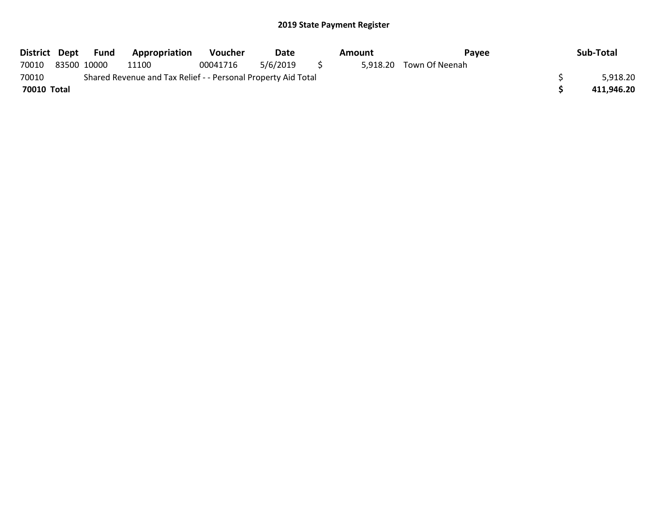|             | District Dept Fund | Appropriation                                                 | Voucher  | Date     |     | Amount | Pavee                   | Sub-Total  |
|-------------|--------------------|---------------------------------------------------------------|----------|----------|-----|--------|-------------------------|------------|
| 70010       | 83500 10000        | 11100                                                         | 00041716 | 5/6/2019 | S S |        | 5,918.20 Town Of Neenah |            |
| 70010       |                    | Shared Revenue and Tax Relief - - Personal Property Aid Total |          |          |     |        |                         | 5,918.20   |
| 70010 Total |                    |                                                               |          |          |     |        |                         | 411,946.20 |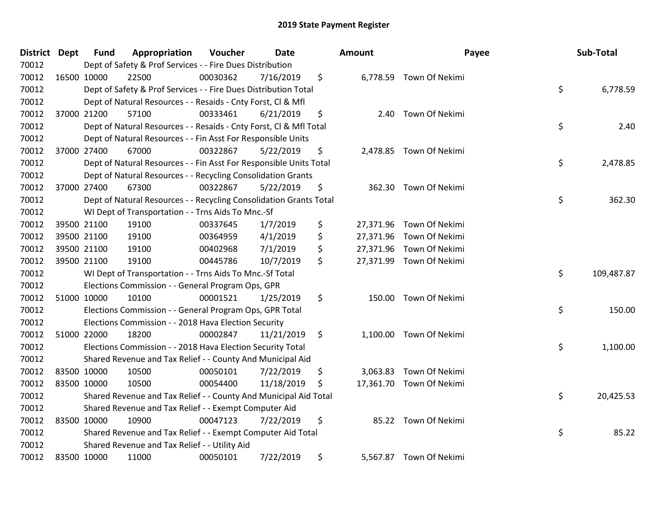| District Dept | <b>Fund</b> | Appropriation                                                      | Voucher  | <b>Date</b> |     | Amount    | Payee                    | Sub-Total        |
|---------------|-------------|--------------------------------------------------------------------|----------|-------------|-----|-----------|--------------------------|------------------|
| 70012         |             | Dept of Safety & Prof Services - - Fire Dues Distribution          |          |             |     |           |                          |                  |
| 70012         | 16500 10000 | 22500                                                              | 00030362 | 7/16/2019   | \$  |           | 6,778.59 Town Of Nekimi  |                  |
| 70012         |             | Dept of Safety & Prof Services - - Fire Dues Distribution Total    |          |             |     |           |                          | \$<br>6,778.59   |
| 70012         |             | Dept of Natural Resources - - Resaids - Cnty Forst, CI & Mfl       |          |             |     |           |                          |                  |
| 70012         | 37000 21200 | 57100                                                              | 00333461 | 6/21/2019   | \$  | 2.40      | Town Of Nekimi           |                  |
| 70012         |             | Dept of Natural Resources - - Resaids - Cnty Forst, Cl & Mfl Total |          |             |     |           |                          | \$<br>2.40       |
| 70012         |             | Dept of Natural Resources - - Fin Asst For Responsible Units       |          |             |     |           |                          |                  |
| 70012         | 37000 27400 | 67000                                                              | 00322867 | 5/22/2019   | \$  |           | 2,478.85 Town Of Nekimi  |                  |
| 70012         |             | Dept of Natural Resources - - Fin Asst For Responsible Units Total |          |             |     |           |                          | \$<br>2,478.85   |
| 70012         |             | Dept of Natural Resources - - Recycling Consolidation Grants       |          |             |     |           |                          |                  |
| 70012         | 37000 27400 | 67300                                                              | 00322867 | 5/22/2019   | \$  |           | 362.30 Town Of Nekimi    |                  |
| 70012         |             | Dept of Natural Resources - - Recycling Consolidation Grants Total |          |             |     |           |                          | \$<br>362.30     |
| 70012         |             | WI Dept of Transportation - - Trns Aids To Mnc.-Sf                 |          |             |     |           |                          |                  |
| 70012         | 39500 21100 | 19100                                                              | 00337645 | 1/7/2019    | \$  | 27,371.96 | Town Of Nekimi           |                  |
| 70012         | 39500 21100 | 19100                                                              | 00364959 | 4/1/2019    | \$  |           | 27,371.96 Town Of Nekimi |                  |
| 70012         | 39500 21100 | 19100                                                              | 00402968 | 7/1/2019    | \$  |           | 27,371.96 Town Of Nekimi |                  |
| 70012         | 39500 21100 | 19100                                                              | 00445786 | 10/7/2019   | \$  |           | 27,371.99 Town Of Nekimi |                  |
| 70012         |             | WI Dept of Transportation - - Trns Aids To Mnc.-Sf Total           |          |             |     |           |                          | \$<br>109,487.87 |
| 70012         |             | Elections Commission - - General Program Ops, GPR                  |          |             |     |           |                          |                  |
| 70012         | 51000 10000 | 10100                                                              | 00001521 | 1/25/2019   | \$  | 150.00    | Town Of Nekimi           |                  |
| 70012         |             | Elections Commission - - General Program Ops, GPR Total            |          |             |     |           |                          | \$<br>150.00     |
| 70012         |             | Elections Commission - - 2018 Hava Election Security               |          |             |     |           |                          |                  |
| 70012         | 51000 22000 | 18200                                                              | 00002847 | 11/21/2019  | \$  |           | 1,100.00 Town Of Nekimi  |                  |
| 70012         |             | Elections Commission - - 2018 Hava Election Security Total         |          |             |     |           |                          | \$<br>1,100.00   |
| 70012         |             | Shared Revenue and Tax Relief - - County And Municipal Aid         |          |             |     |           |                          |                  |
| 70012         | 83500 10000 | 10500                                                              | 00050101 | 7/22/2019   | \$  | 3,063.83  | Town Of Nekimi           |                  |
| 70012         | 83500 10000 | 10500                                                              | 00054400 | 11/18/2019  | \$. |           | 17,361.70 Town Of Nekimi |                  |
| 70012         |             | Shared Revenue and Tax Relief - - County And Municipal Aid Total   |          |             |     |           |                          | \$<br>20,425.53  |
| 70012         |             | Shared Revenue and Tax Relief - - Exempt Computer Aid              |          |             |     |           |                          |                  |
| 70012         | 83500 10000 | 10900                                                              | 00047123 | 7/22/2019   | \$  |           | 85.22 Town Of Nekimi     |                  |
| 70012         |             | Shared Revenue and Tax Relief - - Exempt Computer Aid Total        |          |             |     |           |                          | \$<br>85.22      |
| 70012         |             | Shared Revenue and Tax Relief - - Utility Aid                      |          |             |     |           |                          |                  |
| 70012         | 83500 10000 | 11000                                                              | 00050101 | 7/22/2019   | \$  |           | 5,567.87 Town Of Nekimi  |                  |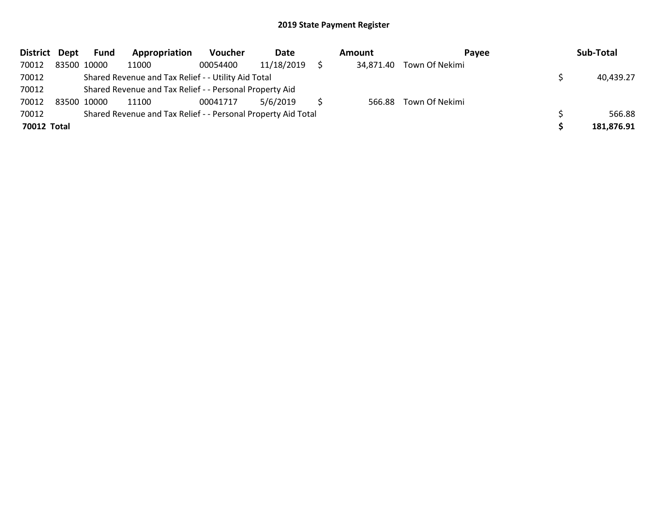| District Dept | Fund        | Appropriation                                                 | <b>Voucher</b> | Date       | Amount    | <b>Pavee</b>   | Sub-Total  |
|---------------|-------------|---------------------------------------------------------------|----------------|------------|-----------|----------------|------------|
| 70012         | 83500 10000 | 11000                                                         | 00054400       | 11/18/2019 | 34,871.40 | Town Of Nekimi |            |
| 70012         |             | Shared Revenue and Tax Relief - - Utility Aid Total           |                |            |           |                | 40,439.27  |
| 70012         |             | Shared Revenue and Tax Relief - - Personal Property Aid       |                |            |           |                |            |
| 70012         | 83500 10000 | 11100                                                         | 00041717       | 5/6/2019   | 566.88    | Town Of Nekimi |            |
| 70012         |             | Shared Revenue and Tax Relief - - Personal Property Aid Total |                |            |           |                | 566.88     |
| 70012 Total   |             |                                                               |                |            |           |                | 181,876.91 |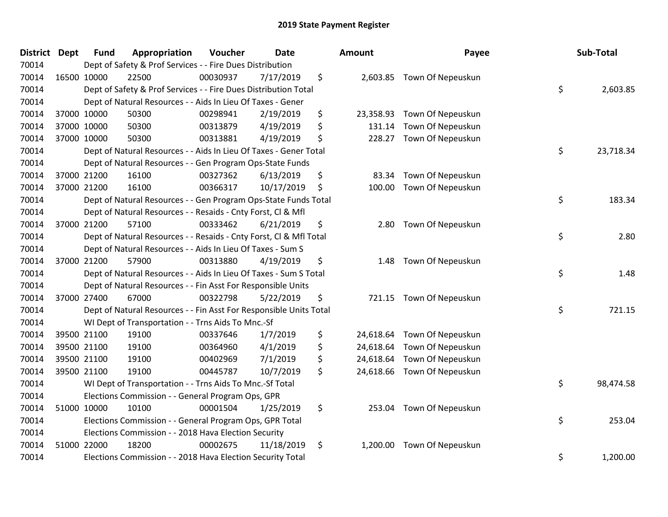| <b>District</b> | Dept | <b>Fund</b> | Appropriation                                                      | Voucher  | <b>Date</b> | Amount          | Payee                       | Sub-Total       |
|-----------------|------|-------------|--------------------------------------------------------------------|----------|-------------|-----------------|-----------------------------|-----------------|
| 70014           |      |             | Dept of Safety & Prof Services - - Fire Dues Distribution          |          |             |                 |                             |                 |
| 70014           |      | 16500 10000 | 22500                                                              | 00030937 | 7/17/2019   | \$              | 2,603.85 Town Of Nepeuskun  |                 |
| 70014           |      |             | Dept of Safety & Prof Services - - Fire Dues Distribution Total    |          |             |                 |                             | \$<br>2,603.85  |
| 70014           |      |             | Dept of Natural Resources - - Aids In Lieu Of Taxes - Gener        |          |             |                 |                             |                 |
| 70014           |      | 37000 10000 | 50300                                                              | 00298941 | 2/19/2019   | \$<br>23,358.93 | Town Of Nepeuskun           |                 |
| 70014           |      | 37000 10000 | 50300                                                              | 00313879 | 4/19/2019   | \$<br>131.14    | Town Of Nepeuskun           |                 |
| 70014           |      | 37000 10000 | 50300                                                              | 00313881 | 4/19/2019   | \$<br>228.27    | Town Of Nepeuskun           |                 |
| 70014           |      |             | Dept of Natural Resources - - Aids In Lieu Of Taxes - Gener Total  |          |             |                 |                             | \$<br>23,718.34 |
| 70014           |      |             | Dept of Natural Resources - - Gen Program Ops-State Funds          |          |             |                 |                             |                 |
| 70014           |      | 37000 21200 | 16100                                                              | 00327362 | 6/13/2019   | \$<br>83.34     | Town Of Nepeuskun           |                 |
| 70014           |      | 37000 21200 | 16100                                                              | 00366317 | 10/17/2019  | \$<br>100.00    | Town Of Nepeuskun           |                 |
| 70014           |      |             | Dept of Natural Resources - - Gen Program Ops-State Funds Total    |          |             |                 |                             | \$<br>183.34    |
| 70014           |      |             | Dept of Natural Resources - - Resaids - Cnty Forst, Cl & Mfl       |          |             |                 |                             |                 |
| 70014           |      | 37000 21200 | 57100                                                              | 00333462 | 6/21/2019   | \$<br>2.80      | Town Of Nepeuskun           |                 |
| 70014           |      |             | Dept of Natural Resources - - Resaids - Cnty Forst, Cl & Mfl Total |          |             |                 |                             | \$<br>2.80      |
| 70014           |      |             | Dept of Natural Resources - - Aids In Lieu Of Taxes - Sum S        |          |             |                 |                             |                 |
| 70014           |      | 37000 21200 | 57900                                                              | 00313880 | 4/19/2019   | \$<br>1.48      | Town Of Nepeuskun           |                 |
| 70014           |      |             | Dept of Natural Resources - - Aids In Lieu Of Taxes - Sum S Total  |          |             |                 |                             | \$<br>1.48      |
| 70014           |      |             | Dept of Natural Resources - - Fin Asst For Responsible Units       |          |             |                 |                             |                 |
| 70014           |      | 37000 27400 | 67000                                                              | 00322798 | 5/22/2019   | \$              | 721.15 Town Of Nepeuskun    |                 |
| 70014           |      |             | Dept of Natural Resources - - Fin Asst For Responsible Units Total |          |             |                 |                             | \$<br>721.15    |
| 70014           |      |             | WI Dept of Transportation - - Trns Aids To Mnc.-Sf                 |          |             |                 |                             |                 |
| 70014           |      | 39500 21100 | 19100                                                              | 00337646 | 1/7/2019    | \$<br>24,618.64 | Town Of Nepeuskun           |                 |
| 70014           |      | 39500 21100 | 19100                                                              | 00364960 | 4/1/2019    | \$              | 24,618.64 Town Of Nepeuskun |                 |
| 70014           |      | 39500 21100 | 19100                                                              | 00402969 | 7/1/2019    | \$<br>24,618.64 | Town Of Nepeuskun           |                 |
| 70014           |      | 39500 21100 | 19100                                                              | 00445787 | 10/7/2019   | \$<br>24,618.66 | Town Of Nepeuskun           |                 |
| 70014           |      |             | WI Dept of Transportation - - Trns Aids To Mnc.-Sf Total           |          |             |                 |                             | \$<br>98,474.58 |
| 70014           |      |             | Elections Commission - - General Program Ops, GPR                  |          |             |                 |                             |                 |
| 70014           |      | 51000 10000 | 10100                                                              | 00001504 | 1/25/2019   | \$              | 253.04 Town Of Nepeuskun    |                 |
| 70014           |      |             | Elections Commission - - General Program Ops, GPR Total            |          |             |                 |                             | \$<br>253.04    |
| 70014           |      |             | Elections Commission - - 2018 Hava Election Security               |          |             |                 |                             |                 |
| 70014           |      | 51000 22000 | 18200                                                              | 00002675 | 11/18/2019  | \$<br>1,200.00  | Town Of Nepeuskun           |                 |
| 70014           |      |             | Elections Commission - - 2018 Hava Election Security Total         |          |             |                 |                             | \$<br>1,200.00  |

| nount     | Payee             | Sub-Total       |
|-----------|-------------------|-----------------|
| 2,603.85  | Town Of Nepeuskun | \$<br>2,603.85  |
| 23,358.93 | Town Of Nepeuskun |                 |
| 131.14    | Town Of Nepeuskun |                 |
| 228.27    | Town Of Nepeuskun |                 |
|           |                   | \$<br>23,718.34 |
| 83.34     | Town Of Nepeuskun |                 |
| 100.00    | Town Of Nepeuskun |                 |
|           |                   | \$<br>183.34    |
| 2.80      | Town Of Nepeuskun |                 |
|           |                   | \$<br>2.80      |
| 1.48      | Town Of Nepeuskun |                 |
|           |                   | \$<br>1.48      |
| 721.15    | Town Of Nepeuskun |                 |
|           |                   | \$<br>721.15    |
| 24,618.64 | Town Of Nepeuskun |                 |
| 24,618.64 | Town Of Nepeuskun |                 |
| 24,618.64 | Town Of Nepeuskun |                 |
| 24,618.66 | Town Of Nepeuskun | \$              |
|           |                   | 98,474.58       |
| 253.04    | Town Of Nepeuskun |                 |
|           |                   | \$<br>253.04    |
| 1,200.00  | Town Of Nepeuskun |                 |
|           |                   | \$<br>1,200.00  |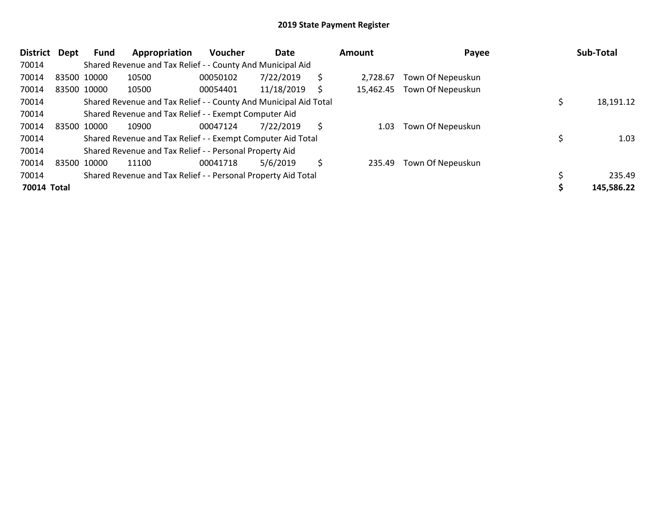| District    | Dept | <b>Fund</b> | Appropriation                                                    | <b>Voucher</b> | Date       |    | Amount    | Payee             | Sub-Total  |
|-------------|------|-------------|------------------------------------------------------------------|----------------|------------|----|-----------|-------------------|------------|
| 70014       |      |             | Shared Revenue and Tax Relief - - County And Municipal Aid       |                |            |    |           |                   |            |
| 70014       |      | 83500 10000 | 10500                                                            | 00050102       | 7/22/2019  | \$ | 2.728.67  | Town Of Nepeuskun |            |
| 70014       |      | 83500 10000 | 10500                                                            | 00054401       | 11/18/2019 | S  | 15,462.45 | Town Of Nepeuskun |            |
| 70014       |      |             | Shared Revenue and Tax Relief - - County And Municipal Aid Total |                |            |    |           |                   | 18,191.12  |
| 70014       |      |             | Shared Revenue and Tax Relief - - Exempt Computer Aid            |                |            |    |           |                   |            |
| 70014       |      | 83500 10000 | 10900                                                            | 00047124       | 7/22/2019  | \$ | 1.03      | Town Of Nepeuskun |            |
| 70014       |      |             | Shared Revenue and Tax Relief - - Exempt Computer Aid Total      |                |            |    |           |                   | 1.03       |
| 70014       |      |             | Shared Revenue and Tax Relief - - Personal Property Aid          |                |            |    |           |                   |            |
| 70014       |      | 83500 10000 | 11100                                                            | 00041718       | 5/6/2019   | \$ | 235.49    | Town Of Nepeuskun |            |
| 70014       |      |             | Shared Revenue and Tax Relief - - Personal Property Aid Total    |                |            |    |           |                   | 235.49     |
| 70014 Total |      |             |                                                                  |                |            |    |           |                   | 145,586.22 |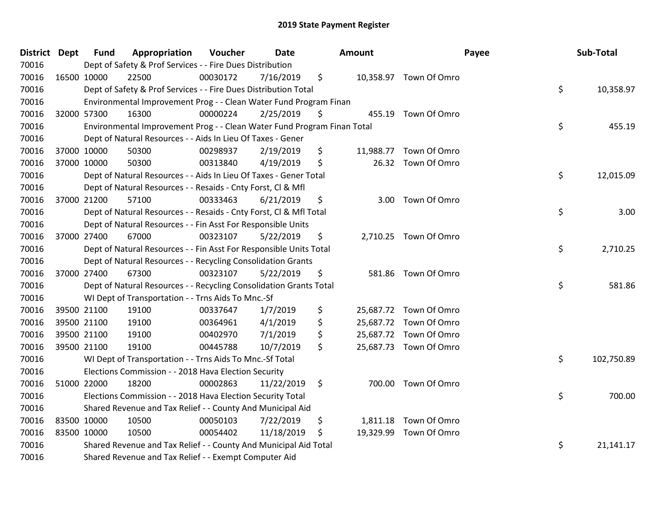| <b>District Dept</b> | <b>Fund</b> | Appropriation                                                           | Voucher  | <b>Date</b> |    | <b>Amount</b> |                        | Payee | Sub-Total  |
|----------------------|-------------|-------------------------------------------------------------------------|----------|-------------|----|---------------|------------------------|-------|------------|
| 70016                |             | Dept of Safety & Prof Services - - Fire Dues Distribution               |          |             |    |               |                        |       |            |
| 70016                | 16500 10000 | 22500                                                                   | 00030172 | 7/16/2019   | \$ |               | 10,358.97 Town Of Omro |       |            |
| 70016                |             | Dept of Safety & Prof Services - - Fire Dues Distribution Total         |          |             |    |               |                        | \$    | 10,358.97  |
| 70016                |             | Environmental Improvement Prog - - Clean Water Fund Program Finan       |          |             |    |               |                        |       |            |
| 70016                | 32000 57300 | 16300                                                                   | 00000224 | 2/25/2019   | Ş  |               | 455.19 Town Of Omro    |       |            |
| 70016                |             | Environmental Improvement Prog - - Clean Water Fund Program Finan Total |          |             |    |               |                        | \$    | 455.19     |
| 70016                |             | Dept of Natural Resources - - Aids In Lieu Of Taxes - Gener             |          |             |    |               |                        |       |            |
| 70016                | 37000 10000 | 50300                                                                   | 00298937 | 2/19/2019   | \$ |               | 11,988.77 Town Of Omro |       |            |
| 70016                | 37000 10000 | 50300                                                                   | 00313840 | 4/19/2019   | \$ |               | 26.32 Town Of Omro     |       |            |
| 70016                |             | Dept of Natural Resources - - Aids In Lieu Of Taxes - Gener Total       |          |             |    |               |                        | \$    | 12,015.09  |
| 70016                |             | Dept of Natural Resources - - Resaids - Cnty Forst, Cl & Mfl            |          |             |    |               |                        |       |            |
| 70016                | 37000 21200 | 57100                                                                   | 00333463 | 6/21/2019   | \$ | 3.00          | Town Of Omro           |       |            |
| 70016                |             | Dept of Natural Resources - - Resaids - Cnty Forst, Cl & Mfl Total      |          |             |    |               |                        | \$    | 3.00       |
| 70016                |             | Dept of Natural Resources - - Fin Asst For Responsible Units            |          |             |    |               |                        |       |            |
| 70016                | 37000 27400 | 67000                                                                   | 00323107 | 5/22/2019   | \$ |               | 2,710.25 Town Of Omro  |       |            |
| 70016                |             | Dept of Natural Resources - - Fin Asst For Responsible Units Total      |          |             |    |               |                        | \$    | 2,710.25   |
| 70016                |             | Dept of Natural Resources - - Recycling Consolidation Grants            |          |             |    |               |                        |       |            |
| 70016                | 37000 27400 | 67300                                                                   | 00323107 | 5/22/2019   | \$ | 581.86        | Town Of Omro           |       |            |
| 70016                |             | Dept of Natural Resources - - Recycling Consolidation Grants Total      |          |             |    |               |                        | \$    | 581.86     |
| 70016                |             | WI Dept of Transportation - - Trns Aids To Mnc.-Sf                      |          |             |    |               |                        |       |            |
| 70016                | 39500 21100 | 19100                                                                   | 00337647 | 1/7/2019    | \$ |               | 25,687.72 Town Of Omro |       |            |
| 70016                | 39500 21100 | 19100                                                                   | 00364961 | 4/1/2019    | \$ |               | 25,687.72 Town Of Omro |       |            |
| 70016                | 39500 21100 | 19100                                                                   | 00402970 | 7/1/2019    | \$ |               | 25,687.72 Town Of Omro |       |            |
| 70016                | 39500 21100 | 19100                                                                   | 00445788 | 10/7/2019   | \$ |               | 25,687.73 Town Of Omro |       |            |
| 70016                |             | WI Dept of Transportation - - Trns Aids To Mnc.-Sf Total                |          |             |    |               |                        | \$    | 102,750.89 |
| 70016                |             | Elections Commission - - 2018 Hava Election Security                    |          |             |    |               |                        |       |            |
| 70016                | 51000 22000 | 18200                                                                   | 00002863 | 11/22/2019  | \$ |               | 700.00 Town Of Omro    |       |            |
| 70016                |             | Elections Commission - - 2018 Hava Election Security Total              |          |             |    |               |                        | \$    | 700.00     |
| 70016                |             | Shared Revenue and Tax Relief - - County And Municipal Aid              |          |             |    |               |                        |       |            |
| 70016                | 83500 10000 | 10500                                                                   | 00050103 | 7/22/2019   | \$ |               | 1,811.18 Town Of Omro  |       |            |
| 70016                | 83500 10000 | 10500                                                                   | 00054402 | 11/18/2019  | \$ |               | 19,329.99 Town Of Omro |       |            |
| 70016                |             | Shared Revenue and Tax Relief - - County And Municipal Aid Total        |          |             |    |               |                        | \$    | 21,141.17  |
| 70016                |             | Shared Revenue and Tax Relief - - Exempt Computer Aid                   |          |             |    |               |                        |       |            |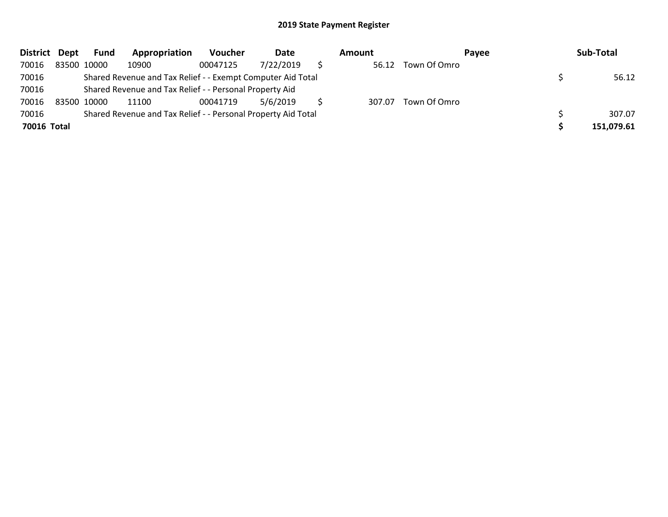| District Dept | Fund                                                          | Appropriation | Voucher  | Date      |  | Amount |              | Payee | Sub-Total  |
|---------------|---------------------------------------------------------------|---------------|----------|-----------|--|--------|--------------|-------|------------|
| 70016         | 83500 10000                                                   | 10900         | 00047125 | 7/22/2019 |  | 56.12  | Town Of Omro |       |            |
| 70016         | Shared Revenue and Tax Relief - - Exempt Computer Aid Total   |               |          |           |  |        |              |       | 56.12      |
| 70016         | Shared Revenue and Tax Relief - - Personal Property Aid       |               |          |           |  |        |              |       |            |
| 70016         | 83500 10000                                                   | 11100         | 00041719 | 5/6/2019  |  | 307.07 | Town Of Omro |       |            |
| 70016         | Shared Revenue and Tax Relief - - Personal Property Aid Total |               |          |           |  |        |              |       | 307.07     |
| 70016 Total   |                                                               |               |          |           |  |        |              |       | 151,079.61 |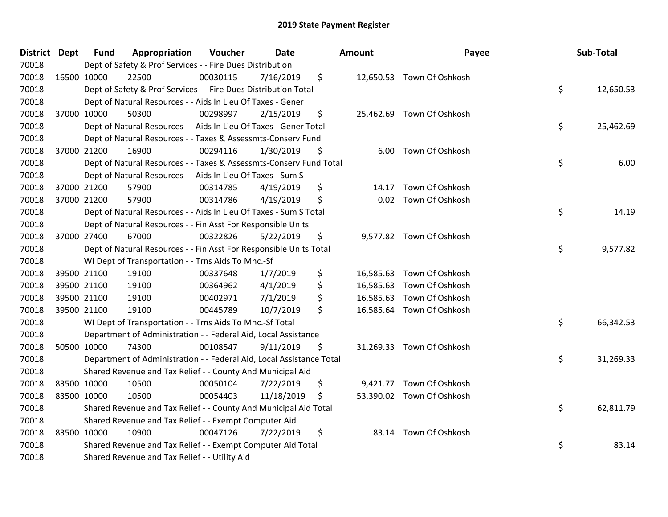| District Dept |             | <b>Fund</b> | Appropriation                                                        | Voucher  | Date       | Amount      | Payee                     | Sub-Total       |
|---------------|-------------|-------------|----------------------------------------------------------------------|----------|------------|-------------|---------------------------|-----------------|
| 70018         |             |             | Dept of Safety & Prof Services - - Fire Dues Distribution            |          |            |             |                           |                 |
| 70018         |             | 16500 10000 | 22500                                                                | 00030115 | 7/16/2019  | \$          | 12,650.53 Town Of Oshkosh |                 |
| 70018         |             |             | Dept of Safety & Prof Services - - Fire Dues Distribution Total      |          |            |             |                           | \$<br>12,650.53 |
| 70018         |             |             | Dept of Natural Resources - - Aids In Lieu Of Taxes - Gener          |          |            |             |                           |                 |
| 70018         |             | 37000 10000 | 50300                                                                | 00298997 | 2/15/2019  | \$          | 25,462.69 Town Of Oshkosh |                 |
| 70018         |             |             | Dept of Natural Resources - - Aids In Lieu Of Taxes - Gener Total    |          |            |             |                           | \$<br>25,462.69 |
| 70018         |             |             | Dept of Natural Resources - - Taxes & Assessmts-Conserv Fund         |          |            |             |                           |                 |
| 70018         |             | 37000 21200 | 16900                                                                | 00294116 | 1/30/2019  | \$<br>6.00  | Town Of Oshkosh           |                 |
| 70018         |             |             | Dept of Natural Resources - - Taxes & Assessmts-Conserv Fund Total   |          |            |             |                           | \$<br>6.00      |
| 70018         |             |             | Dept of Natural Resources - - Aids In Lieu Of Taxes - Sum S          |          |            |             |                           |                 |
| 70018         |             | 37000 21200 | 57900                                                                | 00314785 | 4/19/2019  | \$<br>14.17 | Town Of Oshkosh           |                 |
| 70018         |             | 37000 21200 | 57900                                                                | 00314786 | 4/19/2019  | \$<br>0.02  | Town Of Oshkosh           |                 |
| 70018         |             |             | Dept of Natural Resources - - Aids In Lieu Of Taxes - Sum S Total    |          |            |             |                           | \$<br>14.19     |
| 70018         |             |             | Dept of Natural Resources - - Fin Asst For Responsible Units         |          |            |             |                           |                 |
| 70018         |             | 37000 27400 | 67000                                                                | 00322826 | 5/22/2019  | \$          | 9,577.82 Town Of Oshkosh  |                 |
| 70018         |             |             | Dept of Natural Resources - - Fin Asst For Responsible Units Total   |          |            |             |                           | \$<br>9,577.82  |
| 70018         |             |             | WI Dept of Transportation - - Trns Aids To Mnc.-Sf                   |          |            |             |                           |                 |
| 70018         |             | 39500 21100 | 19100                                                                | 00337648 | 1/7/2019   | \$          | 16,585.63 Town Of Oshkosh |                 |
| 70018         |             | 39500 21100 | 19100                                                                | 00364962 | 4/1/2019   | \$          | 16,585.63 Town Of Oshkosh |                 |
| 70018         |             | 39500 21100 | 19100                                                                | 00402971 | 7/1/2019   | \$          | 16,585.63 Town Of Oshkosh |                 |
| 70018         |             | 39500 21100 | 19100                                                                | 00445789 | 10/7/2019  | \$          | 16,585.64 Town Of Oshkosh |                 |
| 70018         |             |             | WI Dept of Transportation - - Trns Aids To Mnc.-Sf Total             |          |            |             |                           | \$<br>66,342.53 |
| 70018         |             |             | Department of Administration - - Federal Aid, Local Assistance       |          |            |             |                           |                 |
| 70018         |             | 50500 10000 | 74300                                                                | 00108547 | 9/11/2019  | \$          | 31,269.33 Town Of Oshkosh |                 |
| 70018         |             |             | Department of Administration - - Federal Aid, Local Assistance Total |          |            |             |                           | \$<br>31,269.33 |
| 70018         |             |             | Shared Revenue and Tax Relief - - County And Municipal Aid           |          |            |             |                           |                 |
| 70018         |             | 83500 10000 | 10500                                                                | 00050104 | 7/22/2019  | \$          | 9,421.77 Town Of Oshkosh  |                 |
| 70018         | 83500 10000 |             | 10500                                                                | 00054403 | 11/18/2019 | \$          | 53,390.02 Town Of Oshkosh |                 |
| 70018         |             |             | Shared Revenue and Tax Relief - - County And Municipal Aid Total     |          |            |             |                           | \$<br>62,811.79 |
| 70018         |             |             | Shared Revenue and Tax Relief - - Exempt Computer Aid                |          |            |             |                           |                 |
| 70018         |             | 83500 10000 | 10900                                                                | 00047126 | 7/22/2019  | \$          | 83.14 Town Of Oshkosh     |                 |
| 70018         |             |             | Shared Revenue and Tax Relief - - Exempt Computer Aid Total          |          |            |             |                           | \$<br>83.14     |
| 70018         |             |             | Shared Revenue and Tax Relief - - Utility Aid                        |          |            |             |                           |                 |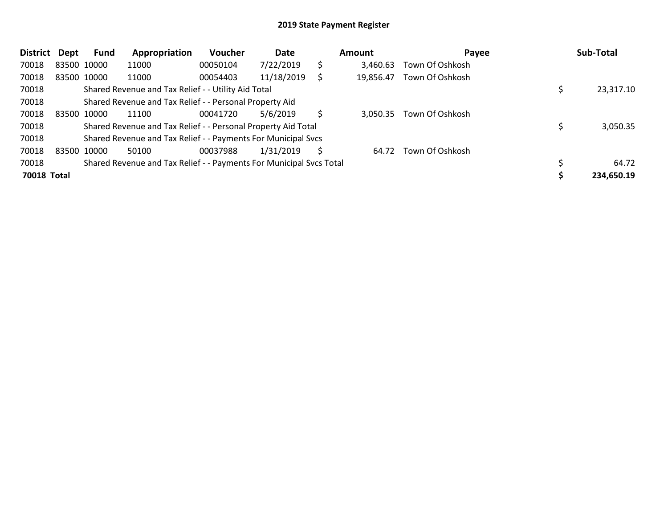| <b>District</b>    | Dept | Fund        | Appropriation                                                       | <b>Voucher</b> | Date       |    | Amount    | Payee           | Sub-Total  |
|--------------------|------|-------------|---------------------------------------------------------------------|----------------|------------|----|-----------|-----------------|------------|
| 70018              |      | 83500 10000 | 11000                                                               | 00050104       | 7/22/2019  | \$ | 3.460.63  | Town Of Oshkosh |            |
| 70018              |      | 83500 10000 | 11000                                                               | 00054403       | 11/18/2019 |    | 19,856.47 | Town Of Oshkosh |            |
| 70018              |      |             | Shared Revenue and Tax Relief - - Utility Aid Total                 |                |            |    |           |                 | 23,317.10  |
| 70018              |      |             | Shared Revenue and Tax Relief - - Personal Property Aid             |                |            |    |           |                 |            |
| 70018              |      | 83500 10000 | 11100                                                               | 00041720       | 5/6/2019   | Ś. | 3,050.35  | Town Of Oshkosh |            |
| 70018              |      |             | Shared Revenue and Tax Relief - - Personal Property Aid Total       |                |            |    |           |                 | 3,050.35   |
| 70018              |      |             | Shared Revenue and Tax Relief - - Payments For Municipal Svcs       |                |            |    |           |                 |            |
| 70018              |      | 83500 10000 | 50100                                                               | 00037988       | 1/31/2019  | S  | 64.72     | Town Of Oshkosh |            |
| 70018              |      |             | Shared Revenue and Tax Relief - - Payments For Municipal Svcs Total |                |            |    |           |                 | 64.72      |
| <b>70018 Total</b> |      |             |                                                                     |                |            |    |           |                 | 234,650.19 |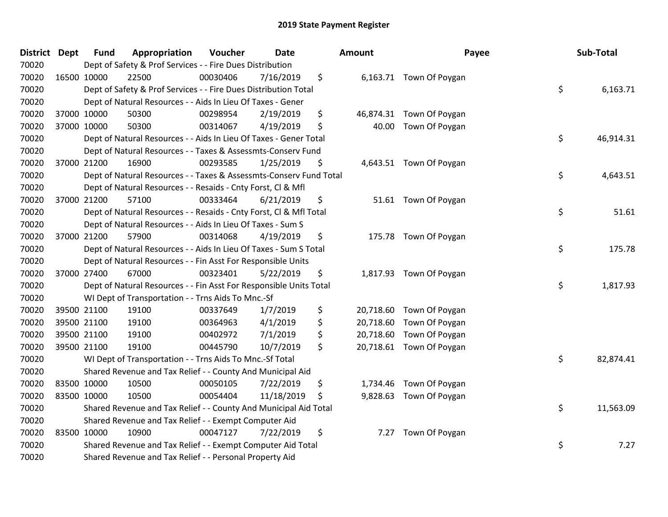| District Dept | Fund        | Appropriation                                                      | Voucher  | <b>Date</b> | Amount          | Payee                    | Sub-Total       |
|---------------|-------------|--------------------------------------------------------------------|----------|-------------|-----------------|--------------------------|-----------------|
| 70020         |             | Dept of Safety & Prof Services - - Fire Dues Distribution          |          |             |                 |                          |                 |
| 70020         | 16500 10000 | 22500                                                              | 00030406 | 7/16/2019   | \$              | 6,163.71 Town Of Poygan  |                 |
| 70020         |             | Dept of Safety & Prof Services - - Fire Dues Distribution Total    |          |             |                 |                          | \$<br>6,163.71  |
| 70020         |             | Dept of Natural Resources - - Aids In Lieu Of Taxes - Gener        |          |             |                 |                          |                 |
| 70020         | 37000 10000 | 50300                                                              | 00298954 | 2/19/2019   | \$              | 46,874.31 Town Of Poygan |                 |
| 70020         | 37000 10000 | 50300                                                              | 00314067 | 4/19/2019   | \$<br>40.00     | Town Of Poygan           |                 |
| 70020         |             | Dept of Natural Resources - - Aids In Lieu Of Taxes - Gener Total  |          |             |                 |                          | \$<br>46,914.31 |
| 70020         |             | Dept of Natural Resources - - Taxes & Assessmts-Conserv Fund       |          |             |                 |                          |                 |
| 70020         | 37000 21200 | 16900                                                              | 00293585 | 1/25/2019   | \$              | 4,643.51 Town Of Poygan  |                 |
| 70020         |             | Dept of Natural Resources - - Taxes & Assessmts-Conserv Fund Total |          |             |                 |                          | \$<br>4,643.51  |
| 70020         |             | Dept of Natural Resources - - Resaids - Cnty Forst, Cl & Mfl       |          |             |                 |                          |                 |
| 70020         | 37000 21200 | 57100                                                              | 00333464 | 6/21/2019   | \$              | 51.61 Town Of Poygan     |                 |
| 70020         |             | Dept of Natural Resources - - Resaids - Cnty Forst, Cl & Mfl Total |          |             |                 |                          | \$<br>51.61     |
| 70020         |             | Dept of Natural Resources - - Aids In Lieu Of Taxes - Sum S        |          |             |                 |                          |                 |
| 70020         | 37000 21200 | 57900                                                              | 00314068 | 4/19/2019   | \$              | 175.78 Town Of Poygan    |                 |
| 70020         |             | Dept of Natural Resources - - Aids In Lieu Of Taxes - Sum S Total  |          |             |                 |                          | \$<br>175.78    |
| 70020         |             | Dept of Natural Resources - - Fin Asst For Responsible Units       |          |             |                 |                          |                 |
| 70020         | 37000 27400 | 67000                                                              | 00323401 | 5/22/2019   | \$              | 1,817.93 Town Of Poygan  |                 |
| 70020         |             | Dept of Natural Resources - - Fin Asst For Responsible Units Total |          |             |                 |                          | \$<br>1,817.93  |
| 70020         |             | WI Dept of Transportation - - Trns Aids To Mnc.-Sf                 |          |             |                 |                          |                 |
| 70020         | 39500 21100 | 19100                                                              | 00337649 | 1/7/2019    | \$              | 20,718.60 Town Of Poygan |                 |
| 70020         | 39500 21100 | 19100                                                              | 00364963 | 4/1/2019    | \$<br>20,718.60 | Town Of Poygan           |                 |
| 70020         | 39500 21100 | 19100                                                              | 00402972 | 7/1/2019    | \$              | 20,718.60 Town Of Poygan |                 |
| 70020         | 39500 21100 | 19100                                                              | 00445790 | 10/7/2019   | \$              | 20,718.61 Town Of Poygan |                 |
| 70020         |             | WI Dept of Transportation - - Trns Aids To Mnc.-Sf Total           |          |             |                 |                          | \$<br>82,874.41 |
| 70020         |             | Shared Revenue and Tax Relief - - County And Municipal Aid         |          |             |                 |                          |                 |
| 70020         | 83500 10000 | 10500                                                              | 00050105 | 7/22/2019   | \$              | 1,734.46 Town Of Poygan  |                 |
| 70020         | 83500 10000 | 10500                                                              | 00054404 | 11/18/2019  | \$              | 9,828.63 Town Of Poygan  |                 |
| 70020         |             | Shared Revenue and Tax Relief - - County And Municipal Aid Total   |          |             |                 |                          | \$<br>11,563.09 |
| 70020         |             | Shared Revenue and Tax Relief - - Exempt Computer Aid              |          |             |                 |                          |                 |
| 70020         | 83500 10000 | 10900                                                              | 00047127 | 7/22/2019   | \$<br>7.27      | Town Of Poygan           |                 |
| 70020         |             | Shared Revenue and Tax Relief - - Exempt Computer Aid Total        |          |             |                 |                          | \$<br>7.27      |
| 70020         |             | Shared Revenue and Tax Relief - - Personal Property Aid            |          |             |                 |                          |                 |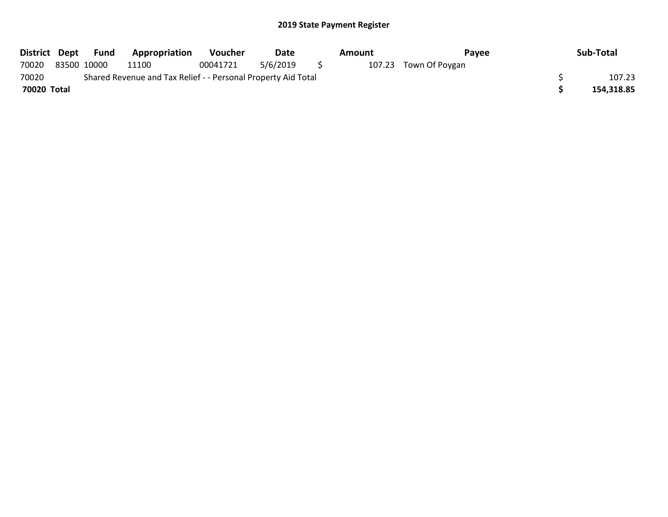| District Dept | Fund        | <b>Appropriation</b>                                          | <b>Voucher</b> | Date     |     | Amount | Payee                 | Sub-Total  |
|---------------|-------------|---------------------------------------------------------------|----------------|----------|-----|--------|-----------------------|------------|
| 70020         | 83500 10000 | 11100                                                         | 00041721       | 5/6/2019 | - 5 |        | 107.23 Town Of Poygan |            |
| 70020         |             | Shared Revenue and Tax Relief - - Personal Property Aid Total |                |          |     |        |                       | 107.23     |
| 70020 Total   |             |                                                               |                |          |     |        |                       | 154,318.85 |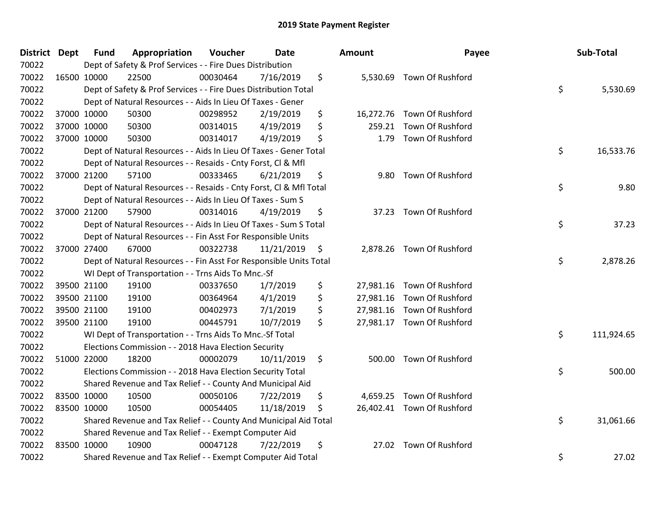| <b>District Dept</b> | <b>Fund</b> | Appropriation                                                      | Voucher  | <b>Date</b> | Amount          | Payee                      | Sub-Total        |
|----------------------|-------------|--------------------------------------------------------------------|----------|-------------|-----------------|----------------------------|------------------|
| 70022                |             | Dept of Safety & Prof Services - - Fire Dues Distribution          |          |             |                 |                            |                  |
| 70022                | 16500 10000 | 22500                                                              | 00030464 | 7/16/2019   | \$              | 5,530.69 Town Of Rushford  |                  |
| 70022                |             | Dept of Safety & Prof Services - - Fire Dues Distribution Total    |          |             |                 |                            | \$<br>5,530.69   |
| 70022                |             | Dept of Natural Resources - - Aids In Lieu Of Taxes - Gener        |          |             |                 |                            |                  |
| 70022                | 37000 10000 | 50300                                                              | 00298952 | 2/19/2019   | \$              | 16,272.76 Town Of Rushford |                  |
| 70022                | 37000 10000 | 50300                                                              | 00314015 | 4/19/2019   | \$<br>259.21    | Town Of Rushford           |                  |
| 70022                | 37000 10000 | 50300                                                              | 00314017 | 4/19/2019   | \$<br>1.79      | Town Of Rushford           |                  |
| 70022                |             | Dept of Natural Resources - - Aids In Lieu Of Taxes - Gener Total  |          |             |                 |                            | \$<br>16,533.76  |
| 70022                |             | Dept of Natural Resources - - Resaids - Cnty Forst, CI & Mfl       |          |             |                 |                            |                  |
| 70022                | 37000 21200 | 57100                                                              | 00333465 | 6/21/2019   | \$              | 9.80 Town Of Rushford      |                  |
| 70022                |             | Dept of Natural Resources - - Resaids - Cnty Forst, CI & Mfl Total |          |             |                 |                            | \$<br>9.80       |
| 70022                |             | Dept of Natural Resources - - Aids In Lieu Of Taxes - Sum S        |          |             |                 |                            |                  |
| 70022                | 37000 21200 | 57900                                                              | 00314016 | 4/19/2019   | \$              | 37.23 Town Of Rushford     |                  |
| 70022                |             | Dept of Natural Resources - - Aids In Lieu Of Taxes - Sum S Total  |          |             |                 |                            | \$<br>37.23      |
| 70022                |             | Dept of Natural Resources - - Fin Asst For Responsible Units       |          |             |                 |                            |                  |
| 70022                | 37000 27400 | 67000                                                              | 00322738 | 11/21/2019  | \$<br>2,878.26  | Town Of Rushford           |                  |
| 70022                |             | Dept of Natural Resources - - Fin Asst For Responsible Units Total |          |             |                 |                            | \$<br>2,878.26   |
| 70022                |             | WI Dept of Transportation - - Trns Aids To Mnc.-Sf                 |          |             |                 |                            |                  |
| 70022                | 39500 21100 | 19100                                                              | 00337650 | 1/7/2019    | \$<br>27,981.16 | Town Of Rushford           |                  |
| 70022                | 39500 21100 | 19100                                                              | 00364964 | 4/1/2019    | \$              | 27,981.16 Town Of Rushford |                  |
| 70022                | 39500 21100 | 19100                                                              | 00402973 | 7/1/2019    | \$<br>27,981.16 | Town Of Rushford           |                  |
| 70022                | 39500 21100 | 19100                                                              | 00445791 | 10/7/2019   | \$              | 27,981.17 Town Of Rushford |                  |
| 70022                |             | WI Dept of Transportation - - Trns Aids To Mnc.-Sf Total           |          |             |                 |                            | \$<br>111,924.65 |
| 70022                |             | Elections Commission - - 2018 Hava Election Security               |          |             |                 |                            |                  |
| 70022                | 51000 22000 | 18200                                                              | 00002079 | 10/11/2019  | \$<br>500.00    | Town Of Rushford           |                  |
| 70022                |             | Elections Commission - - 2018 Hava Election Security Total         |          |             |                 |                            | \$<br>500.00     |
| 70022                |             | Shared Revenue and Tax Relief - - County And Municipal Aid         |          |             |                 |                            |                  |
| 70022                | 83500 10000 | 10500                                                              | 00050106 | 7/22/2019   | \$<br>4,659.25  | Town Of Rushford           |                  |
| 70022                | 83500 10000 | 10500                                                              | 00054405 | 11/18/2019  | \$              | 26,402.41 Town Of Rushford |                  |
| 70022                |             | Shared Revenue and Tax Relief - - County And Municipal Aid Total   |          |             |                 |                            | \$<br>31,061.66  |
| 70022                |             | Shared Revenue and Tax Relief - - Exempt Computer Aid              |          |             |                 |                            |                  |
| 70022                | 83500 10000 | 10900                                                              | 00047128 | 7/22/2019   | \$<br>27.02     | Town Of Rushford           |                  |
| 70022                |             | Shared Revenue and Tax Relief - - Exempt Computer Aid Total        |          |             |                 |                            | \$<br>27.02      |

| lount     | Payee            | Sub-Total        |
|-----------|------------------|------------------|
| 5,530.69  | Town Of Rushford | \$<br>5,530.69   |
| 16,272.76 | Town Of Rushford |                  |
| 259.21    | Town Of Rushford |                  |
| 1.79      | Town Of Rushford |                  |
|           |                  | \$<br>16,533.76  |
| 9.80      | Town Of Rushford |                  |
|           |                  | \$<br>9.80       |
| 37.23     | Town Of Rushford |                  |
|           |                  | \$<br>37.23      |
| 2,878.26  | Town Of Rushford |                  |
|           |                  | \$<br>2,878.26   |
| 27,981.16 | Town Of Rushford |                  |
| 27,981.16 | Town Of Rushford |                  |
| 27,981.16 | Town Of Rushford |                  |
| 27,981.17 | Town Of Rushford |                  |
|           |                  | \$<br>111,924.65 |
| 500.00    | Town Of Rushford |                  |
|           |                  | \$<br>500.00     |
| 4,659.25  | Town Of Rushford |                  |
| 26,402.41 | Town Of Rushford |                  |
|           |                  | \$<br>31,061.66  |
| 27.02     | Town Of Rushford |                  |
|           |                  | \$<br>27.02      |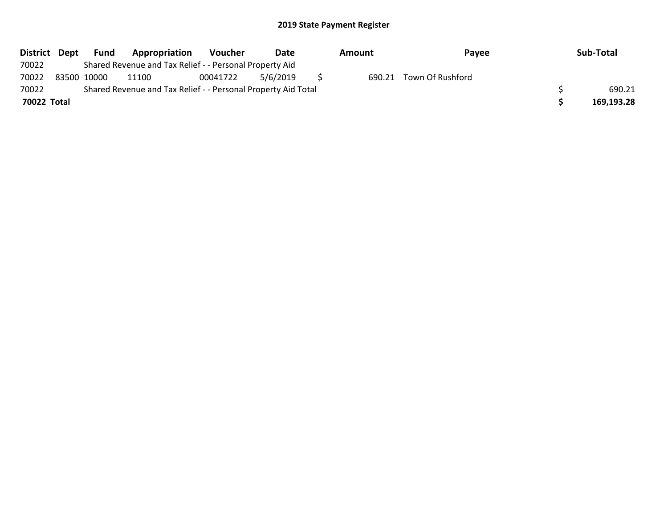| <b>District</b> | Dept        | Fund | Appropriation                                                 | <b>Voucher</b> | Date     | Amount | <b>Pavee</b>     | Sub-Total  |
|-----------------|-------------|------|---------------------------------------------------------------|----------------|----------|--------|------------------|------------|
| 70022           |             |      | Shared Revenue and Tax Relief - - Personal Property Aid       |                |          |        |                  |            |
| 70022           | 83500 10000 |      | 11100                                                         | 00041722       | 5/6/2019 | 690.21 | Town Of Rushford |            |
| 70022           |             |      | Shared Revenue and Tax Relief - - Personal Property Aid Total |                |          |        |                  | 690.21     |
| 70022 Total     |             |      |                                                               |                |          |        |                  | 169,193.28 |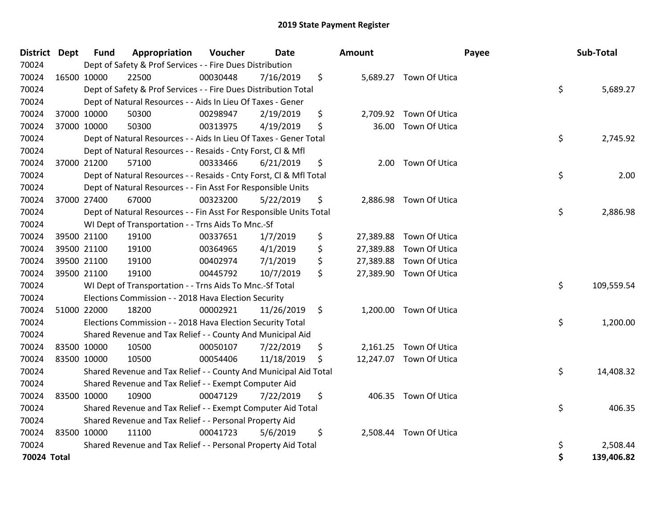| District Dept | <b>Fund</b> | Appropriation                                                      | Voucher  | Date       | <b>Amount</b>   |                         | Payee | <b>Sub-Total</b> |
|---------------|-------------|--------------------------------------------------------------------|----------|------------|-----------------|-------------------------|-------|------------------|
| 70024         |             | Dept of Safety & Prof Services - - Fire Dues Distribution          |          |            |                 |                         |       |                  |
| 70024         | 16500 10000 | 22500                                                              | 00030448 | 7/16/2019  | \$              | 5,689.27 Town Of Utica  |       |                  |
| 70024         |             | Dept of Safety & Prof Services - - Fire Dues Distribution Total    |          |            |                 |                         | \$    | 5,689.27         |
| 70024         |             | Dept of Natural Resources - - Aids In Lieu Of Taxes - Gener        |          |            |                 |                         |       |                  |
| 70024         | 37000 10000 | 50300                                                              | 00298947 | 2/19/2019  | \$              | 2,709.92 Town Of Utica  |       |                  |
| 70024         | 37000 10000 | 50300                                                              | 00313975 | 4/19/2019  | \$<br>36.00     | Town Of Utica           |       |                  |
| 70024         |             | Dept of Natural Resources - - Aids In Lieu Of Taxes - Gener Total  |          |            |                 |                         | \$    | 2,745.92         |
| 70024         |             | Dept of Natural Resources - - Resaids - Cnty Forst, Cl & Mfl       |          |            |                 |                         |       |                  |
| 70024         | 37000 21200 | 57100                                                              | 00333466 | 6/21/2019  | \$<br>2.00      | Town Of Utica           |       |                  |
| 70024         |             | Dept of Natural Resources - - Resaids - Cnty Forst, Cl & Mfl Total |          |            |                 |                         | \$    | 2.00             |
| 70024         |             | Dept of Natural Resources - - Fin Asst For Responsible Units       |          |            |                 |                         |       |                  |
| 70024         | 37000 27400 | 67000                                                              | 00323200 | 5/22/2019  | \$              | 2,886.98 Town Of Utica  |       |                  |
| 70024         |             | Dept of Natural Resources - - Fin Asst For Responsible Units Total |          |            |                 |                         | \$    | 2,886.98         |
| 70024         |             | WI Dept of Transportation - - Trns Aids To Mnc.-Sf                 |          |            |                 |                         |       |                  |
| 70024         | 39500 21100 | 19100                                                              | 00337651 | 1/7/2019   | \$<br>27,389.88 | Town Of Utica           |       |                  |
| 70024         | 39500 21100 | 19100                                                              | 00364965 | 4/1/2019   | \$<br>27,389.88 | Town Of Utica           |       |                  |
| 70024         | 39500 21100 | 19100                                                              | 00402974 | 7/1/2019   | \$<br>27,389.88 | Town Of Utica           |       |                  |
| 70024         | 39500 21100 | 19100                                                              | 00445792 | 10/7/2019  | \$              | 27,389.90 Town Of Utica |       |                  |
| 70024         |             | WI Dept of Transportation - - Trns Aids To Mnc.-Sf Total           |          |            |                 |                         | \$    | 109,559.54       |
| 70024         |             | Elections Commission - - 2018 Hava Election Security               |          |            |                 |                         |       |                  |
| 70024         | 51000 22000 | 18200                                                              | 00002921 | 11/26/2019 | \$              | 1,200.00 Town Of Utica  |       |                  |
| 70024         |             | Elections Commission - - 2018 Hava Election Security Total         |          |            |                 |                         | \$    | 1,200.00         |
| 70024         |             | Shared Revenue and Tax Relief - - County And Municipal Aid         |          |            |                 |                         |       |                  |
| 70024         | 83500 10000 | 10500                                                              | 00050107 | 7/22/2019  | \$              | 2,161.25 Town Of Utica  |       |                  |
| 70024         | 83500 10000 | 10500                                                              | 00054406 | 11/18/2019 | \$              | 12,247.07 Town Of Utica |       |                  |
| 70024         |             | Shared Revenue and Tax Relief - - County And Municipal Aid Total   |          |            |                 |                         | \$    | 14,408.32        |
| 70024         |             | Shared Revenue and Tax Relief - - Exempt Computer Aid              |          |            |                 |                         |       |                  |
| 70024         | 83500 10000 | 10900                                                              | 00047129 | 7/22/2019  | \$              | 406.35 Town Of Utica    |       |                  |
| 70024         |             | Shared Revenue and Tax Relief - - Exempt Computer Aid Total        |          |            |                 |                         | \$    | 406.35           |
| 70024         |             | Shared Revenue and Tax Relief - - Personal Property Aid            |          |            |                 |                         |       |                  |
| 70024         | 83500 10000 | 11100                                                              | 00041723 | 5/6/2019   | \$<br>2,508.44  | Town Of Utica           |       |                  |
| 70024         |             | Shared Revenue and Tax Relief - - Personal Property Aid Total      |          |            |                 |                         | \$    | 2,508.44         |
| 70024 Total   |             |                                                                    |          |            |                 |                         | \$    | 139,406.82       |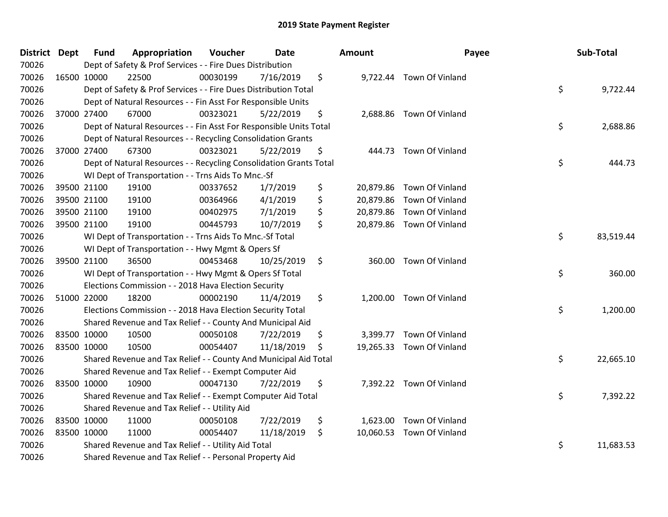| District Dept | <b>Fund</b> | Appropriation                                                      | Voucher  | <b>Date</b> | Amount       | Payee                     | Sub-Total       |
|---------------|-------------|--------------------------------------------------------------------|----------|-------------|--------------|---------------------------|-----------------|
| 70026         |             | Dept of Safety & Prof Services - - Fire Dues Distribution          |          |             |              |                           |                 |
| 70026         | 16500 10000 | 22500                                                              | 00030199 | 7/16/2019   | \$           | 9,722.44 Town Of Vinland  |                 |
| 70026         |             | Dept of Safety & Prof Services - - Fire Dues Distribution Total    |          |             |              |                           | \$<br>9,722.44  |
| 70026         |             | Dept of Natural Resources - - Fin Asst For Responsible Units       |          |             |              |                           |                 |
| 70026         | 37000 27400 | 67000                                                              | 00323021 | 5/22/2019   | \$           | 2,688.86 Town Of Vinland  |                 |
| 70026         |             | Dept of Natural Resources - - Fin Asst For Responsible Units Total |          |             |              |                           | \$<br>2,688.86  |
| 70026         |             | Dept of Natural Resources - - Recycling Consolidation Grants       |          |             |              |                           |                 |
| 70026         | 37000 27400 | 67300                                                              | 00323021 | 5/22/2019   | \$<br>444.73 | Town Of Vinland           |                 |
| 70026         |             | Dept of Natural Resources - - Recycling Consolidation Grants Total |          |             |              |                           | \$<br>444.73    |
| 70026         |             | WI Dept of Transportation - - Trns Aids To Mnc.-Sf                 |          |             |              |                           |                 |
| 70026         | 39500 21100 | 19100                                                              | 00337652 | 1/7/2019    | \$           | 20,879.86 Town Of Vinland |                 |
| 70026         | 39500 21100 | 19100                                                              | 00364966 | 4/1/2019    | \$           | 20,879.86 Town Of Vinland |                 |
| 70026         | 39500 21100 | 19100                                                              | 00402975 | 7/1/2019    | \$           | 20,879.86 Town Of Vinland |                 |
| 70026         | 39500 21100 | 19100                                                              | 00445793 | 10/7/2019   | \$           | 20,879.86 Town Of Vinland |                 |
| 70026         |             | WI Dept of Transportation - - Trns Aids To Mnc.-Sf Total           |          |             |              |                           | \$<br>83,519.44 |
| 70026         |             | WI Dept of Transportation - - Hwy Mgmt & Opers Sf                  |          |             |              |                           |                 |
| 70026         | 39500 21100 | 36500                                                              | 00453468 | 10/25/2019  | \$           | 360.00 Town Of Vinland    |                 |
| 70026         |             | WI Dept of Transportation - - Hwy Mgmt & Opers Sf Total            |          |             |              |                           | \$<br>360.00    |
| 70026         |             | Elections Commission - - 2018 Hava Election Security               |          |             |              |                           |                 |
| 70026         | 51000 22000 | 18200                                                              | 00002190 | 11/4/2019   | \$           | 1,200.00 Town Of Vinland  |                 |
| 70026         |             | Elections Commission - - 2018 Hava Election Security Total         |          |             |              |                           | \$<br>1,200.00  |
| 70026         |             | Shared Revenue and Tax Relief - - County And Municipal Aid         |          |             |              |                           |                 |
| 70026         | 83500 10000 | 10500                                                              | 00050108 | 7/22/2019   | \$           | 3,399.77 Town Of Vinland  |                 |
| 70026         | 83500 10000 | 10500                                                              | 00054407 | 11/18/2019  | \$           | 19,265.33 Town Of Vinland |                 |
| 70026         |             | Shared Revenue and Tax Relief - - County And Municipal Aid Total   |          |             |              |                           | \$<br>22,665.10 |
| 70026         |             | Shared Revenue and Tax Relief - - Exempt Computer Aid              |          |             |              |                           |                 |
| 70026         | 83500 10000 | 10900                                                              | 00047130 | 7/22/2019   | \$           | 7,392.22 Town Of Vinland  |                 |
| 70026         |             | Shared Revenue and Tax Relief - - Exempt Computer Aid Total        |          |             |              |                           | \$<br>7,392.22  |
| 70026         |             | Shared Revenue and Tax Relief - - Utility Aid                      |          |             |              |                           |                 |
| 70026         | 83500 10000 | 11000                                                              | 00050108 | 7/22/2019   | \$           | 1,623.00 Town Of Vinland  |                 |
| 70026         | 83500 10000 | 11000                                                              | 00054407 | 11/18/2019  | \$           | 10,060.53 Town Of Vinland |                 |
| 70026         |             | Shared Revenue and Tax Relief - - Utility Aid Total                |          |             |              |                           | \$<br>11,683.53 |
| 70026         |             | Shared Revenue and Tax Relief - - Personal Property Aid            |          |             |              |                           |                 |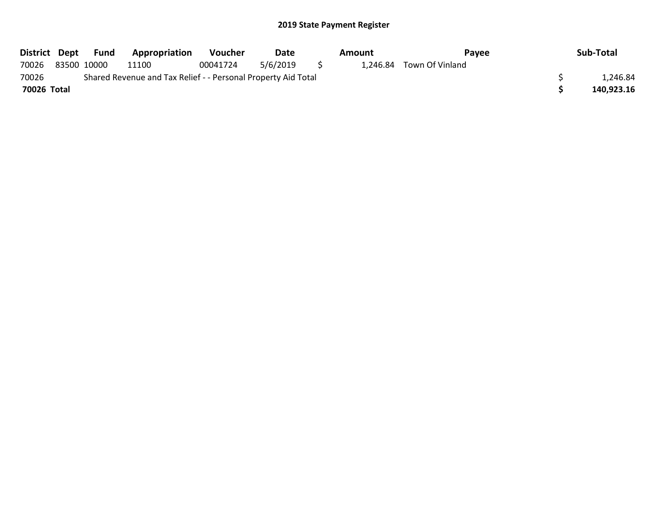|             | District Dept Fund | Appropriation                                                 | <b>Voucher</b> | Date     |     | Amount | Pavee                    | Sub-Total  |
|-------------|--------------------|---------------------------------------------------------------|----------------|----------|-----|--------|--------------------------|------------|
| 70026       | 83500 10000        | 11100                                                         | 00041724       | 5/6/2019 | - 5 |        | 1.246.84 Town Of Vinland |            |
| 70026       |                    | Shared Revenue and Tax Relief - - Personal Property Aid Total |                |          |     |        |                          | 1.246.84   |
| 70026 Total |                    |                                                               |                |          |     |        |                          | 140,923.16 |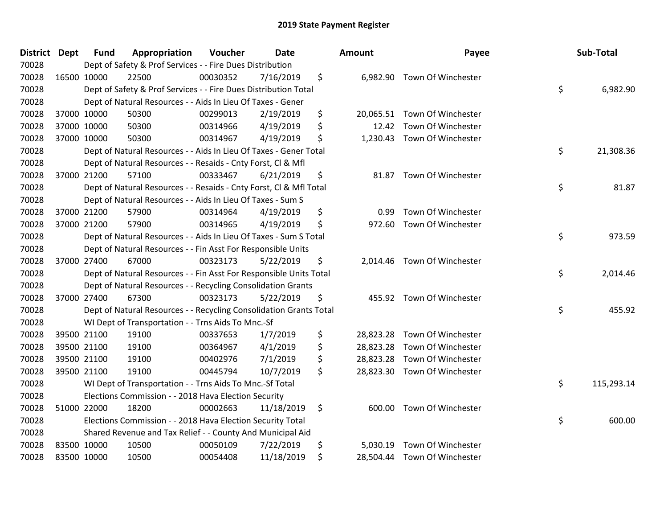| District Dept | <b>Fund</b> | Appropriation                                                      | Voucher  | <b>Date</b> | <b>Amount</b>   | Payee                        | Sub-Total        |
|---------------|-------------|--------------------------------------------------------------------|----------|-------------|-----------------|------------------------------|------------------|
| 70028         |             | Dept of Safety & Prof Services - - Fire Dues Distribution          |          |             |                 |                              |                  |
| 70028         | 16500 10000 | 22500                                                              | 00030352 | 7/16/2019   | \$              | 6,982.90 Town Of Winchester  |                  |
| 70028         |             | Dept of Safety & Prof Services - - Fire Dues Distribution Total    |          |             |                 |                              | \$<br>6,982.90   |
| 70028         |             | Dept of Natural Resources - - Aids In Lieu Of Taxes - Gener        |          |             |                 |                              |                  |
| 70028         | 37000 10000 | 50300                                                              | 00299013 | 2/19/2019   | \$<br>20,065.51 | Town Of Winchester           |                  |
| 70028         | 37000 10000 | 50300                                                              | 00314966 | 4/19/2019   | \$<br>12.42     | Town Of Winchester           |                  |
| 70028         | 37000 10000 | 50300                                                              | 00314967 | 4/19/2019   | \$<br>1,230.43  | Town Of Winchester           |                  |
| 70028         |             | Dept of Natural Resources - - Aids In Lieu Of Taxes - Gener Total  |          |             |                 |                              | \$<br>21,308.36  |
| 70028         |             | Dept of Natural Resources - - Resaids - Cnty Forst, Cl & Mfl       |          |             |                 |                              |                  |
| 70028         | 37000 21200 | 57100                                                              | 00333467 | 6/21/2019   | \$<br>81.87     | Town Of Winchester           |                  |
| 70028         |             | Dept of Natural Resources - - Resaids - Cnty Forst, Cl & Mfl Total |          |             |                 |                              | \$<br>81.87      |
| 70028         |             | Dept of Natural Resources - - Aids In Lieu Of Taxes - Sum S        |          |             |                 |                              |                  |
| 70028         | 37000 21200 | 57900                                                              | 00314964 | 4/19/2019   | \$<br>0.99      | Town Of Winchester           |                  |
| 70028         | 37000 21200 | 57900                                                              | 00314965 | 4/19/2019   | \$<br>972.60    | Town Of Winchester           |                  |
| 70028         |             | Dept of Natural Resources - - Aids In Lieu Of Taxes - Sum S Total  |          |             |                 |                              | \$<br>973.59     |
| 70028         |             | Dept of Natural Resources - - Fin Asst For Responsible Units       |          |             |                 |                              |                  |
| 70028         | 37000 27400 | 67000                                                              | 00323173 | 5/22/2019   | \$<br>2,014.46  | Town Of Winchester           |                  |
| 70028         |             | Dept of Natural Resources - - Fin Asst For Responsible Units Total |          |             |                 |                              | \$<br>2,014.46   |
| 70028         |             | Dept of Natural Resources - - Recycling Consolidation Grants       |          |             |                 |                              |                  |
| 70028         | 37000 27400 | 67300                                                              | 00323173 | 5/22/2019   | \$<br>455.92    | Town Of Winchester           |                  |
| 70028         |             | Dept of Natural Resources - - Recycling Consolidation Grants Total |          |             |                 |                              | \$<br>455.92     |
| 70028         |             | WI Dept of Transportation - - Trns Aids To Mnc.-Sf                 |          |             |                 |                              |                  |
| 70028         | 39500 21100 | 19100                                                              | 00337653 | 1/7/2019    | \$              | 28,823.28 Town Of Winchester |                  |
| 70028         | 39500 21100 | 19100                                                              | 00364967 | 4/1/2019    | \$              | 28,823.28 Town Of Winchester |                  |
| 70028         | 39500 21100 | 19100                                                              | 00402976 | 7/1/2019    | \$<br>28,823.28 | Town Of Winchester           |                  |
| 70028         | 39500 21100 | 19100                                                              | 00445794 | 10/7/2019   | \$              | 28,823.30 Town Of Winchester |                  |
| 70028         |             | WI Dept of Transportation - - Trns Aids To Mnc.-Sf Total           |          |             |                 |                              | \$<br>115,293.14 |
| 70028         |             | Elections Commission - - 2018 Hava Election Security               |          |             |                 |                              |                  |
| 70028         | 51000 22000 | 18200                                                              | 00002663 | 11/18/2019  | \$              | 600.00 Town Of Winchester    |                  |
| 70028         |             | Elections Commission - - 2018 Hava Election Security Total         |          |             |                 |                              | \$<br>600.00     |
| 70028         |             | Shared Revenue and Tax Relief - - County And Municipal Aid         |          |             |                 |                              |                  |
| 70028         | 83500 10000 | 10500                                                              | 00050109 | 7/22/2019   | \$<br>5,030.19  | Town Of Winchester           |                  |
| 70028         | 83500 10000 | 10500                                                              | 00054408 | 11/18/2019  | \$<br>28,504.44 | Town Of Winchester           |                  |

| າount     | Payee                        | Sub-Total        |
|-----------|------------------------------|------------------|
| 6,982.90  | Town Of Winchester           | \$<br>6,982.90   |
| 20,065.51 | Town Of Winchester           |                  |
| 12.42     | Town Of Winchester           |                  |
| 1,230.43  | Town Of Winchester           |                  |
|           |                              | \$<br>21,308.36  |
| 81.87     | Town Of Winchester           |                  |
|           |                              | \$<br>81.87      |
| 0.99      | Town Of Winchester           |                  |
| 972.60    | Town Of Winchester           |                  |
|           |                              | \$<br>973.59     |
| 2,014.46  | Town Of Winchester           |                  |
|           |                              | \$<br>2,014.46   |
| 455.92    | Town Of Winchester           |                  |
|           |                              | \$<br>455.92     |
| 28,823.28 | Town Of Winchester           |                  |
|           | 28,823.28 Town Of Winchester |                  |
| 28,823.28 | Town Of Winchester           |                  |
| 28,823.30 | Town Of Winchester           |                  |
|           |                              | \$<br>115,293.14 |
| 600.00    | Town Of Winchester           |                  |
|           |                              | \$<br>600.00     |
| 5,030.19  | Town Of Winchester           |                  |
| 28,504.44 | Town Of Winchester           |                  |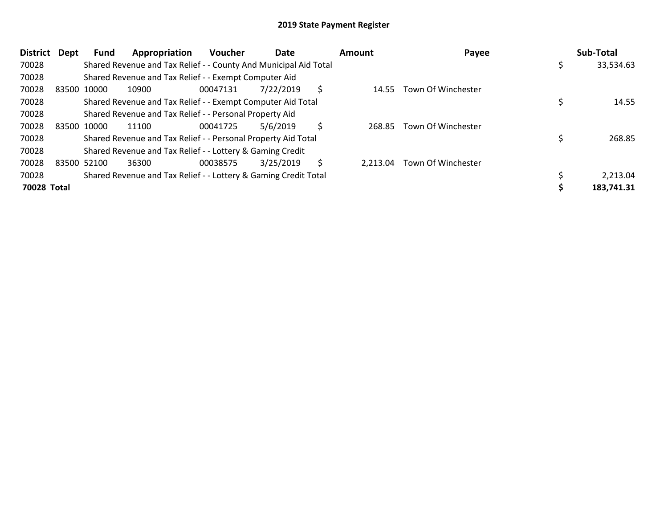| <b>District</b> | Dept | Fund        | Appropriation                                                    | <b>Voucher</b> | Date      |    | <b>Amount</b> | Payee              | Sub-Total  |
|-----------------|------|-------------|------------------------------------------------------------------|----------------|-----------|----|---------------|--------------------|------------|
| 70028           |      |             | Shared Revenue and Tax Relief - - County And Municipal Aid Total |                |           |    |               |                    | 33,534.63  |
| 70028           |      |             | Shared Revenue and Tax Relief - - Exempt Computer Aid            |                |           |    |               |                    |            |
| 70028           |      | 83500 10000 | 10900                                                            | 00047131       | 7/22/2019 | \$ | 14.55         | Town Of Winchester |            |
| 70028           |      |             | Shared Revenue and Tax Relief - - Exempt Computer Aid Total      |                |           |    |               |                    | 14.55      |
| 70028           |      |             | Shared Revenue and Tax Relief - - Personal Property Aid          |                |           |    |               |                    |            |
| 70028           |      | 83500 10000 | 11100                                                            | 00041725       | 5/6/2019  | Ś. | 268.85        | Town Of Winchester |            |
| 70028           |      |             | Shared Revenue and Tax Relief - - Personal Property Aid Total    |                |           |    |               |                    | 268.85     |
| 70028           |      |             | Shared Revenue and Tax Relief - - Lottery & Gaming Credit        |                |           |    |               |                    |            |
| 70028           |      | 83500 52100 | 36300                                                            | 00038575       | 3/25/2019 | Ś. | 2.213.04      | Town Of Winchester |            |
| 70028           |      |             | Shared Revenue and Tax Relief - - Lottery & Gaming Credit Total  |                |           |    |               |                    | 2,213.04   |
| 70028 Total     |      |             |                                                                  |                |           |    |               |                    | 183,741.31 |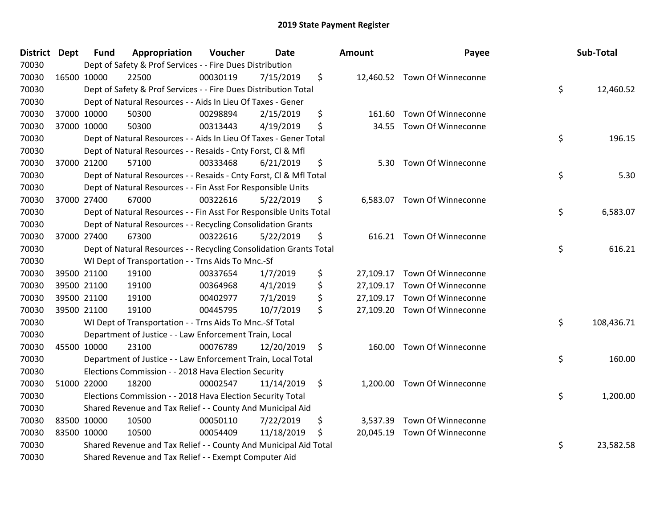| District | Dept | <b>Fund</b> | Appropriation                                                      | Voucher  | <b>Date</b> |    | Amount    | Payee                        | Sub-Total        |
|----------|------|-------------|--------------------------------------------------------------------|----------|-------------|----|-----------|------------------------------|------------------|
| 70030    |      |             | Dept of Safety & Prof Services - - Fire Dues Distribution          |          |             |    |           |                              |                  |
| 70030    |      | 16500 10000 | 22500                                                              | 00030119 | 7/15/2019   | \$ |           | 12,460.52 Town Of Winneconne |                  |
| 70030    |      |             | Dept of Safety & Prof Services - - Fire Dues Distribution Total    |          |             |    |           |                              | \$<br>12,460.52  |
| 70030    |      |             | Dept of Natural Resources - - Aids In Lieu Of Taxes - Gener        |          |             |    |           |                              |                  |
| 70030    |      | 37000 10000 | 50300                                                              | 00298894 | 2/15/2019   | \$ | 161.60    | Town Of Winneconne           |                  |
| 70030    |      | 37000 10000 | 50300                                                              | 00313443 | 4/19/2019   | \$ | 34.55     | Town Of Winneconne           |                  |
| 70030    |      |             | Dept of Natural Resources - - Aids In Lieu Of Taxes - Gener Total  |          |             |    |           |                              | \$<br>196.15     |
| 70030    |      |             | Dept of Natural Resources - - Resaids - Cnty Forst, CI & Mfl       |          |             |    |           |                              |                  |
| 70030    |      | 37000 21200 | 57100                                                              | 00333468 | 6/21/2019   | \$ | 5.30      | Town Of Winneconne           |                  |
| 70030    |      |             | Dept of Natural Resources - - Resaids - Cnty Forst, Cl & Mfl Total |          |             |    |           |                              | \$<br>5.30       |
| 70030    |      |             | Dept of Natural Resources - - Fin Asst For Responsible Units       |          |             |    |           |                              |                  |
| 70030    |      | 37000 27400 | 67000                                                              | 00322616 | 5/22/2019   | \$ |           | 6,583.07 Town Of Winneconne  |                  |
| 70030    |      |             | Dept of Natural Resources - - Fin Asst For Responsible Units Total |          |             |    |           |                              | \$<br>6,583.07   |
| 70030    |      |             | Dept of Natural Resources - - Recycling Consolidation Grants       |          |             |    |           |                              |                  |
| 70030    |      | 37000 27400 | 67300                                                              | 00322616 | 5/22/2019   | \$ | 616.21    | Town Of Winneconne           |                  |
| 70030    |      |             | Dept of Natural Resources - - Recycling Consolidation Grants Total |          |             |    |           |                              | \$<br>616.21     |
| 70030    |      |             | WI Dept of Transportation - - Trns Aids To Mnc.-Sf                 |          |             |    |           |                              |                  |
| 70030    |      | 39500 21100 | 19100                                                              | 00337654 | 1/7/2019    | \$ |           | 27,109.17 Town Of Winneconne |                  |
| 70030    |      | 39500 21100 | 19100                                                              | 00364968 | 4/1/2019    | \$ |           | 27,109.17 Town Of Winneconne |                  |
| 70030    |      | 39500 21100 | 19100                                                              | 00402977 | 7/1/2019    | \$ | 27,109.17 | Town Of Winneconne           |                  |
| 70030    |      | 39500 21100 | 19100                                                              | 00445795 | 10/7/2019   | \$ |           | 27,109.20 Town Of Winneconne |                  |
| 70030    |      |             | WI Dept of Transportation - - Trns Aids To Mnc.-Sf Total           |          |             |    |           |                              | \$<br>108,436.71 |
| 70030    |      |             | Department of Justice - - Law Enforcement Train, Local             |          |             |    |           |                              |                  |
| 70030    |      | 45500 10000 | 23100                                                              | 00076789 | 12/20/2019  | \$ | 160.00    | Town Of Winneconne           |                  |
| 70030    |      |             | Department of Justice - - Law Enforcement Train, Local Total       |          |             |    |           |                              | \$<br>160.00     |
| 70030    |      |             | Elections Commission - - 2018 Hava Election Security               |          |             |    |           |                              |                  |
| 70030    |      | 51000 22000 | 18200                                                              | 00002547 | 11/14/2019  | \$ | 1,200.00  | Town Of Winneconne           |                  |
| 70030    |      |             | Elections Commission - - 2018 Hava Election Security Total         |          |             |    |           |                              | \$<br>1,200.00   |
| 70030    |      |             | Shared Revenue and Tax Relief - - County And Municipal Aid         |          |             |    |           |                              |                  |
| 70030    |      | 83500 10000 | 10500                                                              | 00050110 | 7/22/2019   | \$ | 3,537.39  | Town Of Winneconne           |                  |
| 70030    |      | 83500 10000 | 10500                                                              | 00054409 | 11/18/2019  | Ś  |           | 20,045.19 Town Of Winneconne |                  |
| 70030    |      |             | Shared Revenue and Tax Relief - - County And Municipal Aid Total   |          |             |    |           |                              | \$<br>23,582.58  |
| 70030    |      |             | Shared Revenue and Tax Relief - - Exempt Computer Aid              |          |             |    |           |                              |                  |

| Sub-Total  | Payee                        | ount      |
|------------|------------------------------|-----------|
| 12,460.52  | \$<br>Town Of Winneconne     | 12,460.52 |
|            | 161.60 Town Of Winneconne    |           |
| 196.15     | \$<br>Town Of Winneconne     | 34.55     |
| 5.30       | \$<br>Town Of Winneconne     | 5.30      |
| 6,583.07   | \$<br>Town Of Winneconne     | 6,583.07  |
| 616.21     | \$<br>Town Of Winneconne     | 616.21    |
|            | 27,109.17 Town Of Winneconne |           |
|            | 27,109.17 Town Of Winneconne |           |
|            | 27,109.17 Town Of Winneconne |           |
| 108,436.71 | \$<br>Town Of Winneconne     | 27,109.20 |
| 160.00     | \$<br>Town Of Winneconne     | 160.00    |
| 1,200.00   | \$<br>Town Of Winneconne     | 1,200.00  |
|            | 3,537.39 Town Of Winneconne  |           |
|            | Town Of Winneconne           | 20,045.19 |
| 23,582.58  | \$                           |           |
|            |                              |           |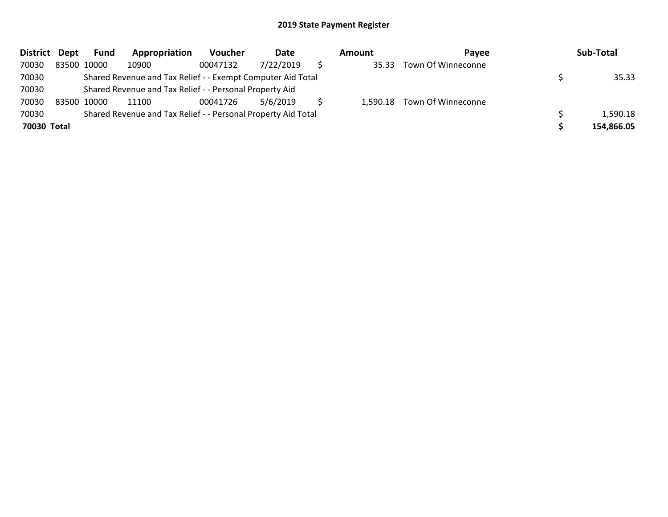| <b>District</b> | Dept | Fund        | Appropriation                                                 | Voucher  | Date      | Amount | <b>Pavee</b>                | Sub-Total  |
|-----------------|------|-------------|---------------------------------------------------------------|----------|-----------|--------|-----------------------------|------------|
| 70030           |      | 83500 10000 | 10900                                                         | 00047132 | 7/22/2019 | 35.33  | Town Of Winneconne          |            |
| 70030           |      |             | Shared Revenue and Tax Relief - - Exempt Computer Aid Total   |          |           |        |                             | 35.33      |
| 70030           |      |             | Shared Revenue and Tax Relief - - Personal Property Aid       |          |           |        |                             |            |
| 70030           |      | 83500 10000 | 11100                                                         | 00041726 | 5/6/2019  |        | 1,590.18 Town Of Winneconne |            |
| 70030           |      |             | Shared Revenue and Tax Relief - - Personal Property Aid Total |          |           |        |                             | 1,590.18   |
| 70030 Total     |      |             |                                                               |          |           |        |                             | 154,866.05 |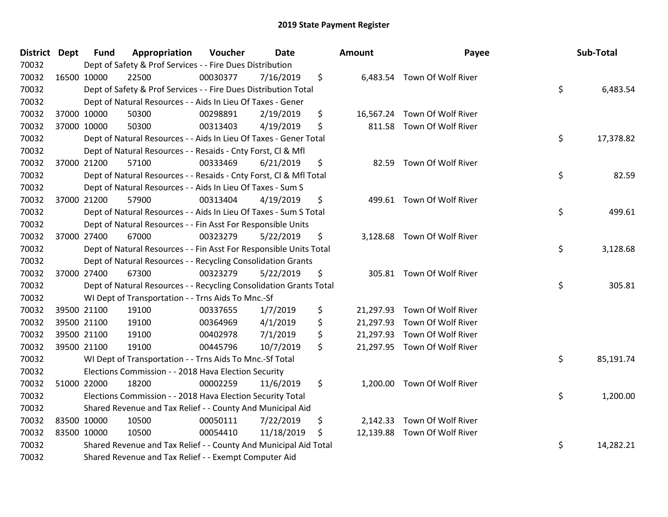| <b>District Dept</b> | <b>Fund</b> | Appropriation                                                      | Voucher  | <b>Date</b> | Amount         | Payee                        | Sub-Total       |
|----------------------|-------------|--------------------------------------------------------------------|----------|-------------|----------------|------------------------------|-----------------|
| 70032                |             | Dept of Safety & Prof Services - - Fire Dues Distribution          |          |             |                |                              |                 |
| 70032                | 16500 10000 | 22500                                                              | 00030377 | 7/16/2019   | \$             | 6,483.54 Town Of Wolf River  |                 |
| 70032                |             | Dept of Safety & Prof Services - - Fire Dues Distribution Total    |          |             |                |                              | \$<br>6,483.54  |
| 70032                |             | Dept of Natural Resources - - Aids In Lieu Of Taxes - Gener        |          |             |                |                              |                 |
| 70032                | 37000 10000 | 50300                                                              | 00298891 | 2/19/2019   | \$             | 16,567.24 Town Of Wolf River |                 |
| 70032                | 37000 10000 | 50300                                                              | 00313403 | 4/19/2019   | \$             | 811.58 Town Of Wolf River    |                 |
| 70032                |             | Dept of Natural Resources - - Aids In Lieu Of Taxes - Gener Total  |          |             |                |                              | \$<br>17,378.82 |
| 70032                |             | Dept of Natural Resources - - Resaids - Cnty Forst, Cl & Mfl       |          |             |                |                              |                 |
| 70032                | 37000 21200 | 57100                                                              | 00333469 | 6/21/2019   | \$             | 82.59 Town Of Wolf River     |                 |
| 70032                |             | Dept of Natural Resources - - Resaids - Cnty Forst, CI & Mfl Total |          |             |                |                              | \$<br>82.59     |
| 70032                |             | Dept of Natural Resources - - Aids In Lieu Of Taxes - Sum S        |          |             |                |                              |                 |
| 70032                | 37000 21200 | 57900                                                              | 00313404 | 4/19/2019   | \$             | 499.61 Town Of Wolf River    |                 |
| 70032                |             | Dept of Natural Resources - - Aids In Lieu Of Taxes - Sum S Total  |          |             |                |                              | \$<br>499.61    |
| 70032                |             | Dept of Natural Resources - - Fin Asst For Responsible Units       |          |             |                |                              |                 |
| 70032                | 37000 27400 | 67000                                                              | 00323279 | 5/22/2019   | \$             | 3,128.68 Town Of Wolf River  |                 |
| 70032                |             | Dept of Natural Resources - - Fin Asst For Responsible Units Total |          |             |                |                              | \$<br>3,128.68  |
| 70032                |             | Dept of Natural Resources - - Recycling Consolidation Grants       |          |             |                |                              |                 |
| 70032                | 37000 27400 | 67300                                                              | 00323279 | 5/22/2019   | \$             | 305.81 Town Of Wolf River    |                 |
| 70032                |             | Dept of Natural Resources - - Recycling Consolidation Grants Total |          |             |                |                              | \$<br>305.81    |
| 70032                |             | WI Dept of Transportation - - Trns Aids To Mnc.-Sf                 |          |             |                |                              |                 |
| 70032                | 39500 21100 | 19100                                                              | 00337655 | 1/7/2019    | \$             | 21,297.93 Town Of Wolf River |                 |
| 70032                | 39500 21100 | 19100                                                              | 00364969 | 4/1/2019    | \$             | 21,297.93 Town Of Wolf River |                 |
| 70032                | 39500 21100 | 19100                                                              | 00402978 | 7/1/2019    | \$             | 21,297.93 Town Of Wolf River |                 |
| 70032                | 39500 21100 | 19100                                                              | 00445796 | 10/7/2019   | \$             | 21,297.95 Town Of Wolf River |                 |
| 70032                |             | WI Dept of Transportation - - Trns Aids To Mnc.-Sf Total           |          |             |                |                              | \$<br>85,191.74 |
| 70032                |             | Elections Commission - - 2018 Hava Election Security               |          |             |                |                              |                 |
| 70032                | 51000 22000 | 18200                                                              | 00002259 | 11/6/2019   | \$<br>1,200.00 | Town Of Wolf River           |                 |
| 70032                |             | Elections Commission - - 2018 Hava Election Security Total         |          |             |                |                              | \$<br>1,200.00  |
| 70032                |             | Shared Revenue and Tax Relief - - County And Municipal Aid         |          |             |                |                              |                 |
| 70032                | 83500 10000 | 10500                                                              | 00050111 | 7/22/2019   | \$             | 2,142.33 Town Of Wolf River  |                 |
| 70032                | 83500 10000 | 10500                                                              | 00054410 | 11/18/2019  | \$             | 12,139.88 Town Of Wolf River |                 |
| 70032                |             | Shared Revenue and Tax Relief - - County And Municipal Aid Total   |          |             |                |                              | \$<br>14,282.21 |
| 70032                |             | Shared Revenue and Tax Relief - - Exempt Computer Aid              |          |             |                |                              |                 |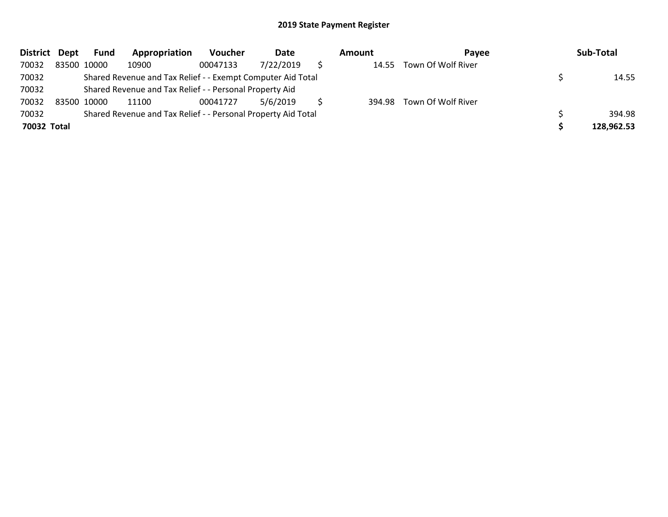| District Dept | Fund        | Appropriation                                                 | Voucher  | Date      | Amount | <b>Pavee</b>       | Sub-Total  |
|---------------|-------------|---------------------------------------------------------------|----------|-----------|--------|--------------------|------------|
| 70032         | 83500 10000 | 10900                                                         | 00047133 | 7/22/2019 | 14.55  | Town Of Wolf River |            |
| 70032         |             | Shared Revenue and Tax Relief - - Exempt Computer Aid Total   |          |           |        |                    | 14.55      |
| 70032         |             | Shared Revenue and Tax Relief - - Personal Property Aid       |          |           |        |                    |            |
| 70032         | 83500 10000 | 11100                                                         | 00041727 | 5/6/2019  | 394.98 | Town Of Wolf River |            |
| 70032         |             | Shared Revenue and Tax Relief - - Personal Property Aid Total |          |           |        |                    | 394.98     |
| 70032 Total   |             |                                                               |          |           |        |                    | 128,962.53 |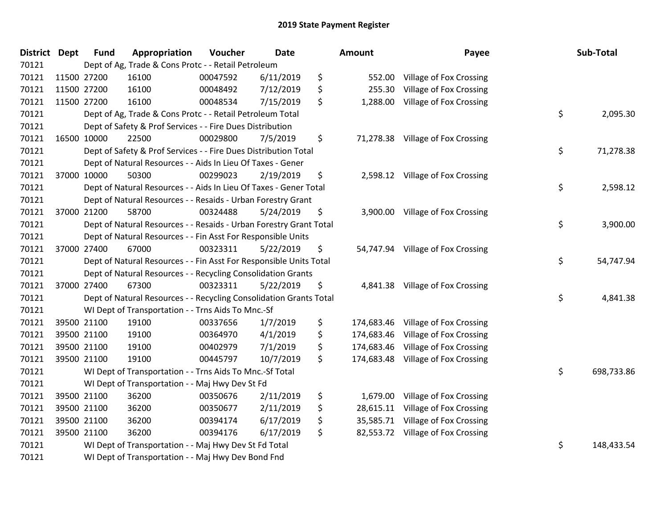| <b>District</b> | <b>Dept</b> | <b>Fund</b> | Appropriation                                                      | Voucher  | <b>Date</b> | <b>Amount</b>    | Payee                              | Sub-Total        |
|-----------------|-------------|-------------|--------------------------------------------------------------------|----------|-------------|------------------|------------------------------------|------------------|
| 70121           |             |             | Dept of Ag, Trade & Cons Protc - - Retail Petroleum                |          |             |                  |                                    |                  |
| 70121           |             | 11500 27200 | 16100                                                              | 00047592 | 6/11/2019   | \$<br>552.00     | Village of Fox Crossing            |                  |
| 70121           |             | 11500 27200 | 16100                                                              | 00048492 | 7/12/2019   | \$<br>255.30     | Village of Fox Crossing            |                  |
| 70121           |             | 11500 27200 | 16100                                                              | 00048534 | 7/15/2019   | \$<br>1,288.00   | Village of Fox Crossing            |                  |
| 70121           |             |             | Dept of Ag, Trade & Cons Protc - - Retail Petroleum Total          |          |             |                  |                                    | \$<br>2,095.30   |
| 70121           |             |             | Dept of Safety & Prof Services - - Fire Dues Distribution          |          |             |                  |                                    |                  |
| 70121           |             | 16500 10000 | 22500                                                              | 00029800 | 7/5/2019    | \$               | 71,278.38 Village of Fox Crossing  |                  |
| 70121           |             |             | Dept of Safety & Prof Services - - Fire Dues Distribution Total    |          |             |                  |                                    | \$<br>71,278.38  |
| 70121           |             |             | Dept of Natural Resources - - Aids In Lieu Of Taxes - Gener        |          |             |                  |                                    |                  |
| 70121           |             | 37000 10000 | 50300                                                              | 00299023 | 2/19/2019   | \$               | 2,598.12 Village of Fox Crossing   |                  |
| 70121           |             |             | Dept of Natural Resources - - Aids In Lieu Of Taxes - Gener Total  |          |             |                  |                                    | \$<br>2,598.12   |
| 70121           |             |             | Dept of Natural Resources - - Resaids - Urban Forestry Grant       |          |             |                  |                                    |                  |
| 70121           |             | 37000 21200 | 58700                                                              | 00324488 | 5/24/2019   | \$               | 3,900.00 Village of Fox Crossing   |                  |
| 70121           |             |             | Dept of Natural Resources - - Resaids - Urban Forestry Grant Total |          |             |                  |                                    | \$<br>3,900.00   |
| 70121           |             |             | Dept of Natural Resources - - Fin Asst For Responsible Units       |          |             |                  |                                    |                  |
| 70121           |             | 37000 27400 | 67000                                                              | 00323311 | 5/22/2019   | \$               | 54,747.94 Village of Fox Crossing  |                  |
| 70121           |             |             | Dept of Natural Resources - - Fin Asst For Responsible Units Total |          |             |                  |                                    | \$<br>54,747.94  |
| 70121           |             |             | Dept of Natural Resources - - Recycling Consolidation Grants       |          |             |                  |                                    |                  |
| 70121           |             | 37000 27400 | 67300                                                              | 00323311 | 5/22/2019   | \$               | 4,841.38 Village of Fox Crossing   |                  |
| 70121           |             |             | Dept of Natural Resources - - Recycling Consolidation Grants Total |          |             |                  |                                    | \$<br>4,841.38   |
| 70121           |             |             | WI Dept of Transportation - - Trns Aids To Mnc.-Sf                 |          |             |                  |                                    |                  |
| 70121           |             | 39500 21100 | 19100                                                              | 00337656 | 1/7/2019    | \$               | 174,683.46 Village of Fox Crossing |                  |
| 70121           |             | 39500 21100 | 19100                                                              | 00364970 | 4/1/2019    | \$               | 174,683.46 Village of Fox Crossing |                  |
| 70121           |             | 39500 21100 | 19100                                                              | 00402979 | 7/1/2019    | \$<br>174,683.46 | Village of Fox Crossing            |                  |
| 70121           |             | 39500 21100 | 19100                                                              | 00445797 | 10/7/2019   | \$<br>174,683.48 | Village of Fox Crossing            |                  |
| 70121           |             |             | WI Dept of Transportation - - Trns Aids To Mnc.-Sf Total           |          |             |                  |                                    | \$<br>698,733.86 |
| 70121           |             |             | WI Dept of Transportation - - Maj Hwy Dev St Fd                    |          |             |                  |                                    |                  |
| 70121           |             | 39500 21100 | 36200                                                              | 00350676 | 2/11/2019   | \$               | 1,679.00 Village of Fox Crossing   |                  |
| 70121           |             | 39500 21100 | 36200                                                              | 00350677 | 2/11/2019   | \$<br>28,615.11  | Village of Fox Crossing            |                  |
| 70121           |             | 39500 21100 | 36200                                                              | 00394174 | 6/17/2019   | \$<br>35,585.71  | Village of Fox Crossing            |                  |
| 70121           |             | 39500 21100 | 36200                                                              | 00394176 | 6/17/2019   | \$               | 82,553.72 Village of Fox Crossing  |                  |
| 70121           |             |             | WI Dept of Transportation - - Maj Hwy Dev St Fd Total              |          |             |                  |                                    | \$<br>148,433.54 |
| 70121           |             |             | WI Dept of Transportation - - Maj Hwy Dev Bond Fnd                 |          |             |                  |                                    |                  |

| Sub-Total  | Payee                                | nount      |
|------------|--------------------------------------|------------|
|            | Village of Fox Crossing              | 552.00     |
|            | Village of Fox Crossing              | 255.30     |
| 2,095.30   | \$<br>Village of Fox Crossing        | 1,288.00   |
| 71,278.38  | \$<br>Village of Fox Crossing        | 71,278.38  |
| 2,598.12   | \$<br>Village of Fox Crossing        | 2,598.12   |
| 3,900.00   | \$<br>Village of Fox Crossing        | 3,900.00   |
| 54,747.94  | \$<br>Village of Fox Crossing        | 54,747.94  |
| 4,841.38   | \$<br><b>Village of Fox Crossing</b> | 4,841.38   |
|            | Village of Fox Crossing              | 174,683.46 |
|            | Village of Fox Crossing              | 174,683.46 |
|            | Village of Fox Crossing              | 174,683.46 |
|            | Village of Fox Crossing              | 174,683.48 |
| 698,733.86 | \$                                   |            |
|            | Village of Fox Crossing              | 1,679.00   |
|            | Village of Fox Crossing              | 28,615.11  |
|            | Village of Fox Crossing              | 35,585.71  |
|            | Village of Fox Crossing              | 82,553.72  |
| 148,433.54 | \$                                   |            |
|            |                                      |            |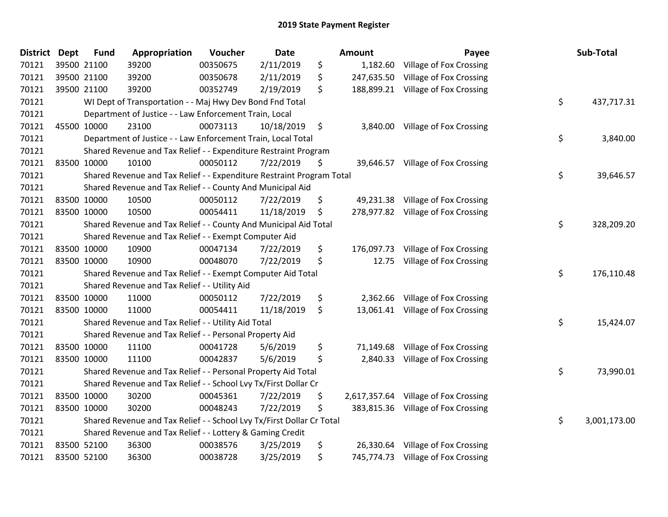| <b>District</b> | <b>Dept</b> | <b>Fund</b> | Appropriation                                                         | Voucher  | Date       |    | Amount     | Payee                                | Sub-Total          |
|-----------------|-------------|-------------|-----------------------------------------------------------------------|----------|------------|----|------------|--------------------------------------|--------------------|
| 70121           |             | 39500 21100 | 39200                                                                 | 00350675 | 2/11/2019  | \$ | 1,182.60   | Village of Fox Crossing              |                    |
| 70121           | 39500 21100 |             | 39200                                                                 | 00350678 | 2/11/2019  | \$ |            | 247,635.50 Village of Fox Crossing   |                    |
| 70121           |             | 39500 21100 | 39200                                                                 | 00352749 | 2/19/2019  | \$ |            | 188,899.21 Village of Fox Crossing   |                    |
| 70121           |             |             | WI Dept of Transportation - - Maj Hwy Dev Bond Fnd Total              |          |            |    |            |                                      | \$<br>437,717.31   |
| 70121           |             |             | Department of Justice - - Law Enforcement Train, Local                |          |            |    |            |                                      |                    |
| 70121           | 45500 10000 |             | 23100                                                                 | 00073113 | 10/18/2019 | \$ | 3,840.00   | Village of Fox Crossing              |                    |
| 70121           |             |             | Department of Justice - - Law Enforcement Train, Local Total          |          |            |    |            |                                      | \$<br>3,840.00     |
| 70121           |             |             | Shared Revenue and Tax Relief - - Expenditure Restraint Program       |          |            |    |            |                                      |                    |
| 70121           | 83500 10000 |             | 10100                                                                 | 00050112 | 7/22/2019  | -Ş |            | 39,646.57 Village of Fox Crossing    |                    |
| 70121           |             |             | Shared Revenue and Tax Relief - - Expenditure Restraint Program Total |          |            |    |            |                                      | \$<br>39,646.57    |
| 70121           |             |             | Shared Revenue and Tax Relief - - County And Municipal Aid            |          |            |    |            |                                      |                    |
| 70121           |             | 83500 10000 | 10500                                                                 | 00050112 | 7/22/2019  | \$ |            | 49,231.38 Village of Fox Crossing    |                    |
| 70121           | 83500 10000 |             | 10500                                                                 | 00054411 | 11/18/2019 | \$ |            | 278,977.82 Village of Fox Crossing   |                    |
| 70121           |             |             | Shared Revenue and Tax Relief - - County And Municipal Aid Total      |          |            |    |            |                                      | \$<br>328,209.20   |
| 70121           |             |             | Shared Revenue and Tax Relief - - Exempt Computer Aid                 |          |            |    |            |                                      |                    |
| 70121           | 83500 10000 |             | 10900                                                                 | 00047134 | 7/22/2019  | \$ | 176,097.73 | Village of Fox Crossing              |                    |
| 70121           | 83500 10000 |             | 10900                                                                 | 00048070 | 7/22/2019  | \$ | 12.75      | Village of Fox Crossing              |                    |
| 70121           |             |             | Shared Revenue and Tax Relief - - Exempt Computer Aid Total           |          |            |    |            |                                      | \$<br>176,110.48   |
| 70121           |             |             | Shared Revenue and Tax Relief - - Utility Aid                         |          |            |    |            |                                      |                    |
| 70121           | 83500 10000 |             | 11000                                                                 | 00050112 | 7/22/2019  | \$ | 2,362.66   | Village of Fox Crossing              |                    |
| 70121           | 83500 10000 |             | 11000                                                                 | 00054411 | 11/18/2019 | \$ |            | 13,061.41 Village of Fox Crossing    |                    |
| 70121           |             |             | Shared Revenue and Tax Relief - - Utility Aid Total                   |          |            |    |            |                                      | \$<br>15,424.07    |
| 70121           |             |             | Shared Revenue and Tax Relief - - Personal Property Aid               |          |            |    |            |                                      |                    |
| 70121           |             | 83500 10000 | 11100                                                                 | 00041728 | 5/6/2019   | \$ | 71,149.68  | Village of Fox Crossing              |                    |
| 70121           | 83500 10000 |             | 11100                                                                 | 00042837 | 5/6/2019   | \$ | 2,840.33   | Village of Fox Crossing              |                    |
| 70121           |             |             | Shared Revenue and Tax Relief - - Personal Property Aid Total         |          |            |    |            |                                      | \$<br>73,990.01    |
| 70121           |             |             | Shared Revenue and Tax Relief - - School Lvy Tx/First Dollar Cr       |          |            |    |            |                                      |                    |
| 70121           |             | 83500 10000 | 30200                                                                 | 00045361 | 7/22/2019  | \$ |            | 2,617,357.64 Village of Fox Crossing |                    |
| 70121           | 83500 10000 |             | 30200                                                                 | 00048243 | 7/22/2019  | \$ |            | 383,815.36 Village of Fox Crossing   |                    |
| 70121           |             |             | Shared Revenue and Tax Relief - - School Lvy Tx/First Dollar Cr Total |          |            |    |            |                                      | \$<br>3,001,173.00 |
| 70121           |             |             | Shared Revenue and Tax Relief - - Lottery & Gaming Credit             |          |            |    |            |                                      |                    |
| 70121           |             | 83500 52100 | 36300                                                                 | 00038576 | 3/25/2019  | \$ | 26,330.64  | Village of Fox Crossing              |                    |
| 70121           | 83500 52100 |             | 36300                                                                 | 00038728 | 3/25/2019  | \$ |            | 745,774.73 Village of Fox Crossing   |                    |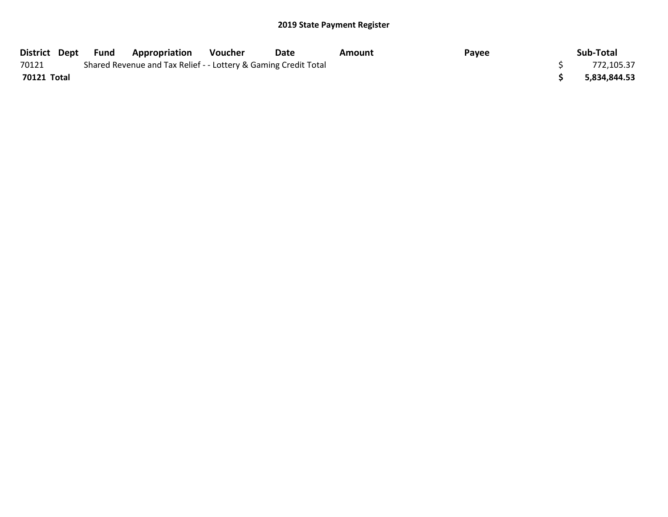| District Dept | Fund | <b>Appropriation</b>                                            | Voucher | Date | Amount | Payee | Sub-Total    |
|---------------|------|-----------------------------------------------------------------|---------|------|--------|-------|--------------|
| 70121         |      | Shared Revenue and Tax Relief - - Lottery & Gaming Credit Total |         |      |        |       | 772,105.37   |
| 70121 Total   |      |                                                                 |         |      |        |       | 5,834,844.53 |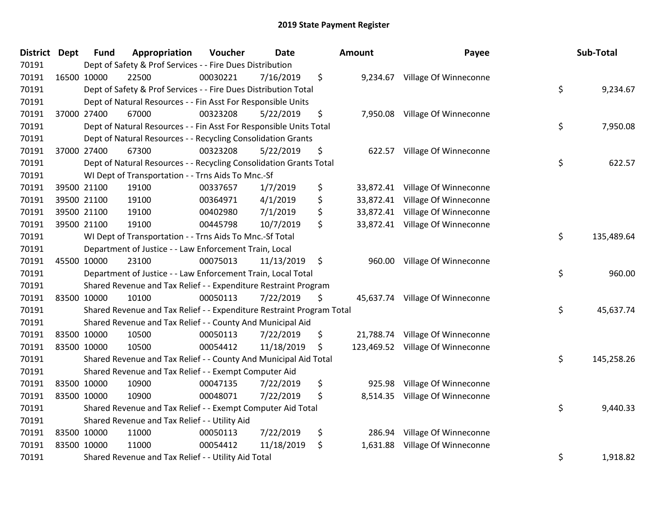| District Dept | <b>Fund</b> | Appropriation                                                         | Voucher  | <b>Date</b> |    | <b>Amount</b> | Payee                            | Sub-Total        |
|---------------|-------------|-----------------------------------------------------------------------|----------|-------------|----|---------------|----------------------------------|------------------|
| 70191         |             | Dept of Safety & Prof Services - - Fire Dues Distribution             |          |             |    |               |                                  |                  |
| 70191         | 16500 10000 | 22500                                                                 | 00030221 | 7/16/2019   | \$ |               | 9,234.67 Village Of Winneconne   |                  |
| 70191         |             | Dept of Safety & Prof Services - - Fire Dues Distribution Total       |          |             |    |               |                                  | \$<br>9,234.67   |
| 70191         |             | Dept of Natural Resources - - Fin Asst For Responsible Units          |          |             |    |               |                                  |                  |
| 70191         | 37000 27400 | 67000                                                                 | 00323208 | 5/22/2019   | \$ | 7,950.08      | Village Of Winneconne            |                  |
| 70191         |             | Dept of Natural Resources - - Fin Asst For Responsible Units Total    |          |             |    |               |                                  | \$<br>7,950.08   |
| 70191         |             | Dept of Natural Resources - - Recycling Consolidation Grants          |          |             |    |               |                                  |                  |
| 70191         | 37000 27400 | 67300                                                                 | 00323208 | 5/22/2019   | \$ |               | 622.57 Village Of Winneconne     |                  |
| 70191         |             | Dept of Natural Resources - - Recycling Consolidation Grants Total    |          |             |    |               |                                  | \$<br>622.57     |
| 70191         |             | WI Dept of Transportation - - Trns Aids To Mnc.-Sf                    |          |             |    |               |                                  |                  |
| 70191         | 39500 21100 | 19100                                                                 | 00337657 | 1/7/2019    | \$ |               | 33,872.41 Village Of Winneconne  |                  |
| 70191         | 39500 21100 | 19100                                                                 | 00364971 | 4/1/2019    | \$ |               | 33,872.41 Village Of Winneconne  |                  |
| 70191         | 39500 21100 | 19100                                                                 | 00402980 | 7/1/2019    | \$ |               | 33,872.41 Village Of Winneconne  |                  |
| 70191         | 39500 21100 | 19100                                                                 | 00445798 | 10/7/2019   | \$ |               | 33,872.41 Village Of Winneconne  |                  |
| 70191         |             | WI Dept of Transportation - - Trns Aids To Mnc.-Sf Total              |          |             |    |               |                                  | \$<br>135,489.64 |
| 70191         |             | Department of Justice - - Law Enforcement Train, Local                |          |             |    |               |                                  |                  |
| 70191         | 45500 10000 | 23100                                                                 | 00075013 | 11/13/2019  | \$ | 960.00        | Village Of Winneconne            |                  |
| 70191         |             | Department of Justice - - Law Enforcement Train, Local Total          |          |             |    |               |                                  | \$<br>960.00     |
| 70191         |             | Shared Revenue and Tax Relief - - Expenditure Restraint Program       |          |             |    |               |                                  |                  |
| 70191         | 83500 10000 | 10100                                                                 | 00050113 | 7/22/2019   | S. |               | 45,637.74 Village Of Winneconne  |                  |
| 70191         |             | Shared Revenue and Tax Relief - - Expenditure Restraint Program Total |          |             |    |               |                                  | \$<br>45,637.74  |
| 70191         |             | Shared Revenue and Tax Relief - - County And Municipal Aid            |          |             |    |               |                                  |                  |
| 70191         | 83500 10000 | 10500                                                                 | 00050113 | 7/22/2019   | \$ |               | 21,788.74 Village Of Winneconne  |                  |
| 70191         | 83500 10000 | 10500                                                                 | 00054412 | 11/18/2019  | \$ |               | 123,469.52 Village Of Winneconne |                  |
| 70191         |             | Shared Revenue and Tax Relief - - County And Municipal Aid Total      |          |             |    |               |                                  | \$<br>145,258.26 |
| 70191         |             | Shared Revenue and Tax Relief - - Exempt Computer Aid                 |          |             |    |               |                                  |                  |
| 70191         | 83500 10000 | 10900                                                                 | 00047135 | 7/22/2019   | \$ | 925.98        | Village Of Winneconne            |                  |
| 70191         | 83500 10000 | 10900                                                                 | 00048071 | 7/22/2019   | \$ |               | 8,514.35 Village Of Winneconne   |                  |
| 70191         |             | Shared Revenue and Tax Relief - - Exempt Computer Aid Total           |          |             |    |               |                                  | \$<br>9,440.33   |
| 70191         |             | Shared Revenue and Tax Relief - - Utility Aid                         |          |             |    |               |                                  |                  |
| 70191         | 83500 10000 | 11000                                                                 | 00050113 | 7/22/2019   | \$ | 286.94        | Village Of Winneconne            |                  |
| 70191         | 83500 10000 | 11000                                                                 | 00054412 | 11/18/2019  | \$ | 1,631.88      | Village Of Winneconne            |                  |
| 70191         |             | Shared Revenue and Tax Relief - - Utility Aid Total                   |          |             |    |               |                                  | \$<br>1,918.82   |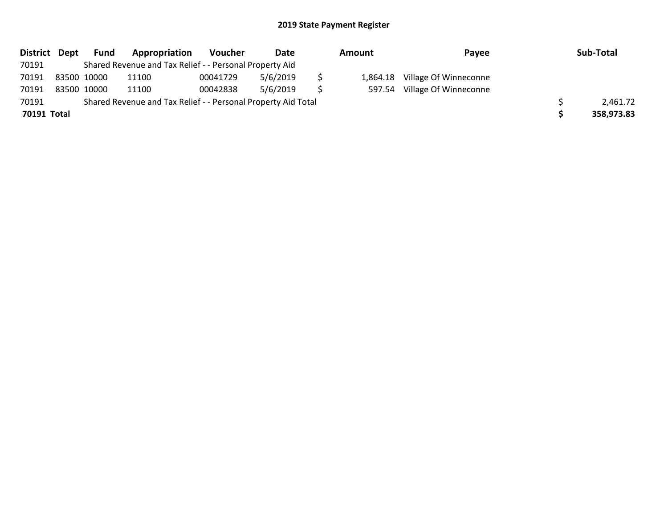| District Dept |             | Fund | Appropriation                                                 | Voucher  | Date     | Amount   | Payee                 | Sub-Total  |
|---------------|-------------|------|---------------------------------------------------------------|----------|----------|----------|-----------------------|------------|
| 70191         |             |      | Shared Revenue and Tax Relief - - Personal Property Aid       |          |          |          |                       |            |
| 70191         | 83500 10000 |      | 11100                                                         | 00041729 | 5/6/2019 | 1.864.18 | Village Of Winneconne |            |
| 70191         | 83500 10000 |      | 11100                                                         | 00042838 | 5/6/2019 | 597.54   | Village Of Winneconne |            |
| 70191         |             |      | Shared Revenue and Tax Relief - - Personal Property Aid Total |          |          |          |                       | 2,461.72   |
| 70191 Total   |             |      |                                                               |          |          |          |                       | 358,973.83 |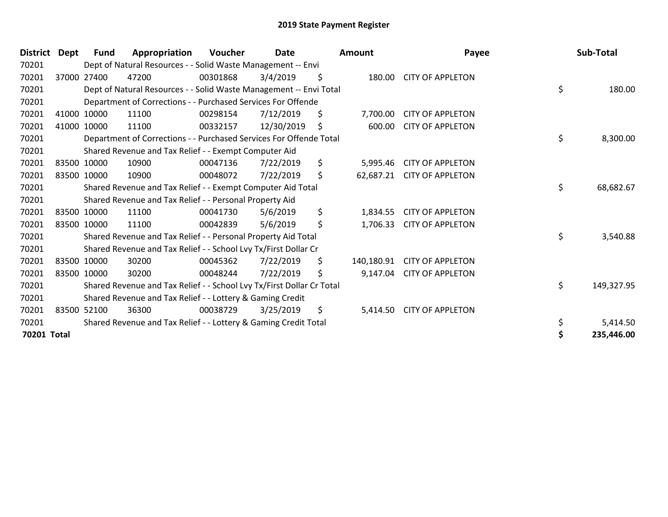| <b>District</b> | Dept | <b>Fund</b> | Appropriation                                                         | <b>Voucher</b> | <b>Date</b> | Amount           | Payee                   |    | Sub-Total  |
|-----------------|------|-------------|-----------------------------------------------------------------------|----------------|-------------|------------------|-------------------------|----|------------|
| 70201           |      |             | Dept of Natural Resources - - Solid Waste Management -- Envi          |                |             |                  |                         |    |            |
| 70201           |      | 37000 27400 | 47200                                                                 | 00301868       | 3/4/2019    | \$<br>180.00     | <b>CITY OF APPLETON</b> |    |            |
| 70201           |      |             | Dept of Natural Resources - - Solid Waste Management -- Envi Total    |                |             |                  |                         | \$ | 180.00     |
| 70201           |      |             | Department of Corrections - - Purchased Services For Offende          |                |             |                  |                         |    |            |
| 70201           |      | 41000 10000 | 11100                                                                 | 00298154       | 7/12/2019   | \$<br>7,700.00   | <b>CITY OF APPLETON</b> |    |            |
| 70201           |      | 41000 10000 | 11100                                                                 | 00332157       | 12/30/2019  | \$<br>600.00     | <b>CITY OF APPLETON</b> |    |            |
| 70201           |      |             | Department of Corrections - - Purchased Services For Offende Total    |                |             |                  |                         | \$ | 8,300.00   |
| 70201           |      |             | Shared Revenue and Tax Relief - - Exempt Computer Aid                 |                |             |                  |                         |    |            |
| 70201           |      | 83500 10000 | 10900                                                                 | 00047136       | 7/22/2019   | \$<br>5,995.46   | <b>CITY OF APPLETON</b> |    |            |
| 70201           |      | 83500 10000 | 10900                                                                 | 00048072       | 7/22/2019   | \$<br>62,687.21  | <b>CITY OF APPLETON</b> |    |            |
| 70201           |      |             | Shared Revenue and Tax Relief - - Exempt Computer Aid Total           |                |             |                  |                         | \$ | 68,682.67  |
| 70201           |      |             | Shared Revenue and Tax Relief - - Personal Property Aid               |                |             |                  |                         |    |            |
| 70201           |      | 83500 10000 | 11100                                                                 | 00041730       | 5/6/2019    | \$<br>1,834.55   | <b>CITY OF APPLETON</b> |    |            |
| 70201           |      | 83500 10000 | 11100                                                                 | 00042839       | 5/6/2019    | \$<br>1,706.33   | <b>CITY OF APPLETON</b> |    |            |
| 70201           |      |             | Shared Revenue and Tax Relief - - Personal Property Aid Total         |                |             |                  |                         | \$ | 3,540.88   |
| 70201           |      |             | Shared Revenue and Tax Relief - - School Lvy Tx/First Dollar Cr       |                |             |                  |                         |    |            |
| 70201           |      | 83500 10000 | 30200                                                                 | 00045362       | 7/22/2019   | \$<br>140,180.91 | <b>CITY OF APPLETON</b> |    |            |
| 70201           |      | 83500 10000 | 30200                                                                 | 00048244       | 7/22/2019   | \$<br>9,147.04   | <b>CITY OF APPLETON</b> |    |            |
| 70201           |      |             | Shared Revenue and Tax Relief - - School Lvy Tx/First Dollar Cr Total |                |             |                  |                         | \$ | 149,327.95 |
| 70201           |      |             | Shared Revenue and Tax Relief - - Lottery & Gaming Credit             |                |             |                  |                         |    |            |
| 70201           |      | 83500 52100 | 36300                                                                 | 00038729       | 3/25/2019   | \$<br>5,414.50   | <b>CITY OF APPLETON</b> |    |            |
| 70201           |      |             | Shared Revenue and Tax Relief - - Lottery & Gaming Credit Total       |                |             |                  |                         | \$ | 5,414.50   |
| 70201 Total     |      |             |                                                                       |                |             |                  |                         | Ś  | 235,446.00 |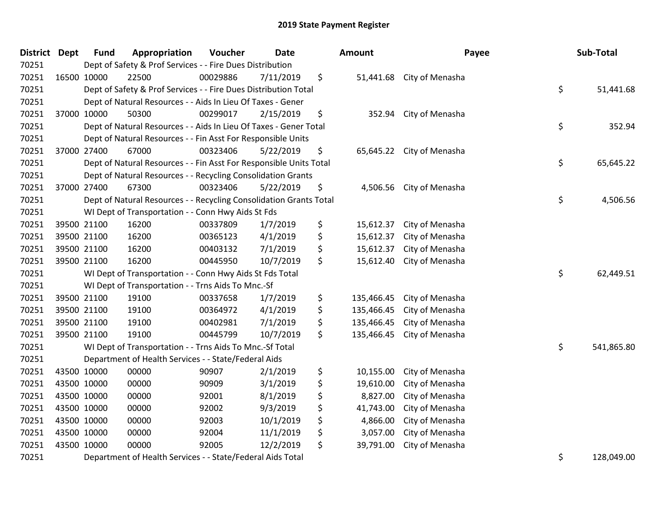| <b>District</b> | <b>Dept</b> | <b>Fund</b> | Appropriation                                                      | Voucher  | <b>Date</b> | Amount           | Payee                     | Sub-Total        |
|-----------------|-------------|-------------|--------------------------------------------------------------------|----------|-------------|------------------|---------------------------|------------------|
| 70251           |             |             | Dept of Safety & Prof Services - - Fire Dues Distribution          |          |             |                  |                           |                  |
| 70251           | 16500 10000 |             | 22500                                                              | 00029886 | 7/11/2019   | \$               | 51,441.68 City of Menasha |                  |
| 70251           |             |             | Dept of Safety & Prof Services - - Fire Dues Distribution Total    |          |             |                  |                           | \$<br>51,441.68  |
| 70251           |             |             | Dept of Natural Resources - - Aids In Lieu Of Taxes - Gener        |          |             |                  |                           |                  |
| 70251           |             | 37000 10000 | 50300                                                              | 00299017 | 2/15/2019   | \$<br>352.94     | City of Menasha           |                  |
| 70251           |             |             | Dept of Natural Resources - - Aids In Lieu Of Taxes - Gener Total  |          |             |                  |                           | \$<br>352.94     |
| 70251           |             |             | Dept of Natural Resources - - Fin Asst For Responsible Units       |          |             |                  |                           |                  |
| 70251           |             | 37000 27400 | 67000                                                              | 00323406 | 5/22/2019   | \$<br>65,645.22  | City of Menasha           |                  |
| 70251           |             |             | Dept of Natural Resources - - Fin Asst For Responsible Units Total |          |             |                  |                           | \$<br>65,645.22  |
| 70251           |             |             | Dept of Natural Resources - - Recycling Consolidation Grants       |          |             |                  |                           |                  |
| 70251           |             | 37000 27400 | 67300                                                              | 00323406 | 5/22/2019   | \$<br>4,506.56   | City of Menasha           |                  |
| 70251           |             |             | Dept of Natural Resources - - Recycling Consolidation Grants Total |          |             |                  |                           | \$<br>4,506.56   |
| 70251           |             |             | WI Dept of Transportation - - Conn Hwy Aids St Fds                 |          |             |                  |                           |                  |
| 70251           |             | 39500 21100 | 16200                                                              | 00337809 | 1/7/2019    | \$<br>15,612.37  | City of Menasha           |                  |
| 70251           |             | 39500 21100 | 16200                                                              | 00365123 | 4/1/2019    | \$<br>15,612.37  | City of Menasha           |                  |
| 70251           |             | 39500 21100 | 16200                                                              | 00403132 | 7/1/2019    | \$<br>15,612.37  | City of Menasha           |                  |
| 70251           |             | 39500 21100 | 16200                                                              | 00445950 | 10/7/2019   | \$<br>15,612.40  | City of Menasha           |                  |
| 70251           |             |             | WI Dept of Transportation - - Conn Hwy Aids St Fds Total           |          |             |                  |                           | \$<br>62,449.51  |
| 70251           |             |             | WI Dept of Transportation - - Trns Aids To Mnc.-Sf                 |          |             |                  |                           |                  |
| 70251           |             | 39500 21100 | 19100                                                              | 00337658 | 1/7/2019    | \$<br>135,466.45 | City of Menasha           |                  |
| 70251           |             | 39500 21100 | 19100                                                              | 00364972 | 4/1/2019    | \$<br>135,466.45 | City of Menasha           |                  |
| 70251           |             | 39500 21100 | 19100                                                              | 00402981 | 7/1/2019    | \$<br>135,466.45 | City of Menasha           |                  |
| 70251           |             | 39500 21100 | 19100                                                              | 00445799 | 10/7/2019   | \$<br>135,466.45 | City of Menasha           |                  |
| 70251           |             |             | WI Dept of Transportation - - Trns Aids To Mnc.-Sf Total           |          |             |                  |                           | \$<br>541,865.80 |
| 70251           |             |             | Department of Health Services - - State/Federal Aids               |          |             |                  |                           |                  |
| 70251           |             | 43500 10000 | 00000                                                              | 90907    | 2/1/2019    | \$<br>10,155.00  | City of Menasha           |                  |
| 70251           | 43500 10000 |             | 00000                                                              | 90909    | 3/1/2019    | \$<br>19,610.00  | City of Menasha           |                  |
| 70251           | 43500 10000 |             | 00000                                                              | 92001    | 8/1/2019    | \$<br>8,827.00   | City of Menasha           |                  |
| 70251           |             | 43500 10000 | 00000                                                              | 92002    | 9/3/2019    | \$<br>41,743.00  | City of Menasha           |                  |
| 70251           |             | 43500 10000 | 00000                                                              | 92003    | 10/1/2019   | \$<br>4,866.00   | City of Menasha           |                  |
| 70251           |             | 43500 10000 | 00000                                                              | 92004    | 11/1/2019   | \$<br>3,057.00   | City of Menasha           |                  |
| 70251           |             | 43500 10000 | 00000                                                              | 92005    | 12/2/2019   | \$<br>39,791.00  | City of Menasha           |                  |
| 70251           |             |             | Department of Health Services - - State/Federal Aids Total         |          |             |                  |                           | \$<br>128,049.00 |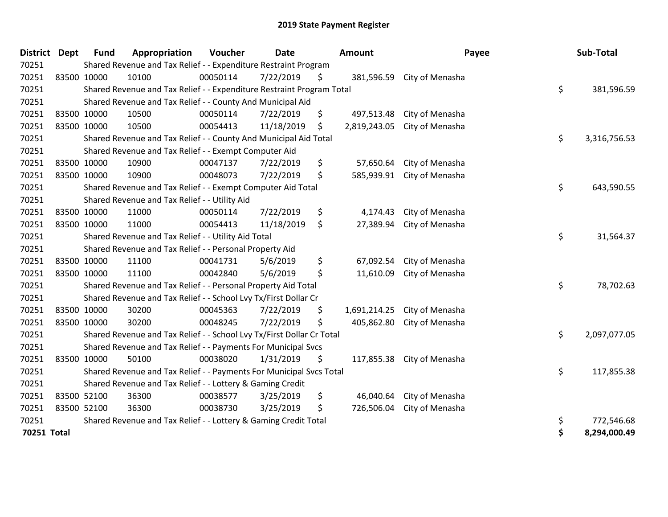| <b>District</b> | <b>Dept</b> | <b>Fund</b> | Appropriation                                                         | Voucher  | <b>Date</b> | Amount             | Payee           | Sub-Total          |
|-----------------|-------------|-------------|-----------------------------------------------------------------------|----------|-------------|--------------------|-----------------|--------------------|
| 70251           |             |             | Shared Revenue and Tax Relief - - Expenditure Restraint Program       |          |             |                    |                 |                    |
| 70251           | 83500 10000 |             | 10100                                                                 | 00050114 | 7/22/2019   | \$<br>381,596.59   | City of Menasha |                    |
| 70251           |             |             | Shared Revenue and Tax Relief - - Expenditure Restraint Program Total |          |             |                    |                 | \$<br>381,596.59   |
| 70251           |             |             | Shared Revenue and Tax Relief - - County And Municipal Aid            |          |             |                    |                 |                    |
| 70251           |             | 83500 10000 | 10500                                                                 | 00050114 | 7/22/2019   | \$<br>497,513.48   | City of Menasha |                    |
| 70251           | 83500 10000 |             | 10500                                                                 | 00054413 | 11/18/2019  | \$<br>2,819,243.05 | City of Menasha |                    |
| 70251           |             |             | Shared Revenue and Tax Relief - - County And Municipal Aid Total      |          |             |                    |                 | \$<br>3,316,756.53 |
| 70251           |             |             | Shared Revenue and Tax Relief - - Exempt Computer Aid                 |          |             |                    |                 |                    |
| 70251           |             | 83500 10000 | 10900                                                                 | 00047137 | 7/22/2019   | \$<br>57,650.64    | City of Menasha |                    |
| 70251           |             | 83500 10000 | 10900                                                                 | 00048073 | 7/22/2019   | \$<br>585,939.91   | City of Menasha |                    |
| 70251           |             |             | Shared Revenue and Tax Relief - - Exempt Computer Aid Total           |          |             |                    |                 | \$<br>643,590.55   |
| 70251           |             |             | Shared Revenue and Tax Relief - - Utility Aid                         |          |             |                    |                 |                    |
| 70251           |             | 83500 10000 | 11000                                                                 | 00050114 | 7/22/2019   | \$<br>4,174.43     | City of Menasha |                    |
| 70251           | 83500 10000 |             | 11000                                                                 | 00054413 | 11/18/2019  | \$<br>27,389.94    | City of Menasha |                    |
| 70251           |             |             | Shared Revenue and Tax Relief - - Utility Aid Total                   |          |             |                    |                 | \$<br>31,564.37    |
| 70251           |             |             | Shared Revenue and Tax Relief - - Personal Property Aid               |          |             |                    |                 |                    |
| 70251           |             | 83500 10000 | 11100                                                                 | 00041731 | 5/6/2019    | \$<br>67,092.54    | City of Menasha |                    |
| 70251           | 83500 10000 |             | 11100                                                                 | 00042840 | 5/6/2019    | \$<br>11,610.09    | City of Menasha |                    |
| 70251           |             |             | Shared Revenue and Tax Relief - - Personal Property Aid Total         |          |             |                    |                 | \$<br>78,702.63    |
| 70251           |             |             | Shared Revenue and Tax Relief - - School Lvy Tx/First Dollar Cr       |          |             |                    |                 |                    |
| 70251           |             | 83500 10000 | 30200                                                                 | 00045363 | 7/22/2019   | \$<br>1,691,214.25 | City of Menasha |                    |
| 70251           |             | 83500 10000 | 30200                                                                 | 00048245 | 7/22/2019   | \$<br>405,862.80   | City of Menasha |                    |
| 70251           |             |             | Shared Revenue and Tax Relief - - School Lvy Tx/First Dollar Cr Total |          |             |                    |                 | \$<br>2,097,077.05 |
| 70251           |             |             | Shared Revenue and Tax Relief - - Payments For Municipal Svcs         |          |             |                    |                 |                    |
| 70251           |             | 83500 10000 | 50100                                                                 | 00038020 | 1/31/2019   | \$<br>117,855.38   | City of Menasha |                    |
| 70251           |             |             | Shared Revenue and Tax Relief - - Payments For Municipal Svcs Total   |          |             |                    |                 | \$<br>117,855.38   |
| 70251           |             |             | Shared Revenue and Tax Relief - - Lottery & Gaming Credit             |          |             |                    |                 |                    |
| 70251           |             | 83500 52100 | 36300                                                                 | 00038577 | 3/25/2019   | \$<br>46,040.64    | City of Menasha |                    |
| 70251           | 83500 52100 |             | 36300                                                                 | 00038730 | 3/25/2019   | \$<br>726,506.04   | City of Menasha |                    |
| 70251           |             |             | Shared Revenue and Tax Relief - - Lottery & Gaming Credit Total       |          |             |                    |                 | \$<br>772,546.68   |
| 70251 Total     |             |             |                                                                       |          |             |                    |                 | \$<br>8,294,000.49 |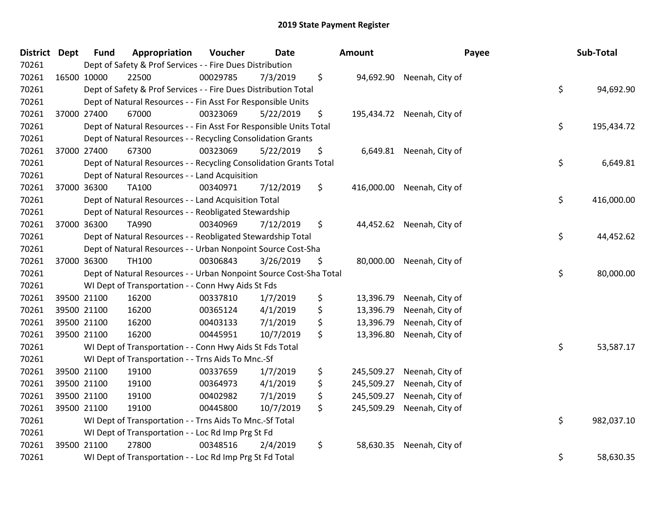| District Dept |             | <b>Fund</b> | Appropriation                                                      | Voucher  | <b>Date</b> | Amount           |                            | Payee | Sub-Total  |
|---------------|-------------|-------------|--------------------------------------------------------------------|----------|-------------|------------------|----------------------------|-------|------------|
| 70261         |             |             | Dept of Safety & Prof Services - - Fire Dues Distribution          |          |             |                  |                            |       |            |
| 70261         | 16500 10000 |             | 22500                                                              | 00029785 | 7/3/2019    | \$               | 94,692.90 Neenah, City of  |       |            |
| 70261         |             |             | Dept of Safety & Prof Services - - Fire Dues Distribution Total    |          |             |                  |                            | \$    | 94,692.90  |
| 70261         |             |             | Dept of Natural Resources - - Fin Asst For Responsible Units       |          |             |                  |                            |       |            |
| 70261         | 37000 27400 |             | 67000                                                              | 00323069 | 5/22/2019   | \$               | 195,434.72 Neenah, City of |       |            |
| 70261         |             |             | Dept of Natural Resources - - Fin Asst For Responsible Units Total |          |             |                  |                            | \$    | 195,434.72 |
| 70261         |             |             | Dept of Natural Resources - - Recycling Consolidation Grants       |          |             |                  |                            |       |            |
| 70261         |             | 37000 27400 | 67300                                                              | 00323069 | 5/22/2019   | \$               | 6,649.81 Neenah, City of   |       |            |
| 70261         |             |             | Dept of Natural Resources - - Recycling Consolidation Grants Total |          |             |                  |                            | \$    | 6,649.81   |
| 70261         |             |             | Dept of Natural Resources - - Land Acquisition                     |          |             |                  |                            |       |            |
| 70261         | 37000 36300 |             | TA100                                                              | 00340971 | 7/12/2019   | \$               | 416,000.00 Neenah, City of |       |            |
| 70261         |             |             | Dept of Natural Resources - - Land Acquisition Total               |          |             |                  |                            | \$    | 416,000.00 |
| 70261         |             |             | Dept of Natural Resources - - Reobligated Stewardship              |          |             |                  |                            |       |            |
| 70261         | 37000 36300 |             | TA990                                                              | 00340969 | 7/12/2019   | \$               | 44,452.62 Neenah, City of  |       |            |
| 70261         |             |             | Dept of Natural Resources - - Reobligated Stewardship Total        |          |             |                  |                            | \$    | 44,452.62  |
| 70261         |             |             | Dept of Natural Resources - - Urban Nonpoint Source Cost-Sha       |          |             |                  |                            |       |            |
| 70261         | 37000 36300 |             | <b>TH100</b>                                                       | 00306843 | 3/26/2019   | \$               | 80,000.00 Neenah, City of  |       |            |
| 70261         |             |             | Dept of Natural Resources - - Urban Nonpoint Source Cost-Sha Total |          |             |                  |                            | \$    | 80,000.00  |
| 70261         |             |             | WI Dept of Transportation - - Conn Hwy Aids St Fds                 |          |             |                  |                            |       |            |
| 70261         | 39500 21100 |             | 16200                                                              | 00337810 | 1/7/2019    | \$<br>13,396.79  | Neenah, City of            |       |            |
| 70261         |             | 39500 21100 | 16200                                                              | 00365124 | 4/1/2019    | \$<br>13,396.79  | Neenah, City of            |       |            |
| 70261         | 39500 21100 |             | 16200                                                              | 00403133 | 7/1/2019    | \$<br>13,396.79  | Neenah, City of            |       |            |
| 70261         | 39500 21100 |             | 16200                                                              | 00445951 | 10/7/2019   | \$<br>13,396.80  | Neenah, City of            |       |            |
| 70261         |             |             | WI Dept of Transportation - - Conn Hwy Aids St Fds Total           |          |             |                  |                            | \$    | 53,587.17  |
| 70261         |             |             | WI Dept of Transportation - - Trns Aids To Mnc.-Sf                 |          |             |                  |                            |       |            |
| 70261         | 39500 21100 |             | 19100                                                              | 00337659 | 1/7/2019    | \$<br>245,509.27 | Neenah, City of            |       |            |
| 70261         | 39500 21100 |             | 19100                                                              | 00364973 | 4/1/2019    | \$<br>245,509.27 | Neenah, City of            |       |            |
| 70261         | 39500 21100 |             | 19100                                                              | 00402982 | 7/1/2019    | \$<br>245,509.27 | Neenah, City of            |       |            |
| 70261         | 39500 21100 |             | 19100                                                              | 00445800 | 10/7/2019   | \$<br>245,509.29 | Neenah, City of            |       |            |
| 70261         |             |             | WI Dept of Transportation - - Trns Aids To Mnc.-Sf Total           |          |             |                  |                            | \$    | 982,037.10 |
| 70261         |             |             | WI Dept of Transportation - - Loc Rd Imp Prg St Fd                 |          |             |                  |                            |       |            |
| 70261         | 39500 21100 |             | 27800                                                              | 00348516 | 2/4/2019    | \$<br>58,630.35  | Neenah, City of            |       |            |
| 70261         |             |             | WI Dept of Transportation - - Loc Rd Imp Prg St Fd Total           |          |             |                  |                            | \$    | 58,630.35  |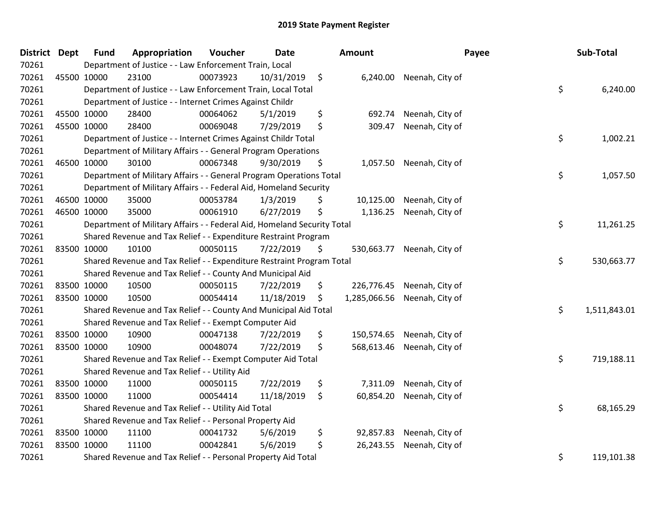| District Dept | <b>Fund</b> | Appropriation                                                           | Voucher  | <b>Date</b> |         | Amount       |                            | Payee | Sub-Total    |
|---------------|-------------|-------------------------------------------------------------------------|----------|-------------|---------|--------------|----------------------------|-------|--------------|
| 70261         |             | Department of Justice - - Law Enforcement Train, Local                  |          |             |         |              |                            |       |              |
| 70261         | 45500 10000 | 23100                                                                   | 00073923 | 10/31/2019  | $\zeta$ |              | 6,240.00 Neenah, City of   |       |              |
| 70261         |             | Department of Justice - - Law Enforcement Train, Local Total            |          |             |         |              |                            | \$    | 6,240.00     |
| 70261         |             | Department of Justice - - Internet Crimes Against Childr                |          |             |         |              |                            |       |              |
| 70261         | 45500 10000 | 28400                                                                   | 00064062 | 5/1/2019    | \$      | 692.74       | Neenah, City of            |       |              |
| 70261         | 45500 10000 | 28400                                                                   | 00069048 | 7/29/2019   | \$      | 309.47       | Neenah, City of            |       |              |
| 70261         |             | Department of Justice - - Internet Crimes Against Childr Total          |          |             |         |              |                            | \$    | 1,002.21     |
| 70261         |             | Department of Military Affairs - - General Program Operations           |          |             |         |              |                            |       |              |
| 70261         | 46500 10000 | 30100                                                                   | 00067348 | 9/30/2019   | \$      |              | 1,057.50 Neenah, City of   |       |              |
| 70261         |             | Department of Military Affairs - - General Program Operations Total     |          |             |         |              |                            | \$    | 1,057.50     |
| 70261         |             | Department of Military Affairs - - Federal Aid, Homeland Security       |          |             |         |              |                            |       |              |
| 70261         | 46500 10000 | 35000                                                                   | 00053784 | 1/3/2019    | \$      | 10,125.00    | Neenah, City of            |       |              |
| 70261         | 46500 10000 | 35000                                                                   | 00061910 | 6/27/2019   | \$      | 1,136.25     | Neenah, City of            |       |              |
| 70261         |             | Department of Military Affairs - - Federal Aid, Homeland Security Total |          |             |         |              |                            | \$    | 11,261.25    |
| 70261         |             | Shared Revenue and Tax Relief - - Expenditure Restraint Program         |          |             |         |              |                            |       |              |
| 70261         | 83500 10000 | 10100                                                                   | 00050115 | 7/22/2019   | \$      |              | 530,663.77 Neenah, City of |       |              |
| 70261         |             | Shared Revenue and Tax Relief - - Expenditure Restraint Program Total   |          |             |         |              |                            | \$    | 530,663.77   |
| 70261         |             | Shared Revenue and Tax Relief - - County And Municipal Aid              |          |             |         |              |                            |       |              |
| 70261         | 83500 10000 | 10500                                                                   | 00050115 | 7/22/2019   | \$      | 226,776.45   | Neenah, City of            |       |              |
| 70261         | 83500 10000 | 10500                                                                   | 00054414 | 11/18/2019  | \$      | 1,285,066.56 | Neenah, City of            |       |              |
| 70261         |             | Shared Revenue and Tax Relief - - County And Municipal Aid Total        |          |             |         |              |                            | \$    | 1,511,843.01 |
| 70261         |             | Shared Revenue and Tax Relief - - Exempt Computer Aid                   |          |             |         |              |                            |       |              |
| 70261         | 83500 10000 | 10900                                                                   | 00047138 | 7/22/2019   | \$      |              | 150,574.65 Neenah, City of |       |              |
| 70261         | 83500 10000 | 10900                                                                   | 00048074 | 7/22/2019   | \$      | 568,613.46   | Neenah, City of            |       |              |
| 70261         |             | Shared Revenue and Tax Relief - - Exempt Computer Aid Total             |          |             |         |              |                            | \$    | 719,188.11   |
| 70261         |             | Shared Revenue and Tax Relief - - Utility Aid                           |          |             |         |              |                            |       |              |
| 70261         | 83500 10000 | 11000                                                                   | 00050115 | 7/22/2019   | \$      | 7,311.09     | Neenah, City of            |       |              |
| 70261         | 83500 10000 | 11000                                                                   | 00054414 | 11/18/2019  | \$      | 60,854.20    | Neenah, City of            |       |              |
| 70261         |             | Shared Revenue and Tax Relief - - Utility Aid Total                     |          |             |         |              |                            | \$    | 68,165.29    |
| 70261         |             | Shared Revenue and Tax Relief - - Personal Property Aid                 |          |             |         |              |                            |       |              |
| 70261         | 83500 10000 | 11100                                                                   | 00041732 | 5/6/2019    | \$      | 92,857.83    | Neenah, City of            |       |              |
| 70261         | 83500 10000 | 11100                                                                   | 00042841 | 5/6/2019    | \$      | 26,243.55    | Neenah, City of            |       |              |
| 70261         |             | Shared Revenue and Tax Relief - - Personal Property Aid Total           |          |             |         |              |                            | \$    | 119,101.38   |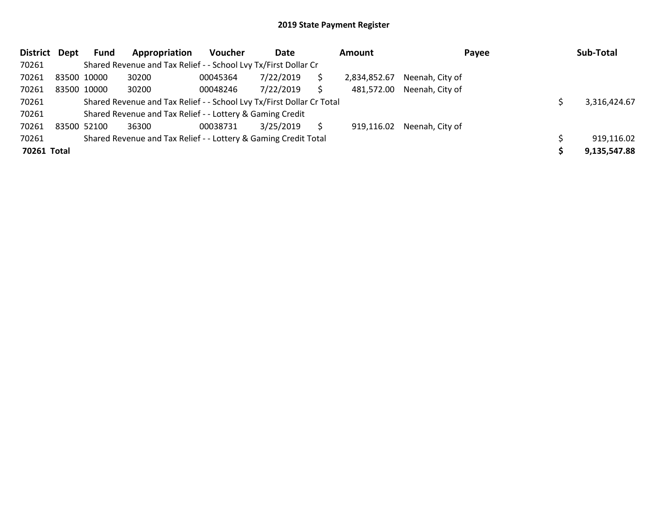| <b>District</b> | Dept | <b>Fund</b> | Appropriation                                                         | <b>Voucher</b> | Date      |    | Amount       | Payee                      | Sub-Total    |
|-----------------|------|-------------|-----------------------------------------------------------------------|----------------|-----------|----|--------------|----------------------------|--------------|
| 70261           |      |             | Shared Revenue and Tax Relief - - School Lvy Tx/First Dollar Cr       |                |           |    |              |                            |              |
| 70261           |      | 83500 10000 | 30200                                                                 | 00045364       | 7/22/2019 | S  | 2,834,852.67 | Neenah, City of            |              |
| 70261           |      | 83500 10000 | 30200                                                                 | 00048246       | 7/22/2019 | \$ |              | 481,572.00 Neenah, City of |              |
| 70261           |      |             | Shared Revenue and Tax Relief - - School Lvy Tx/First Dollar Cr Total |                |           |    |              |                            | 3.316.424.67 |
| 70261           |      |             | Shared Revenue and Tax Relief - - Lottery & Gaming Credit             |                |           |    |              |                            |              |
| 70261           |      | 83500 52100 | 36300                                                                 | 00038731       | 3/25/2019 | S  |              | 919,116.02 Neenah, City of |              |
| 70261           |      |             | Shared Revenue and Tax Relief - - Lottery & Gaming Credit Total       |                |           |    |              |                            | 919,116.02   |
| 70261 Total     |      |             |                                                                       |                |           |    |              |                            | 9,135,547.88 |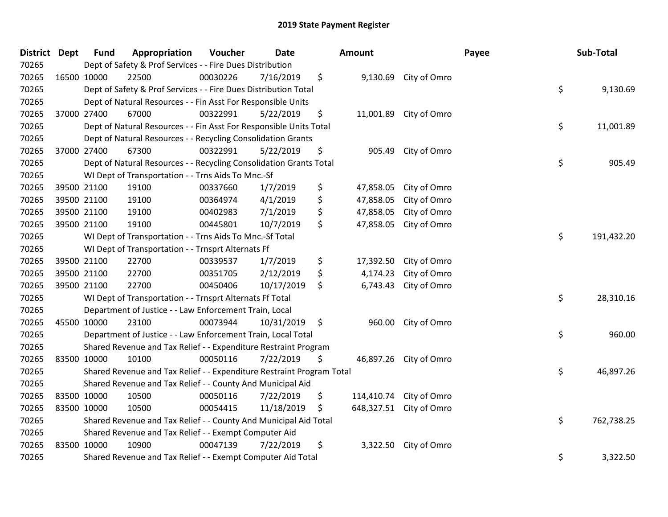| District | <b>Dept</b> | <b>Fund</b> | Appropriation                                                         | Voucher  | <b>Date</b> | <b>Amount</b>    |                         | Payee | Sub-Total  |
|----------|-------------|-------------|-----------------------------------------------------------------------|----------|-------------|------------------|-------------------------|-------|------------|
| 70265    |             |             | Dept of Safety & Prof Services - - Fire Dues Distribution             |          |             |                  |                         |       |            |
| 70265    | 16500 10000 |             | 22500                                                                 | 00030226 | 7/16/2019   | \$               | 9,130.69 City of Omro   |       |            |
| 70265    |             |             | Dept of Safety & Prof Services - - Fire Dues Distribution Total       |          |             |                  |                         | \$    | 9,130.69   |
| 70265    |             |             | Dept of Natural Resources - - Fin Asst For Responsible Units          |          |             |                  |                         |       |            |
| 70265    |             | 37000 27400 | 67000                                                                 | 00322991 | 5/22/2019   | \$<br>11,001.89  | City of Omro            |       |            |
| 70265    |             |             | Dept of Natural Resources - - Fin Asst For Responsible Units Total    |          |             |                  |                         | \$    | 11,001.89  |
| 70265    |             |             | Dept of Natural Resources - - Recycling Consolidation Grants          |          |             |                  |                         |       |            |
| 70265    |             | 37000 27400 | 67300                                                                 | 00322991 | 5/22/2019   | \$<br>905.49     | City of Omro            |       |            |
| 70265    |             |             | Dept of Natural Resources - - Recycling Consolidation Grants Total    |          |             |                  |                         | \$    | 905.49     |
| 70265    |             |             | WI Dept of Transportation - - Trns Aids To Mnc.-Sf                    |          |             |                  |                         |       |            |
| 70265    |             | 39500 21100 | 19100                                                                 | 00337660 | 1/7/2019    | \$<br>47,858.05  | City of Omro            |       |            |
| 70265    |             | 39500 21100 | 19100                                                                 | 00364974 | 4/1/2019    | \$<br>47,858.05  | City of Omro            |       |            |
| 70265    |             | 39500 21100 | 19100                                                                 | 00402983 | 7/1/2019    | \$<br>47,858.05  | City of Omro            |       |            |
| 70265    |             | 39500 21100 | 19100                                                                 | 00445801 | 10/7/2019   | \$<br>47,858.05  | City of Omro            |       |            |
| 70265    |             |             | WI Dept of Transportation - - Trns Aids To Mnc.-Sf Total              |          |             |                  |                         | \$    | 191,432.20 |
| 70265    |             |             | WI Dept of Transportation - - Trnsprt Alternats Ff                    |          |             |                  |                         |       |            |
| 70265    |             | 39500 21100 | 22700                                                                 | 00339537 | 1/7/2019    | \$<br>17,392.50  | City of Omro            |       |            |
| 70265    |             | 39500 21100 | 22700                                                                 | 00351705 | 2/12/2019   | \$<br>4,174.23   | City of Omro            |       |            |
| 70265    |             | 39500 21100 | 22700                                                                 | 00450406 | 10/17/2019  | \$<br>6,743.43   | City of Omro            |       |            |
| 70265    |             |             | WI Dept of Transportation - - Trnsprt Alternats Ff Total              |          |             |                  |                         | \$    | 28,310.16  |
| 70265    |             |             | Department of Justice - - Law Enforcement Train, Local                |          |             |                  |                         |       |            |
| 70265    | 45500 10000 |             | 23100                                                                 | 00073944 | 10/31/2019  | \$<br>960.00     | City of Omro            |       |            |
| 70265    |             |             | Department of Justice - - Law Enforcement Train, Local Total          |          |             |                  |                         | \$    | 960.00     |
| 70265    |             |             | Shared Revenue and Tax Relief - - Expenditure Restraint Program       |          |             |                  |                         |       |            |
| 70265    | 83500 10000 |             | 10100                                                                 | 00050116 | 7/22/2019   | \$               | 46,897.26 City of Omro  |       |            |
| 70265    |             |             | Shared Revenue and Tax Relief - - Expenditure Restraint Program Total |          |             |                  |                         | \$    | 46,897.26  |
| 70265    |             |             | Shared Revenue and Tax Relief - - County And Municipal Aid            |          |             |                  |                         |       |            |
| 70265    |             | 83500 10000 | 10500                                                                 | 00050116 | 7/22/2019   | \$<br>114,410.74 | City of Omro            |       |            |
| 70265    | 83500 10000 |             | 10500                                                                 | 00054415 | 11/18/2019  | \$               | 648,327.51 City of Omro |       |            |
| 70265    |             |             | Shared Revenue and Tax Relief - - County And Municipal Aid Total      |          |             |                  |                         | \$    | 762,738.25 |
| 70265    |             |             | Shared Revenue and Tax Relief - - Exempt Computer Aid                 |          |             |                  |                         |       |            |
| 70265    | 83500 10000 |             | 10900                                                                 | 00047139 | 7/22/2019   | \$<br>3,322.50   | City of Omro            |       |            |
| 70265    |             |             | Shared Revenue and Tax Relief - - Exempt Computer Aid Total           |          |             |                  |                         | \$    | 3,322.50   |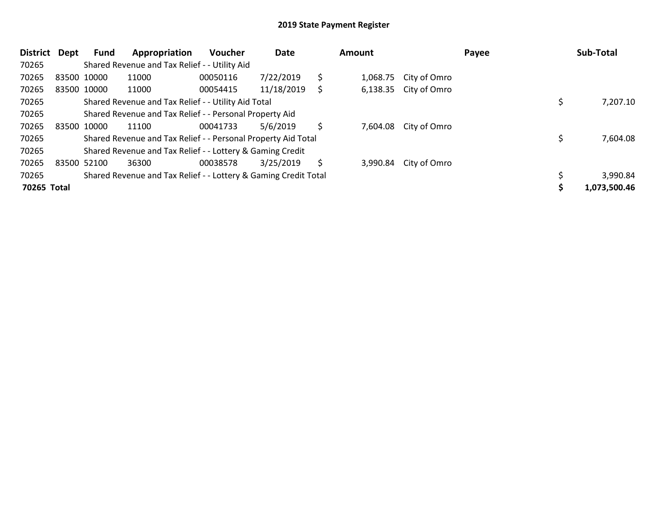| <b>District</b> | Dept | Fund        | Appropriation                                                   | <b>Voucher</b> | Date       |    | Amount   |              | Payee | Sub-Total    |
|-----------------|------|-------------|-----------------------------------------------------------------|----------------|------------|----|----------|--------------|-------|--------------|
| 70265           |      |             | Shared Revenue and Tax Relief - - Utility Aid                   |                |            |    |          |              |       |              |
| 70265           |      | 83500 10000 | 11000                                                           | 00050116       | 7/22/2019  | \$ | 1,068.75 | City of Omro |       |              |
| 70265           |      | 83500 10000 | 11000                                                           | 00054415       | 11/18/2019 | S  | 6,138.35 | City of Omro |       |              |
| 70265           |      |             | Shared Revenue and Tax Relief - - Utility Aid Total             |                |            |    |          |              |       | 7,207.10     |
| 70265           |      |             | Shared Revenue and Tax Relief - - Personal Property Aid         |                |            |    |          |              |       |              |
| 70265           |      | 83500 10000 | 11100                                                           | 00041733       | 5/6/2019   | Ŝ  | 7,604.08 | City of Omro |       |              |
| 70265           |      |             | Shared Revenue and Tax Relief - - Personal Property Aid Total   |                |            |    |          |              |       | 7,604.08     |
| 70265           |      |             | Shared Revenue and Tax Relief - - Lottery & Gaming Credit       |                |            |    |          |              |       |              |
| 70265           |      | 83500 52100 | 36300                                                           | 00038578       | 3/25/2019  | S  | 3.990.84 | City of Omro |       |              |
| 70265           |      |             | Shared Revenue and Tax Relief - - Lottery & Gaming Credit Total |                |            |    |          |              |       | 3,990.84     |
| 70265 Total     |      |             |                                                                 |                |            |    |          |              |       | 1,073,500.46 |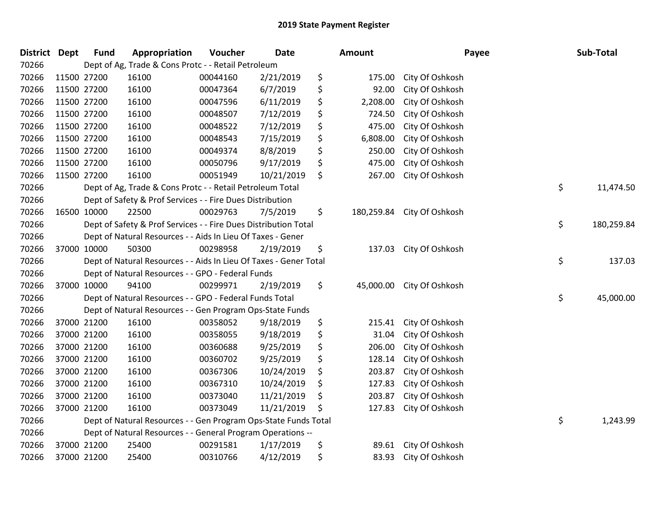| District Dept |             | <b>Fund</b> | Appropriation                                                     | Voucher  | <b>Date</b> | <b>Amount</b>    | Payee           | Sub-Total        |
|---------------|-------------|-------------|-------------------------------------------------------------------|----------|-------------|------------------|-----------------|------------------|
| 70266         |             |             | Dept of Ag, Trade & Cons Protc - - Retail Petroleum               |          |             |                  |                 |                  |
| 70266         | 11500 27200 |             | 16100                                                             | 00044160 | 2/21/2019   | \$<br>175.00     | City Of Oshkosh |                  |
| 70266         | 11500 27200 |             | 16100                                                             | 00047364 | 6/7/2019    | \$<br>92.00      | City Of Oshkosh |                  |
| 70266         | 11500 27200 |             | 16100                                                             | 00047596 | 6/11/2019   | \$<br>2,208.00   | City Of Oshkosh |                  |
| 70266         | 11500 27200 |             | 16100                                                             | 00048507 | 7/12/2019   | \$<br>724.50     | City Of Oshkosh |                  |
| 70266         | 11500 27200 |             | 16100                                                             | 00048522 | 7/12/2019   | \$<br>475.00     | City Of Oshkosh |                  |
| 70266         | 11500 27200 |             | 16100                                                             | 00048543 | 7/15/2019   | \$<br>6,808.00   | City Of Oshkosh |                  |
| 70266         | 11500 27200 |             | 16100                                                             | 00049374 | 8/8/2019    | \$<br>250.00     | City Of Oshkosh |                  |
| 70266         | 11500 27200 |             | 16100                                                             | 00050796 | 9/17/2019   | \$<br>475.00     | City Of Oshkosh |                  |
| 70266         | 11500 27200 |             | 16100                                                             | 00051949 | 10/21/2019  | \$<br>267.00     | City Of Oshkosh |                  |
| 70266         |             |             | Dept of Ag, Trade & Cons Protc - - Retail Petroleum Total         |          |             |                  |                 | \$<br>11,474.50  |
| 70266         |             |             | Dept of Safety & Prof Services - - Fire Dues Distribution         |          |             |                  |                 |                  |
| 70266         | 16500 10000 |             | 22500                                                             | 00029763 | 7/5/2019    | \$<br>180,259.84 | City Of Oshkosh |                  |
| 70266         |             |             | Dept of Safety & Prof Services - - Fire Dues Distribution Total   |          |             |                  |                 | \$<br>180,259.84 |
| 70266         |             |             | Dept of Natural Resources - - Aids In Lieu Of Taxes - Gener       |          |             |                  |                 |                  |
| 70266         |             | 37000 10000 | 50300                                                             | 00298958 | 2/19/2019   | \$<br>137.03     | City Of Oshkosh |                  |
| 70266         |             |             | Dept of Natural Resources - - Aids In Lieu Of Taxes - Gener Total |          |             |                  |                 | \$<br>137.03     |
| 70266         |             |             | Dept of Natural Resources - - GPO - Federal Funds                 |          |             |                  |                 |                  |
| 70266         | 37000 10000 |             | 94100                                                             | 00299971 | 2/19/2019   | \$<br>45,000.00  | City Of Oshkosh |                  |
| 70266         |             |             | Dept of Natural Resources - - GPO - Federal Funds Total           |          |             |                  |                 | \$<br>45,000.00  |
| 70266         |             |             | Dept of Natural Resources - - Gen Program Ops-State Funds         |          |             |                  |                 |                  |
| 70266         | 37000 21200 |             | 16100                                                             | 00358052 | 9/18/2019   | \$<br>215.41     | City Of Oshkosh |                  |
| 70266         | 37000 21200 |             | 16100                                                             | 00358055 | 9/18/2019   | \$<br>31.04      | City Of Oshkosh |                  |
| 70266         | 37000 21200 |             | 16100                                                             | 00360688 | 9/25/2019   | \$<br>206.00     | City Of Oshkosh |                  |
| 70266         | 37000 21200 |             | 16100                                                             | 00360702 | 9/25/2019   | \$<br>128.14     | City Of Oshkosh |                  |
| 70266         | 37000 21200 |             | 16100                                                             | 00367306 | 10/24/2019  | \$<br>203.87     | City Of Oshkosh |                  |
| 70266         | 37000 21200 |             | 16100                                                             | 00367310 | 10/24/2019  | \$<br>127.83     | City Of Oshkosh |                  |
| 70266         | 37000 21200 |             | 16100                                                             | 00373040 | 11/21/2019  | \$<br>203.87     | City Of Oshkosh |                  |
| 70266         | 37000 21200 |             | 16100                                                             | 00373049 | 11/21/2019  | \$<br>127.83     | City Of Oshkosh |                  |
| 70266         |             |             | Dept of Natural Resources - - Gen Program Ops-State Funds Total   |          |             |                  |                 | \$<br>1,243.99   |
| 70266         |             |             | Dept of Natural Resources - - General Program Operations --       |          |             |                  |                 |                  |
| 70266         | 37000 21200 |             | 25400                                                             | 00291581 | 1/17/2019   | \$<br>89.61      | City Of Oshkosh |                  |
| 70266         | 37000 21200 |             | 25400                                                             | 00310766 | 4/12/2019   | \$<br>83.93      | City Of Oshkosh |                  |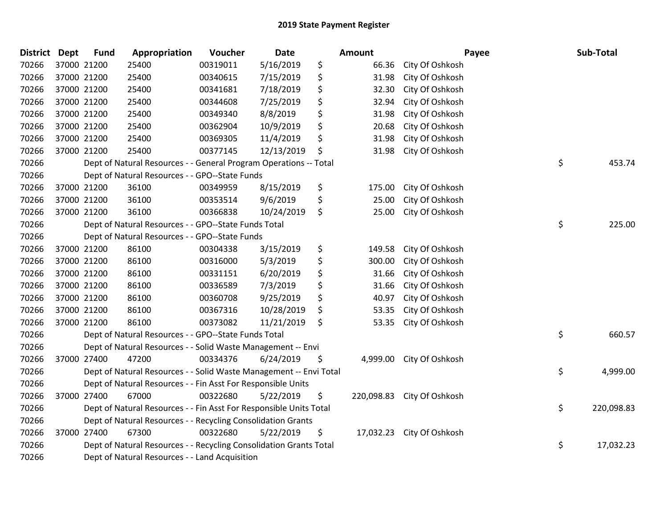| <b>District Dept</b> | <b>Fund</b> | Appropriation                                                      | Voucher  | <b>Date</b> | Amount          |                            | Payee | Sub-Total  |
|----------------------|-------------|--------------------------------------------------------------------|----------|-------------|-----------------|----------------------------|-------|------------|
| 70266                | 37000 21200 | 25400                                                              | 00319011 | 5/16/2019   | \$<br>66.36     | City Of Oshkosh            |       |            |
| 70266                | 37000 21200 | 25400                                                              | 00340615 | 7/15/2019   | \$<br>31.98     | City Of Oshkosh            |       |            |
| 70266                | 37000 21200 | 25400                                                              | 00341681 | 7/18/2019   | \$<br>32.30     | City Of Oshkosh            |       |            |
| 70266                | 37000 21200 | 25400                                                              | 00344608 | 7/25/2019   | \$<br>32.94     | City Of Oshkosh            |       |            |
| 70266                | 37000 21200 | 25400                                                              | 00349340 | 8/8/2019    | \$<br>31.98     | City Of Oshkosh            |       |            |
| 70266                | 37000 21200 | 25400                                                              | 00362904 | 10/9/2019   | \$<br>20.68     | City Of Oshkosh            |       |            |
| 70266                | 37000 21200 | 25400                                                              | 00369305 | 11/4/2019   | \$<br>31.98     | City Of Oshkosh            |       |            |
| 70266                | 37000 21200 | 25400                                                              | 00377145 | 12/13/2019  | \$<br>31.98     | City Of Oshkosh            |       |            |
| 70266                |             | Dept of Natural Resources - - General Program Operations -- Total  |          |             |                 |                            | \$    | 453.74     |
| 70266                |             | Dept of Natural Resources - - GPO--State Funds                     |          |             |                 |                            |       |            |
| 70266                | 37000 21200 | 36100                                                              | 00349959 | 8/15/2019   | \$<br>175.00    | City Of Oshkosh            |       |            |
| 70266                | 37000 21200 | 36100                                                              | 00353514 | 9/6/2019    | \$<br>25.00     | City Of Oshkosh            |       |            |
| 70266                | 37000 21200 | 36100                                                              | 00366838 | 10/24/2019  | \$<br>25.00     | City Of Oshkosh            |       |            |
| 70266                |             | Dept of Natural Resources - - GPO--State Funds Total               |          |             |                 |                            | \$    | 225.00     |
| 70266                |             | Dept of Natural Resources - - GPO--State Funds                     |          |             |                 |                            |       |            |
| 70266                | 37000 21200 | 86100                                                              | 00304338 | 3/15/2019   | \$<br>149.58    | City Of Oshkosh            |       |            |
| 70266                | 37000 21200 | 86100                                                              | 00316000 | 5/3/2019    | \$<br>300.00    | City Of Oshkosh            |       |            |
| 70266                | 37000 21200 | 86100                                                              | 00331151 | 6/20/2019   | \$<br>31.66     | City Of Oshkosh            |       |            |
| 70266                | 37000 21200 | 86100                                                              | 00336589 | 7/3/2019    | \$<br>31.66     | City Of Oshkosh            |       |            |
| 70266                | 37000 21200 | 86100                                                              | 00360708 | 9/25/2019   | \$<br>40.97     | City Of Oshkosh            |       |            |
| 70266                | 37000 21200 | 86100                                                              | 00367316 | 10/28/2019  | \$<br>53.35     | City Of Oshkosh            |       |            |
| 70266                | 37000 21200 | 86100                                                              | 00373082 | 11/21/2019  | \$<br>53.35     | City Of Oshkosh            |       |            |
| 70266                |             | Dept of Natural Resources - - GPO--State Funds Total               |          |             |                 |                            | \$    | 660.57     |
| 70266                |             | Dept of Natural Resources - - Solid Waste Management -- Envi       |          |             |                 |                            |       |            |
| 70266                | 37000 27400 | 47200                                                              | 00334376 | 6/24/2019   | \$<br>4,999.00  | City Of Oshkosh            |       |            |
| 70266                |             | Dept of Natural Resources - - Solid Waste Management -- Envi Total |          |             |                 |                            | \$    | 4,999.00   |
| 70266                |             | Dept of Natural Resources - - Fin Asst For Responsible Units       |          |             |                 |                            |       |            |
| 70266                | 37000 27400 | 67000                                                              | 00322680 | 5/22/2019   | \$              | 220,098.83 City Of Oshkosh |       |            |
| 70266                |             | Dept of Natural Resources - - Fin Asst For Responsible Units Total |          |             |                 |                            | \$    | 220,098.83 |
| 70266                |             | Dept of Natural Resources - - Recycling Consolidation Grants       |          |             |                 |                            |       |            |
| 70266                | 37000 27400 | 67300                                                              | 00322680 | 5/22/2019   | \$<br>17,032.23 | City Of Oshkosh            |       |            |
| 70266                |             | Dept of Natural Resources - - Recycling Consolidation Grants Total |          |             |                 |                            | \$    | 17,032.23  |
| 70266                |             | Dept of Natural Resources - - Land Acquisition                     |          |             |                 |                            |       |            |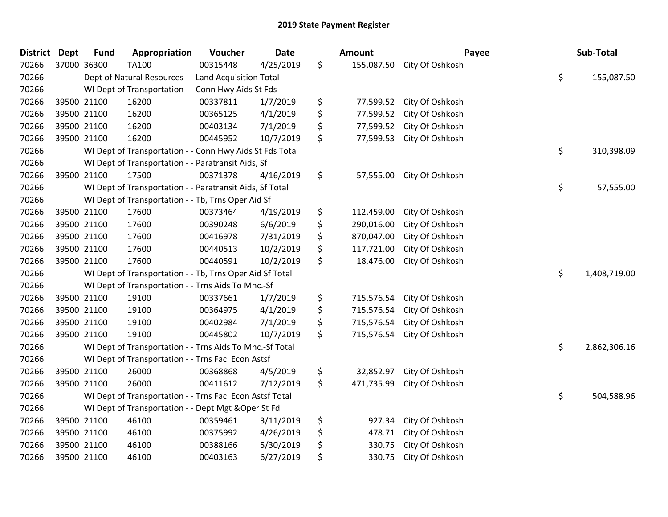| <b>District</b> | <b>Dept</b> | <b>Fund</b> | Appropriation                                            | Voucher  | <b>Date</b> | <b>Amount</b>    | Payee                      | Sub-Total          |
|-----------------|-------------|-------------|----------------------------------------------------------|----------|-------------|------------------|----------------------------|--------------------|
| 70266           | 37000 36300 |             | TA100                                                    | 00315448 | 4/25/2019   | \$               | 155,087.50 City Of Oshkosh |                    |
| 70266           |             |             | Dept of Natural Resources - - Land Acquisition Total     |          |             |                  |                            | \$<br>155,087.50   |
| 70266           |             |             | WI Dept of Transportation - - Conn Hwy Aids St Fds       |          |             |                  |                            |                    |
| 70266           |             | 39500 21100 | 16200                                                    | 00337811 | 1/7/2019    | \$<br>77,599.52  | City Of Oshkosh            |                    |
| 70266           |             | 39500 21100 | 16200                                                    | 00365125 | 4/1/2019    | \$<br>77,599.52  | City Of Oshkosh            |                    |
| 70266           |             | 39500 21100 | 16200                                                    | 00403134 | 7/1/2019    | \$<br>77,599.52  | City Of Oshkosh            |                    |
| 70266           |             | 39500 21100 | 16200                                                    | 00445952 | 10/7/2019   | \$<br>77,599.53  | City Of Oshkosh            |                    |
| 70266           |             |             | WI Dept of Transportation - - Conn Hwy Aids St Fds Total |          |             |                  |                            | \$<br>310,398.09   |
| 70266           |             |             | WI Dept of Transportation - - Paratransit Aids, Sf       |          |             |                  |                            |                    |
| 70266           | 39500 21100 |             | 17500                                                    | 00371378 | 4/16/2019   | \$<br>57,555.00  | City Of Oshkosh            |                    |
| 70266           |             |             | WI Dept of Transportation - - Paratransit Aids, Sf Total |          |             |                  |                            | \$<br>57,555.00    |
| 70266           |             |             | WI Dept of Transportation - - Tb, Trns Oper Aid Sf       |          |             |                  |                            |                    |
| 70266           |             | 39500 21100 | 17600                                                    | 00373464 | 4/19/2019   | \$<br>112,459.00 | City Of Oshkosh            |                    |
| 70266           |             | 39500 21100 | 17600                                                    | 00390248 | 6/6/2019    | \$<br>290,016.00 | City Of Oshkosh            |                    |
| 70266           |             | 39500 21100 | 17600                                                    | 00416978 | 7/31/2019   | \$<br>870,047.00 | City Of Oshkosh            |                    |
| 70266           |             | 39500 21100 | 17600                                                    | 00440513 | 10/2/2019   | \$<br>117,721.00 | City Of Oshkosh            |                    |
| 70266           |             | 39500 21100 | 17600                                                    | 00440591 | 10/2/2019   | \$<br>18,476.00  | City Of Oshkosh            |                    |
| 70266           |             |             | WI Dept of Transportation - - Tb, Trns Oper Aid Sf Total |          |             |                  |                            | \$<br>1,408,719.00 |
| 70266           |             |             | WI Dept of Transportation - - Trns Aids To Mnc.-Sf       |          |             |                  |                            |                    |
| 70266           |             | 39500 21100 | 19100                                                    | 00337661 | 1/7/2019    | \$<br>715,576.54 | City Of Oshkosh            |                    |
| 70266           |             | 39500 21100 | 19100                                                    | 00364975 | 4/1/2019    | \$<br>715,576.54 | City Of Oshkosh            |                    |
| 70266           |             | 39500 21100 | 19100                                                    | 00402984 | 7/1/2019    | \$<br>715,576.54 | City Of Oshkosh            |                    |
| 70266           |             | 39500 21100 | 19100                                                    | 00445802 | 10/7/2019   | \$<br>715,576.54 | City Of Oshkosh            |                    |
| 70266           |             |             | WI Dept of Transportation - - Trns Aids To Mnc.-Sf Total |          |             |                  |                            | \$<br>2,862,306.16 |
| 70266           |             |             | WI Dept of Transportation - - Trns Facl Econ Astsf       |          |             |                  |                            |                    |
| 70266           |             | 39500 21100 | 26000                                                    | 00368868 | 4/5/2019    | \$<br>32,852.97  | City Of Oshkosh            |                    |
| 70266           |             | 39500 21100 | 26000                                                    | 00411612 | 7/12/2019   | \$<br>471,735.99 | City Of Oshkosh            |                    |
| 70266           |             |             | WI Dept of Transportation - - Trns Facl Econ Astsf Total |          |             |                  |                            | \$<br>504,588.96   |
| 70266           |             |             | WI Dept of Transportation - - Dept Mgt & Oper St Fd      |          |             |                  |                            |                    |
| 70266           |             | 39500 21100 | 46100                                                    | 00359461 | 3/11/2019   | \$<br>927.34     | City Of Oshkosh            |                    |
| 70266           | 39500 21100 |             | 46100                                                    | 00375992 | 4/26/2019   | \$<br>478.71     | City Of Oshkosh            |                    |
| 70266           |             | 39500 21100 | 46100                                                    | 00388166 | 5/30/2019   | \$<br>330.75     | City Of Oshkosh            |                    |
| 70266           |             | 39500 21100 | 46100                                                    | 00403163 | 6/27/2019   | \$<br>330.75     | City Of Oshkosh            |                    |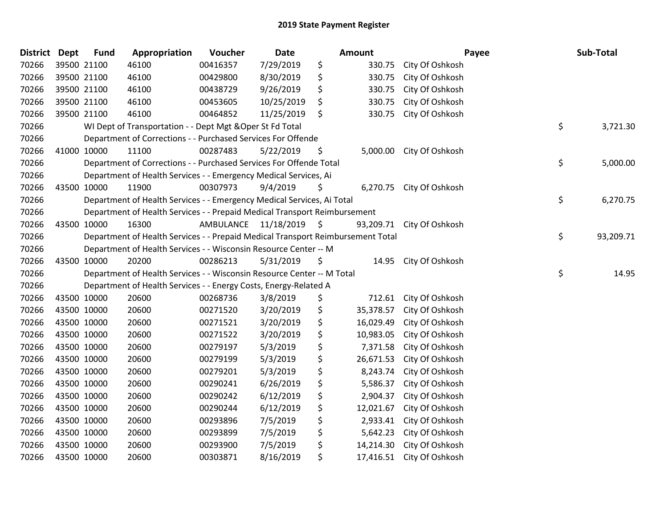| <b>District</b> | <b>Dept</b> | <b>Fund</b> | Appropriation                                                                   | Voucher              | <b>Date</b> | <b>Amount</b>   | Payee                    | Sub-Total       |
|-----------------|-------------|-------------|---------------------------------------------------------------------------------|----------------------|-------------|-----------------|--------------------------|-----------------|
| 70266           |             | 39500 21100 | 46100                                                                           | 00416357             | 7/29/2019   | \$<br>330.75    | City Of Oshkosh          |                 |
| 70266           |             | 39500 21100 | 46100                                                                           | 00429800             | 8/30/2019   | \$<br>330.75    | City Of Oshkosh          |                 |
| 70266           |             | 39500 21100 | 46100                                                                           | 00438729             | 9/26/2019   | \$<br>330.75    | City Of Oshkosh          |                 |
| 70266           |             | 39500 21100 | 46100                                                                           | 00453605             | 10/25/2019  | \$<br>330.75    | City Of Oshkosh          |                 |
| 70266           |             | 39500 21100 | 46100                                                                           | 00464852             | 11/25/2019  | \$<br>330.75    | City Of Oshkosh          |                 |
| 70266           |             |             | WI Dept of Transportation - - Dept Mgt & Oper St Fd Total                       |                      |             |                 |                          | \$<br>3,721.30  |
| 70266           |             |             | Department of Corrections - - Purchased Services For Offende                    |                      |             |                 |                          |                 |
| 70266           |             | 41000 10000 | 11100                                                                           | 00287483             | 5/22/2019   | \$<br>5,000.00  | City Of Oshkosh          |                 |
| 70266           |             |             | Department of Corrections - - Purchased Services For Offende Total              |                      |             |                 |                          | \$<br>5,000.00  |
| 70266           |             |             | Department of Health Services - - Emergency Medical Services, Ai                |                      |             |                 |                          |                 |
| 70266           |             | 43500 10000 | 11900                                                                           | 00307973             | 9/4/2019    | \$              | 6,270.75 City Of Oshkosh |                 |
| 70266           |             |             | Department of Health Services - - Emergency Medical Services, Ai Total          |                      |             |                 |                          | \$<br>6,270.75  |
| 70266           |             |             | Department of Health Services - - Prepaid Medical Transport Reimbursement       |                      |             |                 |                          |                 |
| 70266           |             | 43500 10000 | 16300                                                                           | AMBULANCE 11/18/2019 |             | \$<br>93,209.71 | City Of Oshkosh          |                 |
| 70266           |             |             | Department of Health Services - - Prepaid Medical Transport Reimbursement Total |                      |             |                 |                          | \$<br>93,209.71 |
| 70266           |             |             | Department of Health Services - - Wisconsin Resource Center -- M                |                      |             |                 |                          |                 |
| 70266           |             | 43500 10000 | 20200                                                                           | 00286213             | 5/31/2019   | \$<br>14.95     | City Of Oshkosh          |                 |
| 70266           |             |             | Department of Health Services - - Wisconsin Resource Center -- M Total          |                      |             |                 |                          | \$<br>14.95     |
| 70266           |             |             | Department of Health Services - - Energy Costs, Energy-Related A                |                      |             |                 |                          |                 |
| 70266           |             | 43500 10000 | 20600                                                                           | 00268736             | 3/8/2019    | \$<br>712.61    | City Of Oshkosh          |                 |
| 70266           |             | 43500 10000 | 20600                                                                           | 00271520             | 3/20/2019   | \$<br>35,378.57 | City Of Oshkosh          |                 |
| 70266           |             | 43500 10000 | 20600                                                                           | 00271521             | 3/20/2019   | \$<br>16,029.49 | City Of Oshkosh          |                 |
| 70266           | 43500 10000 |             | 20600                                                                           | 00271522             | 3/20/2019   | \$<br>10,983.05 | City Of Oshkosh          |                 |
| 70266           | 43500 10000 |             | 20600                                                                           | 00279197             | 5/3/2019    | \$<br>7,371.58  | City Of Oshkosh          |                 |
| 70266           |             | 43500 10000 | 20600                                                                           | 00279199             | 5/3/2019    | \$<br>26,671.53 | City Of Oshkosh          |                 |
| 70266           |             | 43500 10000 | 20600                                                                           | 00279201             | 5/3/2019    | \$<br>8,243.74  | City Of Oshkosh          |                 |
| 70266           |             | 43500 10000 | 20600                                                                           | 00290241             | 6/26/2019   | \$<br>5,586.37  | City Of Oshkosh          |                 |
| 70266           | 43500 10000 |             | 20600                                                                           | 00290242             | 6/12/2019   | \$<br>2,904.37  | City Of Oshkosh          |                 |
| 70266           | 43500 10000 |             | 20600                                                                           | 00290244             | 6/12/2019   | \$<br>12,021.67 | City Of Oshkosh          |                 |
| 70266           |             | 43500 10000 | 20600                                                                           | 00293896             | 7/5/2019    | \$<br>2,933.41  | City Of Oshkosh          |                 |
| 70266           |             | 43500 10000 | 20600                                                                           | 00293899             | 7/5/2019    | \$<br>5,642.23  | City Of Oshkosh          |                 |
| 70266           |             | 43500 10000 | 20600                                                                           | 00293900             | 7/5/2019    | \$<br>14,214.30 | City Of Oshkosh          |                 |
| 70266           |             | 43500 10000 | 20600                                                                           | 00303871             | 8/16/2019   | \$<br>17,416.51 | City Of Oshkosh          |                 |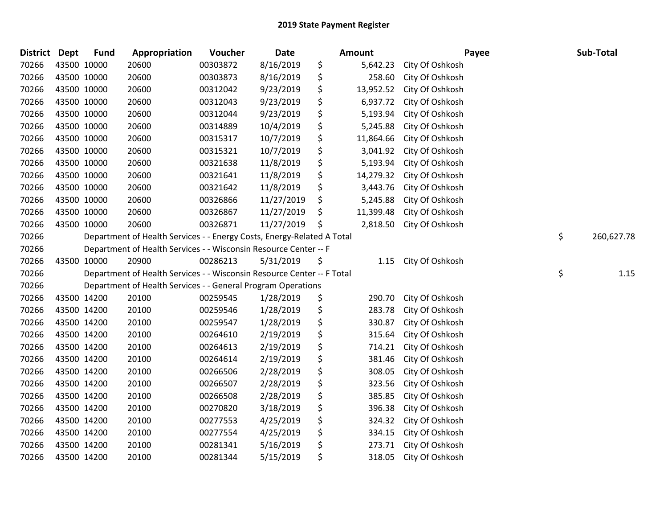| District Dept |             | <b>Fund</b>                                                            | Appropriation                                                          | Voucher  | <b>Date</b> | Amount          | Payee           | Sub-Total  |
|---------------|-------------|------------------------------------------------------------------------|------------------------------------------------------------------------|----------|-------------|-----------------|-----------------|------------|
| 70266         | 43500 10000 |                                                                        | 20600                                                                  | 00303872 | 8/16/2019   | \$<br>5,642.23  | City Of Oshkosh |            |
| 70266         | 43500 10000 |                                                                        | 20600                                                                  | 00303873 | 8/16/2019   | \$<br>258.60    | City Of Oshkosh |            |
| 70266         | 43500 10000 |                                                                        | 20600                                                                  | 00312042 | 9/23/2019   | \$<br>13,952.52 | City Of Oshkosh |            |
| 70266         | 43500 10000 |                                                                        | 20600                                                                  | 00312043 | 9/23/2019   | \$<br>6,937.72  | City Of Oshkosh |            |
| 70266         | 43500 10000 |                                                                        | 20600                                                                  | 00312044 | 9/23/2019   | \$<br>5,193.94  | City Of Oshkosh |            |
| 70266         | 43500 10000 |                                                                        | 20600                                                                  | 00314889 | 10/4/2019   | \$<br>5,245.88  | City Of Oshkosh |            |
| 70266         | 43500 10000 |                                                                        | 20600                                                                  | 00315317 | 10/7/2019   | \$<br>11,864.66 | City Of Oshkosh |            |
| 70266         | 43500 10000 |                                                                        | 20600                                                                  | 00315321 | 10/7/2019   | \$<br>3,041.92  | City Of Oshkosh |            |
| 70266         | 43500 10000 |                                                                        | 20600                                                                  | 00321638 | 11/8/2019   | \$<br>5,193.94  | City Of Oshkosh |            |
| 70266         | 43500 10000 |                                                                        | 20600                                                                  | 00321641 | 11/8/2019   | \$<br>14,279.32 | City Of Oshkosh |            |
| 70266         | 43500 10000 |                                                                        | 20600                                                                  | 00321642 | 11/8/2019   | \$<br>3,443.76  | City Of Oshkosh |            |
| 70266         | 43500 10000 |                                                                        | 20600                                                                  | 00326866 | 11/27/2019  | \$<br>5,245.88  | City Of Oshkosh |            |
| 70266         | 43500 10000 |                                                                        | 20600                                                                  | 00326867 | 11/27/2019  | \$<br>11,399.48 | City Of Oshkosh |            |
| 70266         | 43500 10000 |                                                                        | 20600                                                                  | 00326871 | 11/27/2019  | \$<br>2,818.50  | City Of Oshkosh |            |
| 70266         |             | Department of Health Services - - Energy Costs, Energy-Related A Total | \$<br>260,627.78                                                       |          |             |                 |                 |            |
| 70266         |             |                                                                        | Department of Health Services - - Wisconsin Resource Center -- F       |          |             |                 |                 |            |
| 70266         | 43500 10000 |                                                                        | 20900                                                                  | 00286213 | 5/31/2019   | \$<br>1.15      | City Of Oshkosh |            |
| 70266         |             |                                                                        | Department of Health Services - - Wisconsin Resource Center -- F Total |          |             |                 |                 | \$<br>1.15 |
| 70266         |             |                                                                        | Department of Health Services - - General Program Operations           |          |             |                 |                 |            |
| 70266         |             | 43500 14200                                                            | 20100                                                                  | 00259545 | 1/28/2019   | \$<br>290.70    | City Of Oshkosh |            |
| 70266         |             | 43500 14200                                                            | 20100                                                                  | 00259546 | 1/28/2019   | \$<br>283.78    | City Of Oshkosh |            |
| 70266         | 43500 14200 |                                                                        | 20100                                                                  | 00259547 | 1/28/2019   | \$<br>330.87    | City Of Oshkosh |            |
| 70266         | 43500 14200 |                                                                        | 20100                                                                  | 00264610 | 2/19/2019   | \$<br>315.64    | City Of Oshkosh |            |
| 70266         | 43500 14200 |                                                                        | 20100                                                                  | 00264613 | 2/19/2019   | \$<br>714.21    | City Of Oshkosh |            |
| 70266         | 43500 14200 |                                                                        | 20100                                                                  | 00264614 | 2/19/2019   | \$<br>381.46    | City Of Oshkosh |            |
| 70266         | 43500 14200 |                                                                        | 20100                                                                  | 00266506 | 2/28/2019   | \$<br>308.05    | City Of Oshkosh |            |
| 70266         | 43500 14200 |                                                                        | 20100                                                                  | 00266507 | 2/28/2019   | \$<br>323.56    | City Of Oshkosh |            |
| 70266         | 43500 14200 |                                                                        | 20100                                                                  | 00266508 | 2/28/2019   | \$<br>385.85    | City Of Oshkosh |            |
| 70266         | 43500 14200 |                                                                        | 20100                                                                  | 00270820 | 3/18/2019   | \$<br>396.38    | City Of Oshkosh |            |
| 70266         | 43500 14200 |                                                                        | 20100                                                                  | 00277553 | 4/25/2019   | \$<br>324.32    | City Of Oshkosh |            |
| 70266         | 43500 14200 |                                                                        | 20100                                                                  | 00277554 | 4/25/2019   | \$<br>334.15    | City Of Oshkosh |            |
| 70266         | 43500 14200 |                                                                        | 20100                                                                  | 00281341 | 5/16/2019   | \$<br>273.71    | City Of Oshkosh |            |
| 70266         | 43500 14200 |                                                                        | 20100                                                                  | 00281344 | 5/15/2019   | \$<br>318.05    | City Of Oshkosh |            |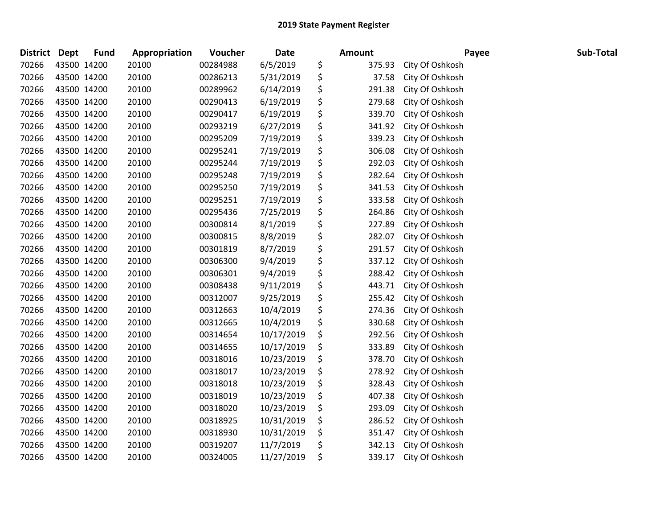| <b>District</b> | Dept        | <b>Fund</b> | Appropriation | <b>Voucher</b> | <b>Date</b> | <b>Amount</b> | Payee           | Sub-Total |
|-----------------|-------------|-------------|---------------|----------------|-------------|---------------|-----------------|-----------|
| 70266           |             | 43500 14200 | 20100         | 00284988       | 6/5/2019    | \$<br>375.93  | City Of Oshkosh |           |
| 70266           |             | 43500 14200 | 20100         | 00286213       | 5/31/2019   | \$<br>37.58   | City Of Oshkosh |           |
| 70266           | 43500 14200 |             | 20100         | 00289962       | 6/14/2019   | \$<br>291.38  | City Of Oshkosh |           |
| 70266           |             | 43500 14200 | 20100         | 00290413       | 6/19/2019   | \$<br>279.68  | City Of Oshkosh |           |
| 70266           | 43500 14200 |             | 20100         | 00290417       | 6/19/2019   | \$<br>339.70  | City Of Oshkosh |           |
| 70266           |             | 43500 14200 | 20100         | 00293219       | 6/27/2019   | \$<br>341.92  | City Of Oshkosh |           |
| 70266           |             | 43500 14200 | 20100         | 00295209       | 7/19/2019   | \$<br>339.23  | City Of Oshkosh |           |
| 70266           | 43500 14200 |             | 20100         | 00295241       | 7/19/2019   | \$<br>306.08  | City Of Oshkosh |           |
| 70266           | 43500 14200 |             | 20100         | 00295244       | 7/19/2019   | \$<br>292.03  | City Of Oshkosh |           |
| 70266           |             | 43500 14200 | 20100         | 00295248       | 7/19/2019   | \$<br>282.64  | City Of Oshkosh |           |
| 70266           |             | 43500 14200 | 20100         | 00295250       | 7/19/2019   | \$<br>341.53  | City Of Oshkosh |           |
| 70266           |             | 43500 14200 | 20100         | 00295251       | 7/19/2019   | \$<br>333.58  | City Of Oshkosh |           |
| 70266           | 43500 14200 |             | 20100         | 00295436       | 7/25/2019   | \$<br>264.86  | City Of Oshkosh |           |
| 70266           |             | 43500 14200 | 20100         | 00300814       | 8/1/2019    | \$<br>227.89  | City Of Oshkosh |           |
| 70266           |             | 43500 14200 | 20100         | 00300815       | 8/8/2019    | \$<br>282.07  | City Of Oshkosh |           |
| 70266           |             | 43500 14200 | 20100         | 00301819       | 8/7/2019    | \$<br>291.57  | City Of Oshkosh |           |
| 70266           |             | 43500 14200 | 20100         | 00306300       | 9/4/2019    | \$<br>337.12  | City Of Oshkosh |           |
| 70266           | 43500 14200 |             | 20100         | 00306301       | 9/4/2019    | \$<br>288.42  | City Of Oshkosh |           |
| 70266           |             | 43500 14200 | 20100         | 00308438       | 9/11/2019   | \$<br>443.71  | City Of Oshkosh |           |
| 70266           |             | 43500 14200 | 20100         | 00312007       | 9/25/2019   | \$<br>255.42  | City Of Oshkosh |           |
| 70266           |             | 43500 14200 | 20100         | 00312663       | 10/4/2019   | \$<br>274.36  | City Of Oshkosh |           |
| 70266           |             | 43500 14200 | 20100         | 00312665       | 10/4/2019   | \$<br>330.68  | City Of Oshkosh |           |
| 70266           | 43500 14200 |             | 20100         | 00314654       | 10/17/2019  | \$<br>292.56  | City Of Oshkosh |           |
| 70266           |             | 43500 14200 | 20100         | 00314655       | 10/17/2019  | \$<br>333.89  | City Of Oshkosh |           |
| 70266           |             | 43500 14200 | 20100         | 00318016       | 10/23/2019  | \$<br>378.70  | City Of Oshkosh |           |
| 70266           |             | 43500 14200 | 20100         | 00318017       | 10/23/2019  | \$<br>278.92  | City Of Oshkosh |           |
| 70266           |             | 43500 14200 | 20100         | 00318018       | 10/23/2019  | \$<br>328.43  | City Of Oshkosh |           |
| 70266           | 43500 14200 |             | 20100         | 00318019       | 10/23/2019  | \$<br>407.38  | City Of Oshkosh |           |
| 70266           |             | 43500 14200 | 20100         | 00318020       | 10/23/2019  | \$<br>293.09  | City Of Oshkosh |           |
| 70266           |             | 43500 14200 | 20100         | 00318925       | 10/31/2019  | \$<br>286.52  | City Of Oshkosh |           |
| 70266           |             | 43500 14200 | 20100         | 00318930       | 10/31/2019  | \$<br>351.47  | City Of Oshkosh |           |
| 70266           |             | 43500 14200 | 20100         | 00319207       | 11/7/2019   | \$<br>342.13  | City Of Oshkosh |           |
| 70266           | 43500 14200 |             | 20100         | 00324005       | 11/27/2019  | \$<br>339.17  | City Of Oshkosh |           |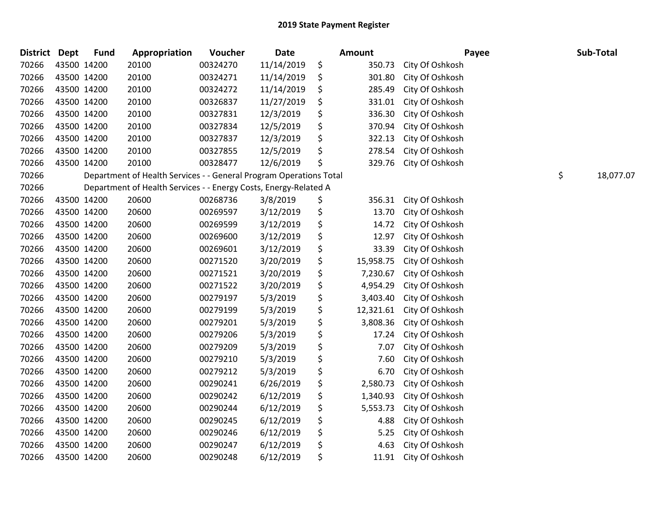| <b>District</b> | <b>Dept</b> | <b>Fund</b> | Appropriation                                                      | Voucher  | <b>Date</b> | Amount          | Payee           | Sub-Total       |
|-----------------|-------------|-------------|--------------------------------------------------------------------|----------|-------------|-----------------|-----------------|-----------------|
| 70266           |             | 43500 14200 | 20100                                                              | 00324270 | 11/14/2019  | \$<br>350.73    | City Of Oshkosh |                 |
| 70266           |             | 43500 14200 | 20100                                                              | 00324271 | 11/14/2019  | \$<br>301.80    | City Of Oshkosh |                 |
| 70266           |             | 43500 14200 | 20100                                                              | 00324272 | 11/14/2019  | \$<br>285.49    | City Of Oshkosh |                 |
| 70266           |             | 43500 14200 | 20100                                                              | 00326837 | 11/27/2019  | \$<br>331.01    | City Of Oshkosh |                 |
| 70266           |             | 43500 14200 | 20100                                                              | 00327831 | 12/3/2019   | \$<br>336.30    | City Of Oshkosh |                 |
| 70266           |             | 43500 14200 | 20100                                                              | 00327834 | 12/5/2019   | \$<br>370.94    | City Of Oshkosh |                 |
| 70266           |             | 43500 14200 | 20100                                                              | 00327837 | 12/3/2019   | \$<br>322.13    | City Of Oshkosh |                 |
| 70266           |             | 43500 14200 | 20100                                                              | 00327855 | 12/5/2019   | \$<br>278.54    | City Of Oshkosh |                 |
| 70266           |             | 43500 14200 | 20100                                                              | 00328477 | 12/6/2019   | \$<br>329.76    | City Of Oshkosh |                 |
| 70266           |             |             | Department of Health Services - - General Program Operations Total |          |             |                 |                 | \$<br>18,077.07 |
| 70266           |             |             | Department of Health Services - - Energy Costs, Energy-Related A   |          |             |                 |                 |                 |
| 70266           |             | 43500 14200 | 20600                                                              | 00268736 | 3/8/2019    | \$<br>356.31    | City Of Oshkosh |                 |
| 70266           |             | 43500 14200 | 20600                                                              | 00269597 | 3/12/2019   | \$<br>13.70     | City Of Oshkosh |                 |
| 70266           |             | 43500 14200 | 20600                                                              | 00269599 | 3/12/2019   | \$<br>14.72     | City Of Oshkosh |                 |
| 70266           |             | 43500 14200 | 20600                                                              | 00269600 | 3/12/2019   | \$<br>12.97     | City Of Oshkosh |                 |
| 70266           |             | 43500 14200 | 20600                                                              | 00269601 | 3/12/2019   | \$<br>33.39     | City Of Oshkosh |                 |
| 70266           |             | 43500 14200 | 20600                                                              | 00271520 | 3/20/2019   | \$<br>15,958.75 | City Of Oshkosh |                 |
| 70266           |             | 43500 14200 | 20600                                                              | 00271521 | 3/20/2019   | \$<br>7,230.67  | City Of Oshkosh |                 |
| 70266           |             | 43500 14200 | 20600                                                              | 00271522 | 3/20/2019   | \$<br>4,954.29  | City Of Oshkosh |                 |
| 70266           |             | 43500 14200 | 20600                                                              | 00279197 | 5/3/2019    | \$<br>3,403.40  | City Of Oshkosh |                 |
| 70266           |             | 43500 14200 | 20600                                                              | 00279199 | 5/3/2019    | \$<br>12,321.61 | City Of Oshkosh |                 |
| 70266           |             | 43500 14200 | 20600                                                              | 00279201 | 5/3/2019    | \$<br>3,808.36  | City Of Oshkosh |                 |
| 70266           |             | 43500 14200 | 20600                                                              | 00279206 | 5/3/2019    | \$<br>17.24     | City Of Oshkosh |                 |
| 70266           |             | 43500 14200 | 20600                                                              | 00279209 | 5/3/2019    | \$<br>7.07      | City Of Oshkosh |                 |
| 70266           |             | 43500 14200 | 20600                                                              | 00279210 | 5/3/2019    | \$<br>7.60      | City Of Oshkosh |                 |
| 70266           |             | 43500 14200 | 20600                                                              | 00279212 | 5/3/2019    | \$<br>6.70      | City Of Oshkosh |                 |
| 70266           |             | 43500 14200 | 20600                                                              | 00290241 | 6/26/2019   | \$<br>2,580.73  | City Of Oshkosh |                 |
| 70266           |             | 43500 14200 | 20600                                                              | 00290242 | 6/12/2019   | \$<br>1,340.93  | City Of Oshkosh |                 |
| 70266           |             | 43500 14200 | 20600                                                              | 00290244 | 6/12/2019   | \$<br>5,553.73  | City Of Oshkosh |                 |
| 70266           |             | 43500 14200 | 20600                                                              | 00290245 | 6/12/2019   | \$<br>4.88      | City Of Oshkosh |                 |
| 70266           |             | 43500 14200 | 20600                                                              | 00290246 | 6/12/2019   | \$<br>5.25      | City Of Oshkosh |                 |
| 70266           |             | 43500 14200 | 20600                                                              | 00290247 | 6/12/2019   | \$<br>4.63      | City Of Oshkosh |                 |
| 70266           |             | 43500 14200 | 20600                                                              | 00290248 | 6/12/2019   | \$<br>11.91     | City Of Oshkosh |                 |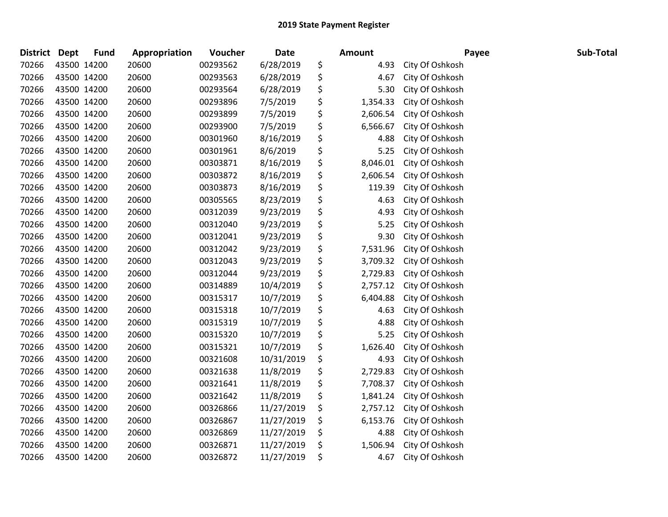| District Dept | <b>Fund</b> | Appropriation | Voucher  | <b>Date</b> | <b>Amount</b>  | Payee           | Sub-Total |  |
|---------------|-------------|---------------|----------|-------------|----------------|-----------------|-----------|--|
| 70266         | 43500 14200 | 20600         | 00293562 | 6/28/2019   | \$<br>4.93     | City Of Oshkosh |           |  |
| 70266         | 43500 14200 | 20600         | 00293563 | 6/28/2019   | \$<br>4.67     | City Of Oshkosh |           |  |
| 70266         | 43500 14200 | 20600         | 00293564 | 6/28/2019   | \$<br>5.30     | City Of Oshkosh |           |  |
| 70266         | 43500 14200 | 20600         | 00293896 | 7/5/2019    | \$<br>1,354.33 | City Of Oshkosh |           |  |
| 70266         | 43500 14200 | 20600         | 00293899 | 7/5/2019    | \$<br>2,606.54 | City Of Oshkosh |           |  |
| 70266         | 43500 14200 | 20600         | 00293900 | 7/5/2019    | \$<br>6,566.67 | City Of Oshkosh |           |  |
| 70266         | 43500 14200 | 20600         | 00301960 | 8/16/2019   | \$<br>4.88     | City Of Oshkosh |           |  |
| 70266         | 43500 14200 | 20600         | 00301961 | 8/6/2019    | \$<br>5.25     | City Of Oshkosh |           |  |
| 70266         | 43500 14200 | 20600         | 00303871 | 8/16/2019   | \$<br>8,046.01 | City Of Oshkosh |           |  |
| 70266         | 43500 14200 | 20600         | 00303872 | 8/16/2019   | \$<br>2,606.54 | City Of Oshkosh |           |  |
| 70266         | 43500 14200 | 20600         | 00303873 | 8/16/2019   | \$<br>119.39   | City Of Oshkosh |           |  |
| 70266         | 43500 14200 | 20600         | 00305565 | 8/23/2019   | \$<br>4.63     | City Of Oshkosh |           |  |
| 70266         | 43500 14200 | 20600         | 00312039 | 9/23/2019   | \$<br>4.93     | City Of Oshkosh |           |  |
| 70266         | 43500 14200 | 20600         | 00312040 | 9/23/2019   | \$<br>5.25     | City Of Oshkosh |           |  |
| 70266         | 43500 14200 | 20600         | 00312041 | 9/23/2019   | \$<br>9.30     | City Of Oshkosh |           |  |
| 70266         | 43500 14200 | 20600         | 00312042 | 9/23/2019   | \$<br>7,531.96 | City Of Oshkosh |           |  |
| 70266         | 43500 14200 | 20600         | 00312043 | 9/23/2019   | \$<br>3,709.32 | City Of Oshkosh |           |  |
| 70266         | 43500 14200 | 20600         | 00312044 | 9/23/2019   | \$<br>2,729.83 | City Of Oshkosh |           |  |
| 70266         | 43500 14200 | 20600         | 00314889 | 10/4/2019   | \$<br>2,757.12 | City Of Oshkosh |           |  |
| 70266         | 43500 14200 | 20600         | 00315317 | 10/7/2019   | \$<br>6,404.88 | City Of Oshkosh |           |  |
| 70266         | 43500 14200 | 20600         | 00315318 | 10/7/2019   | \$<br>4.63     | City Of Oshkosh |           |  |
| 70266         | 43500 14200 | 20600         | 00315319 | 10/7/2019   | \$<br>4.88     | City Of Oshkosh |           |  |
| 70266         | 43500 14200 | 20600         | 00315320 | 10/7/2019   | \$<br>5.25     | City Of Oshkosh |           |  |
| 70266         | 43500 14200 | 20600         | 00315321 | 10/7/2019   | \$<br>1,626.40 | City Of Oshkosh |           |  |
| 70266         | 43500 14200 | 20600         | 00321608 | 10/31/2019  | \$<br>4.93     | City Of Oshkosh |           |  |
| 70266         | 43500 14200 | 20600         | 00321638 | 11/8/2019   | \$<br>2,729.83 | City Of Oshkosh |           |  |
| 70266         | 43500 14200 | 20600         | 00321641 | 11/8/2019   | \$<br>7,708.37 | City Of Oshkosh |           |  |
| 70266         | 43500 14200 | 20600         | 00321642 | 11/8/2019   | \$<br>1,841.24 | City Of Oshkosh |           |  |
| 70266         | 43500 14200 | 20600         | 00326866 | 11/27/2019  | \$<br>2,757.12 | City Of Oshkosh |           |  |
| 70266         | 43500 14200 | 20600         | 00326867 | 11/27/2019  | \$<br>6,153.76 | City Of Oshkosh |           |  |
| 70266         | 43500 14200 | 20600         | 00326869 | 11/27/2019  | \$<br>4.88     | City Of Oshkosh |           |  |
| 70266         | 43500 14200 | 20600         | 00326871 | 11/27/2019  | \$<br>1,506.94 | City Of Oshkosh |           |  |
| 70266         | 43500 14200 | 20600         | 00326872 | 11/27/2019  | \$<br>4.67     | City Of Oshkosh |           |  |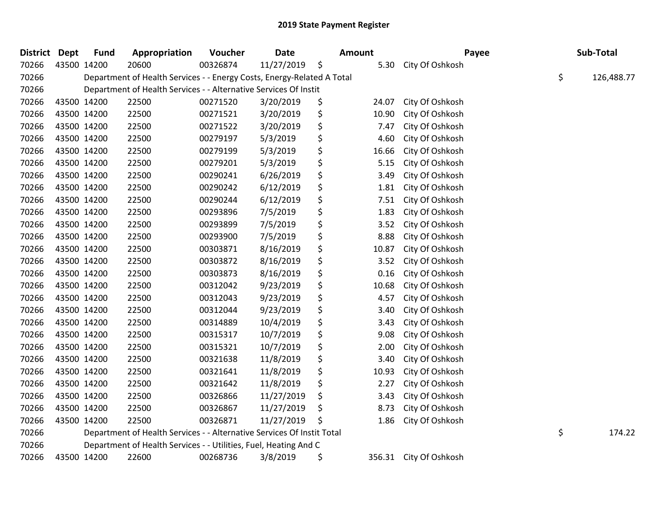| District Dept |             | <b>Fund</b> | Appropriation                                                          | Voucher  | <b>Date</b> | <b>Amount</b> |        | Payee           | Sub-Total        |
|---------------|-------------|-------------|------------------------------------------------------------------------|----------|-------------|---------------|--------|-----------------|------------------|
| 70266         | 43500 14200 |             | 20600                                                                  | 00326874 | 11/27/2019  | \$            | 5.30   | City Of Oshkosh |                  |
| 70266         |             |             | Department of Health Services - - Energy Costs, Energy-Related A Total |          |             |               |        |                 | \$<br>126,488.77 |
| 70266         |             |             | Department of Health Services - - Alternative Services Of Instit       |          |             |               |        |                 |                  |
| 70266         |             | 43500 14200 | 22500                                                                  | 00271520 | 3/20/2019   | \$            | 24.07  | City Of Oshkosh |                  |
| 70266         |             | 43500 14200 | 22500                                                                  | 00271521 | 3/20/2019   | \$            | 10.90  | City Of Oshkosh |                  |
| 70266         |             | 43500 14200 | 22500                                                                  | 00271522 | 3/20/2019   | \$            | 7.47   | City Of Oshkosh |                  |
| 70266         | 43500 14200 |             | 22500                                                                  | 00279197 | 5/3/2019    | \$            | 4.60   | City Of Oshkosh |                  |
| 70266         | 43500 14200 |             | 22500                                                                  | 00279199 | 5/3/2019    | \$            | 16.66  | City Of Oshkosh |                  |
| 70266         | 43500 14200 |             | 22500                                                                  | 00279201 | 5/3/2019    | \$            | 5.15   | City Of Oshkosh |                  |
| 70266         |             | 43500 14200 | 22500                                                                  | 00290241 | 6/26/2019   | \$            | 3.49   | City Of Oshkosh |                  |
| 70266         |             | 43500 14200 | 22500                                                                  | 00290242 | 6/12/2019   | \$            | 1.81   | City Of Oshkosh |                  |
| 70266         | 43500 14200 |             | 22500                                                                  | 00290244 | 6/12/2019   | \$            | 7.51   | City Of Oshkosh |                  |
| 70266         | 43500 14200 |             | 22500                                                                  | 00293896 | 7/5/2019    | \$            | 1.83   | City Of Oshkosh |                  |
| 70266         | 43500 14200 |             | 22500                                                                  | 00293899 | 7/5/2019    | \$            | 3.52   | City Of Oshkosh |                  |
| 70266         |             | 43500 14200 | 22500                                                                  | 00293900 | 7/5/2019    | \$            | 8.88   | City Of Oshkosh |                  |
| 70266         |             | 43500 14200 | 22500                                                                  | 00303871 | 8/16/2019   | \$            | 10.87  | City Of Oshkosh |                  |
| 70266         | 43500 14200 |             | 22500                                                                  | 00303872 | 8/16/2019   | \$            | 3.52   | City Of Oshkosh |                  |
| 70266         | 43500 14200 |             | 22500                                                                  | 00303873 | 8/16/2019   | \$            | 0.16   | City Of Oshkosh |                  |
| 70266         | 43500 14200 |             | 22500                                                                  | 00312042 | 9/23/2019   | \$            | 10.68  | City Of Oshkosh |                  |
| 70266         |             | 43500 14200 | 22500                                                                  | 00312043 | 9/23/2019   | \$            | 4.57   | City Of Oshkosh |                  |
| 70266         |             | 43500 14200 | 22500                                                                  | 00312044 | 9/23/2019   | \$            | 3.40   | City Of Oshkosh |                  |
| 70266         |             | 43500 14200 | 22500                                                                  | 00314889 | 10/4/2019   | \$            | 3.43   | City Of Oshkosh |                  |
| 70266         | 43500 14200 |             | 22500                                                                  | 00315317 | 10/7/2019   | \$            | 9.08   | City Of Oshkosh |                  |
| 70266         | 43500 14200 |             | 22500                                                                  | 00315321 | 10/7/2019   | \$            | 2.00   | City Of Oshkosh |                  |
| 70266         | 43500 14200 |             | 22500                                                                  | 00321638 | 11/8/2019   | \$            | 3.40   | City Of Oshkosh |                  |
| 70266         |             | 43500 14200 | 22500                                                                  | 00321641 | 11/8/2019   | \$            | 10.93  | City Of Oshkosh |                  |
| 70266         |             | 43500 14200 | 22500                                                                  | 00321642 | 11/8/2019   | \$            | 2.27   | City Of Oshkosh |                  |
| 70266         | 43500 14200 |             | 22500                                                                  | 00326866 | 11/27/2019  | \$            | 3.43   | City Of Oshkosh |                  |
| 70266         | 43500 14200 |             | 22500                                                                  | 00326867 | 11/27/2019  | \$            | 8.73   | City Of Oshkosh |                  |
| 70266         |             | 43500 14200 | 22500                                                                  | 00326871 | 11/27/2019  | \$            | 1.86   | City Of Oshkosh |                  |
| 70266         |             |             | Department of Health Services - - Alternative Services Of Instit Total |          |             |               |        |                 | \$<br>174.22     |
| 70266         |             |             | Department of Health Services - - Utilities, Fuel, Heating And C       |          |             |               |        |                 |                  |
| 70266         |             | 43500 14200 | 22600                                                                  | 00268736 | 3/8/2019    | \$            | 356.31 | City Of Oshkosh |                  |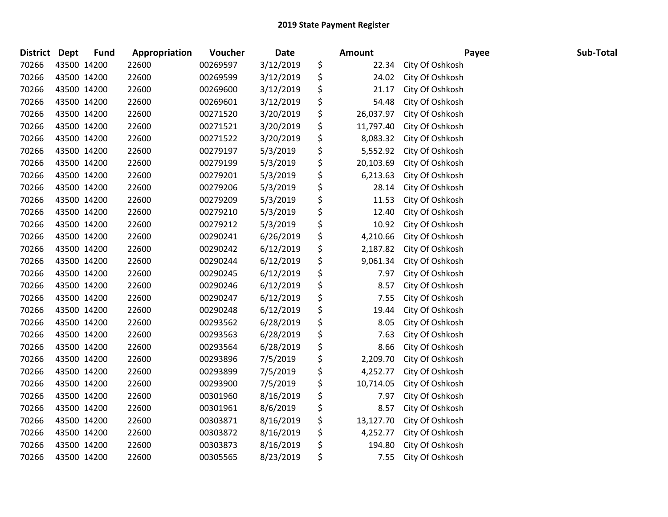| <b>District</b> | <b>Dept</b> | <b>Fund</b> | Appropriation | Voucher  | Date      | <b>Amount</b>   | Payee           | Sub-Total |
|-----------------|-------------|-------------|---------------|----------|-----------|-----------------|-----------------|-----------|
| 70266           |             | 43500 14200 | 22600         | 00269597 | 3/12/2019 | \$<br>22.34     | City Of Oshkosh |           |
| 70266           |             | 43500 14200 | 22600         | 00269599 | 3/12/2019 | \$<br>24.02     | City Of Oshkosh |           |
| 70266           |             | 43500 14200 | 22600         | 00269600 | 3/12/2019 | \$<br>21.17     | City Of Oshkosh |           |
| 70266           |             | 43500 14200 | 22600         | 00269601 | 3/12/2019 | \$<br>54.48     | City Of Oshkosh |           |
| 70266           |             | 43500 14200 | 22600         | 00271520 | 3/20/2019 | \$<br>26,037.97 | City Of Oshkosh |           |
| 70266           |             | 43500 14200 | 22600         | 00271521 | 3/20/2019 | \$<br>11,797.40 | City Of Oshkosh |           |
| 70266           |             | 43500 14200 | 22600         | 00271522 | 3/20/2019 | \$<br>8,083.32  | City Of Oshkosh |           |
| 70266           |             | 43500 14200 | 22600         | 00279197 | 5/3/2019  | \$<br>5,552.92  | City Of Oshkosh |           |
| 70266           |             | 43500 14200 | 22600         | 00279199 | 5/3/2019  | \$<br>20,103.69 | City Of Oshkosh |           |
| 70266           |             | 43500 14200 | 22600         | 00279201 | 5/3/2019  | \$<br>6,213.63  | City Of Oshkosh |           |
| 70266           |             | 43500 14200 | 22600         | 00279206 | 5/3/2019  | \$<br>28.14     | City Of Oshkosh |           |
| 70266           |             | 43500 14200 | 22600         | 00279209 | 5/3/2019  | \$<br>11.53     | City Of Oshkosh |           |
| 70266           |             | 43500 14200 | 22600         | 00279210 | 5/3/2019  | \$<br>12.40     | City Of Oshkosh |           |
| 70266           |             | 43500 14200 | 22600         | 00279212 | 5/3/2019  | \$<br>10.92     | City Of Oshkosh |           |
| 70266           |             | 43500 14200 | 22600         | 00290241 | 6/26/2019 | \$<br>4,210.66  | City Of Oshkosh |           |
| 70266           |             | 43500 14200 | 22600         | 00290242 | 6/12/2019 | \$<br>2,187.82  | City Of Oshkosh |           |
| 70266           |             | 43500 14200 | 22600         | 00290244 | 6/12/2019 | \$<br>9,061.34  | City Of Oshkosh |           |
| 70266           |             | 43500 14200 | 22600         | 00290245 | 6/12/2019 | \$<br>7.97      | City Of Oshkosh |           |
| 70266           |             | 43500 14200 | 22600         | 00290246 | 6/12/2019 | \$<br>8.57      | City Of Oshkosh |           |
| 70266           |             | 43500 14200 | 22600         | 00290247 | 6/12/2019 | \$<br>7.55      | City Of Oshkosh |           |
| 70266           |             | 43500 14200 | 22600         | 00290248 | 6/12/2019 | \$<br>19.44     | City Of Oshkosh |           |
| 70266           |             | 43500 14200 | 22600         | 00293562 | 6/28/2019 | \$<br>8.05      | City Of Oshkosh |           |
| 70266           |             | 43500 14200 | 22600         | 00293563 | 6/28/2019 | \$<br>7.63      | City Of Oshkosh |           |
| 70266           |             | 43500 14200 | 22600         | 00293564 | 6/28/2019 | \$<br>8.66      | City Of Oshkosh |           |
| 70266           |             | 43500 14200 | 22600         | 00293896 | 7/5/2019  | \$<br>2,209.70  | City Of Oshkosh |           |
| 70266           |             | 43500 14200 | 22600         | 00293899 | 7/5/2019  | \$<br>4,252.77  | City Of Oshkosh |           |
| 70266           |             | 43500 14200 | 22600         | 00293900 | 7/5/2019  | \$<br>10,714.05 | City Of Oshkosh |           |
| 70266           |             | 43500 14200 | 22600         | 00301960 | 8/16/2019 | \$<br>7.97      | City Of Oshkosh |           |
| 70266           |             | 43500 14200 | 22600         | 00301961 | 8/6/2019  | \$<br>8.57      | City Of Oshkosh |           |
| 70266           |             | 43500 14200 | 22600         | 00303871 | 8/16/2019 | \$<br>13,127.70 | City Of Oshkosh |           |
| 70266           |             | 43500 14200 | 22600         | 00303872 | 8/16/2019 | \$<br>4,252.77  | City Of Oshkosh |           |
| 70266           |             | 43500 14200 | 22600         | 00303873 | 8/16/2019 | \$<br>194.80    | City Of Oshkosh |           |
| 70266           | 43500 14200 |             | 22600         | 00305565 | 8/23/2019 | \$<br>7.55      | City Of Oshkosh |           |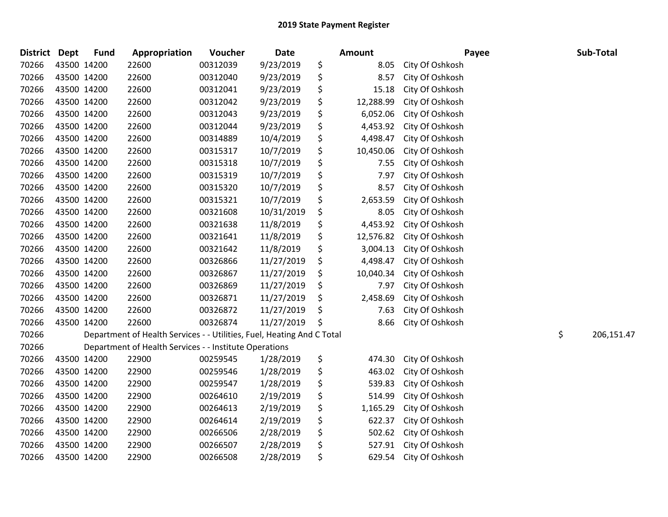| <b>District</b> | <b>Dept</b> | <b>Fund</b> | Appropriation                                                          | Voucher  | Date       | Amount          | Payee           | Sub-Total        |
|-----------------|-------------|-------------|------------------------------------------------------------------------|----------|------------|-----------------|-----------------|------------------|
| 70266           |             | 43500 14200 | 22600                                                                  | 00312039 | 9/23/2019  | \$<br>8.05      | City Of Oshkosh |                  |
| 70266           |             | 43500 14200 | 22600                                                                  | 00312040 | 9/23/2019  | \$<br>8.57      | City Of Oshkosh |                  |
| 70266           |             | 43500 14200 | 22600                                                                  | 00312041 | 9/23/2019  | \$<br>15.18     | City Of Oshkosh |                  |
| 70266           |             | 43500 14200 | 22600                                                                  | 00312042 | 9/23/2019  | \$<br>12,288.99 | City Of Oshkosh |                  |
| 70266           |             | 43500 14200 | 22600                                                                  | 00312043 | 9/23/2019  | \$<br>6,052.06  | City Of Oshkosh |                  |
| 70266           |             | 43500 14200 | 22600                                                                  | 00312044 | 9/23/2019  | \$<br>4,453.92  | City Of Oshkosh |                  |
| 70266           |             | 43500 14200 | 22600                                                                  | 00314889 | 10/4/2019  | \$<br>4,498.47  | City Of Oshkosh |                  |
| 70266           |             | 43500 14200 | 22600                                                                  | 00315317 | 10/7/2019  | \$<br>10,450.06 | City Of Oshkosh |                  |
| 70266           |             | 43500 14200 | 22600                                                                  | 00315318 | 10/7/2019  | \$<br>7.55      | City Of Oshkosh |                  |
| 70266           |             | 43500 14200 | 22600                                                                  | 00315319 | 10/7/2019  | \$<br>7.97      | City Of Oshkosh |                  |
| 70266           |             | 43500 14200 | 22600                                                                  | 00315320 | 10/7/2019  | \$<br>8.57      | City Of Oshkosh |                  |
| 70266           |             | 43500 14200 | 22600                                                                  | 00315321 | 10/7/2019  | \$<br>2,653.59  | City Of Oshkosh |                  |
| 70266           |             | 43500 14200 | 22600                                                                  | 00321608 | 10/31/2019 | \$<br>8.05      | City Of Oshkosh |                  |
| 70266           |             | 43500 14200 | 22600                                                                  | 00321638 | 11/8/2019  | \$<br>4,453.92  | City Of Oshkosh |                  |
| 70266           |             | 43500 14200 | 22600                                                                  | 00321641 | 11/8/2019  | \$<br>12,576.82 | City Of Oshkosh |                  |
| 70266           |             | 43500 14200 | 22600                                                                  | 00321642 | 11/8/2019  | \$<br>3,004.13  | City Of Oshkosh |                  |
| 70266           |             | 43500 14200 | 22600                                                                  | 00326866 | 11/27/2019 | \$<br>4,498.47  | City Of Oshkosh |                  |
| 70266           |             | 43500 14200 | 22600                                                                  | 00326867 | 11/27/2019 | \$<br>10,040.34 | City Of Oshkosh |                  |
| 70266           |             | 43500 14200 | 22600                                                                  | 00326869 | 11/27/2019 | \$<br>7.97      | City Of Oshkosh |                  |
| 70266           |             | 43500 14200 | 22600                                                                  | 00326871 | 11/27/2019 | \$<br>2,458.69  | City Of Oshkosh |                  |
| 70266           |             | 43500 14200 | 22600                                                                  | 00326872 | 11/27/2019 | \$<br>7.63      | City Of Oshkosh |                  |
| 70266           |             | 43500 14200 | 22600                                                                  | 00326874 | 11/27/2019 | \$<br>8.66      | City Of Oshkosh |                  |
| 70266           |             |             | Department of Health Services - - Utilities, Fuel, Heating And C Total |          |            |                 |                 | \$<br>206,151.47 |
| 70266           |             |             | Department of Health Services - - Institute Operations                 |          |            |                 |                 |                  |
| 70266           |             | 43500 14200 | 22900                                                                  | 00259545 | 1/28/2019  | \$<br>474.30    | City Of Oshkosh |                  |
| 70266           |             | 43500 14200 | 22900                                                                  | 00259546 | 1/28/2019  | \$<br>463.02    | City Of Oshkosh |                  |
| 70266           |             | 43500 14200 | 22900                                                                  | 00259547 | 1/28/2019  | \$<br>539.83    | City Of Oshkosh |                  |
| 70266           |             | 43500 14200 | 22900                                                                  | 00264610 | 2/19/2019  | \$<br>514.99    | City Of Oshkosh |                  |
| 70266           |             | 43500 14200 | 22900                                                                  | 00264613 | 2/19/2019  | \$<br>1,165.29  | City Of Oshkosh |                  |
| 70266           |             | 43500 14200 | 22900                                                                  | 00264614 | 2/19/2019  | \$<br>622.37    | City Of Oshkosh |                  |
| 70266           |             | 43500 14200 | 22900                                                                  | 00266506 | 2/28/2019  | \$<br>502.62    | City Of Oshkosh |                  |
| 70266           |             | 43500 14200 | 22900                                                                  | 00266507 | 2/28/2019  | \$<br>527.91    | City Of Oshkosh |                  |
| 70266           |             | 43500 14200 | 22900                                                                  | 00266508 | 2/28/2019  | \$<br>629.54    | City Of Oshkosh |                  |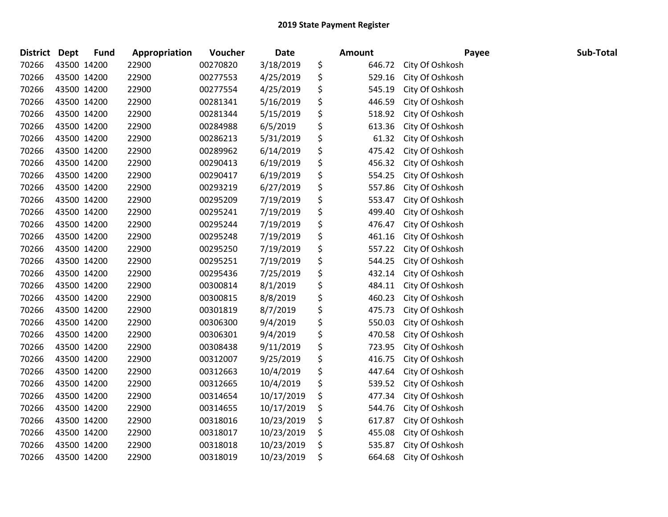| <b>District</b> | <b>Dept</b> | <b>Fund</b> | Appropriation | Voucher  | Date       | <b>Amount</b> | Payee           | Sub-Total |
|-----------------|-------------|-------------|---------------|----------|------------|---------------|-----------------|-----------|
| 70266           |             | 43500 14200 | 22900         | 00270820 | 3/18/2019  | \$<br>646.72  | City Of Oshkosh |           |
| 70266           |             | 43500 14200 | 22900         | 00277553 | 4/25/2019  | \$<br>529.16  | City Of Oshkosh |           |
| 70266           | 43500 14200 |             | 22900         | 00277554 | 4/25/2019  | \$<br>545.19  | City Of Oshkosh |           |
| 70266           |             | 43500 14200 | 22900         | 00281341 | 5/16/2019  | \$<br>446.59  | City Of Oshkosh |           |
| 70266           |             | 43500 14200 | 22900         | 00281344 | 5/15/2019  | \$<br>518.92  | City Of Oshkosh |           |
| 70266           |             | 43500 14200 | 22900         | 00284988 | 6/5/2019   | \$<br>613.36  | City Of Oshkosh |           |
| 70266           |             | 43500 14200 | 22900         | 00286213 | 5/31/2019  | \$<br>61.32   | City Of Oshkosh |           |
| 70266           | 43500 14200 |             | 22900         | 00289962 | 6/14/2019  | \$<br>475.42  | City Of Oshkosh |           |
| 70266           |             | 43500 14200 | 22900         | 00290413 | 6/19/2019  | \$<br>456.32  | City Of Oshkosh |           |
| 70266           |             | 43500 14200 | 22900         | 00290417 | 6/19/2019  | \$<br>554.25  | City Of Oshkosh |           |
| 70266           |             | 43500 14200 | 22900         | 00293219 | 6/27/2019  | \$<br>557.86  | City Of Oshkosh |           |
| 70266           |             | 43500 14200 | 22900         | 00295209 | 7/19/2019  | \$<br>553.47  | City Of Oshkosh |           |
| 70266           | 43500 14200 |             | 22900         | 00295241 | 7/19/2019  | \$<br>499.40  | City Of Oshkosh |           |
| 70266           |             | 43500 14200 | 22900         | 00295244 | 7/19/2019  | \$<br>476.47  | City Of Oshkosh |           |
| 70266           |             | 43500 14200 | 22900         | 00295248 | 7/19/2019  | \$<br>461.16  | City Of Oshkosh |           |
| 70266           |             | 43500 14200 | 22900         | 00295250 | 7/19/2019  | \$<br>557.22  | City Of Oshkosh |           |
| 70266           |             | 43500 14200 | 22900         | 00295251 | 7/19/2019  | \$<br>544.25  | City Of Oshkosh |           |
| 70266           | 43500 14200 |             | 22900         | 00295436 | 7/25/2019  | \$<br>432.14  | City Of Oshkosh |           |
| 70266           |             | 43500 14200 | 22900         | 00300814 | 8/1/2019   | \$<br>484.11  | City Of Oshkosh |           |
| 70266           |             | 43500 14200 | 22900         | 00300815 | 8/8/2019   | \$<br>460.23  | City Of Oshkosh |           |
| 70266           |             | 43500 14200 | 22900         | 00301819 | 8/7/2019   | \$<br>475.73  | City Of Oshkosh |           |
| 70266           |             | 43500 14200 | 22900         | 00306300 | 9/4/2019   | \$<br>550.03  | City Of Oshkosh |           |
| 70266           | 43500 14200 |             | 22900         | 00306301 | 9/4/2019   | \$<br>470.58  | City Of Oshkosh |           |
| 70266           |             | 43500 14200 | 22900         | 00308438 | 9/11/2019  | \$<br>723.95  | City Of Oshkosh |           |
| 70266           |             | 43500 14200 | 22900         | 00312007 | 9/25/2019  | \$<br>416.75  | City Of Oshkosh |           |
| 70266           |             | 43500 14200 | 22900         | 00312663 | 10/4/2019  | \$<br>447.64  | City Of Oshkosh |           |
| 70266           |             | 43500 14200 | 22900         | 00312665 | 10/4/2019  | \$<br>539.52  | City Of Oshkosh |           |
| 70266           |             | 43500 14200 | 22900         | 00314654 | 10/17/2019 | \$<br>477.34  | City Of Oshkosh |           |
| 70266           |             | 43500 14200 | 22900         | 00314655 | 10/17/2019 | \$<br>544.76  | City Of Oshkosh |           |
| 70266           |             | 43500 14200 | 22900         | 00318016 | 10/23/2019 | \$<br>617.87  | City Of Oshkosh |           |
| 70266           |             | 43500 14200 | 22900         | 00318017 | 10/23/2019 | \$<br>455.08  | City Of Oshkosh |           |
| 70266           |             | 43500 14200 | 22900         | 00318018 | 10/23/2019 | \$<br>535.87  | City Of Oshkosh |           |
| 70266           | 43500 14200 |             | 22900         | 00318019 | 10/23/2019 | \$<br>664.68  | City Of Oshkosh |           |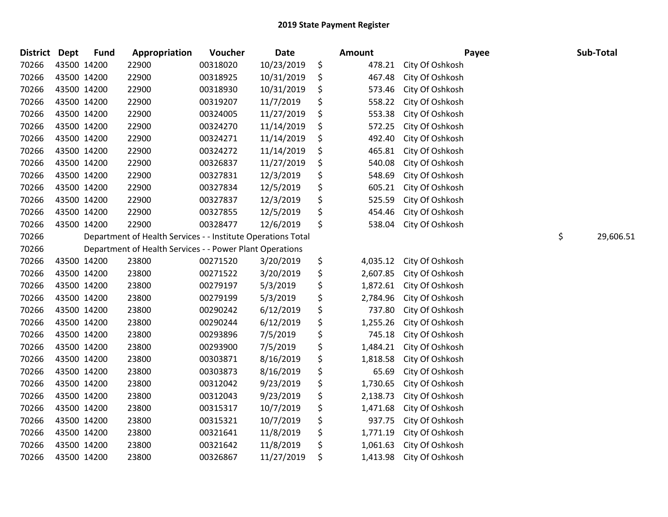| <b>District Dept</b> | <b>Fund</b> | Appropriation                                                | Voucher  | <b>Date</b> | <b>Amount</b>  | Payee           | Sub-Total       |
|----------------------|-------------|--------------------------------------------------------------|----------|-------------|----------------|-----------------|-----------------|
| 70266                | 43500 14200 | 22900                                                        | 00318020 | 10/23/2019  | \$<br>478.21   | City Of Oshkosh |                 |
| 70266                | 43500 14200 | 22900                                                        | 00318925 | 10/31/2019  | \$<br>467.48   | City Of Oshkosh |                 |
| 70266                | 43500 14200 | 22900                                                        | 00318930 | 10/31/2019  | \$<br>573.46   | City Of Oshkosh |                 |
| 70266                | 43500 14200 | 22900                                                        | 00319207 | 11/7/2019   | \$<br>558.22   | City Of Oshkosh |                 |
| 70266                | 43500 14200 | 22900                                                        | 00324005 | 11/27/2019  | \$<br>553.38   | City Of Oshkosh |                 |
| 70266                | 43500 14200 | 22900                                                        | 00324270 | 11/14/2019  | \$<br>572.25   | City Of Oshkosh |                 |
| 70266                | 43500 14200 | 22900                                                        | 00324271 | 11/14/2019  | \$<br>492.40   | City Of Oshkosh |                 |
| 70266                | 43500 14200 | 22900                                                        | 00324272 | 11/14/2019  | \$<br>465.81   | City Of Oshkosh |                 |
| 70266                | 43500 14200 | 22900                                                        | 00326837 | 11/27/2019  | \$<br>540.08   | City Of Oshkosh |                 |
| 70266                | 43500 14200 | 22900                                                        | 00327831 | 12/3/2019   | \$<br>548.69   | City Of Oshkosh |                 |
| 70266                | 43500 14200 | 22900                                                        | 00327834 | 12/5/2019   | \$<br>605.21   | City Of Oshkosh |                 |
| 70266                | 43500 14200 | 22900                                                        | 00327837 | 12/3/2019   | \$<br>525.59   | City Of Oshkosh |                 |
| 70266                | 43500 14200 | 22900                                                        | 00327855 | 12/5/2019   | \$<br>454.46   | City Of Oshkosh |                 |
| 70266                | 43500 14200 | 22900                                                        | 00328477 | 12/6/2019   | \$<br>538.04   | City Of Oshkosh |                 |
| 70266                |             | Department of Health Services - - Institute Operations Total |          |             |                |                 | \$<br>29,606.51 |
| 70266                |             | Department of Health Services - - Power Plant Operations     |          |             |                |                 |                 |
| 70266                | 43500 14200 | 23800                                                        | 00271520 | 3/20/2019   | \$<br>4,035.12 | City Of Oshkosh |                 |
| 70266                | 43500 14200 | 23800                                                        | 00271522 | 3/20/2019   | \$<br>2,607.85 | City Of Oshkosh |                 |
| 70266                | 43500 14200 | 23800                                                        | 00279197 | 5/3/2019    | \$<br>1,872.61 | City Of Oshkosh |                 |
| 70266                | 43500 14200 | 23800                                                        | 00279199 | 5/3/2019    | \$<br>2,784.96 | City Of Oshkosh |                 |
| 70266                | 43500 14200 | 23800                                                        | 00290242 | 6/12/2019   | \$<br>737.80   | City Of Oshkosh |                 |
| 70266                | 43500 14200 | 23800                                                        | 00290244 | 6/12/2019   | \$<br>1,255.26 | City Of Oshkosh |                 |
| 70266                | 43500 14200 | 23800                                                        | 00293896 | 7/5/2019    | \$<br>745.18   | City Of Oshkosh |                 |
| 70266                | 43500 14200 | 23800                                                        | 00293900 | 7/5/2019    | \$<br>1,484.21 | City Of Oshkosh |                 |
| 70266                | 43500 14200 | 23800                                                        | 00303871 | 8/16/2019   | \$<br>1,818.58 | City Of Oshkosh |                 |
| 70266                | 43500 14200 | 23800                                                        | 00303873 | 8/16/2019   | \$<br>65.69    | City Of Oshkosh |                 |
| 70266                | 43500 14200 | 23800                                                        | 00312042 | 9/23/2019   | \$<br>1,730.65 | City Of Oshkosh |                 |
| 70266                | 43500 14200 | 23800                                                        | 00312043 | 9/23/2019   | \$<br>2,138.73 | City Of Oshkosh |                 |
| 70266                | 43500 14200 | 23800                                                        | 00315317 | 10/7/2019   | \$<br>1,471.68 | City Of Oshkosh |                 |
| 70266                | 43500 14200 | 23800                                                        | 00315321 | 10/7/2019   | \$<br>937.75   | City Of Oshkosh |                 |
| 70266                | 43500 14200 | 23800                                                        | 00321641 | 11/8/2019   | \$<br>1,771.19 | City Of Oshkosh |                 |
| 70266                | 43500 14200 | 23800                                                        | 00321642 | 11/8/2019   | \$<br>1,061.63 | City Of Oshkosh |                 |
| 70266                | 43500 14200 | 23800                                                        | 00326867 | 11/27/2019  | \$<br>1,413.98 | City Of Oshkosh |                 |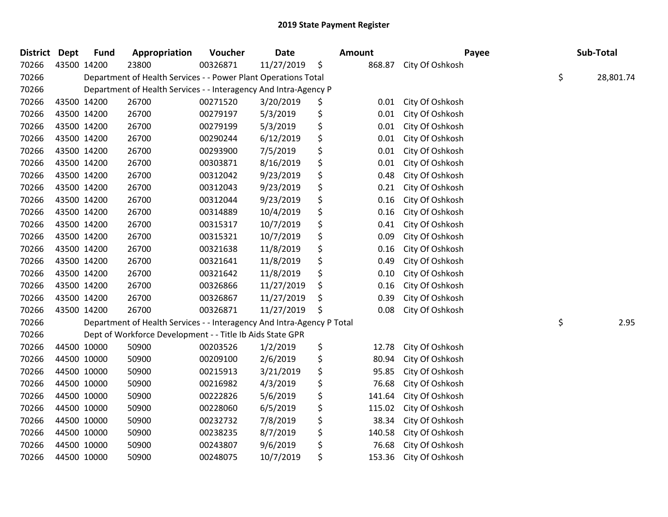| District Dept | <b>Fund</b> | Appropriation                                                          | Voucher  | <b>Date</b> |    | Amount | Payee           | Sub-Total       |
|---------------|-------------|------------------------------------------------------------------------|----------|-------------|----|--------|-----------------|-----------------|
| 70266         | 43500 14200 | 23800                                                                  | 00326871 | 11/27/2019  | \$ | 868.87 | City Of Oshkosh |                 |
| 70266         |             | Department of Health Services - - Power Plant Operations Total         |          |             |    |        |                 | \$<br>28,801.74 |
| 70266         |             | Department of Health Services - - Interagency And Intra-Agency P       |          |             |    |        |                 |                 |
| 70266         | 43500 14200 | 26700                                                                  | 00271520 | 3/20/2019   | Ş  | 0.01   | City Of Oshkosh |                 |
| 70266         | 43500 14200 | 26700                                                                  | 00279197 | 5/3/2019    | \$ | 0.01   | City Of Oshkosh |                 |
| 70266         | 43500 14200 | 26700                                                                  | 00279199 | 5/3/2019    | \$ | 0.01   | City Of Oshkosh |                 |
| 70266         | 43500 14200 | 26700                                                                  | 00290244 | 6/12/2019   | \$ | 0.01   | City Of Oshkosh |                 |
| 70266         | 43500 14200 | 26700                                                                  | 00293900 | 7/5/2019    | \$ | 0.01   | City Of Oshkosh |                 |
| 70266         | 43500 14200 | 26700                                                                  | 00303871 | 8/16/2019   | \$ | 0.01   | City Of Oshkosh |                 |
| 70266         | 43500 14200 | 26700                                                                  | 00312042 | 9/23/2019   | \$ | 0.48   | City Of Oshkosh |                 |
| 70266         | 43500 14200 | 26700                                                                  | 00312043 | 9/23/2019   | \$ | 0.21   | City Of Oshkosh |                 |
| 70266         | 43500 14200 | 26700                                                                  | 00312044 | 9/23/2019   | \$ | 0.16   | City Of Oshkosh |                 |
| 70266         | 43500 14200 | 26700                                                                  | 00314889 | 10/4/2019   | \$ | 0.16   | City Of Oshkosh |                 |
| 70266         | 43500 14200 | 26700                                                                  | 00315317 | 10/7/2019   | \$ | 0.41   | City Of Oshkosh |                 |
| 70266         | 43500 14200 | 26700                                                                  | 00315321 | 10/7/2019   | \$ | 0.09   | City Of Oshkosh |                 |
| 70266         | 43500 14200 | 26700                                                                  | 00321638 | 11/8/2019   | \$ | 0.16   | City Of Oshkosh |                 |
| 70266         | 43500 14200 | 26700                                                                  | 00321641 | 11/8/2019   | \$ | 0.49   | City Of Oshkosh |                 |
| 70266         | 43500 14200 | 26700                                                                  | 00321642 | 11/8/2019   | \$ | 0.10   | City Of Oshkosh |                 |
| 70266         | 43500 14200 | 26700                                                                  | 00326866 | 11/27/2019  | \$ | 0.16   | City Of Oshkosh |                 |
| 70266         | 43500 14200 | 26700                                                                  | 00326867 | 11/27/2019  | \$ | 0.39   | City Of Oshkosh |                 |
| 70266         | 43500 14200 | 26700                                                                  | 00326871 | 11/27/2019  | \$ | 0.08   | City Of Oshkosh |                 |
| 70266         |             | Department of Health Services - - Interagency And Intra-Agency P Total |          |             |    |        |                 | \$<br>2.95      |
| 70266         |             | Dept of Workforce Development - - Title Ib Aids State GPR              |          |             |    |        |                 |                 |
| 70266         | 44500 10000 | 50900                                                                  | 00203526 | 1/2/2019    | \$ | 12.78  | City Of Oshkosh |                 |
| 70266         | 44500 10000 | 50900                                                                  | 00209100 | 2/6/2019    | \$ | 80.94  | City Of Oshkosh |                 |
| 70266         | 44500 10000 | 50900                                                                  | 00215913 | 3/21/2019   | \$ | 95.85  | City Of Oshkosh |                 |
| 70266         | 44500 10000 | 50900                                                                  | 00216982 | 4/3/2019    | \$ | 76.68  | City Of Oshkosh |                 |
| 70266         | 44500 10000 | 50900                                                                  | 00222826 | 5/6/2019    | \$ | 141.64 | City Of Oshkosh |                 |
| 70266         | 44500 10000 | 50900                                                                  | 00228060 | 6/5/2019    | \$ | 115.02 | City Of Oshkosh |                 |
| 70266         | 44500 10000 | 50900                                                                  | 00232732 | 7/8/2019    | \$ | 38.34  | City Of Oshkosh |                 |
| 70266         | 44500 10000 | 50900                                                                  | 00238235 | 8/7/2019    | \$ | 140.58 | City Of Oshkosh |                 |
| 70266         | 44500 10000 | 50900                                                                  | 00243807 | 9/6/2019    | \$ | 76.68  | City Of Oshkosh |                 |
| 70266         | 44500 10000 | 50900                                                                  | 00248075 | 10/7/2019   | \$ | 153.36 | City Of Oshkosh |                 |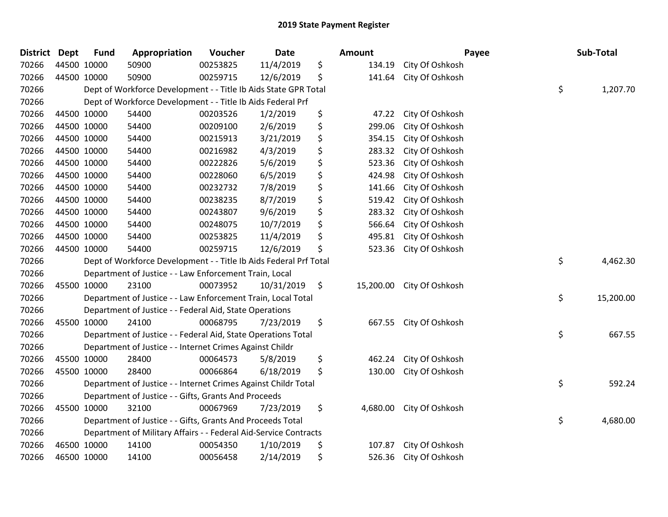| <b>District Dept</b> | <b>Fund</b> | Appropriation                                                     | Voucher  | <b>Date</b> | <b>Amount</b> |                           | Payee | Sub-Total |
|----------------------|-------------|-------------------------------------------------------------------|----------|-------------|---------------|---------------------------|-------|-----------|
| 70266                | 44500 10000 | 50900                                                             | 00253825 | 11/4/2019   | \$<br>134.19  | City Of Oshkosh           |       |           |
| 70266                | 44500 10000 | 50900                                                             | 00259715 | 12/6/2019   | \$<br>141.64  | City Of Oshkosh           |       |           |
| 70266                |             | Dept of Workforce Development - - Title Ib Aids State GPR Total   |          |             |               |                           | \$    | 1,207.70  |
| 70266                |             | Dept of Workforce Development - - Title Ib Aids Federal Prf       |          |             |               |                           |       |           |
| 70266                | 44500 10000 | 54400                                                             | 00203526 | 1/2/2019    | \$<br>47.22   | City Of Oshkosh           |       |           |
| 70266                | 44500 10000 | 54400                                                             | 00209100 | 2/6/2019    | \$<br>299.06  | City Of Oshkosh           |       |           |
| 70266                | 44500 10000 | 54400                                                             | 00215913 | 3/21/2019   | \$<br>354.15  | City Of Oshkosh           |       |           |
| 70266                | 44500 10000 | 54400                                                             | 00216982 | 4/3/2019    | \$<br>283.32  | City Of Oshkosh           |       |           |
| 70266                | 44500 10000 | 54400                                                             | 00222826 | 5/6/2019    | \$<br>523.36  | City Of Oshkosh           |       |           |
| 70266                | 44500 10000 | 54400                                                             | 00228060 | 6/5/2019    | \$<br>424.98  | City Of Oshkosh           |       |           |
| 70266                | 44500 10000 | 54400                                                             | 00232732 | 7/8/2019    | \$<br>141.66  | City Of Oshkosh           |       |           |
| 70266                | 44500 10000 | 54400                                                             | 00238235 | 8/7/2019    | \$<br>519.42  | City Of Oshkosh           |       |           |
| 70266                | 44500 10000 | 54400                                                             | 00243807 | 9/6/2019    | \$<br>283.32  | City Of Oshkosh           |       |           |
| 70266                | 44500 10000 | 54400                                                             | 00248075 | 10/7/2019   | \$<br>566.64  | City Of Oshkosh           |       |           |
| 70266                | 44500 10000 | 54400                                                             | 00253825 | 11/4/2019   | \$<br>495.81  | City Of Oshkosh           |       |           |
| 70266                | 44500 10000 | 54400                                                             | 00259715 | 12/6/2019   | \$<br>523.36  | City Of Oshkosh           |       |           |
| 70266                |             | Dept of Workforce Development - - Title Ib Aids Federal Prf Total |          |             |               |                           | \$    | 4,462.30  |
| 70266                |             | Department of Justice - - Law Enforcement Train, Local            |          |             |               |                           |       |           |
| 70266                | 45500 10000 | 23100                                                             | 00073952 | 10/31/2019  | \$            | 15,200.00 City Of Oshkosh |       |           |
| 70266                |             | Department of Justice - - Law Enforcement Train, Local Total      |          |             |               |                           | \$    | 15,200.00 |
| 70266                |             | Department of Justice - - Federal Aid, State Operations           |          |             |               |                           |       |           |
| 70266                | 45500 10000 | 24100                                                             | 00068795 | 7/23/2019   | \$            | 667.55 City Of Oshkosh    |       |           |
| 70266                |             | Department of Justice - - Federal Aid, State Operations Total     |          |             |               |                           | \$    | 667.55    |
| 70266                |             | Department of Justice - - Internet Crimes Against Childr          |          |             |               |                           |       |           |
| 70266                | 45500 10000 | 28400                                                             | 00064573 | 5/8/2019    | \$<br>462.24  | City Of Oshkosh           |       |           |
| 70266                | 45500 10000 | 28400                                                             | 00066864 | 6/18/2019   | \$<br>130.00  | City Of Oshkosh           |       |           |
| 70266                |             | Department of Justice - - Internet Crimes Against Childr Total    |          |             |               |                           | \$    | 592.24    |
| 70266                |             | Department of Justice - - Gifts, Grants And Proceeds              |          |             |               |                           |       |           |
| 70266                | 45500 10000 | 32100                                                             | 00067969 | 7/23/2019   | \$            | 4,680.00 City Of Oshkosh  |       |           |
| 70266                |             | Department of Justice - - Gifts, Grants And Proceeds Total        |          |             |               |                           | \$    | 4,680.00  |
| 70266                |             | Department of Military Affairs - - Federal Aid-Service Contracts  |          |             |               |                           |       |           |
| 70266                | 46500 10000 | 14100                                                             | 00054350 | 1/10/2019   | \$<br>107.87  | City Of Oshkosh           |       |           |
| 70266                | 46500 10000 | 14100                                                             | 00056458 | 2/14/2019   | \$<br>526.36  | City Of Oshkosh           |       |           |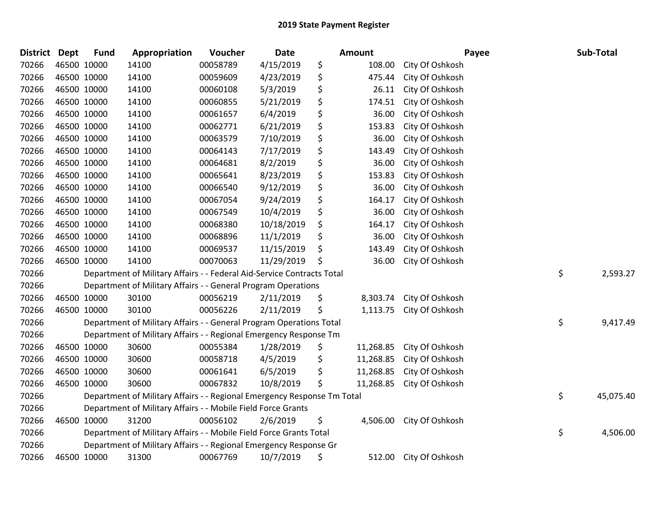| <b>District</b> | Dept        | <b>Fund</b> | Appropriation                                                           | Voucher  | Date       | <b>Amount</b>   | Payee                  | Sub-Total       |
|-----------------|-------------|-------------|-------------------------------------------------------------------------|----------|------------|-----------------|------------------------|-----------------|
| 70266           | 46500 10000 |             | 14100                                                                   | 00058789 | 4/15/2019  | \$<br>108.00    | City Of Oshkosh        |                 |
| 70266           | 46500 10000 |             | 14100                                                                   | 00059609 | 4/23/2019  | \$<br>475.44    | City Of Oshkosh        |                 |
| 70266           | 46500 10000 |             | 14100                                                                   | 00060108 | 5/3/2019   | \$<br>26.11     | City Of Oshkosh        |                 |
| 70266           |             | 46500 10000 | 14100                                                                   | 00060855 | 5/21/2019  | \$<br>174.51    | City Of Oshkosh        |                 |
| 70266           |             | 46500 10000 | 14100                                                                   | 00061657 | 6/4/2019   | \$<br>36.00     | City Of Oshkosh        |                 |
| 70266           |             | 46500 10000 | 14100                                                                   | 00062771 | 6/21/2019  | \$<br>153.83    | City Of Oshkosh        |                 |
| 70266           | 46500 10000 |             | 14100                                                                   | 00063579 | 7/10/2019  | \$<br>36.00     | City Of Oshkosh        |                 |
| 70266           | 46500 10000 |             | 14100                                                                   | 00064143 | 7/17/2019  | \$<br>143.49    | City Of Oshkosh        |                 |
| 70266           |             | 46500 10000 | 14100                                                                   | 00064681 | 8/2/2019   | \$<br>36.00     | City Of Oshkosh        |                 |
| 70266           |             | 46500 10000 | 14100                                                                   | 00065641 | 8/23/2019  | \$<br>153.83    | City Of Oshkosh        |                 |
| 70266           |             | 46500 10000 | 14100                                                                   | 00066540 | 9/12/2019  | \$<br>36.00     | City Of Oshkosh        |                 |
| 70266           | 46500 10000 |             | 14100                                                                   | 00067054 | 9/24/2019  | \$<br>164.17    | City Of Oshkosh        |                 |
| 70266           | 46500 10000 |             | 14100                                                                   | 00067549 | 10/4/2019  | \$<br>36.00     | City Of Oshkosh        |                 |
| 70266           |             | 46500 10000 | 14100                                                                   | 00068380 | 10/18/2019 | \$<br>164.17    | City Of Oshkosh        |                 |
| 70266           |             | 46500 10000 | 14100                                                                   | 00068896 | 11/1/2019  | \$<br>36.00     | City Of Oshkosh        |                 |
| 70266           |             | 46500 10000 | 14100                                                                   | 00069537 | 11/15/2019 | \$<br>143.49    | City Of Oshkosh        |                 |
| 70266           | 46500 10000 |             | 14100                                                                   | 00070063 | 11/29/2019 | \$<br>36.00     | City Of Oshkosh        |                 |
| 70266           |             |             | Department of Military Affairs - - Federal Aid-Service Contracts Total  |          |            |                 |                        | \$<br>2,593.27  |
| 70266           |             |             | Department of Military Affairs - - General Program Operations           |          |            |                 |                        |                 |
| 70266           |             | 46500 10000 | 30100                                                                   | 00056219 | 2/11/2019  | \$<br>8,303.74  | City Of Oshkosh        |                 |
| 70266           |             | 46500 10000 | 30100                                                                   | 00056226 | 2/11/2019  | \$<br>1,113.75  | City Of Oshkosh        |                 |
| 70266           |             |             | Department of Military Affairs - - General Program Operations Total     |          |            |                 |                        | \$<br>9,417.49  |
| 70266           |             |             | Department of Military Affairs - - Regional Emergency Response Tm       |          |            |                 |                        |                 |
| 70266           | 46500 10000 |             | 30600                                                                   | 00055384 | 1/28/2019  | \$<br>11,268.85 | City Of Oshkosh        |                 |
| 70266           |             | 46500 10000 | 30600                                                                   | 00058718 | 4/5/2019   | \$<br>11,268.85 | City Of Oshkosh        |                 |
| 70266           |             | 46500 10000 | 30600                                                                   | 00061641 | 6/5/2019   | \$<br>11,268.85 | City Of Oshkosh        |                 |
| 70266           | 46500 10000 |             | 30600                                                                   | 00067832 | 10/8/2019  | \$<br>11,268.85 | City Of Oshkosh        |                 |
| 70266           |             |             | Department of Military Affairs - - Regional Emergency Response Tm Total |          |            |                 |                        | \$<br>45,075.40 |
| 70266           |             |             | Department of Military Affairs - - Mobile Field Force Grants            |          |            |                 |                        |                 |
| 70266           |             | 46500 10000 | 31200                                                                   | 00056102 | 2/6/2019   | \$<br>4,506.00  | City Of Oshkosh        |                 |
| 70266           |             |             | Department of Military Affairs - - Mobile Field Force Grants Total      |          |            |                 |                        | \$<br>4,506.00  |
| 70266           |             |             | Department of Military Affairs - - Regional Emergency Response Gr       |          |            |                 |                        |                 |
| 70266           | 46500 10000 |             | 31300                                                                   | 00067769 | 10/7/2019  | \$              | 512.00 City Of Oshkosh |                 |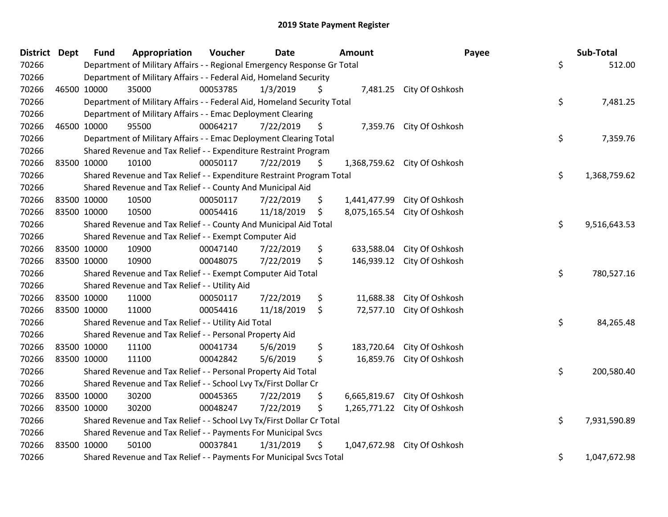| <b>District Dept</b> |             | <b>Fund</b> | Appropriation                                                           | Voucher  | <b>Date</b> | <b>Amount</b>      |                              | Payee | Sub-Total    |
|----------------------|-------------|-------------|-------------------------------------------------------------------------|----------|-------------|--------------------|------------------------------|-------|--------------|
| 70266                |             |             | Department of Military Affairs - - Regional Emergency Response Gr Total |          |             |                    |                              | \$    | 512.00       |
| 70266                |             |             | Department of Military Affairs - - Federal Aid, Homeland Security       |          |             |                    |                              |       |              |
| 70266                |             | 46500 10000 | 35000                                                                   | 00053785 | 1/3/2019    | \$                 | 7,481.25 City Of Oshkosh     |       |              |
| 70266                |             |             | Department of Military Affairs - - Federal Aid, Homeland Security Total |          |             |                    |                              | \$    | 7,481.25     |
| 70266                |             |             | Department of Military Affairs - - Emac Deployment Clearing             |          |             |                    |                              |       |              |
| 70266                |             | 46500 10000 | 95500                                                                   | 00064217 | 7/22/2019   | \$<br>7,359.76     | City Of Oshkosh              |       |              |
| 70266                |             |             | Department of Military Affairs - - Emac Deployment Clearing Total       |          |             |                    |                              | \$    | 7,359.76     |
| 70266                |             |             | Shared Revenue and Tax Relief - - Expenditure Restraint Program         |          |             |                    |                              |       |              |
| 70266                |             | 83500 10000 | 10100                                                                   | 00050117 | 7/22/2019   | \$                 | 1,368,759.62 City Of Oshkosh |       |              |
| 70266                |             |             | Shared Revenue and Tax Relief - - Expenditure Restraint Program Total   |          |             |                    |                              | \$    | 1,368,759.62 |
| 70266                |             |             | Shared Revenue and Tax Relief - - County And Municipal Aid              |          |             |                    |                              |       |              |
| 70266                |             | 83500 10000 | 10500                                                                   | 00050117 | 7/22/2019   | \$<br>1,441,477.99 | City Of Oshkosh              |       |              |
| 70266                |             | 83500 10000 | 10500                                                                   | 00054416 | 11/18/2019  | \$<br>8,075,165.54 | City Of Oshkosh              |       |              |
| 70266                |             |             | Shared Revenue and Tax Relief - - County And Municipal Aid Total        |          |             |                    |                              | \$    | 9,516,643.53 |
| 70266                |             |             | Shared Revenue and Tax Relief - - Exempt Computer Aid                   |          |             |                    |                              |       |              |
| 70266                |             | 83500 10000 | 10900                                                                   | 00047140 | 7/22/2019   | \$<br>633,588.04   | City Of Oshkosh              |       |              |
| 70266                |             | 83500 10000 | 10900                                                                   | 00048075 | 7/22/2019   | \$<br>146,939.12   | City Of Oshkosh              |       |              |
| 70266                |             |             | Shared Revenue and Tax Relief - - Exempt Computer Aid Total             |          |             |                    |                              | \$    | 780,527.16   |
| 70266                |             |             | Shared Revenue and Tax Relief - - Utility Aid                           |          |             |                    |                              |       |              |
| 70266                |             | 83500 10000 | 11000                                                                   | 00050117 | 7/22/2019   | \$<br>11,688.38    | City Of Oshkosh              |       |              |
| 70266                | 83500 10000 |             | 11000                                                                   | 00054416 | 11/18/2019  | \$<br>72,577.10    | City Of Oshkosh              |       |              |
| 70266                |             |             | Shared Revenue and Tax Relief - - Utility Aid Total                     |          |             |                    |                              | \$    | 84,265.48    |
| 70266                |             |             | Shared Revenue and Tax Relief - - Personal Property Aid                 |          |             |                    |                              |       |              |
| 70266                |             | 83500 10000 | 11100                                                                   | 00041734 | 5/6/2019    | \$<br>183,720.64   | City Of Oshkosh              |       |              |
| 70266                | 83500 10000 |             | 11100                                                                   | 00042842 | 5/6/2019    | \$<br>16,859.76    | City Of Oshkosh              |       |              |
| 70266                |             |             | Shared Revenue and Tax Relief - - Personal Property Aid Total           |          |             |                    |                              | \$    | 200,580.40   |
| 70266                |             |             | Shared Revenue and Tax Relief - - School Lvy Tx/First Dollar Cr         |          |             |                    |                              |       |              |
| 70266                |             | 83500 10000 | 30200                                                                   | 00045365 | 7/22/2019   | \$<br>6,665,819.67 | City Of Oshkosh              |       |              |
| 70266                | 83500 10000 |             | 30200                                                                   | 00048247 | 7/22/2019   | \$                 | 1,265,771.22 City Of Oshkosh |       |              |
| 70266                |             |             | Shared Revenue and Tax Relief - - School Lvy Tx/First Dollar Cr Total   |          |             |                    |                              | \$    | 7,931,590.89 |
| 70266                |             |             | Shared Revenue and Tax Relief - - Payments For Municipal Svcs           |          |             |                    |                              |       |              |
| 70266                | 83500 10000 |             | 50100                                                                   | 00037841 | 1/31/2019   | \$<br>1,047,672.98 | City Of Oshkosh              |       |              |
| 70266                |             |             | Shared Revenue and Tax Relief - - Payments For Municipal Svcs Total     |          |             |                    |                              | \$    | 1,047,672.98 |